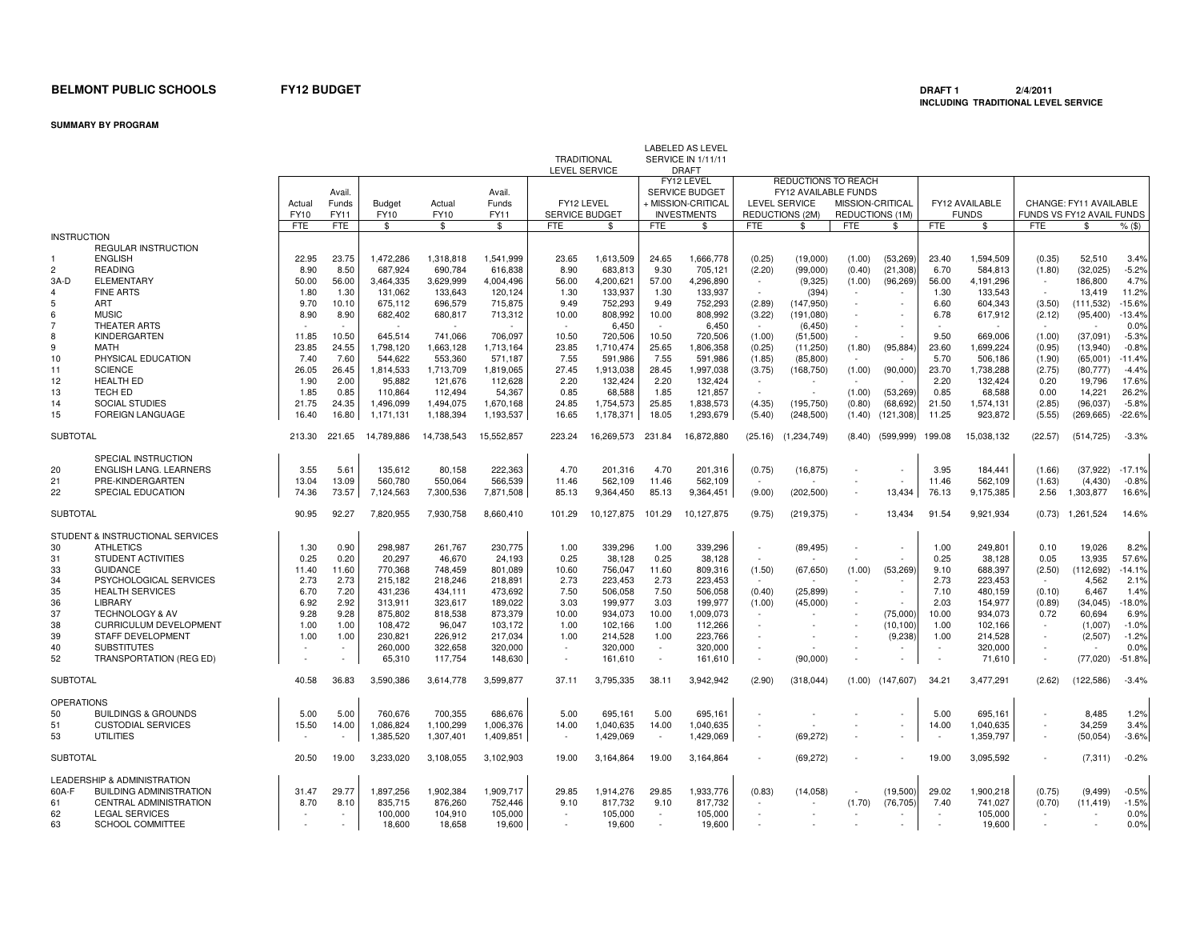**SUMMARY BY PROGRAM**

|                    |                                                      |                |                                |                       |                       |                         |                          | TRADITIONAL<br><b>LEVEL SERVICE</b> |               | <b>LABELED AS LEVEL</b><br>SERVICE IN 1/11/11<br><b>DRAFT</b>                   |                          |                                                                                               |                                     |                        |               |                                |                |                                                     |                   |
|--------------------|------------------------------------------------------|----------------|--------------------------------|-----------------------|-----------------------|-------------------------|--------------------------|-------------------------------------|---------------|---------------------------------------------------------------------------------|--------------------------|-----------------------------------------------------------------------------------------------|-------------------------------------|------------------------|---------------|--------------------------------|----------------|-----------------------------------------------------|-------------------|
|                    |                                                      | Actual<br>FY10 | Avail.<br>Funds<br><b>FY11</b> | <b>Budget</b><br>FY10 | Actual<br><b>FY10</b> | Avail.<br>Funds<br>FY11 |                          | FY12 LEVEL<br>SERVICE BUDGET        |               | FY12 LEVEL<br><b>SERVICE BUDGET</b><br>+ MISSION-CRITICAL<br><b>INVESTMENTS</b> |                          | REDUCTIONS TO REACH<br><b>FY12 AVAILABLE FUNDS</b><br><b>LEVEL SERVICE</b><br>REDUCTIONS (2M) | MISSION-CRITICAL<br>REDUCTIONS (1M) |                        |               | FY12 AVAILABLE<br><b>FUNDS</b> |                | CHANGE: FY11 AVAILABLE<br>FUNDS VS FY12 AVAIL FUNDS |                   |
|                    |                                                      | <b>FTE</b>     | <b>FTE</b>                     | \$                    | \$                    | \$                      | <b>FTE</b>               | \$                                  | <b>FTE</b>    | \$                                                                              | <b>FTE</b>               | \$                                                                                            | <b>FTE</b>                          | \$                     | <b>FTE</b>    | \$                             | <b>FTE</b>     | \$                                                  | $%$ (\$)          |
| <b>INSTRUCTION</b> |                                                      |                |                                |                       |                       |                         |                          |                                     |               |                                                                                 |                          |                                                                                               |                                     |                        |               |                                |                |                                                     |                   |
|                    | <b>REGULAR INSTRUCTION</b>                           |                |                                |                       |                       |                         |                          |                                     |               |                                                                                 |                          |                                                                                               |                                     |                        |               |                                |                |                                                     |                   |
| $\overline{2}$     | <b>ENGLISH</b><br><b>READING</b>                     | 22.95          | 23.75<br>8.50                  | 1,472,286             | 1,318,818             | 1,541,999               | 23.65                    | 1,613,509                           | 24.65<br>9.30 | 1,666,778                                                                       | (0.25)                   | (19,000)                                                                                      | (1.00)                              | (53, 269)              | 23.40         | 1,594,509                      | (0.35)         | 52.510                                              | 3.4%              |
| 3A-D               | ELEMENTARY                                           | 8.90<br>50.00  | 56.00                          | 687,924<br>3,464,335  | 690,784<br>3,629,999  | 616,838<br>4,004,496    | 8.90<br>56.00            | 683,813<br>4,200,621                | 57.00         | 705,121<br>4,296,890                                                            | (2.20)<br>$\sim$         | (99,000)<br>(9,325)                                                                           | (0.40)<br>(1.00)                    | (21, 308)<br>(96, 269) | 6.70<br>56.00 | 584,813<br>4,191,296           | (1.80)         | (32,025)<br>186,800                                 | $-5.2%$<br>4.7%   |
|                    | <b>FINE ARTS</b>                                     | 1.80           | 1.30                           | 131,062               | 133,643               | 120.124                 | 1.30                     | 133.937                             | 1.30          | 133,937                                                                         | $\sim$                   | (394)                                                                                         |                                     |                        | 1.30          | 133,543                        |                | 13,419                                              | 11.2%             |
| 5                  | ART                                                  | 9.70           | 10.10                          | 675,112               | 696,579               | 715,875                 | 9.49                     | 752,293                             | 9.49          | 752,293                                                                         | (2.89)                   | (147, 950)                                                                                    |                                     |                        | 6.60          | 604,343                        | (3.50)         | (111, 532)                                          | $-15.6%$          |
| 6                  | <b>MUSIC</b>                                         | 8.90           | 8.90                           | 682,402               | 680,817               | 713,312                 | 10.00                    | 808,992                             | 10.00         | 808,992                                                                         | (3.22)                   | (191.080)                                                                                     |                                     |                        | 6.78          | 617,912                        | (2.12)         | (95, 400)                                           | $-13.4%$          |
|                    | THEATER ARTS                                         |                |                                |                       |                       |                         | $\sim$                   | 6,450                               |               | 6,450                                                                           |                          | (6, 450)                                                                                      |                                     |                        |               |                                |                |                                                     | 0.0%              |
| 8                  | KINDERGARTEN                                         | 11.85          | 10.50                          | 645,514               | 741,066               | 706.097                 | 10.50                    | 720,506                             | 10.50         | 720,506                                                                         | (1.00)                   | (51,500)                                                                                      |                                     |                        | 9.50          | 669,006                        | (1.00)         | (37,091)                                            | $-5.3%$           |
| 9                  | <b>MATH</b>                                          | 23.85          | 24.55                          | 1,798,120             | 1,663,128             | 1,713,164               | 23.85                    | 1,710,474                           | 25.65         | 1,806,358                                                                       | (0.25)                   | (11,250)                                                                                      | (1.80)                              | (95, 884)              | 23.60         | 1,699,224                      | (0.95)         | (13,940)                                            | $-0.8%$           |
| 10                 | PHYSICAL EDUCATION                                   | 7.40           | 7.60                           | 544,622               | 553,360               | 571,187                 | 7.55                     | 591,986                             | 7.55          | 591,986                                                                         | (1.85)                   | (85, 800)                                                                                     |                                     |                        | 5.70          | 506,186                        | (1.90)         | (65,001)                                            | $-11.4%$          |
| 11                 | <b>SCIENCE</b>                                       | 26.05          | 26.45                          | 1,814,533             | 1,713,709             | 1,819,065               | 27.45                    | 1,913,038                           | 28.45         | 1,997,038                                                                       | (3.75)                   | (168, 750)                                                                                    | (1.00)                              | (90,000)               | 23.70         | 1,738,288                      | (2.75)         | (80, 777)                                           | $-4.4%$           |
| 12                 | <b>HEALTH ED</b>                                     | 1.90           | 2.00                           | 95,882                | 121,676               | 112,628                 | 2.20                     | 132,424                             | 2.20          | 132,424                                                                         | $\sim$                   |                                                                                               |                                     |                        | 2.20          | 132,424                        | 0.20           | 19,796                                              | 17.6%             |
| 13                 | <b>TECH ED</b>                                       | 1.85           | 0.85                           | 110,864               | 112,494               | 54,367                  | 0.85                     | 68,588                              | 1.85          | 121,857                                                                         | ÷.                       |                                                                                               | (1.00)                              | (53, 269)              | 0.85          | 68,588                         | 0.00           | 14,221                                              | 26.2%             |
| 14                 | <b>SOCIAL STUDIES</b>                                | 21.75          | 24.35                          | 1,496,099             | 1,494,075             | 1,670,168               | 24.85                    | 1,754,573                           | 25.85         | 1,838,573                                                                       | (4.35)                   | (195, 750)                                                                                    | (0.80)                              | (68, 692)              | 21.50         | 1,574,131                      | (2.85)         | (96,037)                                            | $-5.8%$           |
| 15                 | <b>FOREIGN LANGUAGE</b>                              | 16.40          | 16.80                          | 1,171,131             | 1,188,394             | 1,193,537               | 16.65                    | 1,178,371                           | 18.05         | 1,293,679                                                                       | (5.40)                   | (248, 500)                                                                                    | (1.40)                              | (121, 308)             | 11.25         | 923,872                        | (5.55)         | (269, 665)                                          | $-22.6%$          |
| <b>SUBTOTAL</b>    |                                                      | 213.30         | 221.65                         | 14,789,886            | 14,738,543            | 15.552.857              | 223.24                   | 16.269.573                          | 231.84        | 16.872.880                                                                      | (25.16)                  | (1,234,749)                                                                                   | (8.40)                              | (599, 999)             | 199.08        | 15,038,132                     | (22.57)        | (514, 725)                                          | $-3.3%$           |
|                    |                                                      |                |                                |                       |                       |                         |                          |                                     |               |                                                                                 |                          |                                                                                               |                                     |                        |               |                                |                |                                                     |                   |
|                    | SPECIAL INSTRUCTION                                  |                |                                |                       |                       |                         |                          |                                     |               |                                                                                 |                          |                                                                                               |                                     |                        |               |                                |                |                                                     |                   |
| 20                 | <b>ENGLISH LANG. LEARNERS</b>                        | 3.55           | 5.61                           | 135,612               | 80,158                | 222,363                 | 4.70                     | 201,316                             | 4.70          | 201,316                                                                         | (0.75)                   | (16, 875)                                                                                     |                                     |                        | 3.95          | 184,441                        | (1.66)         | (37, 922)                                           | $-17.1%$          |
| 21                 | PRE-KINDERGARTEN                                     | 13.04          | 13.09                          | 560,780               | 550.064               | 566.539                 | 11.46                    | 562.109                             | 11.46         | 562.109                                                                         |                          |                                                                                               |                                     |                        | 11.46         | 562,109                        | (1.63)         | (4.430)                                             | $-0.8%$           |
| 22                 | SPECIAL EDUCATION                                    | 74.36          | 73.57                          | 7,124,563             | 7,300,536             | 7,871,508               | 85.13                    | 9,364,450                           | 85.13         | 9,364,451                                                                       | (9.00)                   | (202, 500)                                                                                    |                                     | 13,434                 | 76.13         | 9,175,385                      | 2.56           | 1,303,877                                           | 16.6%             |
| <b>SUBTOTAL</b>    |                                                      | 90.95          | 92.27                          | 7,820,955             | 7,930,758             | 8,660,410               | 101.29                   | 10,127,875                          | 101.29        | 10,127,875                                                                      | (9.75)                   | (219, 375)                                                                                    |                                     | 13,434                 | 91.54         | 9,921,934                      | (0.73)         | 1,261,524                                           | 14.6%             |
|                    |                                                      |                |                                |                       |                       |                         |                          |                                     |               |                                                                                 |                          |                                                                                               |                                     |                        |               |                                |                |                                                     |                   |
|                    | STUDENT & INSTRUCTIONAL SERVICES<br><b>ATHLETICS</b> |                | 0.90                           | 298,987               | 261,767               |                         | 1.00                     | 339,296                             |               | 339,296                                                                         |                          |                                                                                               |                                     |                        |               |                                | 0.10           | 19,026                                              | 8.2%              |
| 30                 |                                                      | 1.30           |                                |                       |                       | 230,775                 |                          |                                     | 1.00          |                                                                                 | $\sim$                   | (89, 495)                                                                                     | $\sim$                              |                        | 1.00          | 249,801                        |                |                                                     |                   |
| 31<br>33           | STUDENT ACTIVITIES<br><b>GUIDANCE</b>                | 0.25<br>11.40  | 0.20<br>11.60                  | 20,297<br>770,368     | 46,670<br>748,459     | 24,193<br>801.089       | 0.25<br>10.60            | 38,128<br>756.047                   | 0.25<br>11.60 | 38,128<br>809,316                                                               |                          | (67, 650)                                                                                     | (1.00)                              | (53, 269)              | 0.25<br>9.10  | 38,128<br>688,397              | 0.05<br>(2.50) | 13,935<br>(112,692)                                 | 57.6%<br>$-14.1%$ |
| 34                 | PSYCHOLOGICAL SERVICES                               | 2.73           | 2.73                           | 215,182               |                       | 218,891                 | 2.73                     | 223,453                             | 2.73          | 223,453                                                                         | (1.50)                   |                                                                                               |                                     |                        | 2.73          | 223,453                        |                | 4,562                                               | 2.1%              |
| 35                 | <b>HEALTH SERVICES</b>                               | 6.70           | 7.20                           | 431,236               | 218,246<br>434,111    | 473,692                 | 7.50                     | 506,058                             | 7.50          | 506,058                                                                         | (0.40)                   | (25, 899)                                                                                     |                                     |                        | 7.10          | 480,159                        | (0.10)         | 6,467                                               | 1.4%              |
| 36                 | LIBRARY                                              | 6.92           | 2.92                           | 313,911               | 323,617               | 189,022                 | 3.03                     | 199,977                             | 3.03          | 199,977                                                                         | (1.00)                   | (45,000)                                                                                      |                                     |                        | 2.03          | 154,977                        | (0.89)         | (34, 045)                                           | $-18.0%$          |
| 37                 | <b>TECHNOLOGY &amp; AV</b>                           | 9.28           | 9.28                           | 875,802               | 818,538               | 873,379                 | 10.00                    | 934.073                             | 10.00         | 1,009,073                                                                       |                          |                                                                                               |                                     | (75,000)               | 10.00         | 934,073                        | 0.72           | 60,694                                              | 6.9%              |
| 38                 | <b>CURRICULUM DEVELOPMENT</b>                        | 1.00           | 1.00                           | 108,472               | 96,047                | 103,172                 | 1.00                     | 102,166                             | 1.00          | 112,266                                                                         |                          |                                                                                               |                                     | (10, 100)              | 1.00          | 102,166                        |                | (1,007)                                             | $-1.0%$           |
| 39                 | STAFF DEVELOPMENT                                    | 1.00           | 1.00                           | 230,821               | 226,912               | 217,034                 | 1.00                     | 214,528                             | 1.00          | 223,766                                                                         | $\sim$                   |                                                                                               |                                     | (9, 238)               | 1.00          | 214,528                        |                | (2,507)                                             | $-1.2%$           |
| 40                 | <b>SUBSTITUTES</b>                                   |                | $\sim$                         | 260,000               | 322,658               | 320,000                 | $\sim$                   | 320,000                             | $\sim$        | 320,000                                                                         | $\sim$                   |                                                                                               |                                     |                        |               | 320,000                        |                |                                                     | 0.0%              |
| 52                 | TRANSPORTATION (REG ED)                              |                |                                | 65,310                | 117,754               | 148,630                 | $\overline{\phantom{a}}$ | 161,610                             |               | 161,610                                                                         | $\sim$                   | (90,000)                                                                                      |                                     |                        |               | 71,610                         |                | (77,020)                                            | $-51.8%$          |
| <b>SUBTOTAL</b>    |                                                      | 40.58          | 36.83                          | 3,590,386             | 3,614,778             | 3,599,877               | 37.11                    | 3,795,335                           | 38.11         | 3,942,942                                                                       | (2.90)                   | (318,044)                                                                                     |                                     | $(1.00)$ $(147,607)$   | 34.21         | 3,477,291                      | (2.62)         | (122, 586)                                          | $-3.4%$           |
| <b>OPERATIONS</b>  |                                                      |                |                                |                       |                       |                         |                          |                                     |               |                                                                                 |                          |                                                                                               |                                     |                        |               |                                |                |                                                     |                   |
| 50                 | <b>BUILDINGS &amp; GROUNDS</b>                       | 5.00           | 5.00                           | 760.676               | 700.355               | 686.676                 | 5.00                     | 695.161                             | 5.00          | 695.161                                                                         |                          |                                                                                               |                                     |                        | 5.00          | 695,161                        |                | 8.485                                               | 1.2%              |
| 51                 | <b>CUSTODIAL SERVICES</b>                            | 15.50          | 14.00                          | 1,086,824             | 1,100,299             | 1,006,376               | 14.00                    | 1,040,635                           | 14.00         | 1,040,635                                                                       | $\overline{\phantom{a}}$ |                                                                                               |                                     |                        | 14.00         | 1,040,635                      |                | 34,259                                              | 3.4%              |
| 53                 | <b>UTILITIES</b>                                     |                |                                | 1,385,520             | 1,307,401             | 1,409,851               | $\overline{a}$           | 1,429,069                           |               | 1,429,069                                                                       | $\sim$                   | (69, 272)                                                                                     |                                     |                        |               | 1,359,797                      |                | (50,054)                                            | $-3.6%$           |
| <b>SUBTOTAL</b>    |                                                      | 20.50          | 19.00                          | 3,233,020             | 3,108,055             | 3,102,903               | 19.00                    | 3,164,864                           | 19.00         | 3,164,864                                                                       | ×.                       | (69, 272)                                                                                     |                                     |                        | 19.00         | 3,095,592                      | $\sim$         | (7,311)                                             | $-0.2%$           |
|                    |                                                      |                |                                |                       |                       |                         |                          |                                     |               |                                                                                 |                          |                                                                                               |                                     |                        |               |                                |                |                                                     |                   |
|                    | LEADERSHIP & ADMINISTRATION                          |                |                                |                       |                       |                         |                          |                                     |               |                                                                                 |                          |                                                                                               |                                     |                        |               |                                |                |                                                     |                   |
| 60A-F              | <b>BUILDING ADMINISTRATION</b>                       | 31.47          | 29.77                          | 1,897,256             | 1,902,384             | 1,909,717               | 29.85                    | 1,914,276                           | 29.85         | 1,933,776                                                                       | (0.83)                   | (14,058)                                                                                      |                                     | (19,500)               | 29.02         | 1,900,218                      | (0.75)         | (9, 499)                                            | $-0.5%$           |
| 61                 | <b>CENTRAL ADMINISTRATION</b>                        | 8.70           | 8.10                           | 835,715               | 876,260               | 752,446                 | 9.10                     | 817,732                             | 9.10          | 817,732                                                                         |                          |                                                                                               | (1.70)                              | (76, 705)              | 7.40          | 741.027                        | (0.70)         | (11, 419)                                           | $-1.5%$           |
| 62<br>63           | <b>LEGAL SERVICES</b><br><b>SCHOOL COMMITTEE</b>     |                |                                | 100,000               | 104,910<br>18,658     | 105,000                 |                          | 105,000<br>19,600                   | $\sim$        | 105,000<br>19,600                                                               |                          |                                                                                               |                                     |                        |               | 105,000<br>19,600              |                |                                                     | 0.0%<br>0.0%      |
|                    |                                                      |                |                                | 18,600                |                       | 19,600                  |                          |                                     |               |                                                                                 |                          |                                                                                               |                                     |                        |               |                                |                |                                                     |                   |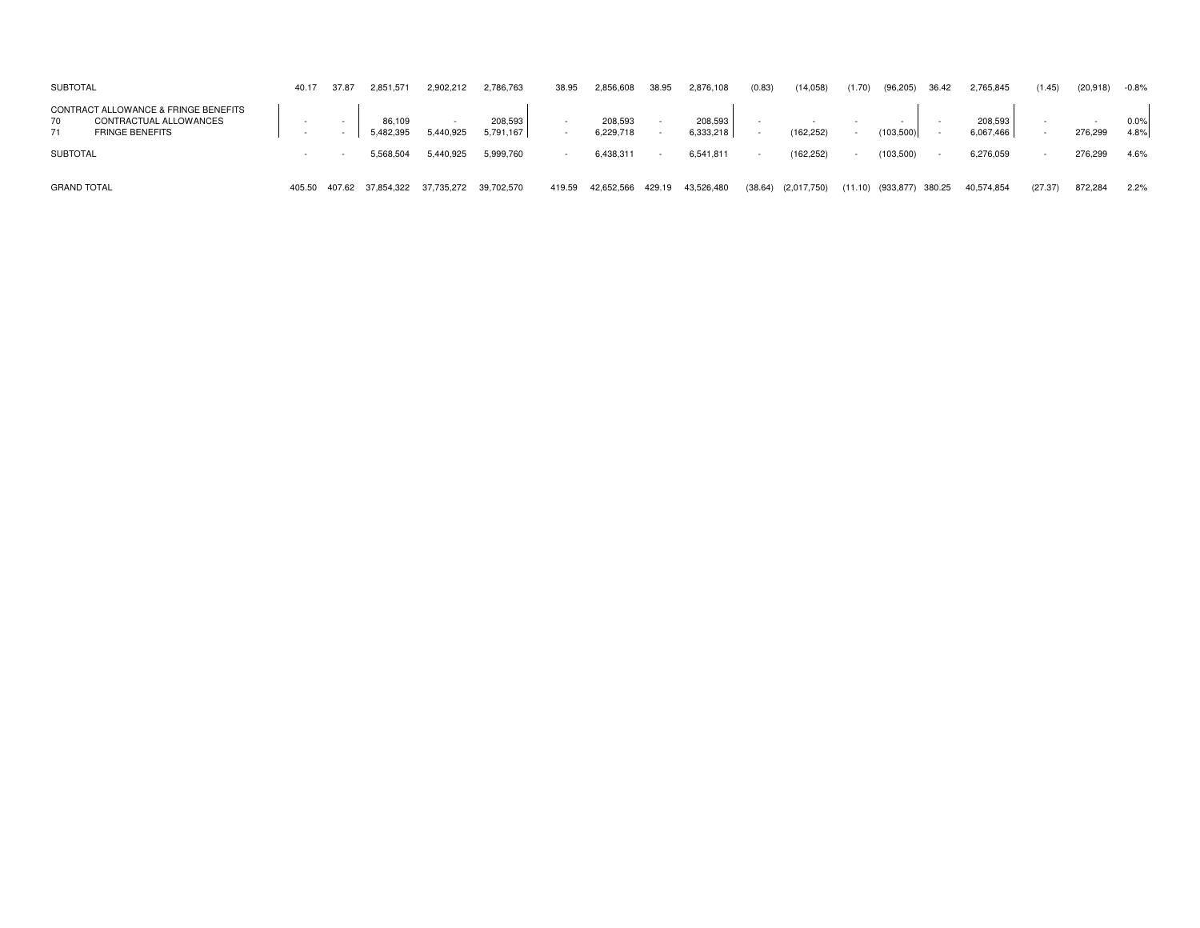| <b>SUBTOTAL</b>                                                                                      | 40.17  | 37.87  | 2,851,571           | 2,902,212  | 2,786,763            | 38.95  | 2,856,608            | 38.95  | 2,876,108            | (0.83)                   | (14,058)    | (1.70)  | (96, 205)  | 36.42  | 2,765,845            | (1.45)  | (20,918) | $-0.8%$      |
|------------------------------------------------------------------------------------------------------|--------|--------|---------------------|------------|----------------------|--------|----------------------|--------|----------------------|--------------------------|-------------|---------|------------|--------|----------------------|---------|----------|--------------|
| CONTRACT ALLOWANCE & FRINGE BENEFITS<br>70<br>CONTRACTUAL ALLOWANCES<br>71<br><b>FRINGE BENEFITS</b> |        |        | 86,109<br>5,482,395 | 5,440,925  | 208,593<br>5,791,167 |        | 208,593<br>6,229,718 |        | 208,593<br>6,333,218 |                          | (162, 252)  |         | (103, 500) |        | 208,593<br>6,067,466 |         | 276,299  | 0.0%<br>4.8% |
| <b>SUBTOTAL</b>                                                                                      |        |        | 5.568.504           | 5.440.925  | 5,999,760            |        | 6,438,311            |        | 6,541,811            | $\overline{\phantom{a}}$ | (162, 252)  |         | (103, 500) |        | 6,276,059            |         | 276,299  | 4.6%         |
| <b>GRAND TOTAL</b>                                                                                   | 405.50 | 407.62 | 37,854,322          | 37,735,272 | 39,702,570           | 419.59 | 42,652,566           | 429.19 | 43,526,480           | (38.64)                  | (2,017,750) | (11.10) | (933, 877) | 380.25 | 40,574,854           | (27.37) | 872,284  | 2.2%         |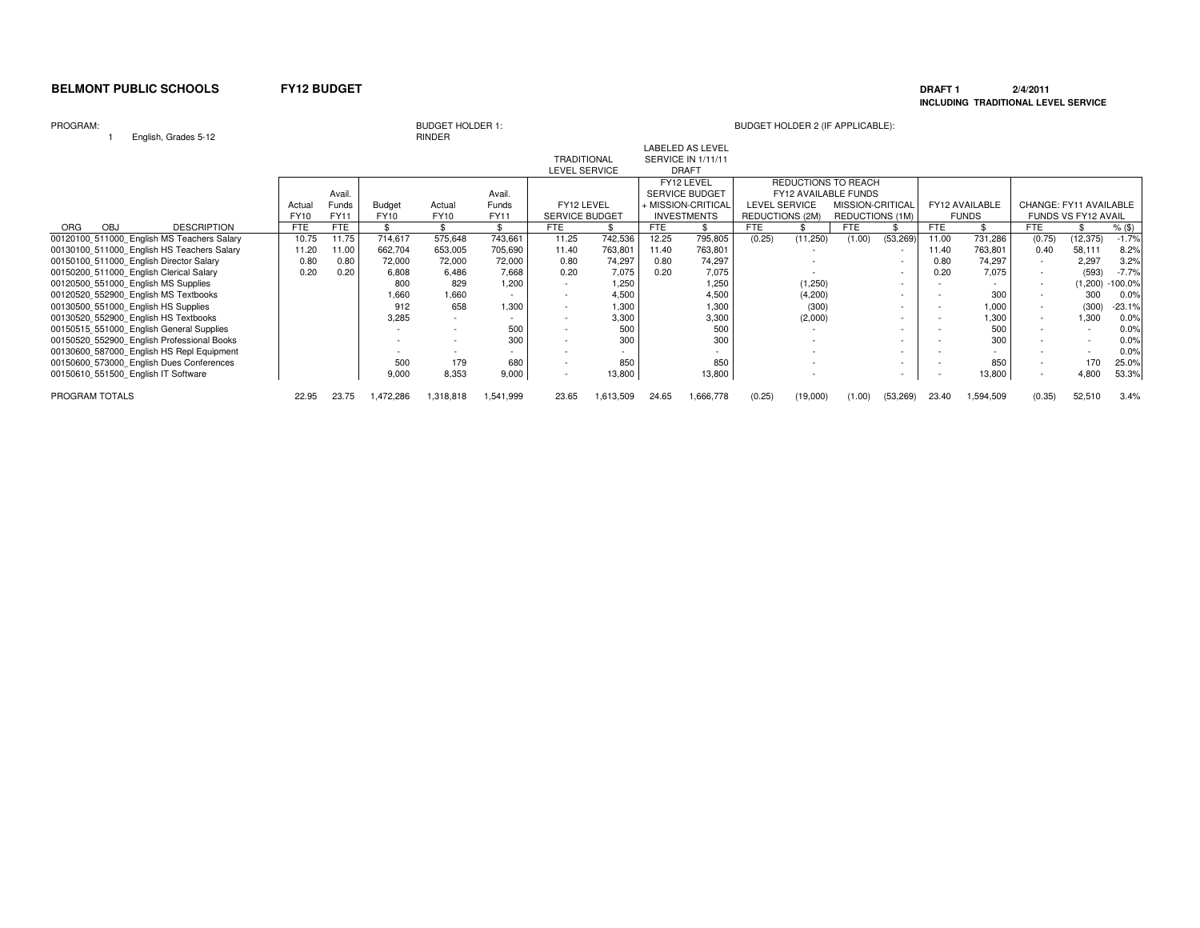### **DRAFT 1 2/4/2011 INCLUDING TRADITIONAL LEVEL SERVICE**

### PROGRAM:

<sup>1</sup> English, Grades 5-12

|               | BUDGET HULDER |
|---------------|---------------|
| <b>RINDER</b> |               |

| $L$ ngnon, araaco o $L$                    |             |             |               | .           |             |                          |           |       |                         |                        |          |                             |                          |            |                |                        |                     |           |
|--------------------------------------------|-------------|-------------|---------------|-------------|-------------|--------------------------|-----------|-------|-------------------------|------------------------|----------|-----------------------------|--------------------------|------------|----------------|------------------------|---------------------|-----------|
|                                            |             |             |               |             |             |                          |           |       | <b>LABELED AS LEVEL</b> |                        |          |                             |                          |            |                |                        |                     |           |
|                                            |             |             |               |             |             | <b>TRADITIONAL</b>       |           |       | SERVICE IN 1/11/11      |                        |          |                             |                          |            |                |                        |                     |           |
|                                            |             |             |               |             |             | LEVEL SERVICE            |           |       | <b>DRAFT</b>            |                        |          |                             |                          |            |                |                        |                     |           |
|                                            |             |             |               |             |             |                          |           |       | FY12 LEVEL              |                        |          | <b>REDUCTIONS TO REACH</b>  |                          |            |                |                        |                     |           |
|                                            |             | Avail.      |               |             | Avail.      |                          |           |       | <b>SERVICE BUDGET</b>   |                        |          | <b>FY12 AVAILABLE FUNDS</b> |                          |            |                |                        |                     |           |
|                                            | Actua       | Funds       | <b>Budget</b> | Actual      | Funds       | FY12 LEVEL               |           |       | + MISSION-CRITICAL      | <b>LEVEL SERVICE</b>   |          | MISSION-CRITICAL            |                          |            | FY12 AVAILABLE | CHANGE: FY11 AVAILABLE |                     |           |
|                                            | <b>FY10</b> | <b>FY11</b> | <b>FY10</b>   | <b>FY10</b> | <b>FY11</b> | <b>SERVICE BUDGET</b>    |           |       | <b>INVESTMENTS</b>      | <b>REDUCTIONS (2M)</b> |          | REDUCTIONS (1M)             |                          |            | <b>FUNDS</b>   |                        | FUNDS VS FY12 AVAIL |           |
| ORG<br><b>DESCRIPTION</b><br>OBJ           | <b>FTE</b>  | <b>FTE</b>  |               |             |             | <b>FTE</b>               |           | FTE   |                         | <b>FTE</b>             |          | <b>FTE</b>                  |                          | <b>FTE</b> |                | <b>FTE</b>             |                     | $%$ (\$)  |
| 00120100 511000 English MS Teachers Salary | 10.75       | 11.75       | 714,617       | 575,648     | 743,661     | 11.25                    | 742,536   | 12.25 | 795,805                 | (0.25)                 | (11,250) | (1.00)                      | (53, 269)                | 11.00      | 731,286        | (0.75)                 | (12, 375)           | $-1.7%$   |
| 00130100 511000 English HS Teachers Salary | 11.20       | 11.00       | 662,704       | 653,005     | 705,690     | 11.40                    | 763,801   | 11.40 | 763,801                 |                        |          |                             | $\overline{\phantom{a}}$ | 11.40      | 763,801        | 0.40                   | 58,111              | 8.2%      |
| 00150100 511000 English Director Salary    | 0.80        | 0.80        | 72,000        | 72,000      | 72,000      | 0.80                     | 74,297    | 0.80  | 74,297                  |                        |          |                             | $\overline{\phantom{a}}$ | 0.80       | 74,297         |                        | 2,297               | 3.2%      |
| 00150200 511000 English Clerical Salary    | 0.20        | 0.20        | 6,808         | 6,486       | 7,668       | 0.20                     | 7,075     | 0.20  | 7,075                   |                        |          |                             | $\overline{\phantom{a}}$ | 0.20       | 7,075          |                        | (593)               | $-7.7%$   |
| 00120500 551000 English MS Supplies        |             |             | 800           | 829         | 1,200       |                          | 1.250     |       | 1,250                   |                        | (1,250)  |                             |                          |            |                |                        | (1,200)             | $-100.0%$ |
| 00120520 552900 English MS Textbooks       |             |             | 1,660         | 1,660       |             |                          | 4.500     |       | 4,500                   |                        | (4,200)  |                             |                          |            | 300            |                        | 300                 | 0.0%      |
| 00130500 551000 English HS Supplies        |             |             | 912           | 658         | 1,300       |                          | 1,300     |       | 1,300                   |                        | (300)    |                             |                          |            | 1,000          |                        | (300)               | $-23.1%$  |
| 00130520 552900 English HS Textbooks       |             |             | 3,285         |             |             |                          | 3,300     |       | 3,300                   |                        | (2,000)  |                             |                          |            | 1,300          | $\sim$                 | 1,300               | 0.0%      |
| 00150515 551000 English General Supplies   |             |             |               |             | 500         |                          | 500       |       | 500                     |                        |          |                             |                          |            | 500            |                        |                     | 0.0%      |
| 00150520 552900 English Professional Books |             |             |               |             | 300         |                          | 300       |       | 300                     |                        |          |                             |                          |            | 300            |                        |                     | 0.0%      |
| 00130600 587000 English HS Repl Equipment  |             |             |               |             |             |                          |           |       |                         |                        |          |                             |                          |            |                |                        |                     | 0.0%      |
| 00150600 573000 English Dues Conferences   |             |             | 500           | 179         | 680         | $\sim$                   | 850       |       | 850                     |                        |          |                             |                          |            | 850            |                        | 170                 | 25.0%     |
| 00150610 551500 English IT Software        |             |             | 9,000         | 8,353       | 9,000       | $\overline{\phantom{a}}$ | 13,800    |       | 13,800                  |                        |          |                             | $\overline{\phantom{a}}$ |            | 13,800         |                        | 4.800               | 53.3%     |
|                                            |             |             |               |             |             |                          |           |       |                         |                        |          |                             |                          |            |                |                        |                     |           |
| PROGRAM TOTALS                             | 22.95       | 23.75       | ,472,286      | 1,318,818   | 1,541,999   | 23.65                    | 1,613,509 | 24.65 | 1,666,778               | (0.25)                 | (19,000) | (1.00)                      | (53, 269)                | 23.40      | 1,594,509      | (0.35)                 | 52,510              | 3.4%      |
|                                            |             |             |               |             |             |                          |           |       |                         |                        |          |                             |                          |            |                |                        |                     |           |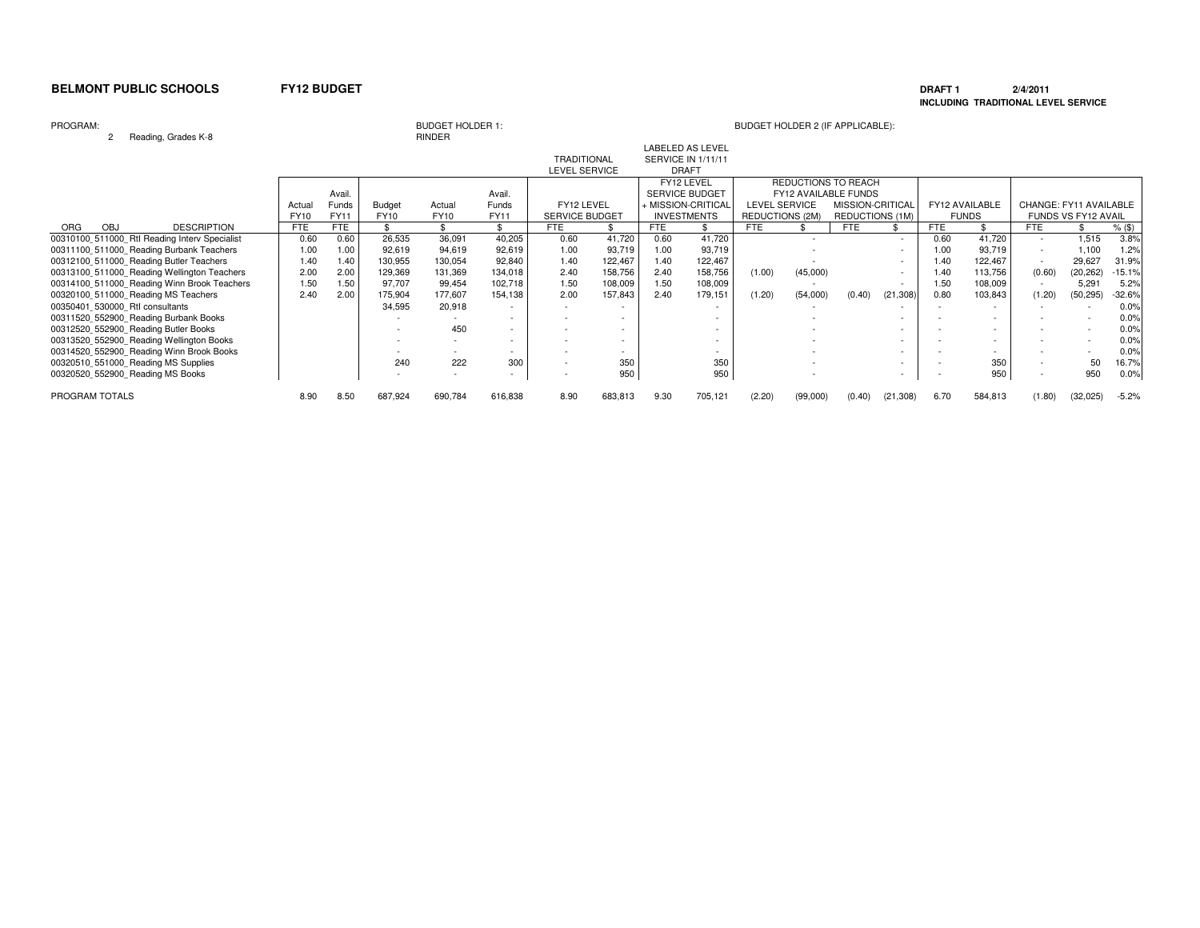### **DRAFT 1 2/4/2011 INCLUDING TRADITIONAL LEVEL SERVICE**

### PROGRAM:

<sup>2</sup> Reading, Grades K-8

# RINDER

|                                                |             |             |               |         |                          |                       |         |      | <b>LABELED AS LEVEL</b> |                        |          |                             |                          |            |                |                        |                            |          |
|------------------------------------------------|-------------|-------------|---------------|---------|--------------------------|-----------------------|---------|------|-------------------------|------------------------|----------|-----------------------------|--------------------------|------------|----------------|------------------------|----------------------------|----------|
|                                                |             |             |               |         |                          | <b>TRADITIONAL</b>    |         |      | SERVICE IN 1/11/11      |                        |          |                             |                          |            |                |                        |                            |          |
|                                                |             |             |               |         |                          | <b>LEVEL SERVICE</b>  |         |      | <b>DRAFT</b>            |                        |          |                             |                          |            |                |                        |                            |          |
|                                                |             |             |               |         |                          |                       |         |      | FY12 LEVEL              |                        |          | REDUCTIONS TO REACH         |                          |            |                |                        |                            |          |
|                                                |             | Avail.      |               |         | Avail                    |                       |         |      | <b>SERVICE BUDGET</b>   |                        |          | <b>FY12 AVAILABLE FUNDS</b> |                          |            |                |                        |                            |          |
|                                                | Actual      | Funds       | <b>Budget</b> | Actual  | Funds                    | FY12 LEVEL            |         |      | + MISSION-CRITICAL      | <b>LEVEL SERVICE</b>   |          | MISSION-CRITICAL            |                          |            | FY12 AVAILABLE | CHANGE: FY11 AVAILABLE |                            |          |
|                                                | <b>FY10</b> | <b>FY11</b> | FY10          | FY10    | <b>FY11</b>              | <b>SERVICE BUDGET</b> |         |      | <b>INVESTMENTS</b>      | <b>REDUCTIONS (2M)</b> |          | REDUCTIONS (1M)             |                          |            | <b>FUNDS</b>   |                        | <b>FUNDS VS FY12 AVAIL</b> |          |
| <b>DESCRIPTION</b><br><b>ORG</b><br><b>OBJ</b> | <b>FTE</b>  | <b>FTE</b>  |               |         |                          | FTE                   |         | FTE  |                         | <b>FTE</b>             |          | FTE                         |                          | <b>FTE</b> |                | FTE                    |                            | $%$ (\$) |
| 00310100 511000 Rtl Reading Interv Specialist  | 0.60        | 0.60        | 26,535        | 36,091  | 40,205                   | 0.60                  | 41,720  | 0.60 | 41,720                  |                        |          |                             |                          | 0.60       | 41,720         |                        | 1.515                      | 3.8%     |
| 00311100 511000 Reading Burbank Teachers       | 1.00        | 1.00        | 92,619        | 94,619  | 92,619                   | 1.00                  | 93,719  | 1.00 | 93,719                  |                        |          |                             |                          | 1.00       | 93,719         |                        | 1,100                      | 1.2%     |
| 00312100 511000 Reading Butler Teachers        | 1.40        | 1.40        | 130,955       | 130,054 | 92,840                   | 1.40                  | 122,467 | 1.40 | 122,467                 |                        |          |                             | $\overline{\phantom{a}}$ | 1.40       | 122.467        | $\sim$                 | 29,627                     | 31.9%    |
| 00313100 511000 Reading Wellington Teachers    | 2.00        | 2.00        | 129,369       | 131,369 | 134,018                  | 2.40                  | 158,756 | 2.40 | 158,756                 | (1.00)                 | (45,000) |                             | $\overline{\phantom{a}}$ | 1.40       | 113,756        | (0.60)                 | (20, 262)                  | $-15.1%$ |
| 00314100 511000 Reading Winn Brook Teachers    | 1.50        | 1.50        | 97,707        | 99,454  | 102,718                  | 1.50                  | 108,009 | 1.50 | 108,009                 |                        |          |                             | $\overline{\phantom{a}}$ | 1.50       | 108,009        |                        | 5.291                      | 5.2%     |
| 00320100 511000 Reading MS Teachers            | 2.40        | 2.00        | 175,904       | 177,607 | 154,138                  | 2.00                  | 157,843 | 2.40 | 179,151                 | (1.20)                 | (54,000) | (0.40)                      | (21, 308)                | 0.80       | 103,843        | (1.20)                 | (50, 295)                  | $-32.6%$ |
| 00350401 530000 Rtl consultants                |             |             | 34,595        | 20,918  |                          |                       |         |      |                         |                        |          |                             |                          |            |                |                        |                            | 0.0%     |
| 00311520 552900 Reading Burbank Books          |             |             |               |         |                          |                       |         |      |                         |                        |          |                             |                          |            |                |                        |                            | 0.0%     |
| 00312520 552900 Reading Butler Books           |             |             |               | 450     | $\sim$                   |                       |         |      |                         |                        |          |                             |                          |            |                |                        |                            | 0.0%     |
| 00313520 552900 Reading Wellington Books       |             |             |               |         |                          |                       |         |      |                         |                        |          |                             |                          |            |                |                        |                            | 0.0%     |
| 00314520 552900 Reading Winn Brook Books       |             |             |               |         |                          |                       |         |      |                         |                        |          |                             |                          |            |                |                        |                            | 0.0%     |
| 00320510 551000 Reading MS Supplies            |             |             | 240           | 222     | 300                      |                       | 350     |      | 350                     |                        |          |                             |                          |            | 350            |                        | 50                         | 16.7%    |
|                                                |             |             |               |         |                          |                       |         |      |                         |                        |          |                             |                          |            |                |                        | 950                        |          |
| 00320520 552900 Reading MS Books               |             |             |               |         | $\overline{\phantom{a}}$ |                       | 950     |      | 950                     |                        |          |                             | $\overline{\phantom{a}}$ |            | 950            |                        |                            | 0.0%     |
| PROGRAM TOTALS                                 | 8.90        | 8.50        | 687,924       | 690,784 | 616,838                  | 8.90                  | 683,813 | 9.30 | 705,121                 | (2.20)                 | (99,000) | (0.40)                      | (21, 308)                | 6.70       | 584,813        | (1.80)                 | (32,025)                   | $-5.2%$  |
|                                                |             |             |               |         |                          |                       |         |      |                         |                        |          |                             |                          |            |                |                        |                            |          |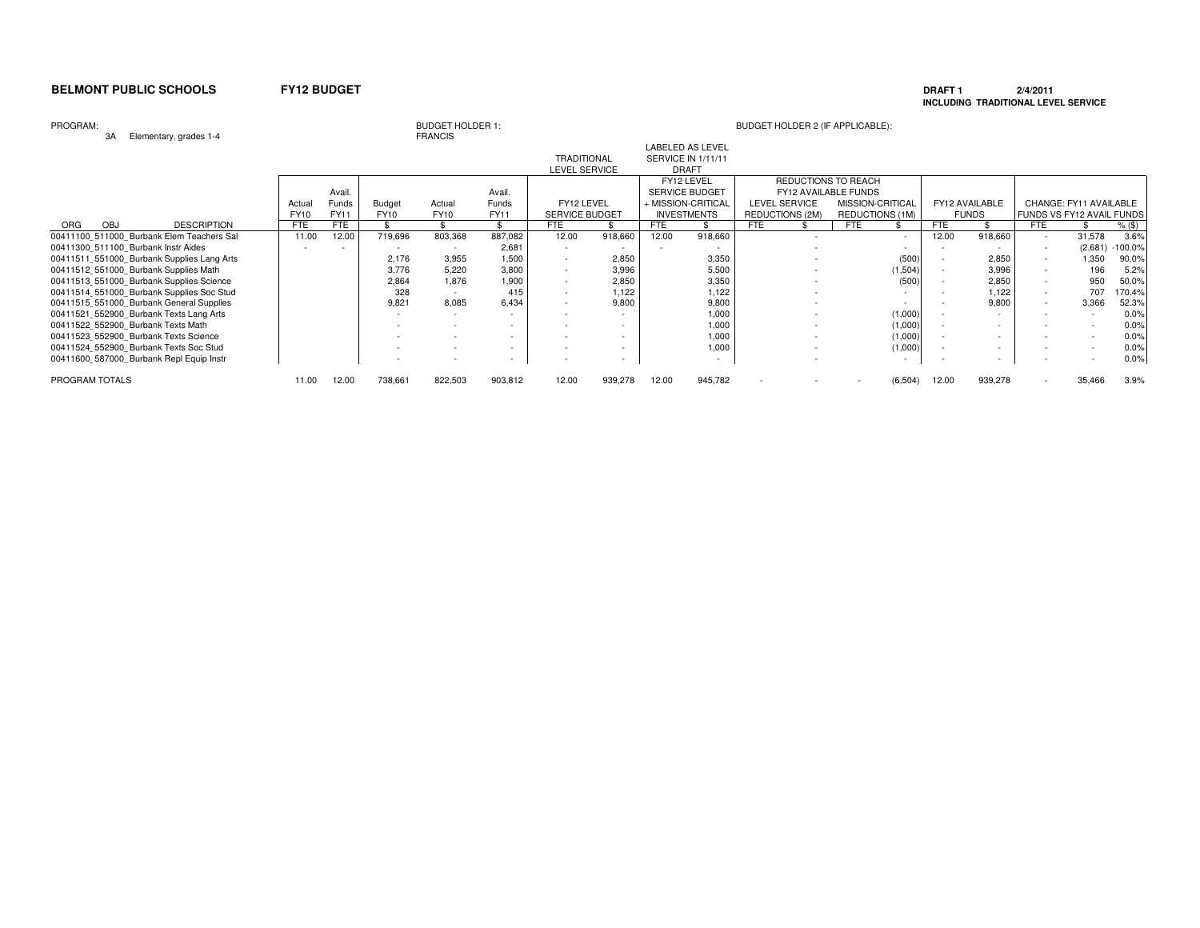# **DRAFT 1 2/4/2011 INCLUDING TRADITIONAL LEVEL SERVICE**

### PROGRAM:

3A Elementary, grades 1-4

# BUDGET HOLDER 1:<br>FRANCIS

| งห<br>Elementary, grades 1-4               |             |        |         | <b>FRANCIO</b>           |                          |                          |         |                           |                         |                          |                  |                          |            |                |                          |                           |           |
|--------------------------------------------|-------------|--------|---------|--------------------------|--------------------------|--------------------------|---------|---------------------------|-------------------------|--------------------------|------------------|--------------------------|------------|----------------|--------------------------|---------------------------|-----------|
|                                            |             |        |         |                          |                          |                          |         |                           | <b>LABELED AS LEVEL</b> |                          |                  |                          |            |                |                          |                           |           |
|                                            |             |        |         |                          |                          | <b>TRADITIONAL</b>       |         | <b>SERVICE IN 1/11/11</b> |                         |                          |                  |                          |            |                |                          |                           |           |
|                                            |             |        |         |                          |                          | LEVEL SERVICE            |         |                           | <b>DRAFT</b>            |                          |                  |                          |            |                |                          |                           |           |
|                                            |             |        |         |                          |                          |                          |         |                           | FY12 LEVEL              | REDUCTIONS TO REACH      |                  |                          |            |                |                          |                           |           |
|                                            |             | Avail. |         |                          | Avail.                   |                          |         |                           | SERVICE BUDGET          | FY12 AVAILABLE FUNDS     |                  |                          |            |                |                          |                           |           |
|                                            | Actual      | Funds  | Budget  | Actual                   | Funds                    | FY12 LEVEL               |         |                           | + MISSION-CRITICAL      | <b>LEVEL SERVICE</b>     | MISSION-CRITICAL |                          |            | FY12 AVAILABLE |                          | CHANGE: FY11 AVAILABLE    |           |
|                                            | <b>FY10</b> | FY11   | FY10    | FY10                     | FY11                     | <b>SERVICE BUDGET</b>    |         |                           | <b>INVESTMENTS</b>      | REDUCTIONS (2M)          | REDUCTIONS (1M)  |                          |            | <b>FUNDS</b>   |                          | FUNDS VS FY12 AVAIL FUNDS |           |
| <b>DESCRIPTION</b><br>ORG<br>OBJ           | <b>FTE</b>  | FTE    |         |                          |                          | FTE                      |         | FTE                       |                         | <b>FTE</b>               | <b>FTE</b>       |                          | <b>FTE</b> |                | <b>FTE</b>               |                           | $%$ (\$)  |
| 00411100 511000 Burbank Elem Teachers Sal  | 11.00       | 12.00  | 719,696 | 803,368                  | 887,082                  | 12.00                    | 918,660 | 12.00                     | 918,660                 | $\overline{\phantom{a}}$ |                  | $\overline{\phantom{a}}$ | 12.00      | 918,660        | $\sim$                   | 31,578                    | 3.6%      |
| 00411300 511100 Burbank Instr Aides        |             | $\sim$ |         |                          | 2,681                    | $\overline{a}$           |         |                           |                         |                          |                  |                          |            |                | $\sim$                   | (2,681)                   | $-100.0%$ |
| 00411511 551000 Burbank Supplies Lang Arts |             |        | 2,176   | 3,955                    | 1,500                    | $\overline{a}$           | 2,850   |                           | 3,350                   |                          |                  | (500)                    |            | 2,850          | $\sim$                   | 1,350                     | 90.0%     |
| 00411512 551000 Burbank Supplies Math      |             |        | 3,776   | 5,220                    | 3,800                    | ٠                        | 3,996   |                           | 5,500                   |                          |                  | (1,504)                  |            | 3,996          |                          | 196                       | 5.2%      |
| 00411513 551000 Burbank Supplies Science   |             |        | 2,864   | 1.876                    | 1,900                    | $\overline{a}$           | 2,850   |                           | 3,350                   |                          |                  | (500)                    |            | 2,850          | ۰                        | 950                       | 50.0%     |
| 00411514 551000 Burbank Supplies Soc Stud  |             |        | 328     | $\overline{\phantom{a}}$ | 415                      | $\overline{\phantom{a}}$ | 1,122   |                           | 1,122                   |                          |                  |                          |            | 1,122          | $\sim$                   | 707                       | 170.4%    |
| 00411515 551000 Burbank General Supplies   |             |        | 9,821   | 8,085                    | 6.434                    |                          | 9,800   |                           | 9,800                   |                          |                  |                          |            | 9,800          | $\sim$                   | 3,366                     | 52.3%     |
| 00411521 552900 Burbank Texts Lang Arts    |             |        |         |                          |                          |                          |         |                           | 1,000                   |                          |                  | (1,000)                  |            |                | $\overline{\phantom{a}}$ |                           | 0.0%      |
| 00411522 552900 Burbank Texts Math         |             |        |         |                          |                          |                          |         |                           | 1,000                   |                          |                  | (1,000)                  |            |                |                          |                           | 0.0%      |
| 00411523 552900 Burbank Texts Science      |             |        |         |                          | $\overline{\phantom{0}}$ | $\overline{a}$           |         |                           | 1,000                   |                          |                  | (1,000)                  |            |                |                          |                           | 0.0%      |
| 00411524 552900 Burbank Texts Soc Stud     |             |        |         |                          | $\sim$                   | $\overline{\phantom{a}}$ |         |                           | 1,000                   |                          |                  | (1,000)                  |            | $\overline{a}$ |                          |                           | 0.0%      |
| 00411600 587000 Burbank Repl Equip Instr   |             |        |         |                          | $\sim$                   | $\overline{a}$           | $\sim$  |                           | $\sim$                  |                          |                  |                          |            |                |                          |                           | 0.0%      |
| PROGRAM TOTALS                             | 11.00       | 12.00  | 738,661 | 822,503                  | 903,812                  | 12.00                    | 939,278 | 12.00                     | 945,782                 |                          |                  | (6, 504)                 | 12.00      | 939,278        |                          | 35,466                    | 3.9%      |
|                                            |             |        |         |                          |                          |                          |         |                           |                         |                          |                  |                          |            |                |                          |                           |           |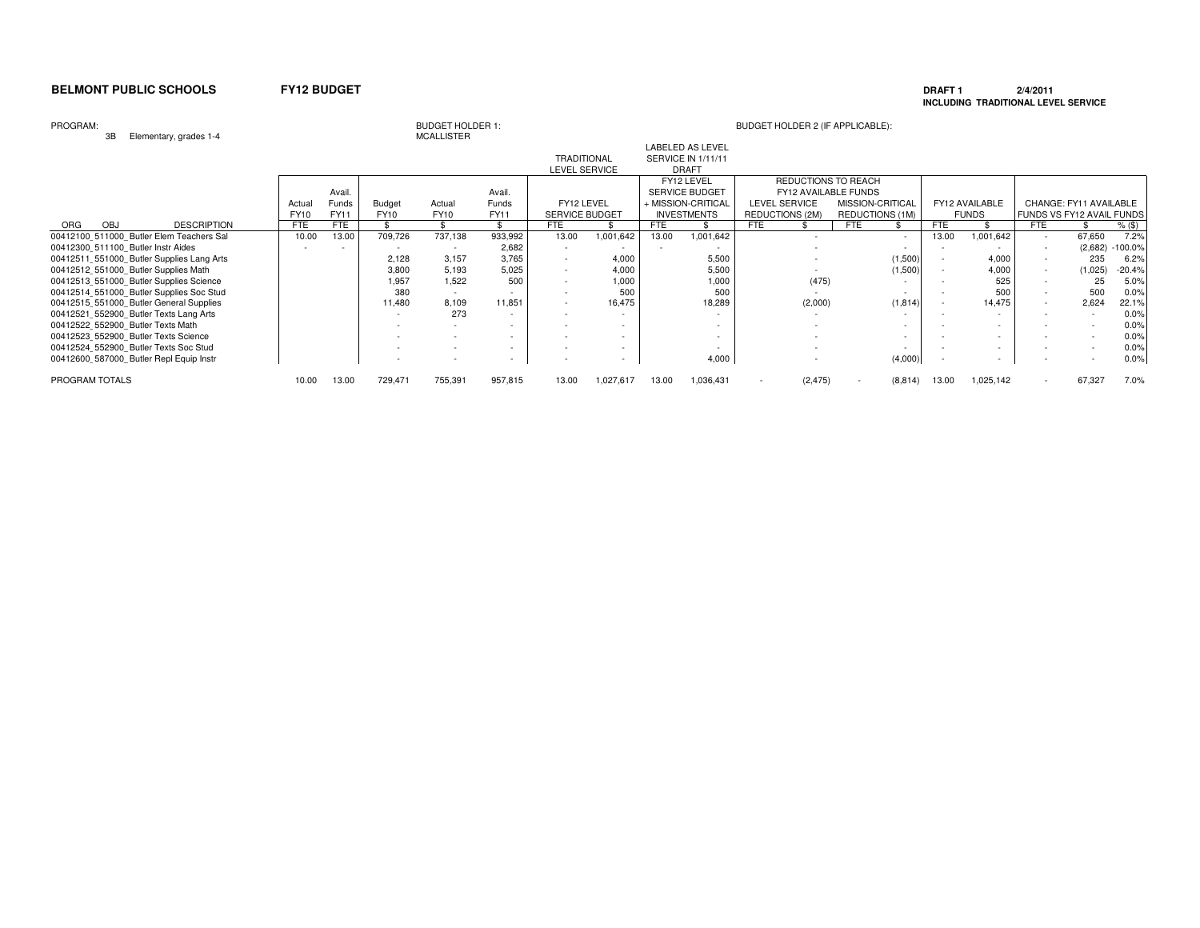# **DRAFT 1 2/4/2011 INCLUDING TRADITIONAL LEVEL SERVICE**

### PROGRAM:

3B Elementary, grades 1-4

| <b>BUDGET HOLDER 1:</b> |  |
|-------------------------|--|
| <b>MCALLISTER</b>       |  |

| $-$                                       |             |        |         |             |             |                          |                          |       |                         |                             |                  |          |       |                          |                          |                           |           |
|-------------------------------------------|-------------|--------|---------|-------------|-------------|--------------------------|--------------------------|-------|-------------------------|-----------------------------|------------------|----------|-------|--------------------------|--------------------------|---------------------------|-----------|
|                                           |             |        |         |             |             |                          |                          |       | <b>LABELED AS LEVEL</b> |                             |                  |          |       |                          |                          |                           |           |
|                                           |             |        |         |             |             | <b>TRADITIONAL</b>       |                          |       | SERVICE IN 1/11/11      |                             |                  |          |       |                          |                          |                           |           |
|                                           |             |        |         |             |             | <b>LEVEL SERVICE</b>     |                          |       | <b>DRAFT</b>            |                             |                  |          |       |                          |                          |                           |           |
|                                           |             |        |         |             |             |                          |                          |       | FY12 LEVEL              | REDUCTIONS TO REACH         |                  |          |       |                          |                          |                           |           |
|                                           |             | Avail. |         |             | Avail       |                          |                          |       | <b>SERVICE BUDGET</b>   | <b>FY12 AVAILABLE FUNDS</b> |                  |          |       |                          |                          |                           |           |
|                                           | Actua       | Funds  | Budget  | Actual      | Funds       | FY12 LEVEL               |                          |       | + MISSION-CRITICAL      | LEVEL SERVICE               | MISSION-CRITICAL |          |       | FY12 AVAILABLE           |                          | CHANGE: FY11 AVAILABLE    |           |
|                                           | <b>FY10</b> | FY11   | FY10    | <b>FY10</b> | <b>FY11</b> | SERVICE BUDGET           |                          |       | <b>INVESTMENTS</b>      | REDUCTIONS (2M)             | REDUCTIONS (1M)  |          |       | <b>FUNDS</b>             |                          | FUNDS VS FY12 AVAIL FUNDS |           |
| <b>DESCRIPTION</b><br>ORG<br><b>OBJ</b>   | <b>FTE</b>  | FTE    |         |             |             | FTE                      |                          | FTE   |                         | FTE                         | <b>FTE</b>       |          | FTE   |                          | <b>FTE</b>               |                           | $%$ (\$)  |
| 00412100 511000 Butler Elem Teachers Sal  | 10.00       | 13.00  | 709,726 | 737,138     | 933,992     | 13.00                    | 1,001,642                | 13.00 | 1,001,642               |                             |                  | $\sim$   | 13.00 | 1,001,642                | $\sim$                   | 67,650                    | 7.2%      |
| 00412300 511100 Butler Instr Aides        |             |        |         |             | 2,682       |                          |                          |       |                         |                             |                  |          |       |                          | $\sim$                   | (2,682)                   | $-100.0%$ |
| 00412511 551000 Butler Supplies Lang Arts |             |        | 2.128   | 3.157       | 3,765       |                          | 4.000                    |       | 5,500                   |                             |                  | (1,500)  |       | 4.000                    |                          | 235                       | 6.2%      |
| 00412512 551000 Butler Supplies Math      |             |        | 3,800   | 5,193       | 5,025       |                          | 4,000                    |       | 5,500                   |                             |                  | (1,500)  |       | 4,000                    |                          | (1,025)                   | -20.4%    |
| 00412513 551000 Butler Supplies Science   |             |        | 1,957   | 1.522       | 500         |                          | 1,000                    |       | 1,000                   | (475)                       |                  |          |       | 525                      |                          | 25                        | 5.0%      |
| 00412514 551000 Butler Supplies Soc Stud  |             |        | 380     |             |             |                          | 500                      |       | 500                     |                             |                  |          |       | 500                      |                          | 500                       | 0.0%      |
| 00412515 551000 Butler General Supplies   |             |        | 11,480  | 8,109       | 11,851      | $\overline{\phantom{a}}$ | 16,475                   |       | 18,289                  | (2,000)                     |                  | (1, 814) |       | 14.475                   | $\overline{\phantom{a}}$ | 2,624                     | 22.1%     |
| 00412521 552900 Butler Texts Lang Arts    |             |        |         | 273         |             |                          | $\overline{\phantom{a}}$ |       |                         |                             |                  |          |       |                          |                          |                           | 0.0%      |
| 00412522 552900 Butler Texts Math         |             |        |         |             |             |                          |                          |       |                         |                             |                  |          |       |                          |                          |                           | 0.0%      |
| 00412523 552900 Butler Texts Science      |             |        |         |             |             |                          |                          |       |                         |                             |                  |          |       |                          |                          |                           | 0.0%      |
| 00412524 552900 Butler Texts Soc Stud     |             |        |         |             |             | $\overline{\phantom{a}}$ | $\overline{\phantom{a}}$ |       |                         |                             |                  |          |       |                          |                          |                           | 0.0%      |
| 00412600 587000 Butler Repl Equip Instr   |             |        |         |             | $\sim$      |                          |                          |       | 4,000                   |                             |                  | (4,000)  |       | $\overline{\phantom{a}}$ |                          |                           | 0.0%      |
| PROGRAM TOTALS                            | 10.00       | 13.00  | 729,471 | 755,391     | 957,815     | 13.00                    | 1,027,617                | 13.00 | 1,036,431               | (2, 475)                    |                  | (8, 814) | 13.00 | 1,025,142                |                          | 67,327                    | 7.0%      |
|                                           |             |        |         |             |             |                          |                          |       |                         |                             |                  |          |       |                          |                          |                           |           |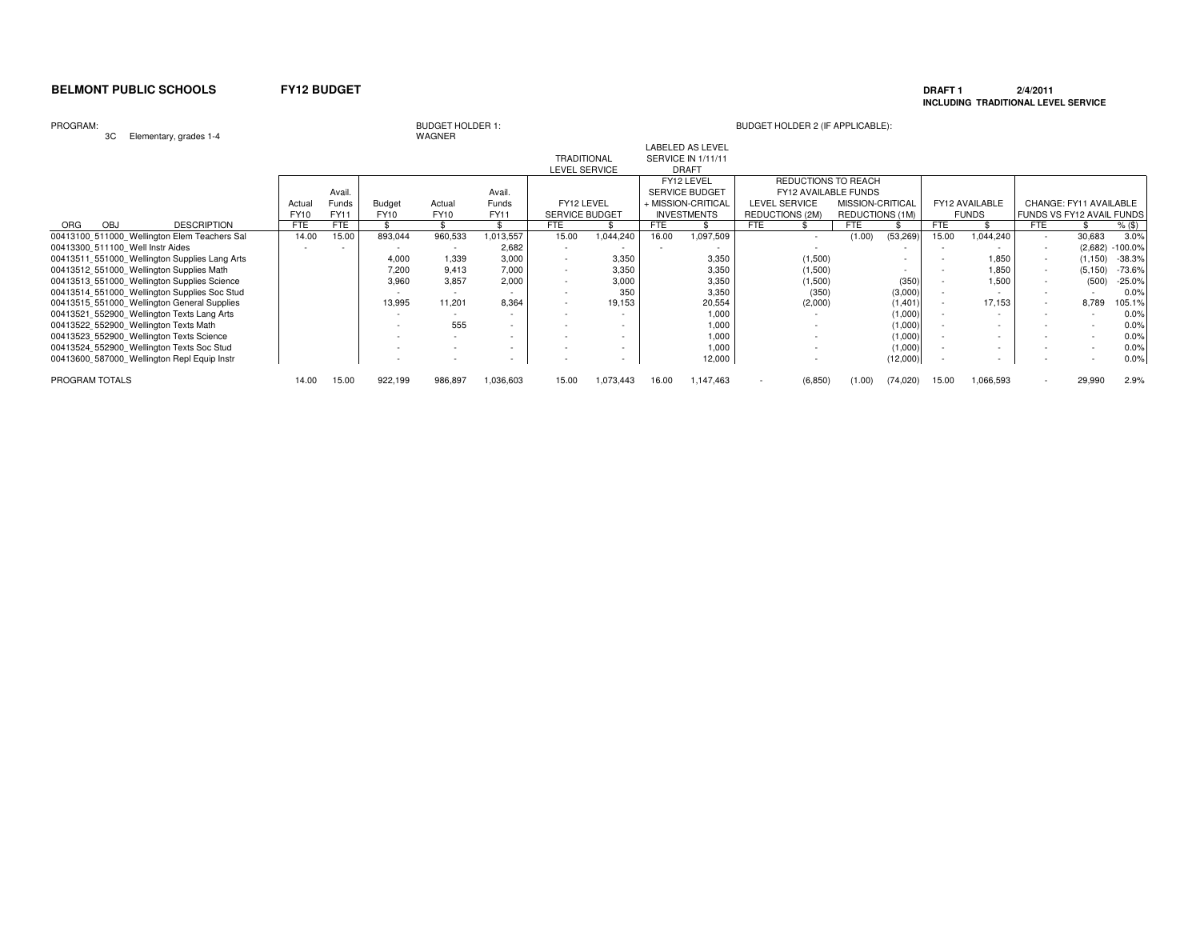### **DRAFT 1 2/4/2011 INCLUDING TRADITIONAL LEVEL SERVICE**

### PROGRAM:

3C Elementary, grades 1-4

# WAGNER

| ৩৬<br>Elementary, grades 1-4                  |            |        |               | <b>WAGINER</b> |           |                       |           |            |                           |                      |                  |           |            |                |        |                                  |           |
|-----------------------------------------------|------------|--------|---------------|----------------|-----------|-----------------------|-----------|------------|---------------------------|----------------------|------------------|-----------|------------|----------------|--------|----------------------------------|-----------|
|                                               |            |        |               |                |           |                       |           |            | <b>LABELED AS LEVEL</b>   |                      |                  |           |            |                |        |                                  |           |
|                                               |            |        |               |                |           | <b>TRADITIONAL</b>    |           |            | <b>SERVICE IN 1/11/11</b> |                      |                  |           |            |                |        |                                  |           |
|                                               |            |        |               |                |           | LEVEL SERVICE         |           |            | <b>DRAFT</b>              |                      |                  |           |            |                |        |                                  |           |
|                                               |            |        |               |                |           |                       |           |            | FY12 LEVEL                | REDUCTIONS TO REACH  |                  |           |            |                |        |                                  |           |
|                                               |            | Avail. |               |                | Avail.    |                       |           |            | <b>SERVICE BUDGET</b>     | FY12 AVAILABLE FUNDS |                  |           |            |                |        |                                  |           |
|                                               | Actual     | Funds  | <b>Budget</b> | Actual         | Funds     | FY12 LEVEL            |           |            | + MISSION-CRITICAL        | <b>LEVEL SERVICE</b> | MISSION-CRITICAL |           |            | FY12 AVAILABLE |        | CHANGE: FY11 AVAILABLE           |           |
|                                               | FY10       | FY11   | FY10          | <b>FY10</b>    | FY11      | <b>SERVICE BUDGET</b> |           |            | <b>INVESTMENTS</b>        | REDUCTIONS (2M)      | REDUCTIONS (1M)  |           |            | <b>FUNDS</b>   |        | <b>FUNDS VS FY12 AVAIL FUNDS</b> |           |
| <b>DESCRIPTION</b><br>ORG<br><b>OBJ</b>       | <b>FTE</b> | FTE    |               |                |           | FTE                   |           | <b>FTE</b> |                           | <b>FTE</b>           | <b>FTE</b>       |           | <b>FTE</b> |                | FTE    |                                  | $%$ (\$)  |
| 00413100 511000 Wellington Elem Teachers Sal  | 14.00      | 15.00  | 893,044       | 960,533        | 1,013,557 | 15.00                 | 1,044,240 | 16.00      | 1,097,509                 | $\sim$               | (1.00)           | (53, 269) | 15.00      | 1,044,240      | $\sim$ | 30,683                           | 3.0%      |
| 00413300 511100 Well Instr Aides              |            |        |               |                | 2,682     |                       |           |            |                           |                      |                  |           |            |                |        | (2,682)                          | $-100.0%$ |
| 00413511 551000 Wellington Supplies Lang Arts |            |        | 4.000         | 1,339          | 3.000     |                       | 3.350     |            | 3,350                     | (1,500)              |                  |           |            | 1,850          | $\sim$ | (1, 150)                         | $-38.3%$  |
| 00413512 551000 Wellington Supplies Math      |            |        | 7.200         | 9.413          | 7,000     |                       | 3,350     |            | 3,350                     | (1,500)              |                  |           |            | 1,850          |        | (5, 150)                         | $-73.6%$  |
| 00413513 551000 Wellington Supplies Science   |            |        | 3.960         | 3.857          | 2.000     |                       | 3.000     |            | 3.350                     | (1,500)              |                  | (350)     |            | 1.500          |        | (500)                            | $-25.0%$  |
| 00413514 551000 Wellington Supplies Soc Stud  |            |        |               | $\sim$         |           |                       | 350       |            | 3,350                     | (350)                |                  | (3,000)   |            |                |        |                                  | 0.0%      |
| 00413515 551000 Wellington General Supplies   |            |        | 13,995        | 11.201         | 8.364     |                       | 19,153    |            | 20,554                    | (2,000)              |                  | (1,401)   |            | 17,153         | $\sim$ | 8,789                            | 105.1%    |
| 00413521 552900 Wellington Texts Lang Arts    |            |        |               |                |           |                       |           |            | 1,000                     |                      |                  | (1,000)   |            |                |        |                                  | 0.0%      |
| 00413522 552900 Wellington Texts Math         |            |        |               | 555            |           |                       |           |            | 1,000                     |                      |                  | (1,000)   |            |                |        |                                  | 0.0%      |
| 00413523 552900 Wellington Texts Science      |            |        |               |                |           |                       |           |            | 1.000                     |                      |                  | (1,000)   |            |                |        |                                  | 0.0%      |
| 00413524 552900 Wellington Texts Soc Stud     |            |        |               |                |           |                       |           |            | 1,000                     |                      |                  | (1,000)   |            |                |        |                                  | 0.0%      |
| 00413600 587000 Wellington Repl Equip Instr   |            |        |               |                |           |                       |           |            | 12,000                    |                      |                  | (12,000)  |            |                |        |                                  | 0.0%      |
| PROGRAM TOTALS                                | 14.00      | 15.00  | 922,199       | 986,897        | 1,036,603 | 15.00                 | 1,073,443 | 16.00      | 1,147,463                 | (6, 850)             | (1.00)           | (74, 020) | 15.00      | 1,066,593      |        | 29,990                           | 2.9%      |
|                                               |            |        |               |                |           |                       |           |            |                           |                      |                  |           |            |                |        |                                  |           |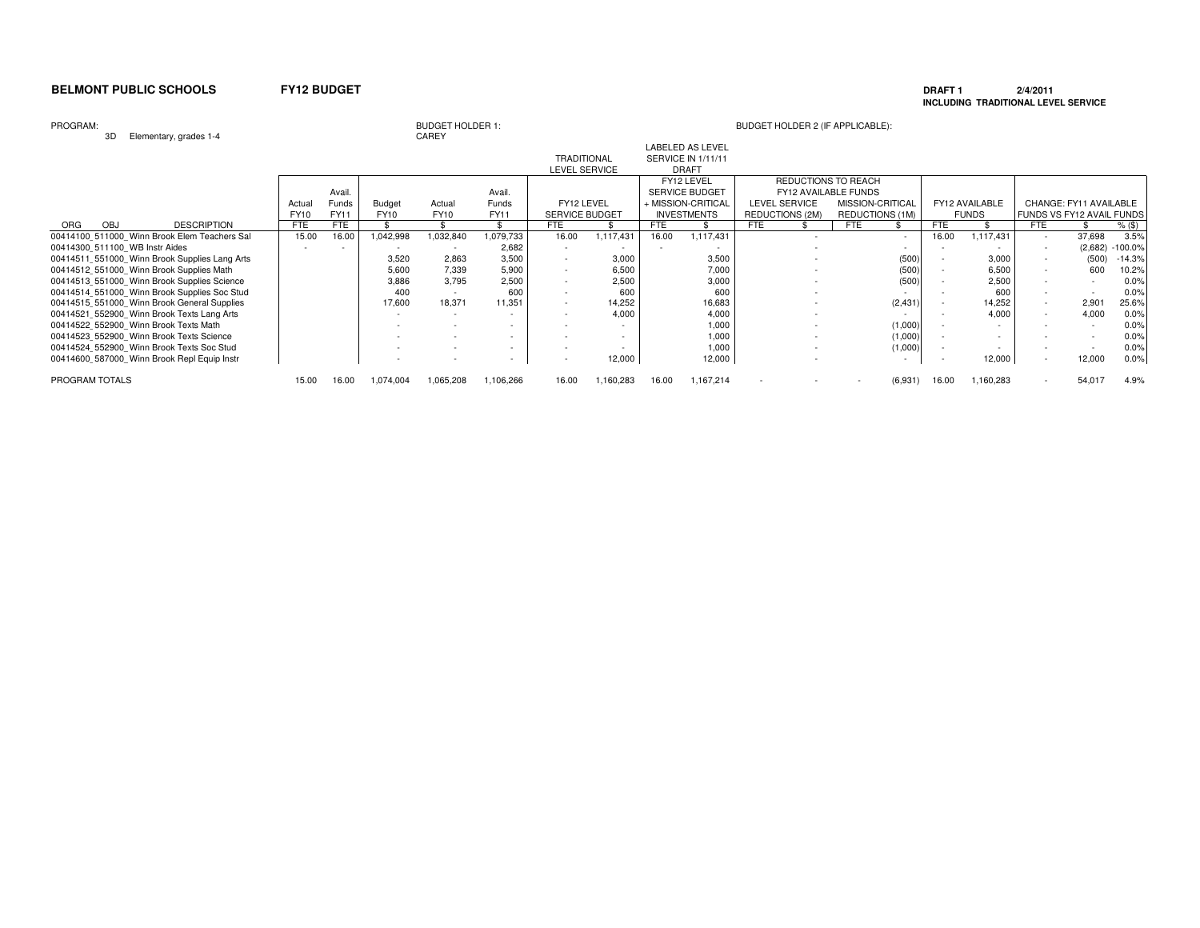### **DRAFT 1 2/4/2011 INCLUDING TRADITIONAL LEVEL SERVICE**

### PROGRAM:

3D Elementary, grades 1-4

# BUDGET HOLDER 1:<br>CAREY

# BUDGET HOLDER 2 (IF APPLICABLE):

|                                               |             |            |               |             |              | <b>LEVEL SERVICE</b>  |           |       | <b>DRAFT</b>          |            |                             |                  |                 |            |                |            |                           |           |
|-----------------------------------------------|-------------|------------|---------------|-------------|--------------|-----------------------|-----------|-------|-----------------------|------------|-----------------------------|------------------|-----------------|------------|----------------|------------|---------------------------|-----------|
|                                               |             |            |               |             |              |                       |           |       | FY12 LEVEL            |            | REDUCTIONS TO REACH         |                  |                 |            |                |            |                           |           |
|                                               |             | Avail.     |               |             | Avail.       |                       |           |       | <b>SERVICE BUDGET</b> |            | <b>FY12 AVAILABLE FUNDS</b> |                  |                 |            |                |            |                           |           |
|                                               | Actual      | Funds      | <b>Budget</b> | Actual      | <b>Funds</b> | FY12 LEVEL            |           |       | + MISSION-CRITICAL    |            | <b>LEVEL SERVICE</b>        | MISSION-CRITICAL |                 |            | FY12 AVAILABLE |            | CHANGE: FY11 AVAILABLE    |           |
|                                               | <b>FY10</b> | FY11       | FY10          | <b>FY10</b> | <b>FY11</b>  | <b>SERVICE BUDGET</b> |           |       | <b>INVESTMENTS</b>    |            | REDUCTIONS (2M)             |                  | REDUCTIONS (1M) |            | <b>FUNDS</b>   |            | FUNDS VS FY12 AVAIL FUNDS |           |
| <b>DESCRIPTION</b><br><b>OBJ</b><br>ORG       | <b>FTE</b>  | <b>FTE</b> |               |             |              | FTE                   |           | FTE   |                       | <b>FTE</b> |                             | FTE              |                 | <b>FTE</b> |                | <b>FTE</b> |                           | $%$ (\$)  |
| 00414100 511000 Winn Brook Elem Teachers Sal  | 15.00       | 16.00      | 1,042,998     | 1,032,840   | 1,079,733    | 16.00                 | 1,117,431 | 16.00 | 1,117,431             |            |                             |                  | $\sim$          | 16.00      | 1,117,431      | $\sim$     | 37,698                    | 3.5%      |
| 00414300 511100 WB Instr Aides                |             |            |               |             | 2,682        |                       |           |       |                       |            |                             |                  |                 |            |                |            | (2,682)                   | $-100.0%$ |
| 00414511 551000 Winn Brook Supplies Lang Arts |             |            | 3,520         | 2.863       | 3,500        |                       | 3,000     |       | 3,500                 |            |                             |                  | (500)           |            | 3,000          |            | (500)                     | $-14.3%$  |
| 00414512 551000 Winn Brook Supplies Math      |             |            | 5,600         | 7,339       | 5,900        |                       | 6,500     |       | 7,000                 |            |                             |                  | (500)           |            | 6,500          |            | 600                       | 10.2%     |
| 00414513 551000 Winn Brook Supplies Science   |             |            | 3.886         | 3,795       | 2,500        |                       | 2.500     |       | 3,000                 |            |                             |                  | (500)           |            | 2,500          |            |                           | 0.0%      |
| 00414514 551000 Winn Brook Supplies Soc Stud  |             |            | 400           |             | 600          |                       | 600       |       | 600                   |            |                             |                  |                 |            | 600            |            |                           | 0.0%      |
| 00414515 551000 Winn Brook General Supplies   |             |            | 17,600        | 18,371      | 11,351       |                       | 14,252    |       | 16,683                |            |                             |                  | (2, 431)        |            | 14,252         |            | 2,901                     | 25.6%     |
| 00414521 552900 Winn Brook Texts Lang Arts    |             |            |               |             |              |                       | 4.000     |       | 4,000                 |            |                             |                  |                 |            | 4.000          |            | 4,000                     | 0.0%      |
| 00414522 552900 Winn Brook Texts Math         |             |            |               |             |              |                       |           |       | 1,000                 |            |                             |                  | (1,000)         |            |                |            |                           | 0.0%      |
| 00414523 552900 Winn Brook Texts Science      |             |            |               |             |              |                       |           |       | 1,000                 |            |                             |                  | (1,000)         |            |                |            |                           | 0.0%      |
| 00414524 552900 Winn Brook Texts Soc Stud     |             |            |               |             |              |                       |           |       | 1,000                 |            |                             |                  | (1,000)         |            |                |            |                           | 0.0%      |
| 00414600 587000 Winn Brook Repl Equip Instr   |             |            |               |             |              |                       | 12,000    |       | 12,000                |            |                             |                  |                 |            | 12,000         |            | 12,000                    | 0.0%      |
| PROGRAM TOTALS                                | 15.00       | 16.00      | 1.074.004     | 1,065,208   | 1,106,266    | 16.00                 | .160,283  | 16.00 | 1,167,214             |            |                             |                  | (6,931)         | 16.00      | .160,283       |            | 54.017                    | 4.9%      |

LABELED AS LEVEL

TRADITIONAL SERVICE IN 1/11/11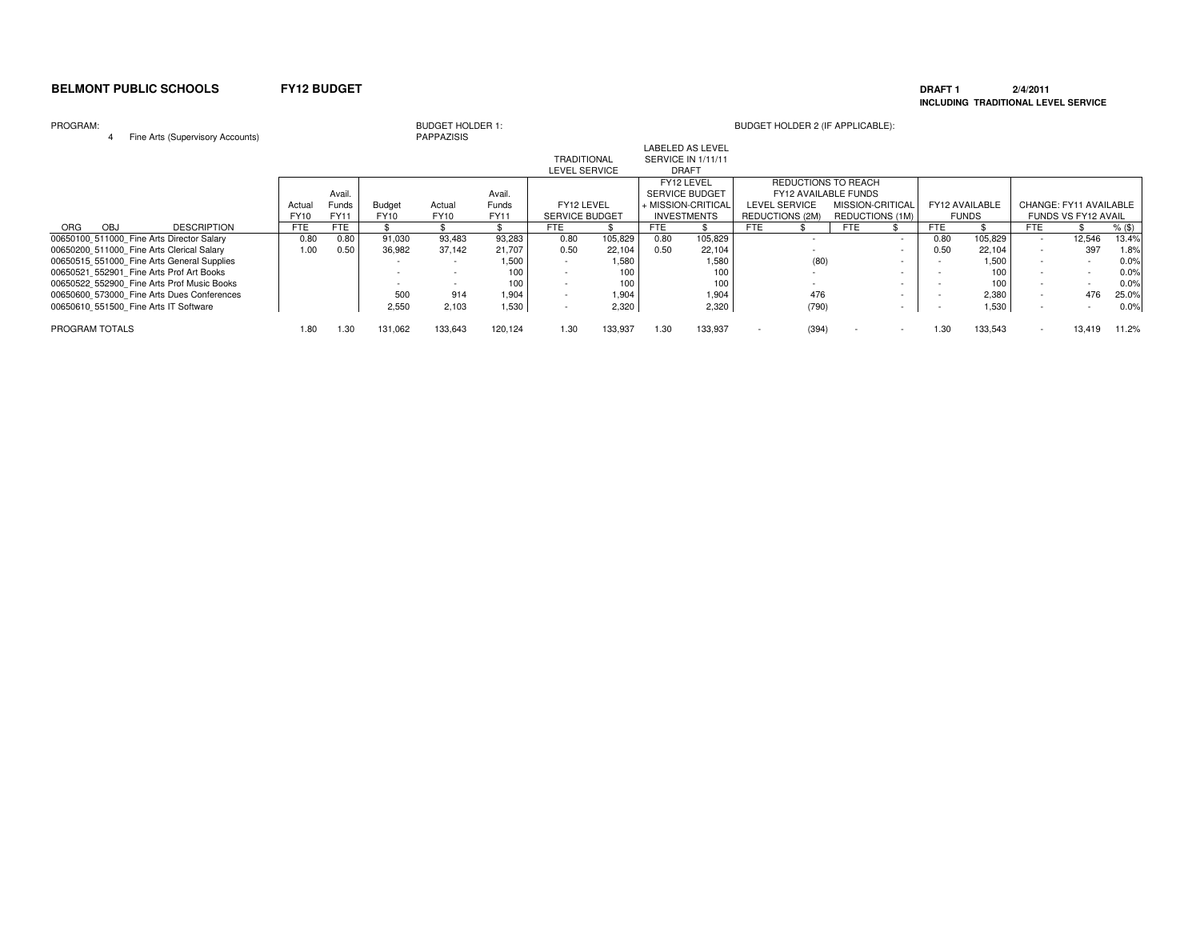### **DRAFT 1 2/4/2011 INCLUDING TRADITIONAL LEVEL SERVICE**

### PROGRAM:

<sup>4</sup> Fine Arts (Supervisory Accounts)

BUDGET HOLDER 1:<br>PAPPAZISIS

| This <i>T</i> the Todoo: <i>Those Those Theory</i> |            |             |               |             |              |                       |         |                       |                          |            |                             |            |                          |            |                |        |                        |        |
|----------------------------------------------------|------------|-------------|---------------|-------------|--------------|-----------------------|---------|-----------------------|--------------------------|------------|-----------------------------|------------|--------------------------|------------|----------------|--------|------------------------|--------|
|                                                    |            |             |               |             |              |                       |         |                       | <b>LABELED AS LEVEL</b>  |            |                             |            |                          |            |                |        |                        |        |
|                                                    |            |             |               |             |              | <b>TRADITIONAL</b>    |         |                       | SERVICE IN 1/11/11       |            |                             |            |                          |            |                |        |                        |        |
|                                                    |            |             |               |             |              | <b>LEVEL SERVICE</b>  |         |                       | <b>DRAFT</b>             |            |                             |            |                          |            |                |        |                        |        |
|                                                    |            |             |               |             |              |                       |         |                       | FY12 LEVEL               |            | <b>REDUCTIONS TO REACH</b>  |            |                          |            |                |        |                        |        |
|                                                    |            | Avail.      |               |             | Avail.       |                       |         | <b>SERVICE BUDGET</b> |                          |            | <b>FY12 AVAILABLE FUNDS</b> |            |                          |            |                |        |                        |        |
|                                                    | Actua      | Funds       | <b>Budget</b> | Actual      | <b>Funds</b> | FY12 LEVEL            |         |                       | <b>HMISSION-CRITICAL</b> |            | <b>LEVEL SERVICE</b>        |            | MISSION-CRITICAL         |            | FY12 AVAILABLE |        | CHANGE: FY11 AVAILABLE |        |
|                                                    | FY10       | <b>FY11</b> | FY10          | <b>FY10</b> | <b>FY11</b>  | <b>SERVICE BUDGET</b> |         |                       | <b>INVESTMENTS</b>       |            | <b>REDUCTIONS (2M)</b>      |            | REDUCTIONS (1M)          |            | <b>FUNDS</b>   |        | FUNDS VS FY12 AVAIL    |        |
| <b>DESCRIPTION</b><br>ORG<br><b>OBJ</b>            | <b>FTE</b> | FTE.        |               |             |              | <b>FTE</b>            |         | FTE.                  |                          | <b>FTE</b> |                             | <b>FTE</b> |                          | <b>FTE</b> |                | FTE    |                        | % (\$) |
| 00650100 511000 Fine Arts Director Salary          | 0.80       | 0.80        | 91,030        | 93,483      | 93,283       | 0.80                  | 105,829 | 0.80                  | 105,829                  |            |                             |            |                          | 0.80       | 105,829        | $\sim$ | 12,546                 | 13.4%  |
| 00650200 511000 Fine Arts Clerical Salary          | 1.00       | 0.50        | 36,982        | 37.142      | 21,707       | 0.50                  | 22,104  | 0.50                  | 22,104                   |            |                             |            | $\overline{\phantom{a}}$ | 0.50       | 22,104         |        | 397                    | 1.8%   |
| 00650515 551000 Fine Arts General Supplies         |            |             |               |             | 1.500        |                       | 1.580   |                       | 1,580                    |            | (80)                        |            |                          |            | 1.500          |        |                        | 0.0%   |
| 00650521 552901 Fine Arts Prof Art Books           |            |             |               |             | 100          |                       | 100     |                       | 100                      |            |                             |            |                          |            | 100            |        |                        | 0.0%   |
| 00650522 552900 Fine Arts Prof Music Books         |            |             |               |             | 100          |                       | 100     |                       | 100                      |            |                             |            |                          |            | 100            |        |                        | 0.0%   |
| 00650600 573000 Fine Arts Dues Conferences         |            |             | 500           | 914         | 1.904        |                       | 1,904   |                       | 1,904                    |            | 476                         |            |                          |            | 2,380          |        | 476                    | 25.0%  |
| 00650610 551500 Fine Arts IT Software              |            |             | 2.550         | 2,103       | 1,530        |                       | 2,320   |                       | 2,320                    |            | (790)                       |            | $\overline{\phantom{a}}$ |            | 1,530          |        |                        | 0.0%   |
| PROGRAM TOTALS                                     | 1.80       | 1.30        | 131,062       | 133,643     | 120.124      | 1.30                  | 133,937 | 1.30                  | 133,937                  |            | (394)                       |            | $\overline{\phantom{a}}$ | 1.30       | 133.543        |        | 13.419                 | 11.2%  |
|                                                    |            |             |               |             |              |                       |         |                       |                          |            |                             |            |                          |            |                |        |                        |        |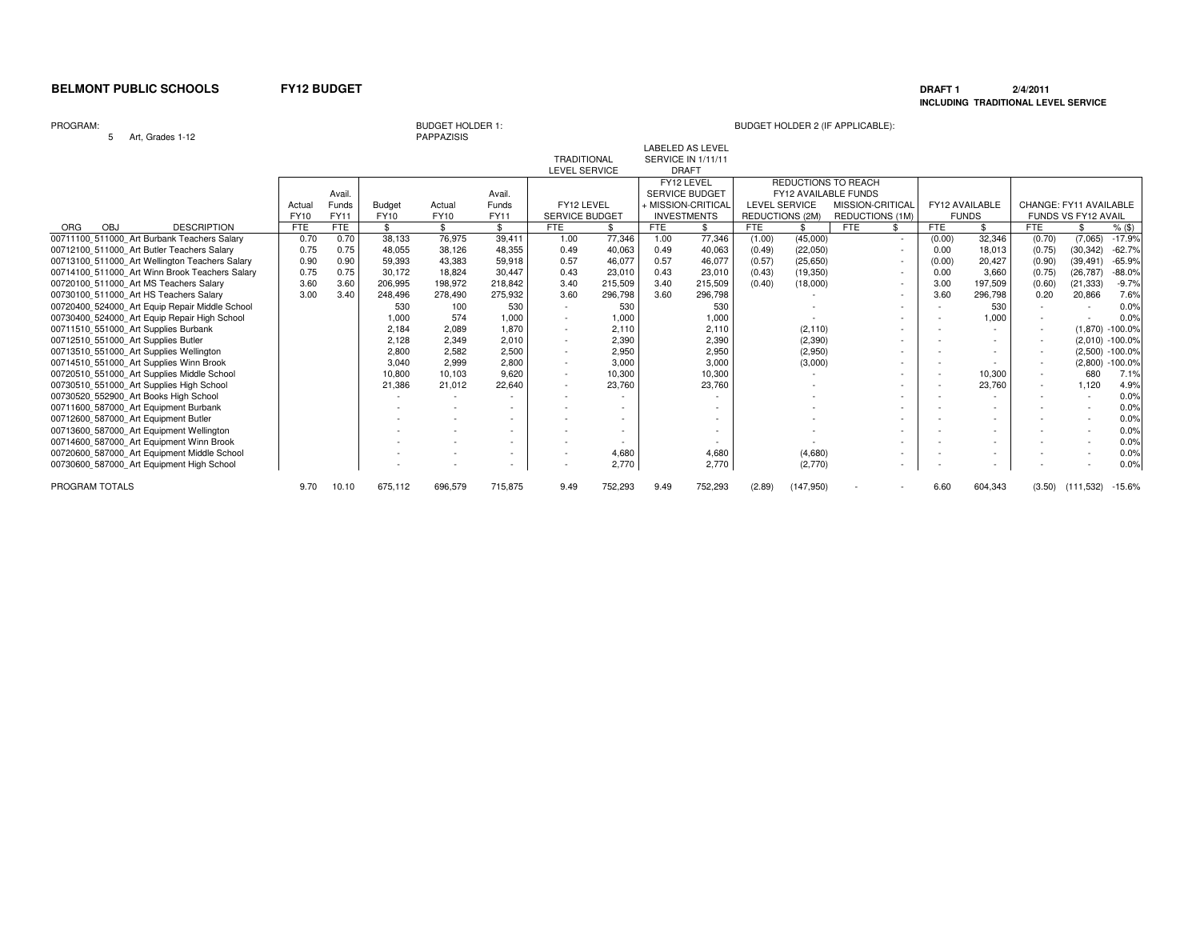### **DRAFT 1 2/4/2011 INCLUDING TRADITIONAL LEVEL SERVICE**

### PROGRAM:

5 Art, Grades 1-12

BUDGET HOLDER 1:<br>PAPPAZISIS

# BUDGET HOLDER 2 (IF APPLICABLE):

LABELED AS LEVEL

|                                                |       |            |               |             |                          | TRADITIONAL           |         |      | SERVICE IN 1/11/11 |                        |                      |                             |                          |            |                |                        |                            |                    |
|------------------------------------------------|-------|------------|---------------|-------------|--------------------------|-----------------------|---------|------|--------------------|------------------------|----------------------|-----------------------------|--------------------------|------------|----------------|------------------------|----------------------------|--------------------|
|                                                |       |            |               |             |                          | LEVEL SERVICE         |         |      | DRAFT              |                        |                      |                             |                          |            |                |                        |                            |                    |
|                                                |       |            |               |             |                          |                       |         |      | FY12 LEVEL         |                        |                      | REDUCTIONS TO REACH         |                          |            |                |                        |                            |                    |
|                                                |       | Avail.     |               |             | Avail.                   |                       |         |      | SERVICE BUDGET     |                        |                      | <b>FY12 AVAILABLE FUNDS</b> |                          |            |                |                        |                            |                    |
|                                                | Actua | Funds      | <b>Budget</b> | Actual      | <b>Funds</b>             | FY12 LEVEL            |         |      | + MISSION-CRITICAL |                        | <b>LEVEL SERVICE</b> | MISSION-CRITICAL            |                          |            | FY12 AVAILABLE | CHANGE: FY11 AVAILABLE |                            |                    |
|                                                | FY10  | FY11       | <b>FY10</b>   | <b>FY10</b> | <b>FY11</b>              | <b>SERVICE BUDGET</b> |         |      | <b>INVESTMENTS</b> | <b>REDUCTIONS (2M)</b> |                      | REDUCTIONS (1M)             |                          |            | <b>FUNDS</b>   |                        | <b>FUNDS VS FY12 AVAIL</b> |                    |
| <b>DESCRIPTION</b><br><b>ORG</b><br>OBJ        | FTE   | <b>FTE</b> | \$            | \$          | \$                       | <b>FTE</b>            | \$.     | FTE  | \$                 | <b>FTE</b>             | £.                   | <b>FTE</b>                  |                          | <b>FTE</b> | \$             | FTE                    |                            | $%$ (\$)           |
| 00711100 511000 Art Burbank Teachers Salary    | 0.70  | 0.70       | 38.133        | 76.975      | 39.411                   | 1.00                  | 77.346  | 1.00 | 77,346             | (1.00)                 | (45,000)             |                             | $\sim$                   | (0.00)     | 32,346         | (0.70)                 | (7,065)                    | $-17.9%$           |
| 00712100 511000 Art Butler Teachers Salary     | 0.75  | 0.75       | 48.055        | 38.126      | 48.355                   | 0.49                  | 40,063  | 0.49 | 40,063             | (0.49)                 | (22,050)             |                             |                          | 0.00       | 18.013         | (0.75)                 | (30, 342)                  | $-62.7%$           |
| 00713100 511000 Art Wellington Teachers Salary | 0.90  | 0.90       | 59.393        | 43,383      | 59,918                   | 0.57                  | 46,077  | 0.57 | 46,077             | (0.57)                 | (25, 650)            |                             | $\overline{\phantom{a}}$ | (0.00)     | 20.427         | (0.90)                 | (39, 491)                  | $-65.9%$           |
| 00714100 511000 Art Winn Brook Teachers Salary | 0.75  | 0.75       | 30.172        | 18,824      | 30,447                   | 0.43                  | 23,010  | 0.43 | 23,010             | (0.43)                 | (19, 350)            |                             |                          | 0.00       | 3,660          | (0.75)                 | (26, 787)                  | $-88.0%$           |
| 00720100 511000 Art MS Teachers Salary         | 3.60  | 3.60       | 206,995       | 198,972     | 218,842                  | 3.40                  | 215,509 | 3.40 | 215,509            | (0.40)                 | (18,000)             |                             |                          | 3.00       | 197,509        | (0.60)                 | (21, 333)                  | $-9.7%$            |
| 00730100 511000 Art HS Teachers Salary         | 3.00  | 3.40       | 248,496       | 278,490     | 275,932                  | 3.60                  | 296,798 | 3.60 | 296,798            |                        |                      |                             |                          | 3.60       | 296,798        | 0.20                   | 20,866                     | 7.6%               |
| 00720400 524000 Art Equip Repair Middle School |       |            | 530           | 100         | 530                      |                       | 530     |      | 530                |                        |                      |                             |                          |            | 530            |                        |                            | 0.0%               |
| 00730400 524000_Art Equip Repair High School   |       |            | 1,000         | 574         | 1,000                    |                       | 1,000   |      | 1,000              |                        |                      |                             |                          |            | 1,000          |                        |                            | 0.0%               |
| 00711510 551000 Art Supplies Burbank           |       |            | 2.184         | 2.089       | 1.870                    |                       | 2.110   |      | 2.110              |                        | (2, 110)             |                             |                          |            |                |                        |                            | $(1.870) - 100.0%$ |
| 00712510 551000 Art Supplies Butler            |       |            | 2.128         | 2.349       | 2,010                    |                       | 2,390   |      | 2,390              |                        | (2,390)              |                             |                          |            |                |                        |                            | $(2,010) -100.0\%$ |
| 00713510 551000 Art Supplies Wellington        |       |            | 2,800         | 2,582       | 2,500                    |                       | 2,950   |      | 2,950              |                        | (2,950)              |                             |                          |            |                |                        |                            | $(2,500) -100.0%$  |
| 00714510 551000 Art Supplies Winn Brook        |       |            | 3.040         | 2.999       | 2,800                    |                       | 3,000   |      | 3,000              |                        | (3,000)              |                             |                          |            |                |                        |                            | $(2,800) -100.0\%$ |
| 00720510 551000 Art Supplies Middle School     |       |            | 10,800        | 10,103      | 9,620                    |                       | 10,300  |      | 10,300             |                        |                      |                             |                          |            | 10,300         |                        | 680                        | 7.1%               |
| 00730510_551000 Art Supplies High School       |       |            | 21,386        | 21,012      | 22,640                   |                       | 23,760  |      | 23,760             |                        |                      |                             |                          |            | 23,760         | $\sim$                 | 1.120                      | 4.9%               |
| 00730520 552900 Art Books High School          |       |            |               |             |                          |                       |         |      |                    |                        |                      |                             |                          |            |                |                        |                            | 0.0%               |
| 00711600 587000 Art Equipment Burbank          |       |            |               |             |                          |                       |         |      |                    |                        |                      |                             |                          |            |                |                        |                            | 0.0%               |
| 00712600 587000 Art Equipment Butler           |       |            |               |             |                          |                       |         |      |                    |                        |                      |                             |                          |            |                |                        |                            | 0.0%               |
| 00713600 587000 Art Equipment Wellington       |       |            |               |             |                          |                       |         |      |                    |                        |                      |                             |                          |            |                |                        |                            | 0.0%               |
| 00714600 587000 Art Equipment Winn Brook       |       |            |               |             |                          |                       |         |      |                    |                        |                      |                             |                          |            |                |                        |                            | 0.0%               |
| 00720600 587000 Art Equipment Middle School    |       |            |               |             |                          |                       | 4,680   |      | 4,680              |                        | (4,680)              |                             |                          |            |                |                        |                            | 0.0%               |
| 00730600 587000 Art Equipment High School      |       |            |               |             | $\overline{\phantom{a}}$ |                       | 2,770   |      | 2,770              |                        | (2,770)              |                             | $\overline{\phantom{a}}$ |            |                |                        |                            | 0.0%               |
| PROGRAM TOTALS                                 | 9.70  | 10.10      | 675,112       | 696,579     | 715,875                  | 9.49                  | 752,293 | 9.49 | 752,293            | (2.89)                 | (147, 950)           |                             |                          | 6.60       | 604,343        | (3.50)                 | (111, 532)                 | $-15.6%$           |
|                                                |       |            |               |             |                          |                       |         |      |                    |                        |                      |                             |                          |            |                |                        |                            |                    |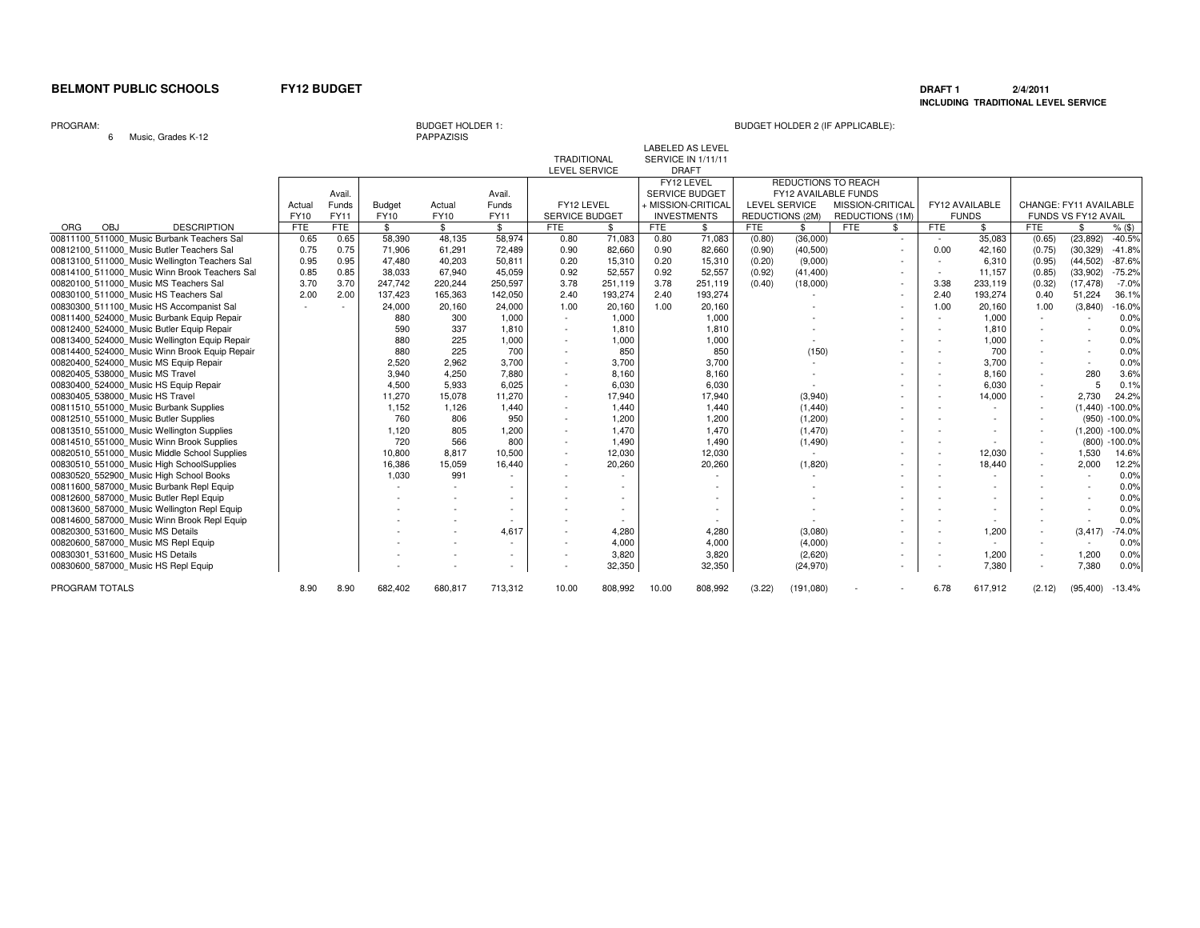### **DRAFT 1 2/4/2011 INCLUDING TRADITIONAL LEVEL SERVICE**

### PROGRAM:

6 Music, Grades K-12

PAPPAZISIS

|                                               |             |             |               |         |                |                       |         |            | <b>LABELED AS LEVEL</b> |                      |                          |                             |                          |                       |                          |                          |                     |
|-----------------------------------------------|-------------|-------------|---------------|---------|----------------|-----------------------|---------|------------|-------------------------|----------------------|--------------------------|-----------------------------|--------------------------|-----------------------|--------------------------|--------------------------|---------------------|
|                                               |             |             |               |         |                | <b>TRADITIONAL</b>    |         |            | SERVICE IN 1/11/11      |                      |                          |                             |                          |                       |                          |                          |                     |
|                                               |             |             |               |         |                | <b>LEVEL SERVICE</b>  |         |            | <b>DRAFT</b>            |                      |                          |                             |                          |                       |                          |                          |                     |
|                                               |             |             |               |         |                |                       |         |            | FY12 LEVEL              |                      |                          | REDUCTIONS TO REACH         |                          |                       |                          |                          |                     |
|                                               |             | Avail.      |               |         | Avail.         |                       |         |            | <b>SERVICE BUDGET</b>   |                      |                          | <b>FY12 AVAILABLE FUNDS</b> |                          |                       |                          |                          |                     |
|                                               | Actual      | Funds       | <b>Budget</b> | Actual  | Funds          | FY12 LEVEL            |         |            | + MISSION-CRITICAL      | <b>LEVEL SERVICE</b> |                          | MISSION-CRITICAL            |                          | <b>FY12 AVAILABLE</b> | CHANGE: FY11 AVAILABLE   |                          |                     |
|                                               | <b>FY10</b> | <b>FY11</b> | FY10          | FY10    | <b>FY11</b>    | <b>SERVICE BUDGET</b> |         |            | <b>INVESTMENTS</b>      | REDUCTIONS (2M)      |                          | <b>REDUCTIONS (1M)</b>      |                          | <b>FUNDS</b>          |                          | FUNDS VS FY12 AVAIL      |                     |
| OBJ<br><b>DESCRIPTION</b><br><b>ORG</b>       | <b>FTE</b>  | <b>FTE</b>  | \$            | \$      | $\mathbb{S}$   | <b>FTE</b>            | \$      | <b>FTE</b> | \$                      | <b>FTE</b>           | \$                       | <b>FTE</b><br>\$            | <b>FTE</b>               | \$                    | <b>FTE</b>               | \$                       | $%$ (\$)            |
| 00811100 511000 Music Burbank Teachers Sal    | 0.65        | 0.65        | 58,390        | 48,135  | 58,974         | 0.80                  | 71,083  | 0.80       | 71,083                  | (0.80)               | (36,000)                 | $\sim$                      |                          | 35,083                | (0.65)                   | (23, 892)                | $-40.5%$            |
| 00812100 511000 Music Butler Teachers Sal     | 0.75        | 0.75        | 71,906        | 61,291  | 72.489         | 0.90                  | 82,660  | 0.90       | 82,660                  | (0.90)               | (40, 500)                | $\sim$                      | 0.00                     | 42,160                | (0.75)                   | (30, 329)                | $-41.8%$            |
| 00813100 511000 Music Wellington Teachers Sal | 0.95        | 0.95        | 47.480        | 40,203  | 50,811         | 0.20                  | 15,310  | 0.20       | 15,310                  | (0.20)               | (9,000)                  | $\sim$                      | ٠                        | 6,310                 | (0.95)                   | (44, 502)                | $-87.6%$            |
| 00814100 511000 Music Winn Brook Teachers Sal | 0.85        | 0.85        | 38.033        | 67.940  | 45.059         | 0.92                  | 52,557  | 0.92       | 52,557                  | (0.92)               | (41, 400)                | $\overline{\phantom{a}}$    | $\sim$                   | 11,157                | (0.85)                   | (33,902)                 | $-75.2%$            |
| 00820100 511000 Music MS Teachers Sal         | 3.70        | 3.70        | 247.742       | 220,244 | 250,597        | 3.78                  | 251,119 | 3.78       | 251,119                 | (0.40)               | (18,000)                 | $\sim$                      | 3.38                     | 233,119               | (0.32)                   | (17, 478)                | $-7.0%$             |
| 00830100 511000 Music HS Teachers Sal         | 2.00        | 2.00        | 137,423       | 165,363 | 142,050        | 2.40                  | 193,274 | 2.40       | 193,274                 |                      | $\overline{\phantom{a}}$ | $\sim$                      | 2.40                     | 193,274               | 0.40                     | 51,224                   | 36.1%               |
| 00830300 511100 Music HS Accompanist Sal      |             |             | 24,000        | 20,160  | 24,000         | 1.00                  | 20,160  | 1.00       | 20,160                  |                      |                          | $\sim$                      | 1.00                     | 20,160                | 1.00                     | (3,840)                  | $-16.0%$            |
| 00811400 524000 Music Burbank Equip Repair    |             |             | 880           | 300     | 1,000          | $\sim$                | 1,000   |            | 1,000                   |                      |                          | $\sim$                      |                          | 1,000                 | $\sim$                   |                          | 0.0%                |
| 00812400 524000 Music Butler Equip Repair     |             |             | 590           | 337     | 1,810          | $\sim$                | 1,810   |            | 1,810                   |                      |                          | ٠                           |                          | 1,810                 | $\overline{\phantom{a}}$ | $\overline{\phantom{a}}$ | 0.0%                |
| 00813400 524000 Music Wellington Equip Repair |             |             | 880           | 225     | 1,000          |                       | 1,000   |            | 1,000                   |                      |                          | ٠                           |                          | 1,000                 |                          |                          | 0.0%                |
| 00814400 524000 Music Winn Brook Equip Repair |             |             | 880           | 225     | 700            | $\sim$                | 850     |            | 850                     |                      | (150)                    | ٠                           |                          | 700                   |                          | $\sim$                   | 0.0%                |
| 00820400 524000 Music MS Equip Repair         |             |             | 2,520         | 2,962   | 3,700          | $\sim$                | 3,700   |            | 3,700                   |                      | $\overline{\phantom{a}}$ | ٠                           |                          | 3,700                 |                          | $\sim$                   | 0.0%                |
| 00820405 538000 Music MS Travel               |             |             | 3.940         | 4,250   | 7.880          | $\sim$                | 8,160   |            | 8,160                   |                      |                          | $\sim$                      |                          | 8.160                 |                          | 280                      | 3.6%                |
| 00830400 524000 Music HS Equip Repair         |             |             | 4,500         | 5.933   | 6,025          | $\sim$                | 6,030   |            | 6,030                   |                      |                          |                             |                          | 6,030                 |                          | 5                        | 0.1%                |
| 00830405 538000 Music HS Travel               |             |             | 11.270        | 15.078  | 11,270         | $\sim$                | 17,940  |            | 17,940                  |                      | (3,940)                  | ٠                           |                          | 14,000                |                          | 2,730                    | 24.2%               |
| 00811510 551000 Music Burbank Supplies        |             |             | 1,152         | 1,126   | 1,440          | $\sim$                | 1,440   |            | 1,440                   |                      | (1,440)                  | $\sim$                      | $\overline{\phantom{a}}$ |                       |                          |                          | $(1,440) - 100.0\%$ |
| 00812510 551000 Music Butler Supplies         |             |             | 760           | 806     | 950            | $\sim$                | 1,200   |            | 1,200                   |                      | (1,200)                  | ٠                           |                          |                       |                          |                          | (950) -100.0%       |
| 00813510 551000 Music Wellington Supplies     |             |             | 1.120         | 805     | 1,200          | $\sim$                | 1,470   |            | 1,470                   |                      | (1, 470)                 | $\sim$                      |                          | $\sim$                |                          |                          | $(1,200) -100.0\%$  |
| 00814510 551000 Music Winn Brook Supplies     |             |             | 720           | 566     | 800            | $\sim$                | 1,490   |            | 1,490                   |                      | (1, 490)                 | $\sim$                      | $\overline{\phantom{a}}$ |                       |                          | (800)                    | $-100.0\%$          |
| 00820510 551000 Music Middle School Supplies  |             |             | 10,800        | 8,817   | 10,500         | $\sim$                | 12,030  |            | 12,030                  |                      | $\sim$                   | $\sim$                      |                          | 12,030                |                          | 1,530                    | 14.6%               |
| 00830510 551000 Music High SchoolSupplies     |             |             | 16,386        | 15,059  | 16.440         | $\sim$                | 20,260  |            | 20,260                  |                      | (1,820)                  |                             |                          | 18,440                |                          | 2,000                    | 12.2%               |
| 00830520 552900 Music High School Books       |             |             | 1,030         | 991     |                |                       |         |            |                         |                      | $\overline{\phantom{a}}$ | ٠                           |                          |                       |                          | $\sim$                   | 0.0%                |
| 00811600 587000 Music Burbank Repl Equip      |             |             |               | ٠       |                |                       |         |            |                         |                      |                          | ٠                           |                          |                       |                          |                          | 0.0%                |
| 00812600 587000 Music Butler Repl Equip       |             |             |               |         |                |                       |         |            |                         |                      |                          | ٠                           |                          |                       |                          |                          | 0.0%                |
| 00813600 587000 Music Wellington Repl Equip   |             |             |               |         |                |                       |         |            |                         |                      |                          | ٠                           |                          |                       |                          |                          | 0.0%                |
| 00814600 587000 Music Winn Brook Repl Equip   |             |             |               |         |                |                       |         |            |                         |                      |                          | $\sim$                      |                          |                       |                          | $\overline{\phantom{a}}$ | 0.0%                |
| 00820300 531600 Music MS Details              |             |             |               |         | 4.617          |                       | 4,280   |            | 4,280                   |                      | (3,080)                  | ٠                           |                          | 1,200                 |                          | (3, 417)                 | $-74.0%$            |
| 00820600 587000 Music MS Repl Equip           |             |             |               |         |                |                       | 4,000   |            | 4,000                   |                      | (4,000)                  |                             |                          |                       |                          | $\sim$                   | 0.0%                |
| 00830301 531600 Music HS Details              |             |             |               |         | $\overline{a}$ | $\sim$                | 3,820   |            | 3,820                   |                      | (2,620)                  | ٠                           | $\overline{\phantom{a}}$ | 1,200                 | $\sim$                   | 1,200                    | 0.0%                |
| 00830600 587000 Music HS Repl Equip           |             |             |               |         | $\sim$         |                       | 32,350  |            | 32,350                  |                      | (24, 970)                | ٠                           |                          | 7,380                 | $\sim$                   | 7,380                    | 0.0%                |
| PROGRAM TOTALS                                | 8.90        | 8.90        | 682,402       | 680,817 | 713,312        | 10.00                 | 808,992 | 10.00      | 808,992                 | (3.22)               | (191,080)                |                             | 6.78                     | 617,912               | (2.12)                   | (95, 400)                | $-13.4%$            |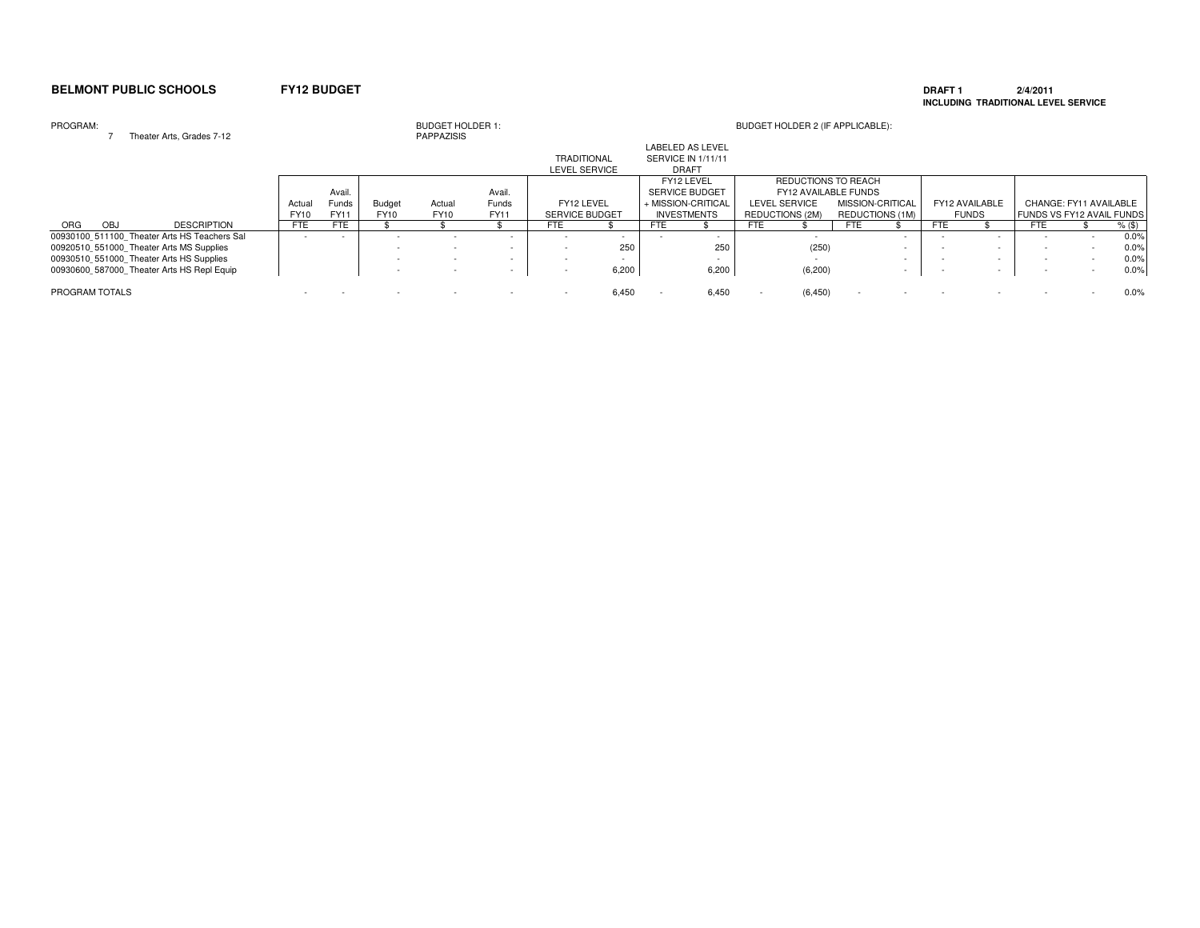### **DRAFT 1 2/4/2011 INCLUDING TRADITIONAL LEVEL SERVICE**

### PROGRAM:<sup>7</sup> Theater Arts, Grades 7-12

| PROGRAM:       |      | Theater Arts, Grades 7-12                    |             |              |               | <b>BUDGET HOLDER 1:</b><br><b>PAPPAZISIS</b> |        |                       |       |      |                         |     | BUDGET HOLDER 2 (IF APPLICABLE): |            |                  |            |                          |     |                           |        |
|----------------|------|----------------------------------------------|-------------|--------------|---------------|----------------------------------------------|--------|-----------------------|-------|------|-------------------------|-----|----------------------------------|------------|------------------|------------|--------------------------|-----|---------------------------|--------|
|                |      |                                              |             |              |               |                                              |        |                       |       |      | <b>LABELED AS LEVEL</b> |     |                                  |            |                  |            |                          |     |                           |        |
|                |      |                                              |             |              |               |                                              |        | <b>TRADITIONAL</b>    |       |      | SERVICE IN 1/11/11      |     |                                  |            |                  |            |                          |     |                           |        |
|                |      |                                              |             |              |               |                                              |        | LEVEL SERVICE         |       |      | <b>DRAFT</b>            |     |                                  |            |                  |            |                          |     |                           |        |
|                |      |                                              |             |              |               |                                              |        |                       |       |      | FY12 LEVEL              |     | REDUCTIONS TO REACH              |            |                  |            |                          |     |                           |        |
|                |      |                                              |             | Avail.       |               |                                              | Avail. |                       |       |      | <b>SERVICE BUDGET</b>   |     | FY12 AVAILABLE FUNDS             |            |                  |            |                          |     |                           |        |
|                |      |                                              | Actual      | <b>Funds</b> | <b>Budget</b> | Actual                                       | Funds  | FY12 LEVEL            |       |      | + MISSION-CRITICAL      |     | LEVEL SERVICE                    |            | MISSION-CRITICAL |            | FY12 AVAILABLE           |     | CHANGE: FY11 AVAILABLE    |        |
|                |      |                                              | <b>FY10</b> | FY11         | <b>FY10</b>   | <b>FY10</b>                                  | FY11   | <b>SERVICE BUDGET</b> |       |      | <b>INVESTMENTS</b>      |     | <b>REDUCTIONS (2M)</b>           |            | REDUCTIONS (1M)  |            | <b>FUNDS</b>             |     | FUNDS VS FY12 AVAIL FUNDS |        |
| ORG            | OBJ. | <b>DESCRIPTION</b>                           | FTE         | <b>FTE</b>   |               |                                              |        | FTE                   |       | FTE. |                         | FTE |                                  | <b>FTE</b> |                  | <b>FTE</b> |                          | FTE |                           | % (\$) |
|                |      | 00930100 511100 Theater Arts HS Teachers Sal |             |              |               |                                              | $\sim$ |                       |       |      |                         |     |                                  |            |                  |            |                          |     |                           | 0.0%   |
|                |      | 00920510 551000 Theater Arts MS Supplies     |             |              |               |                                              | $\sim$ |                       | 250   |      | 25C                     |     | (250)                            |            |                  |            | $\overline{\phantom{a}}$ |     |                           | 0.0%   |
|                |      | 00930510 551000 Theater Arts HS Supplies     |             |              |               | $\sim$                                       | $\sim$ |                       |       |      |                         |     |                                  |            |                  |            | $\overline{\phantom{a}}$ |     |                           | 0.0%   |
|                |      | 00930600 587000 Theater Arts HS Repl Equip   |             |              |               |                                              | $\sim$ |                       | 6,200 |      | 6,200                   |     | (6, 200)                         |            |                  |            |                          |     |                           | 0.0%   |
| PROGRAM TOTALS |      |                                              |             |              |               |                                              |        |                       | 6,450 |      | 6,450                   |     | (6, 450)                         |            |                  |            |                          |     |                           | 0.0%   |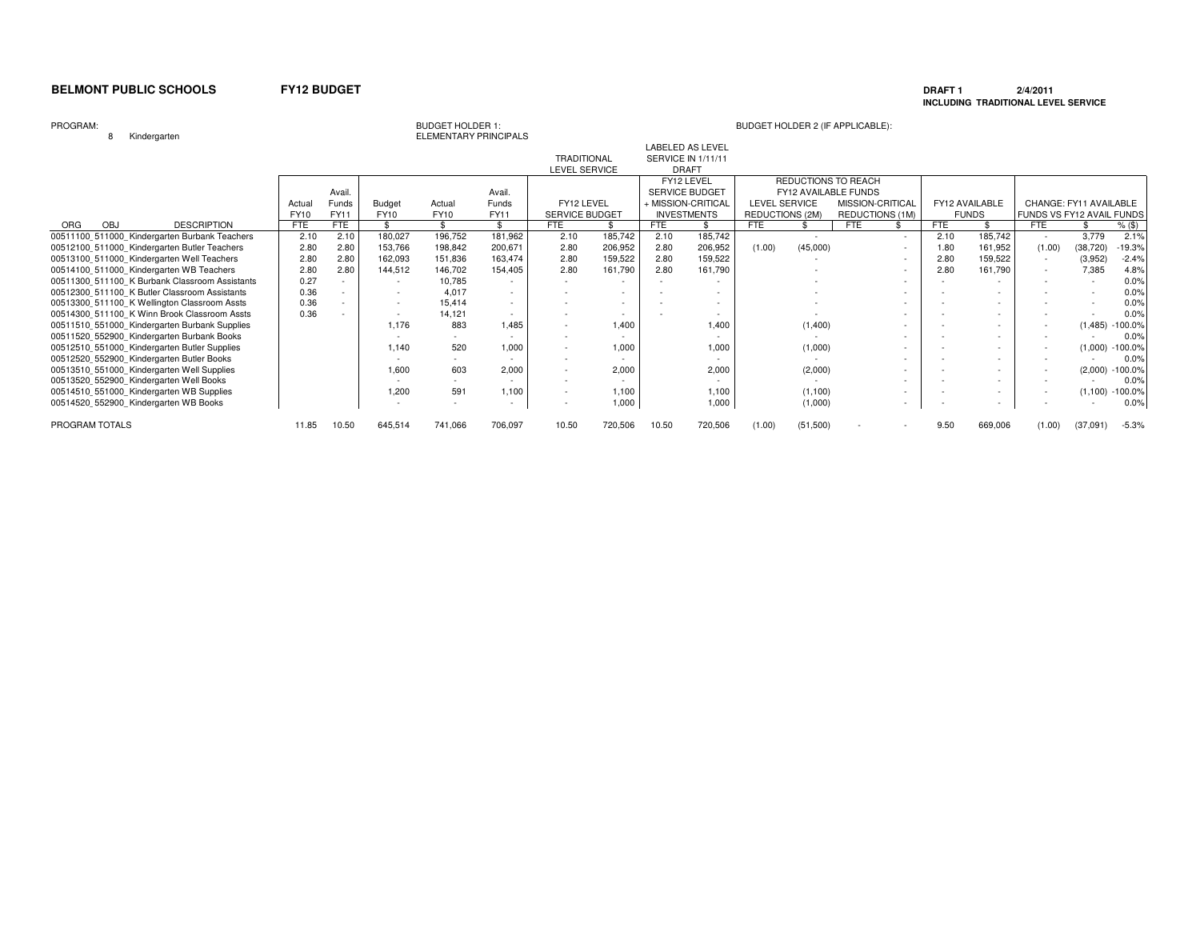### **DRAFT 1 2/4/2011 INCLUDING TRADITIONAL LEVEL SERVICE**

### PROGRAM:

8 Kindergarten

BUDGET HOLDER 1:<br>ELEMENTARY PRINCIPALS

# BUDGET HOLDER 2 (IF APPLICABLE):

|                |            |                                                |             |        |             |             |         | <b>TRADITIONAL</b>    |         |       | SERVICE IN 1/11/11 |                      |                      |                  |                          |            |                |                           |           |           |
|----------------|------------|------------------------------------------------|-------------|--------|-------------|-------------|---------|-----------------------|---------|-------|--------------------|----------------------|----------------------|------------------|--------------------------|------------|----------------|---------------------------|-----------|-----------|
|                |            |                                                |             |        |             |             |         | LEVEL SERVICE         |         |       | <b>DRAFT</b>       |                      |                      |                  |                          |            |                |                           |           |           |
|                |            |                                                |             |        |             |             |         |                       |         |       | FY12 LEVEL         |                      | REDUCTIONS TO REACH  |                  |                          |            |                |                           |           |           |
|                |            |                                                |             | Avail. |             |             | Avail.  |                       |         |       | SERVICE BUDGET     |                      | FY12 AVAILABLE FUNDS |                  |                          |            |                |                           |           |           |
|                |            |                                                | Actual      | Funds  | Budget      | Actual      | Funds   | FY12 LEVEL            |         |       | + MISSION-CRITICAL | <b>LEVEL SERVICE</b> |                      | MISSION-CRITICAL |                          |            | FY12 AVAILABLE | CHANGE: FY11 AVAILABLE    |           |           |
|                |            |                                                | <b>FY10</b> | FY11   | <b>FY10</b> | <b>FY10</b> | FY11    | <b>SERVICE BUDGET</b> |         |       | <b>INVESTMENTS</b> | REDUCTIONS (2M)      |                      | REDUCTIONS (1M)  |                          |            | <b>FUNDS</b>   | FUNDS VS FY12 AVAIL FUNDS |           |           |
| <b>ORG</b>     | <b>OBJ</b> | <b>DESCRIPTION</b>                             | <b>FTE</b>  | FTE    |             |             |         | <b>FTE</b>            |         | FTE   |                    | <b>FTE</b>           |                      | <b>FTE</b>       |                          | <b>FTE</b> |                | <b>FTE</b>                |           | $%$ (\$)  |
|                |            | 00511100_511000 Kindergarten Burbank Teachers  | 2.10        | 2.10   | 180,027     | 196,752     | 181,962 | 2.10                  | 185,742 | 2.10  | 185,742            |                      |                      |                  | $\sim$                   | 2.10       | 185,742        |                           | 3.779     | 2.1%      |
|                |            | 00512100 511000 Kindergarten Butler Teachers   | 2.80        | 2.80   | 153,766     | 198,842     | 200,671 | 2.80                  | 206,952 | 2.80  | 206,952            | (1.00)               | (45,000)             |                  | $\overline{\phantom{a}}$ | 1.80       | 161,952        | (1.00)                    | (38, 720) | $-19.3%$  |
|                |            | 00513100 511000 Kindergarten Well Teachers     | 2.80        | 2.80   | 162,093     | 151,836     | 163,474 | 2.80                  | 159,522 | 2.80  | 159,522            |                      |                      |                  | $\sim$                   | 2.80       | 159,522        | $\sim$                    | (3,952)   | $-2.4%$   |
|                |            | 00514100 511000 Kindergarten WB Teachers       | 2.80        | 2.80   | 144,512     | 146,702     | 154,405 | 2.80                  | 161,790 | 2.80  | 161,790            |                      |                      |                  | $\sim$                   | 2.80       | 161,790        |                           | 7,385     | 4.8%      |
|                |            | 00511300 511100 K Burbank Classroom Assistants | 0.27        |        |             | 10,785      |         |                       |         |       |                    |                      |                      |                  |                          |            |                |                           |           | 0.0%      |
|                |            | 00512300 511100 K Butler Classroom Assistants  | 0.36        |        |             | 4.017       |         |                       |         |       |                    |                      |                      |                  |                          |            |                |                           |           | 0.0%      |
|                |            | 00513300 511100 K Wellington Classroom Assts   | 0.36        |        |             | 15,414      |         |                       |         |       |                    |                      |                      |                  |                          |            |                |                           |           | 0.0%      |
|                |            | 00514300 511100 K Winn Brook Classroom Assts   | 0.36        |        |             | 14,121      |         |                       |         |       |                    |                      |                      |                  |                          |            |                |                           |           | 0.0%      |
|                |            | 00511510 551000 Kindergarten Burbank Supplies  |             |        | 1,176       | 883         | 1,485   |                       | 1,400   |       | 1,400              |                      | (1,400)              |                  |                          |            |                |                           | 1,485     | $-100.0%$ |
|                |            | 00511520 552900 Kindergarten Burbank Books     |             |        |             |             |         |                       |         |       |                    |                      |                      |                  |                          |            |                |                           |           | 0.0%      |
|                |            | 00512510 551000 Kindergarten Butler Supplies   |             |        | 1.140       | 520         | 1.000   |                       | 1.000   |       | 1,000              |                      | (1,000)              |                  |                          |            |                |                           | (1,000)   | $-100.0%$ |
|                |            | 00512520 552900 Kindergarten Butler Books      |             |        |             |             |         |                       |         |       |                    |                      |                      |                  |                          |            |                |                           |           | 0.0%      |
|                |            | 00513510 551000 Kindergarten Well Supplies     |             |        | 1.600       | 603         | 2,000   |                       | 2,000   |       | 2,000              |                      | (2,000)              |                  |                          |            |                |                           | (2,000)   | $-100.0%$ |
|                |            | 00513520 552900 Kindergarten Well Books        |             |        |             |             |         |                       |         |       |                    |                      |                      |                  |                          |            |                |                           |           | 0.0%      |
|                |            | 00514510 551000 Kindergarten WB Supplies       |             |        | 1,200       | 591         | 1,100   |                       | 1,100   |       | 1,100              |                      | (1, 100)             |                  |                          |            |                | $\sim$                    | (1, 100)  | $-100.0%$ |
|                |            | 00514520 552900 Kindergarten WB Books          |             |        |             |             |         |                       | 1,000   |       | 1,000              |                      | (1,000)              |                  |                          |            |                |                           |           | 0.0%      |
| PROGRAM TOTALS |            |                                                | 11.85       | 10.50  | 645,514     | 741,066     | 706,097 | 10.50                 | 720,506 | 10.50 | 720,506            | (1.00)               | (51,500)             |                  |                          | 9.50       | 669,006        | (1.00)                    | (37,091)  | $-5.3%$   |

LABELED AS LEVEL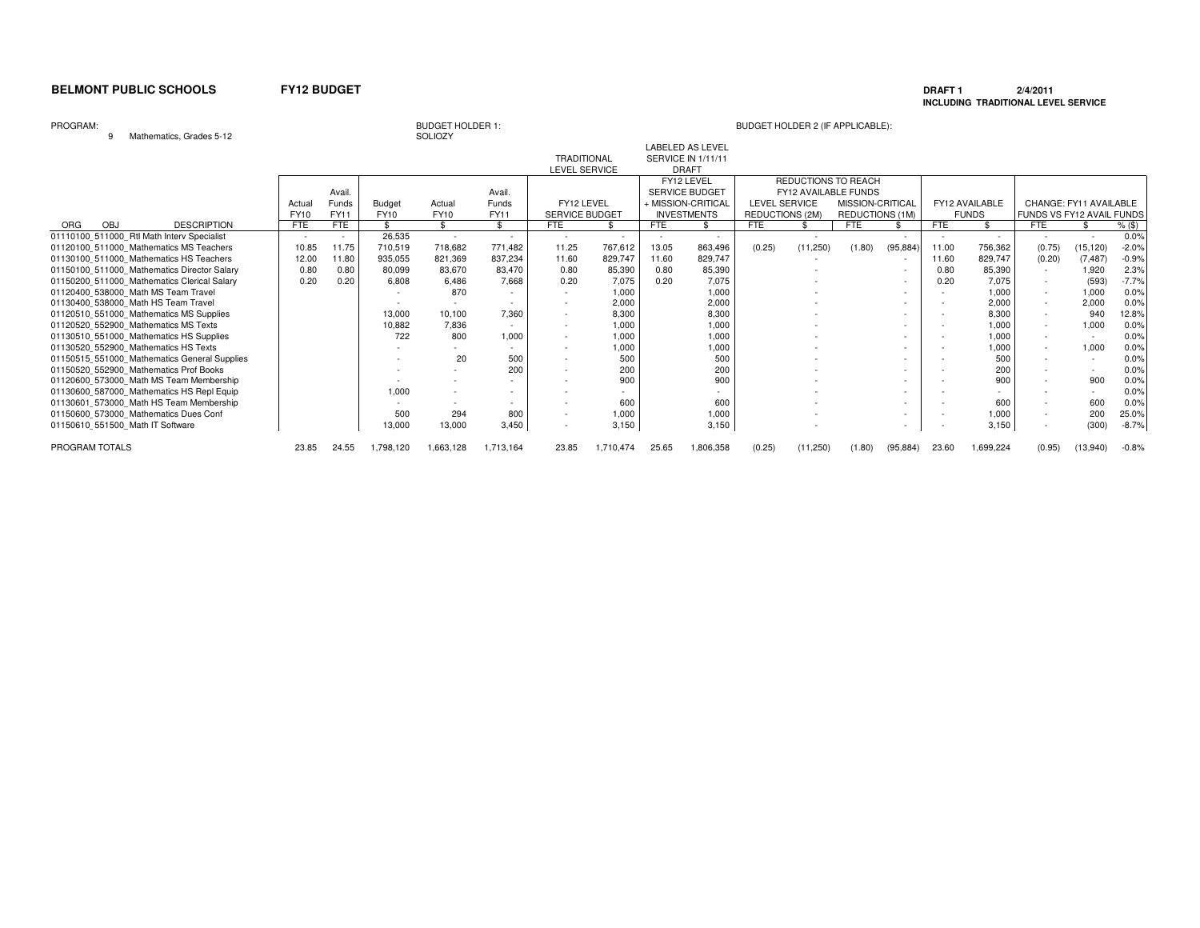### **DRAFT 1 2/4/2011 INCLUDING TRADITIONAL LEVEL SERVICE**

### PROGRAM:

9 Mathematics, Grades 5-12

# SOLIOZY

|                                                |            |        |               | -----       |           |                    |           |            |                           |                      |                      |                  |           |       |                |                           |                        |          |
|------------------------------------------------|------------|--------|---------------|-------------|-----------|--------------------|-----------|------------|---------------------------|----------------------|----------------------|------------------|-----------|-------|----------------|---------------------------|------------------------|----------|
|                                                |            |        |               |             |           |                    |           |            | <b>LABELED AS LEVEL</b>   |                      |                      |                  |           |       |                |                           |                        |          |
|                                                |            |        |               |             |           | <b>TRADITIONAL</b> |           |            | <b>SERVICE IN 1/11/11</b> |                      |                      |                  |           |       |                |                           |                        |          |
|                                                |            |        |               |             |           | LEVEL SERVICE      |           |            | <b>DRAFT</b>              |                      |                      |                  |           |       |                |                           |                        |          |
|                                                |            |        |               |             |           |                    |           |            | FY12 LEVEL                |                      | REDUCTIONS TO REACH  |                  |           |       |                |                           |                        |          |
|                                                |            | Avail  |               |             | Avail.    |                    |           |            | <b>SERVICE BUDGET</b>     |                      | FY12 AVAILABLE FUNDS |                  |           |       |                |                           |                        |          |
|                                                | Actual     | Funds  | <b>Budget</b> | Actual      | Funds     | FY12 LEVEL         |           |            | + MISSION-CRITICAL        | <b>LEVEL SERVICE</b> |                      | MISSION-CRITICAL |           |       | FY12 AVAILABLE |                           | CHANGE: FY11 AVAILABLE |          |
|                                                | FY10       | FY11   | FY10          | <b>FY10</b> | FY11      | SERVICE BUDGET     |           |            | <b>INVESTMENTS</b>        | REDUCTIONS (2M)      |                      | REDUCTIONS (1M)  |           |       | <b>FUNDS</b>   | FUNDS VS FY12 AVAIL FUNDS |                        |          |
| <b>DESCRIPTION</b><br><b>ORG</b><br><b>OBJ</b> | <b>FTE</b> | FTE    |               | \$          | £.        | <b>FTE</b>         |           | <b>FTE</b> | \$.                       | <b>FTE</b>           |                      | <b>FTE</b>       |           | FTE   |                | <b>FTE</b>                | £.                     | $%$ (\$) |
| 01110100 511000 Rtl Math Interv Specialist     |            | $\sim$ | 26,535        | $\sim$      | $\sim$    |                    |           |            | $\sim$                    |                      | $\sim$               |                  |           |       | $\sim$         |                           |                        | 0.0%     |
| 01120100 511000 Mathematics MS Teachers        | 10.85      | 11.75  | 710,519       | 718,682     | 771.482   | 11.25              | 767,612   | 13.05      | 863,496                   | (0.25)               | (11,250)             | (1.80)           | (95, 884) | 11.00 | 756,362        | (0.75)                    | (15, 120)              | $-2.0%$  |
| 01130100 511000 Mathematics HS Teachers        | 12.00      | 11.80  | 935,055       | 821,369     | 837,234   | 11.60              | 829,747   | 11.60      | 829,747                   |                      |                      |                  |           | 11.60 | 829,747        | (0.20)                    | (7, 487)               | $-0.9%$  |
| 01150100 511000 Mathematics Director Salary    | 0.80       | 0.80   | 80,099        | 83,670      | 83.470    | 0.80               | 85,390    | 0.80       | 85,390                    |                      |                      |                  |           | 0.80  | 85,390         |                           | 1,920                  | 2.3%     |
| 01150200 511000 Mathematics Clerical Salary    | 0.20       | 0.20   | 6,808         | 6,486       | 7,668     | 0.20               | 7,075     | 0.20       | 7,075                     |                      |                      |                  |           | 0.20  | 7,075          | $\sim$                    | (593)                  | $-7.7%$  |
| 01120400 538000 Math MS Team Travel            |            |        |               | 870         |           |                    | 1,000     |            | 1,000                     |                      |                      |                  |           |       | 1,000          | $\sim$                    | 1,000                  | 0.0%     |
| 01130400 538000 Math HS Team Travel            |            |        |               |             |           |                    | 2,000     |            | 2,000                     |                      |                      |                  |           |       | 2,000          | $\sim$                    | 2,000                  | 0.0%     |
| 01120510 551000 Mathematics MS Supplies        |            |        | 13,000        | 10,100      | 7,360     |                    | 8,300     |            | 8,300                     |                      |                      |                  |           |       | 8,300          |                           | 940                    | 12.8%    |
| 01120520 552900 Mathematics MS Texts           |            |        | 10,882        | 7.836       | $\sim$    |                    | 1,000     |            | 1,000                     |                      |                      |                  |           |       | 1,000          | $\sim$                    | 1,000                  | 0.0%     |
| 01130510 551000 Mathematics HS Supplies        |            |        | 722           | 800         | 1,000     |                    | 1,000     |            | 1,000                     |                      |                      |                  |           |       | 1,000          |                           |                        | 0.0%     |
| 01130520 552900 Mathematics HS Texts           |            |        |               |             |           |                    | 1,000     |            | 1,000                     |                      |                      |                  |           |       | 1,000          |                           | 1,000                  | 0.0%     |
| 01150515 551000 Mathematics General Supplies   |            |        |               | 20          | 500       |                    | 500       |            | 500                       |                      |                      |                  |           |       | 500            |                           |                        | 0.0%     |
| 01150520_552900_Mathematics Prof Books         |            |        |               |             | 200       |                    | 200       |            | 200                       |                      |                      |                  |           |       | 200            |                           |                        | 0.0%     |
| 01120600_573000_Math MS Team Membership        |            |        |               |             |           |                    | 900       |            | 900                       |                      |                      |                  |           |       | 900            |                           | 900                    | 0.0%     |
| 01130600 587000 Mathematics HS Repl Equip      |            |        | 1.000         |             |           |                    |           |            |                           |                      |                      |                  |           |       |                |                           |                        | 0.0%     |
| 01130601_573000_Math HS Team Membership        |            |        |               |             |           |                    | 600       |            | 600                       |                      |                      |                  |           |       | 600            |                           | 600                    | 0.0%     |
| 01150600 573000 Mathematics Dues Conf          |            |        | 500           | 294         | 800       |                    | 1,000     |            | 1,000                     |                      |                      |                  |           |       | 1,000          |                           | 200                    | 25.0%    |
| 01150610 551500 Math IT Software               |            |        | 13,000        | 13,000      | 3,450     |                    | 3,150     |            | 3,150                     |                      |                      |                  |           |       | 3,150          |                           | (300)                  | $-8.7%$  |
| PROGRAM TOTALS                                 | 23.85      | 24.55  | 1.798.120     | 1.663.128   | 1.713.164 | 23.85              | 1,710,474 | 25.65      | 1,806,358                 | (0.25)               | (11,250)             | (1.80)           | (95, 884) | 23.60 | 1.699.224      | (0.95)                    | (13,940)               | $-0.8%$  |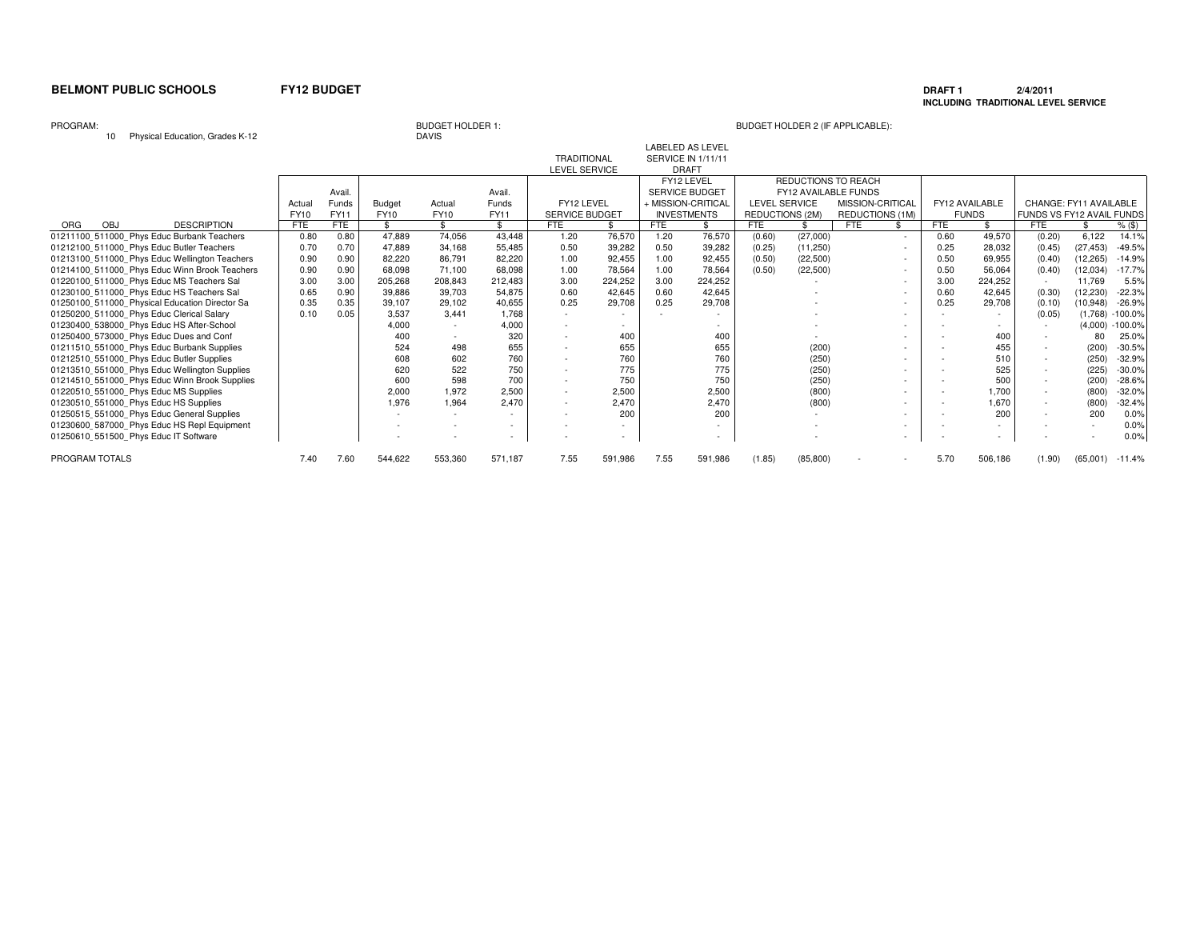### **DRAFT 1 2/4/2011 INCLUDING TRADITIONAL LEVEL SERVICE**

PROGRAM:

10 Physical Education, Grades K-12

### BUDGET HOLDER 1: BUDGET HOLDER 2 (IF APPLICABLE):

**DAVIS** 

|                                                |             |        |                    |             |         | TRADITIONAL    |         |      | SERVICE IN 1/11/11 |                      |           |                      |        |                |              |                           |           |            |
|------------------------------------------------|-------------|--------|--------------------|-------------|---------|----------------|---------|------|--------------------|----------------------|-----------|----------------------|--------|----------------|--------------|---------------------------|-----------|------------|
|                                                |             |        |                    |             |         | LEVEL SERVICE  |         |      | <b>DRAFT</b>       |                      |           |                      |        |                |              |                           |           |            |
|                                                |             |        |                    |             |         |                |         |      | FY12 LEVEL         |                      |           | REDUCTIONS TO REACH  |        |                |              |                           |           |            |
|                                                |             | Avail. |                    |             | Avail.  |                |         |      | SERVICE BUDGET     |                      |           | FY12 AVAILABLE FUNDS |        |                |              |                           |           |            |
|                                                | Actual      | Funds  | Budget             | Actual      | Funds   | FY12 LEVEL     |         |      | + MISSION-CRITICAL | <b>LEVEL SERVICE</b> |           | MISSION-CRITICAL     |        | FY12 AVAILABLE |              | CHANGE: FY11 AVAILABLE    |           |            |
|                                                | <b>FY10</b> | FY11   | <b>FY10</b>        | <b>FY10</b> | FY11    | SERVICE BUDGET |         |      | <b>INVESTMENTS</b> | REDUCTIONS (2M)      |           | REDUCTIONS (1M)      |        |                | <b>FUNDS</b> | FUNDS VS FY12 AVAIL FUNDS |           |            |
| <b>DESCRIPTION</b><br>OBJ<br><b>ORG</b>        | <b>FTE</b>  | FTE    | $\mathbf{\hat{S}}$ | \$.         | \$      | <b>FTE</b>     |         | FTE  |                    | <b>FTE</b>           |           | <b>FTE</b>           |        | <b>FTE</b>     | \$           | <b>FTE</b>                |           | $%$ (\$)   |
| 01211100 511000 Phys Educ Burbank Teachers     | 0.80        | 0.80   | 47,889             | 74,056      | 43,448  | 1.20           | 76,570  | 1.20 | 76,570             | (0.60)               | (27,000)  |                      | $\sim$ | 0.60           | 49,570       | (0.20)                    | 6,122     | 14.1%      |
| 01212100 511000 Phys Educ Butler Teachers      | 0.70        | 0.70   | 47.889             | 34,168      | 55,485  | 0.50           | 39,282  | 0.50 | 39,282             | (0.25)               | (11,250)  |                      | $\sim$ | 0.25           | 28,032       | (0.45)                    | (27, 453) | $-49.5%$   |
| 01213100 511000 Phys Educ Wellington Teachers  | 0.90        | 0.90   | 82.220             | 86,791      | 82,220  | 1.00           | 92,455  | 1.00 | 92,455             | (0.50)               | (22, 500) |                      | $\sim$ | 0.50           | 69,955       | (0.40)                    | (12, 265) | $-14.9%$   |
| 01214100 511000 Phys Educ Winn Brook Teachers  | 0.90        | 0.90   | 68.098             | 71.100      | 68,098  | 1.00           | 78,564  | 1.00 | 78,564             | (0.50)               | (22, 500) |                      | $\sim$ | 0.50           | 56,064       | (0.40)                    | (12, 034) | $-17.7%$   |
| 01220100 511000 Phys Educ MS Teachers Sal      | 3.00        | 3.00   | 205,268            | 208,843     | 212,483 | 3.00           | 224,252 | 3.00 | 224,252            |                      |           |                      | $\sim$ | 3.00           | 224,252      |                           | 11,769    | 5.5%       |
| 01230100_511000_Phys Educ HS Teachers Sal      | 0.65        | 0.90   | 39,886             | 39,703      | 54,875  | 0.60           | 42,645  | 0.60 | 42,645             |                      |           |                      | $\sim$ | 0.60           | 42,645       | (0.30)                    | (12, 230) | $-22.3%$   |
| 01250100 511000 Physical Education Director Sa | 0.35        | 0.35   | 39,107             | 29,102      | 40,655  | 0.25           | 29,708  | 0.25 | 29,708             |                      |           |                      | $\sim$ | 0.25           | 29,708       | (0.10)                    | (10, 948) | $-26.9%$   |
| 01250200 511000 Phys Educ Clerical Salary      | 0.10        | 0.05   | 3,537              | 3.441       | 1,768   |                |         |      |                    |                      |           |                      | ۰      |                |              | (0.05)                    | (1,768)   | $-100.0\%$ |
| 01230400 538000 Phys Educ HS After-School      |             |        | 4.000              |             | 4,000   |                |         |      |                    |                      |           |                      |        |                |              |                           | (4.000)   | $-100.0%$  |
| 01250400 573000 Phys Educ Dues and Conf        |             |        | 400                |             | 320     |                | 400     |      | 400                |                      |           |                      |        |                | 400          |                           | 80        | 25.0%      |
| 01211510_551000_Phys Educ Burbank Supplies     |             |        | 524                | 498         | 655     |                | 655     |      | 655                |                      | (200)     |                      |        |                | 455          |                           | (200)     | $-30.5%$   |
| 01212510_551000 Phys Educ Butler Supplies      |             |        | 608                | 602         | 760     |                | 760     |      | 760                |                      | (250)     |                      |        |                | 510          |                           | (250)     | $-32.9%$   |
| 01213510_551000_Phys Educ Wellington Supplies  |             |        | 620                | 522         | 750     |                | 775     |      | 775                |                      | (250)     |                      |        |                | 525          |                           | (225)     | $-30.0%$   |
| 01214510_551000_Phys Educ Winn Brook Supplies  |             |        | 600                | 598         | 700     |                | 750     |      | 750                |                      | (250)     |                      | ۰      |                | 500          | $\overline{\phantom{a}}$  | (200)     | $-28.6%$   |
| 01220510_551000_Phys Educ MS Supplies          |             |        | 2,000              | 1.972       | 2,500   |                | 2,500   |      | 2,500              |                      | (800)     |                      |        |                | 1.700        |                           | (800)     | $-32.0%$   |
| 01230510 551000 Phys Educ HS Supplies          |             |        | 1,976              | 1,964       | 2,470   |                | 2,470   |      | 2,470              |                      | (800)     |                      | $\sim$ |                | 1,670        |                           | (800)     | $-32.4%$   |
| 01250515_551000_Phys Educ General Supplies     |             |        |                    |             |         |                | 200     |      | 200                |                      |           |                      | ۰      |                | 200          | ۰                         | 200       | 0.0%       |
|                                                |             |        |                    |             |         |                |         |      |                    |                      |           |                      |        |                |              |                           |           | 0.0%       |
| 01250610 551500 Phys Educ IT Software          |             |        |                    |             |         |                |         |      |                    |                      |           |                      |        |                |              |                           |           | 0.0%       |
| PROGRAM TOTALS                                 | 7.40        | 7.60   | 544,622            | 553,360     | 571,187 | 7.55           | 591,986 | 7.55 | 591,986            | (1.85)               | (85, 800) |                      |        | 5.70           | 506,186      | (1.90)                    | (65,001)  | $-11.4%$   |
| 01230600 587000 Phys Educ HS Repl Equipment    |             |        |                    |             |         |                |         |      |                    |                      |           |                      |        |                |              |                           |           |            |

LABELED AS LEVEL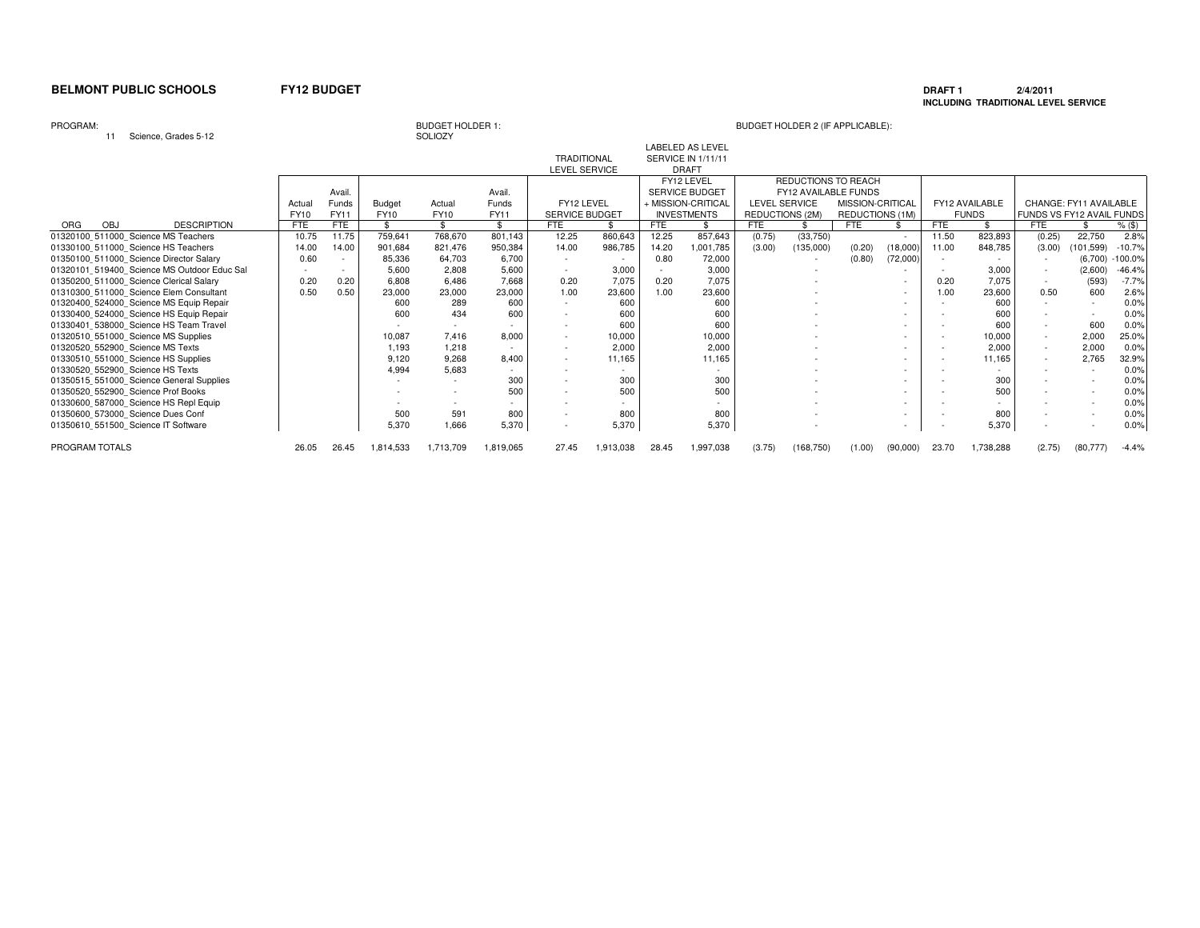# **DRAFT 1 2/4/2011 INCLUDING TRADITIONAL LEVEL SERVICE**

PROGRAM:

<sup>11</sup> Science, Grades 5-12

# BUDGET HOLDER 1:<br>SOLIOZY

## BUDGET HOLDER 2 (IF APPLICABLE):

|                                             |             |             |           |             |           | <b>TRADITIONAL</b>       |           |            | <b>SERVICE IN 1/11/11</b> |                 |                      |                  |          |       |                |                           |                        |           |
|---------------------------------------------|-------------|-------------|-----------|-------------|-----------|--------------------------|-----------|------------|---------------------------|-----------------|----------------------|------------------|----------|-------|----------------|---------------------------|------------------------|-----------|
|                                             |             |             |           |             |           | LEVEL SERVICE            |           |            | <b>DRAFT</b>              |                 |                      |                  |          |       |                |                           |                        |           |
|                                             |             |             |           |             |           |                          |           |            | FY12 LEVEL                |                 | REDUCTIONS TO REACH  |                  |          |       |                |                           |                        |           |
|                                             |             | Avail       |           |             | Avail.    |                          |           |            | SERVICE BUDGET            |                 | FY12 AVAILABLE FUNDS |                  |          |       |                |                           |                        |           |
|                                             | Actual      | Funds       | Budget    | Actual      | Funds     | FY12 LEVEL               |           |            | + MISSION-CRITICAL        |                 | <b>LEVEL SERVICE</b> | MISSION-CRITICAL |          |       | FY12 AVAILABLE |                           | CHANGE: FY11 AVAILABLE |           |
|                                             | <b>FY10</b> | <b>FY11</b> | FY10      | <b>FY10</b> | FY11      | <b>SERVICE BUDGET</b>    |           |            | <b>INVESTMENTS</b>        | REDUCTIONS (2M) |                      | REDUCTIONS (1M)  |          |       | <b>FUNDS</b>   | FUNDS VS FY12 AVAIL FUNDS |                        |           |
| <b>DESCRIPTION</b><br>ORG<br>OBJ            | <b>FTE</b>  | FTE         |           |             |           | FTE                      |           | <b>FTE</b> |                           | <b>FTE</b>      |                      | <b>FTE</b>       |          | FTE   |                | <b>FTE</b>                |                        | $%$ (\$)  |
| 01320100 511000 Science MS Teachers         | 10.75       | 11.75       | 759,641   | 768,670     | 801,143   | 12.25                    | 860,643   | 12.25      | 857,643                   | (0.75)          | (33,750)             |                  | $\sim$   | 11.50 | 823,893        | (0.25)                    | 22,750                 | 2.8%      |
| 01330100 511000 Science HS Teachers         | 14.00       | 14.00       | 901,684   | 821,476     | 950,384   | 14.00                    | 986,785   | 14.20      | 1,001,785                 | (3.00)          | (135,000)            | (0.20)           | (18,000) | 11.00 | 848,785        | (3.00)                    | (101, 599)             | $-10.7%$  |
| 01350100 511000 Science Director Salary     | 0.60        | $\sim$      | 85,336    | 64,703      | 6.700     |                          |           | 0.80       | 72,000                    |                 |                      | (0.80)           | (72,000) |       |                |                           | (6,700)                | $-100.0%$ |
| 01320101 519400 Science MS Outdoor Educ Sal |             | $\sim$      | 5,600     | 2,808       | 5,600     |                          | 3,000     |            | 3,000                     |                 |                      |                  |          |       | 3,000          | $\sim$                    | (2,600)                | $-46.4%$  |
| 01350200 511000 Science Clerical Salary     | 0.20        | 0.20        | 6,808     | 6,486       | 7,668     | 0.20                     | 7,075     | 0.20       | 7.075                     |                 |                      |                  |          | 0.20  | 7,075          |                           | (593)                  | $-7.7%$   |
| 01310300 511000 Science Elem Consultant     | 0.50        | 0.50        | 23,000    | 23,000      | 23,000    | 1.00                     | 23,600    | 1.00       | 23,600                    |                 |                      |                  | $\sim$   | 1.00  | 23,600         | 0.50                      | 600                    | 2.6%      |
| 01320400 524000 Science MS Equip Repair     |             |             | 600       | 289         | 600       |                          | 600       |            | 600                       |                 |                      |                  |          |       | 600            |                           |                        | 0.0%      |
| 01330400 524000 Science HS Equip Repair     |             |             | 600       | 434         | 600       |                          | 600       |            | 600                       |                 |                      |                  |          |       | 600            |                           |                        | 0.0%      |
| 01330401 538000 Science HS Team Travel      |             |             |           |             |           |                          | 600       |            | 600                       |                 |                      |                  |          |       | 600            | $\sim$                    | 600                    | 0.0%      |
| 01320510 551000 Science MS Supplies         |             |             | 10,087    | 7.416       | 8,000     |                          | 10,000    |            | 10,000                    |                 |                      |                  |          |       | 10,000         |                           | 2,000                  | 25.0%     |
| 01320520 552900 Science MS Texts            |             |             | 1,193     | 1,218       |           | $\overline{\phantom{a}}$ | 2.000     |            | 2.000                     |                 |                      |                  |          |       | 2.000          | $\sim$                    | 2,000                  | 0.0%      |
| 01330510 551000 Science HS Supplies         |             |             | 9,120     | 9,268       | 8,400     |                          | 11,165    |            | 11,165                    |                 |                      |                  |          |       | 11,165         |                           | 2,765                  | 32.9%     |
| 01330520 552900 Science HS Texts            |             |             | 4,994     | 5,683       |           |                          |           |            |                           |                 |                      |                  |          |       |                |                           |                        | 0.0%      |
| 01350515 551000 Science General Supplies    |             |             |           |             | 300       |                          | 300       |            | 300                       |                 |                      |                  |          |       | 300            |                           |                        | 0.0%      |
| 01350520_552900 Science Prof Books          |             |             |           |             | 500       |                          | 500       |            | 500                       |                 |                      |                  |          |       | 500            |                           |                        | 0.0%      |
| 01330600 587000 Science HS Repl Equip       |             |             |           |             |           |                          |           |            |                           |                 |                      |                  |          |       |                |                           |                        | 0.0%      |
| 01350600 573000 Science Dues Conf           |             |             | 500       | 591         | 800       | $\overline{\phantom{a}}$ | 800       |            | 800                       |                 |                      |                  |          |       | 800            |                           |                        | 0.0%      |
| 01350610 551500 Science IT Software         |             |             | 5,370     | 1.666       | 5,370     | ٠                        | 5,370     |            | 5,370                     |                 |                      |                  | $\sim$   |       | 5,370          |                           |                        | 0.0%      |
| PROGRAM TOTALS                              | 26.05       | 26.45       | 1,814,533 | 1,713,709   | 1,819,065 | 27.45                    | 1,913,038 | 28.45      | 1,997,038                 | (3.75)          | (168, 750)           | (1.00)           | (90,000) | 23.70 | 1,738,288      | (2.75)                    | (80.777)               | $-4.4%$   |

LABELED AS LEVEL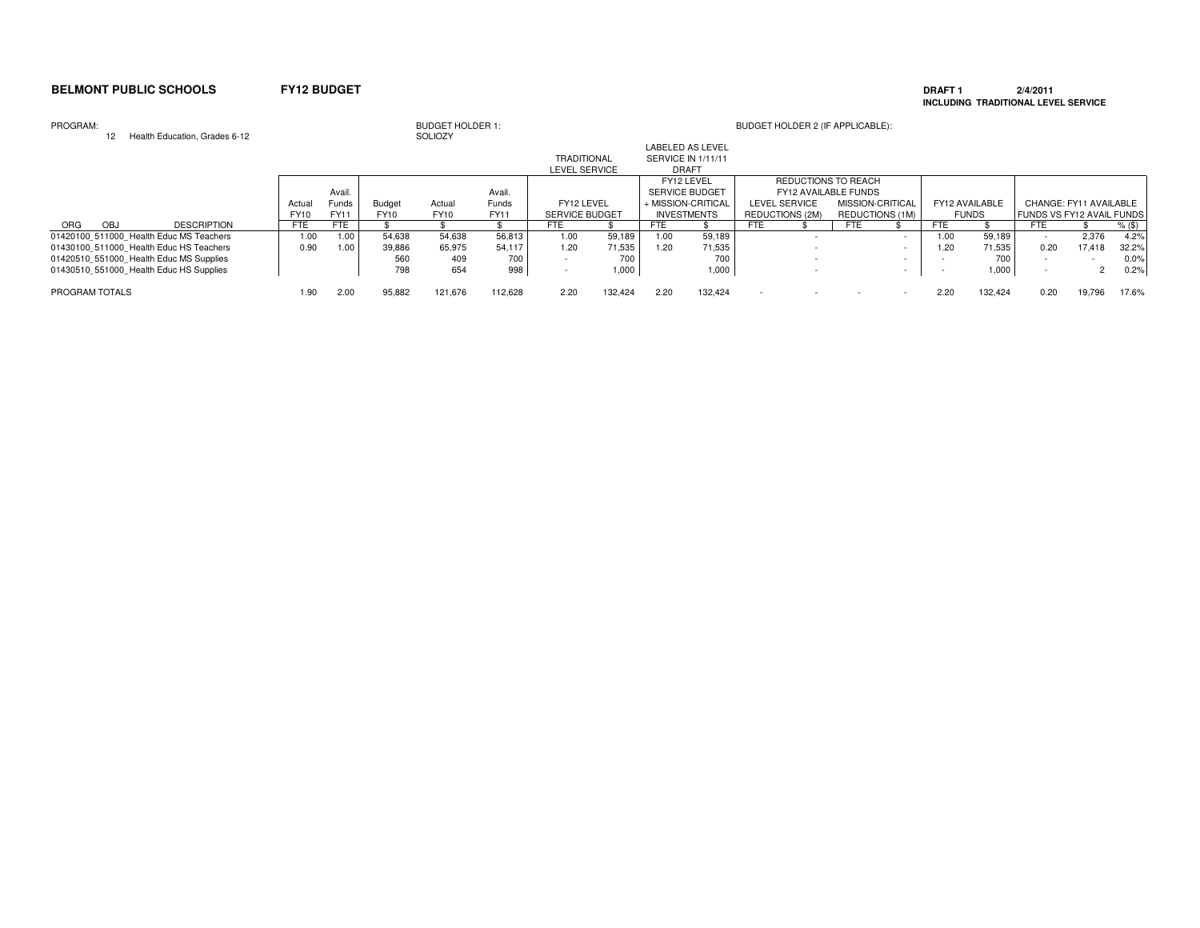### **DRAFT 1 2/4/2011 INCLUDING TRADITIONAL LEVEL SERVICE**

### PROGRAM:

| PROGRAM:<br>Health Education, Grades 6-12 |             |        |               | <b>BUDGET HOLDER 1:</b><br>SOLIOZY |             |                       |         |                                               |                    |                          | BUDGET HOLDER 2 (IF APPLICABLE): |                  |                          |                |              |                                  |        |          |
|-------------------------------------------|-------------|--------|---------------|------------------------------------|-------------|-----------------------|---------|-----------------------------------------------|--------------------|--------------------------|----------------------------------|------------------|--------------------------|----------------|--------------|----------------------------------|--------|----------|
|                                           |             |        |               |                                    |             | <b>TRADITIONAL</b>    |         | <b>LABELED AS LEVEL</b><br>SERVICE IN 1/11/11 |                    |                          |                                  |                  |                          |                |              |                                  |        |          |
|                                           |             |        |               |                                    |             | <b>LEVEL SERVICE</b>  |         | <b>DRAFT</b>                                  |                    |                          |                                  |                  |                          |                |              |                                  |        |          |
|                                           |             |        |               |                                    |             |                       |         | FY12 LEVEL                                    |                    |                          | REDUCTIONS TO REACH              |                  |                          |                |              |                                  |        |          |
|                                           |             | Avail. |               |                                    | Avail.      |                       |         | <b>SERVICE BUDGET</b>                         |                    |                          | FY12 AVAILABLE FUNDS             |                  |                          |                |              |                                  |        |          |
|                                           | Actual      | Funds  | <b>Budget</b> | Actual                             | Funds       | FY12 LEVEL            |         | + MISSION-CRITICAL                            |                    |                          | LEVEL SERVICE                    | MISSION-CRITICAL |                          | FY12 AVAILABLE |              | CHANGE: FY11 AVAILABLE           |        |          |
|                                           | <b>FY10</b> | FY11   | FY10          | <b>FY10</b>                        | <b>FY11</b> | <b>SERVICE BUDGET</b> |         |                                               | <b>INVESTMENTS</b> |                          | REDUCTIONS (2M)                  | REDUCTIONS (1M)  |                          |                | <b>FUNDS</b> | <b>FUNDS VS FY12 AVAIL FUNDS</b> |        |          |
| <b>DESCRIPTION</b><br>ORG<br>OBJ          | <b>FTE</b>  | FTE    |               |                                    |             | <b>FTE</b>            |         | <b>FTE</b>                                    |                    | FTE                      |                                  | <b>FTE</b>       |                          | <b>FTE</b>     |              | FTE                              |        | $%$ (\$) |
| 01420100 511000 Health Educ MS Teachers   | 1.00        | 1.00   | 54,638        | 54,638                             | 56,813      | 1.00                  | 59,189  | 1.00                                          | 59,189             |                          |                                  |                  |                          | 0.00           | 59,189       |                                  | 2,376  | 4.2%     |
| 01430100 511000 Health Educ HS Teachers   | 0.90        | 1.00   | 39,886        | 65.975                             | 54.117      | 1.20                  | 71,535  | 1.20                                          | 71,535             |                          |                                  |                  |                          | 1.20           | 71,535       | 0.20                             | 17.418 | 32.2%    |
| 01420510 551000 Health Educ MS Supplies   |             |        | 560           | 409                                | 700         |                       | 700     |                                               | 700                |                          |                                  |                  |                          |                | 700          |                                  |        | 0.0%     |
| 01430510 551000 Health Educ HS Supplies   |             |        | 798           | 654                                | 998         |                       | 1,000   |                                               | 1,000              |                          |                                  |                  |                          |                | 1,000        |                                  |        | 0.2%     |
| PROGRAM TOTALS                            | 1.90        | 2.00   | 95.882        | 121.676                            | 112.628     | 2.20                  | 132.424 | 2.20                                          | 132.424            | $\overline{\phantom{a}}$ |                                  |                  | $\overline{\phantom{a}}$ | 2.20           | 132.424      | 0.20                             | 19.796 | 17.6%    |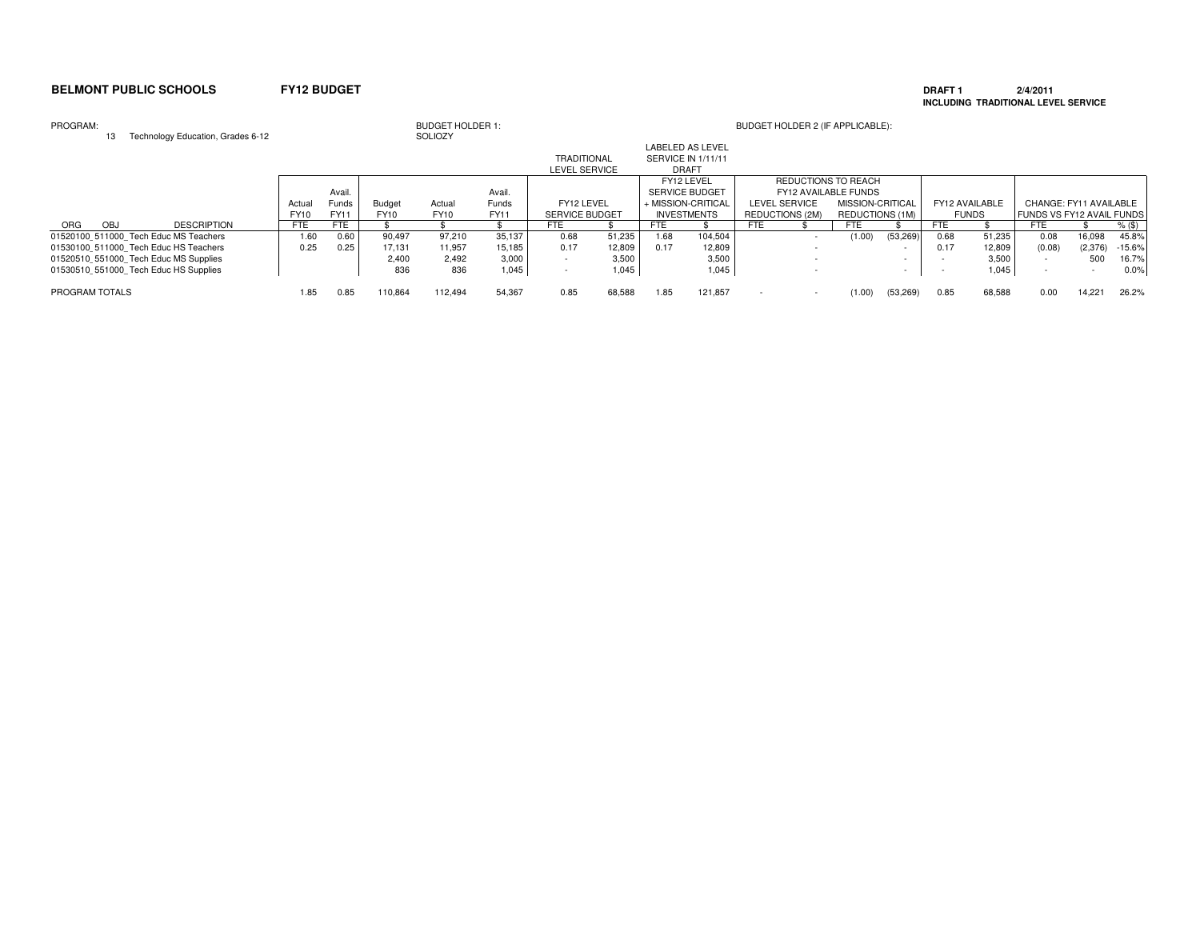### **DRAFT 1 2/4/2011 INCLUDING TRADITIONAL LEVEL SERVICE**

### PROGRAM:

| PROGRAM:       | Technology Education, Grades 6-12     |            |        |         | <b>BUDGET HOLDER 1:</b><br>SOLIOZY |        |                       |        |                           |                         |            | BUDGET HOLDER 2 (IF APPLICABLE): |                  |           |                |        |                                  |         |          |
|----------------|---------------------------------------|------------|--------|---------|------------------------------------|--------|-----------------------|--------|---------------------------|-------------------------|------------|----------------------------------|------------------|-----------|----------------|--------|----------------------------------|---------|----------|
|                |                                       |            |        |         |                                    |        | <b>TRADITIONAL</b>    |        | <b>SERVICE IN 1/11/11</b> | <b>LABELED AS LEVEL</b> |            |                                  |                  |           |                |        |                                  |         |          |
|                |                                       |            |        |         |                                    |        | <b>LEVEL SERVICE</b>  |        |                           | <b>DRAFT</b>            |            |                                  |                  |           |                |        |                                  |         |          |
|                |                                       |            |        |         |                                    |        |                       |        |                           | FY12 LEVEL              |            | REDUCTIONS TO REACH              |                  |           |                |        |                                  |         |          |
|                |                                       |            | Avail. |         |                                    | Avail. |                       |        | <b>SERVICE BUDGET</b>     |                         |            | <b>FY12 AVAILABLE FUNDS</b>      |                  |           |                |        |                                  |         |          |
|                |                                       | Actual     | Funds  | Budget  | Actual                             | Funds  | FY12 LEVEL            |        | + MISSION-CRITICAL        |                         |            | LEVEL SERVICE                    | MISSION-CRITICAL |           | FY12 AVAILABLE |        | CHANGE: FY11 AVAILABLE           |         |          |
|                |                                       | FY10       | FY11   | FY10    | <b>FY10</b>                        | FY11   | <b>SERVICE BUDGET</b> |        |                           | <b>INVESTMENTS</b>      |            | REDUCTIONS (2M)                  | REDUCTIONS (1M)  |           | <b>FUNDS</b>   |        | <b>FUNDS VS FY12 AVAIL FUNDS</b> |         |          |
| ORG<br>OBJ     | <b>DESCRIPTION</b>                    | <b>FTE</b> | FTE.   |         |                                    |        | <b>FTE</b>            |        | FTE                       |                         | <b>FTE</b> |                                  | <b>FTE</b>       |           | FTE            |        | FTE                              |         | $%$ (\$) |
|                | 01520100 511000 Tech Educ MS Teachers | 1.60       | 0.60   | 90,497  | 97,210                             | 35,137 | 0.68                  | 51,235 | 1.68                      | 104,504                 |            |                                  | (1.00)           | (53, 269) | 0.68           | 51,235 | 0.08                             | 16,098  | 45.8%    |
|                | 01530100 511000 Tech Educ HS Teachers | 0.25       | 0.25   | 17.131  | 11,957                             | 15,185 | 0.17                  | 12,809 | 0.17                      | 12,809                  |            |                                  |                  |           | 0.17           | 12,809 | (0.08)                           | (2,376) | $-15.6%$ |
|                | 01520510 551000 Tech Educ MS Supplies |            |        | 2.400   | 2,492                              | 3,000  |                       | 3,500  |                           | 3,500                   |            |                                  |                  |           |                | 3.500  |                                  | 500     | 16.7%    |
|                | 01530510 551000 Tech Educ HS Supplies |            |        | 836     | 836                                | 1,045  |                       | 1,045  |                           | 1,045                   |            |                                  |                  |           |                | 1,045  |                                  |         | 0.0%     |
| PROGRAM TOTALS |                                       | 1.85       | 0.85   | 110.864 | 112.494                            | 54.367 | 0.85                  | 68,588 | 1.85                      | 121.857                 |            |                                  | (1.00)           | (53, 269) | 0.85           | 68,588 | 0.00                             | 14.221  | 26.2%    |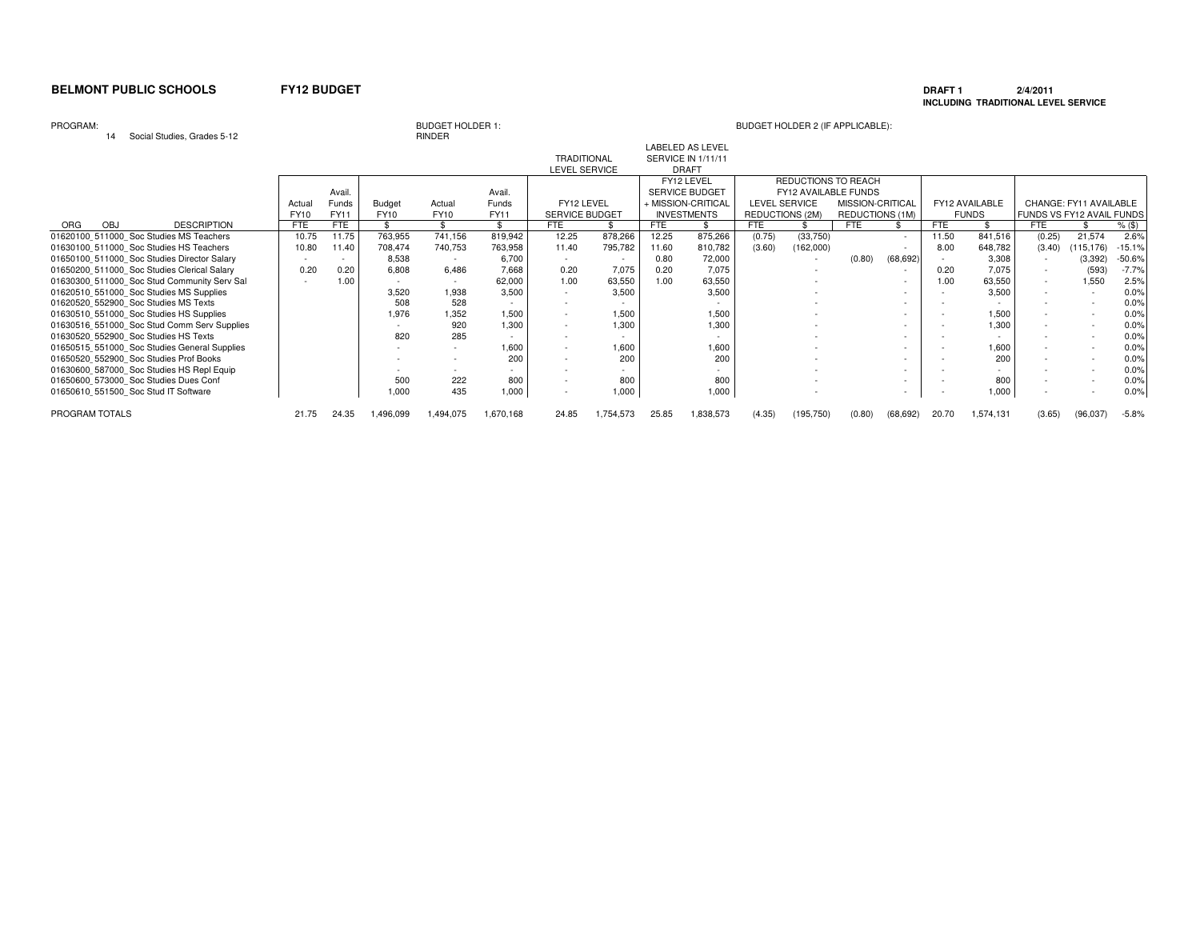### **DRAFT 1 2/4/2011 INCLUDING TRADITIONAL LEVEL SERVICE**

### PROGRAM:

<sup>14</sup> Social Studies, Grades 5-12

# RINDER

|                                              |             |             |           |                          |           |                    |           |            | LABELED AS LEVEL          |                      |                          |                  |                          |            |                          |                           |                        |          |
|----------------------------------------------|-------------|-------------|-----------|--------------------------|-----------|--------------------|-----------|------------|---------------------------|----------------------|--------------------------|------------------|--------------------------|------------|--------------------------|---------------------------|------------------------|----------|
|                                              |             |             |           |                          |           | <b>TRADITIONAL</b> |           |            | <b>SERVICE IN 1/11/11</b> |                      |                          |                  |                          |            |                          |                           |                        |          |
|                                              |             |             |           |                          |           | LEVEL SERVICE      |           |            | <b>DRAFT</b>              |                      |                          |                  |                          |            |                          |                           |                        |          |
|                                              |             |             |           |                          |           |                    |           |            | FY12 LEVEL                |                      | REDUCTIONS TO REACH      |                  |                          |            |                          |                           |                        |          |
|                                              |             | Avail.      |           |                          | Avail.    |                    |           |            | SERVICE BUDGET            |                      | FY12 AVAILABLE FUNDS     |                  |                          |            |                          |                           |                        |          |
|                                              | Actua       | Funds       | Budget    | Actual                   | Funds     | FY12 LEVEL         |           |            | + MISSION-CRITICAL        | <b>LEVEL SERVICE</b> |                          | MISSION-CRITICAL |                          |            | FY12 AVAILABLE           |                           | CHANGE: FY11 AVAILABLE |          |
|                                              | <b>FY10</b> | <b>FY11</b> | FY10      | <b>FY10</b>              | FY11      | SERVICE BUDGET     |           |            | <b>INVESTMENTS</b>        | REDUCTIONS (2M)      |                          | REDUCTIONS (1M)  |                          |            | <b>FUNDS</b>             | FUNDS VS FY12 AVAIL FUNDS |                        |          |
| <b>DESCRIPTION</b><br>OBJ<br><b>ORG</b>      | <b>FTE</b>  | FTE         |           |                          |           | <b>FTE</b>         |           | <b>FTE</b> |                           | <b>FTE</b>           |                          | <b>FTE</b>       |                          | <b>FTE</b> |                          | FTE                       |                        | $%$ (\$) |
| 01620100 511000 Soc Studies MS Teachers      | 10.75       | 11.75       | 763,955   | 741,156                  | 819,942   | 12.25              | 878,266   | 12.25      | 875,266                   | (0.75)               | (33,750)                 |                  | $\sim$                   | 11.50      | 841,516                  | (0.25)                    | 21,574                 | 2.6%     |
| 01630100 511000 Soc Studies HS Teachers      | 10.80       | 11.40       | 708,474   | 740,753                  | 763,958   | 11.40              | 795,782   | 11.60      | 810,782                   | (3.60)               | (162,000)                |                  | $\sim$                   | 8.00       | 648,782                  | (3.40)                    | (115, 176)             | $-15.1%$ |
| 01650100 511000 Soc Studies Director Salary  |             | $\sim$      | 8,538     |                          | 6,700     |                    |           | 0.80       | 72,000                    |                      |                          | (0.80)           | (68, 692)                |            | 3,308                    |                           | (3, 392)               | $-50.6%$ |
| 01650200 511000 Soc Studies Clerical Salary  | 0.20        | 0.20        | 6,808     | 6,486                    | 7.668     | 0.20               | 7.075     | 0.20       | 7,075                     |                      | $\overline{\phantom{a}}$ |                  | $\sim$                   | 0.20       | 7,075                    |                           | (593)                  | $-7.7%$  |
| 01630300 511000 Soc Stud Community Serv Sal  |             | 1.00        |           |                          | 62,000    | 1.00               | 63,550    | 1.00       | 63,550                    |                      |                          |                  | $\sim$                   | 1.00       | 63,550                   | $\sim$                    | 1,550                  | 2.5%     |
| 01620510 551000 Soc Studies MS Supplies      |             |             | 3,520     | 1,938                    | 3.500     |                    | 3.500     |            | 3,500                     |                      |                          |                  | $\sim$                   |            | 3,500                    |                           |                        | 0.0%     |
| 01620520 552900 Soc Studies MS Texts         |             |             | 508       | 528                      |           |                    |           |            |                           |                      |                          |                  | $\sim$                   |            |                          |                           |                        | 0.0%     |
| 01630510 551000 Soc Studies HS Supplies      |             |             | 1,976     | 1,352                    | 1.500     |                    | 1.500     |            | 1.500                     |                      |                          |                  | $\sim$                   |            | 1.500                    |                           |                        | 0.0%     |
| 01630516 551000 Soc Stud Comm Serv Supplies  |             |             |           | 920                      | 1,300     | $\overline{a}$     | 1,300     |            | 1,300                     |                      |                          |                  | $\sim$                   |            | 1,300                    |                           |                        | 0.0%     |
| 01630520 552900 Soc Studies HS Texts         |             |             | 820       | 285                      |           |                    |           |            |                           |                      |                          |                  | $\sim$                   |            |                          |                           |                        | 0.0%     |
| 01650515 551000 Soc Studies General Supplies |             |             |           | $\overline{\phantom{0}}$ | 1,600     | $\overline{a}$     | 1,600     |            | 1,600                     |                      |                          |                  | $\overline{\phantom{0}}$ |            | 1,600                    |                           |                        | 0.0%     |
| 01650520 552900 Soc Studies Prof Books       |             |             |           |                          | 200       |                    | 200       |            | 200                       |                      |                          |                  | $\sim$                   |            | 200                      |                           |                        | 0.0%     |
| 01630600 587000 Soc Studies HS Repl Equip    |             |             |           | $\overline{\phantom{0}}$ |           |                    |           |            |                           |                      |                          |                  | $\overline{\phantom{0}}$ |            | $\overline{\phantom{a}}$ |                           |                        | 0.0%     |
| 01650600 573000 Soc Studies Dues Conf        |             |             | 500       | 222                      | 800       |                    | 800       |            | 800                       |                      |                          |                  | $\sim$                   |            | 800                      |                           |                        | 0.0%     |
| 01650610 551500 Soc Stud IT Software         |             |             | 1.000     | 435                      | 1,000     |                    | 1,000     |            | 1,000                     |                      |                          |                  |                          |            | 1.000                    |                           |                        | 0.0%     |
| PROGRAM TOTALS                               | 21.75       | 24.35       | 1,496,099 | 1,494,075                | 1,670,168 | 24.85              | 1,754,573 | 25.85      | 1,838,573                 | (4.35)               | (195, 750)               | (0.80)           | (68, 692)                | 20.70      | 1,574,131                | (3.65)                    | (96,037)               | $-5.8%$  |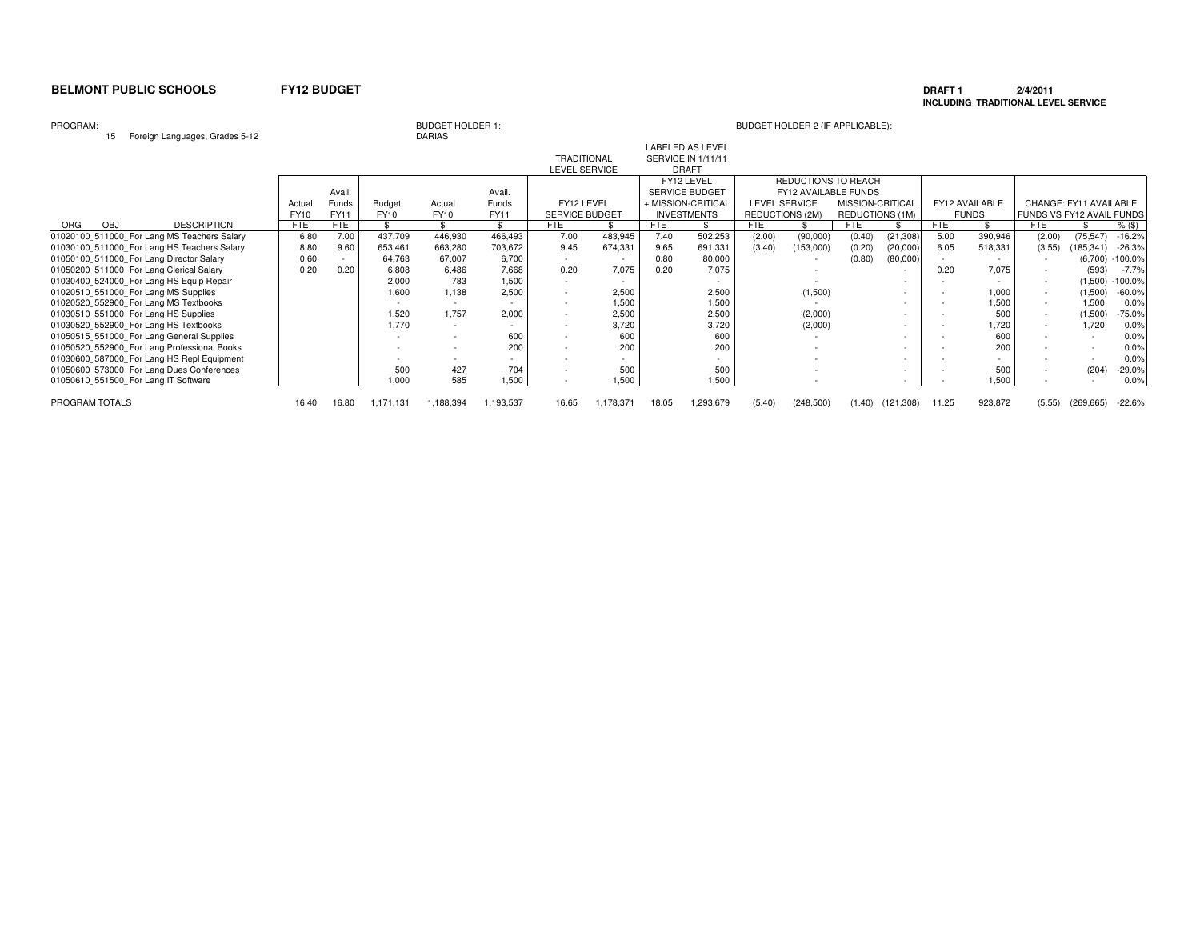### **DRAFT 1 2/4/2011 INCLUDING TRADITIONAL LEVEL SERVICE**

PROGRAM:

### 15 Foreign Languages, Grades 5-12

# BUDGET HOLDER 1:<br>DARIAS

| . o.o.g Languagoo, craaco o .L              |             |        |           |             |           |                          |           |            |                         |                 |                             |                  |            |       |                |                           |                        |           |
|---------------------------------------------|-------------|--------|-----------|-------------|-----------|--------------------------|-----------|------------|-------------------------|-----------------|-----------------------------|------------------|------------|-------|----------------|---------------------------|------------------------|-----------|
|                                             |             |        |           |             |           |                          |           |            | <b>LABELED AS LEVEL</b> |                 |                             |                  |            |       |                |                           |                        |           |
|                                             |             |        |           |             |           | <b>TRADITIONAL</b>       |           |            | SERVICE IN 1/11/11      |                 |                             |                  |            |       |                |                           |                        |           |
|                                             |             |        |           |             |           | LEVEL SERVICE            |           |            | <b>DRAFT</b>            |                 |                             |                  |            |       |                |                           |                        |           |
|                                             |             |        |           |             |           |                          |           |            | FY12 LEVEL              |                 | REDUCTIONS TO REACH         |                  |            |       |                |                           |                        |           |
|                                             |             | Avail  |           |             | Avail.    |                          |           |            | <b>SERVICE BUDGET</b>   |                 | <b>FY12 AVAILABLE FUNDS</b> |                  |            |       |                |                           |                        |           |
|                                             | Actua       | Funds  | Budget    | Actual      | Funds     | FY12 LEVEL               |           |            | + MISSION-CRITICAL      |                 | <b>LEVEL SERVICE</b>        | MISSION-CRITICAL |            |       | FY12 AVAILABLE |                           | CHANGE: FY11 AVAILABLE |           |
|                                             | <b>FY10</b> | FY11   | FY10      | <b>FY10</b> | FY11      | <b>SERVICE BUDGET</b>    |           |            | <b>INVESTMENTS</b>      | REDUCTIONS (2M) |                             | REDUCTIONS (1M)  |            |       | <b>FUNDS</b>   | FUNDS VS FY12 AVAIL FUNDS |                        |           |
| <b>DESCRIPTION</b><br>OBJ<br>ORG            | <b>FTE</b>  | FTE    |           |             |           | FTE                      |           | <b>FTE</b> |                         | <b>FTE</b>      |                             | <b>FTE</b>       |            | FTE   |                | FTE                       |                        | $%$ (\$)  |
| 01020100 511000 For Lang MS Teachers Salary | 6.80        | 7.00   | 437,709   | 446,930     | 466,493   | 7.00                     | 483,945   | 7.40       | 502,253                 | (2.00)          | (90,000)                    | (0.40)           | (21, 308)  | 5.00  | 390,946        | (2.00)                    | (75, 547)              | $-16.2%$  |
| 01030100 511000 For Lang HS Teachers Salary | 8.80        | 9.60   | 653,461   | 663,280     | 703,672   | 9.45                     | 674,331   | 9.65       | 691,331                 | (3.40)          | (153,000)                   | (0.20)           | (20,000)   | 6.05  | 518,331        | (3.55)                    | (185, 341)             | $-26.3%$  |
| 01050100 511000 For Lang Director Salary    | 0.60        | $\sim$ | 64,763    | 67,007      | 6,700     |                          |           | 0.80       | 80,000                  |                 |                             | (0.80)           | (80,000)   |       |                |                           | (6,700)                | $-100.0%$ |
| 01050200 511000 For Lang Clerical Salary    | 0.20        | 0.20   | 6,808     | 6,486       | 7,668     | 0.20                     | 7,075     | 0.20       | 7,075                   |                 |                             |                  | $\sim$     | 0.20  | 7,075          | $\overline{\phantom{a}}$  | (593)                  | -7.7%     |
| 01030400_524000 For Lang HS Equip Repair    |             |        | 2,000     | 783         | 1.500     | $\sim$                   |           |            |                         |                 |                             |                  |            |       |                | $\sim$                    | (1,500)                | $-100.0%$ |
| 01020510 551000 For Lang MS Supplies        |             |        | 1,600     | 1,138       | 2,500     | $\overline{\phantom{a}}$ | 2,500     |            | 2,500                   |                 | (1,500)                     |                  |            |       | 1,000          | $\sim$                    | (1,500)                | $-60.0%$  |
| 01020520 552900 For Lang MS Textbooks       |             |        | $\sim$    | $\sim$      |           | $\overline{\phantom{a}}$ | 1,500     |            | 1,500                   |                 |                             |                  |            |       | .500           | $\sim$                    | 1,500                  | 0.0%      |
| 01030510 551000 For Lang HS Supplies        |             |        | 1,520     | 1,757       | 2,000     | $\overline{\phantom{a}}$ | 2,500     |            | 2,500                   |                 | (2,000)                     |                  |            |       | 500            | $\sim$                    | (1,500)                | $-75.0%$  |
| 01030520_552900_For Lang HS Textbooks       |             |        | 1,770     | ۰.          |           |                          | 3,720     |            | 3,720                   |                 | (2,000)                     |                  |            |       | .720           | $\sim$                    | 1,720                  | 0.0%      |
| 01050515 551000 For Lang General Supplies   |             |        |           |             | 600       | $\overline{\phantom{a}}$ | 600       |            | 600                     |                 |                             |                  |            |       | 600            | $\overline{\phantom{a}}$  |                        | 0.0%      |
| 01050520 552900 For Lang Professional Books |             |        |           |             | 200       |                          | 200       |            | 200                     |                 |                             |                  |            |       | 200            |                           |                        | 0.0%      |
| 01030600 587000 For Lang HS Repl Equipment  |             |        |           |             |           | $\overline{\phantom{a}}$ |           |            |                         |                 |                             |                  |            |       |                |                           |                        | 0.0%      |
| 01050600 573000 For Lang Dues Conferences   |             |        | 500       | 427         | 704       | ٠                        | 500       |            | 500                     |                 |                             |                  |            |       | 500            |                           | (204)                  | $-29.0%$  |
| 01050610 551500 For Lang IT Software        |             |        | 1,000     | 585         | 1,500     |                          | 1,500     |            | 1,500                   |                 |                             |                  | $\sim$     |       | 1,500          |                           |                        | 0.0%      |
| PROGRAM TOTALS                              | 16.40       | 16.80  | 1,171,131 | 1,188,394   | 1,193,537 | 16.65                    | 1,178,371 | 18.05      | 1,293,679               | (5.40)          | (248, 500)                  | (1.40)           | (121, 308) | 11.25 | 923,872        | (5.55)                    | (269, 665)             | $-22.6%$  |
|                                             |             |        |           |             |           |                          |           |            |                         |                 |                             |                  |            |       |                |                           |                        |           |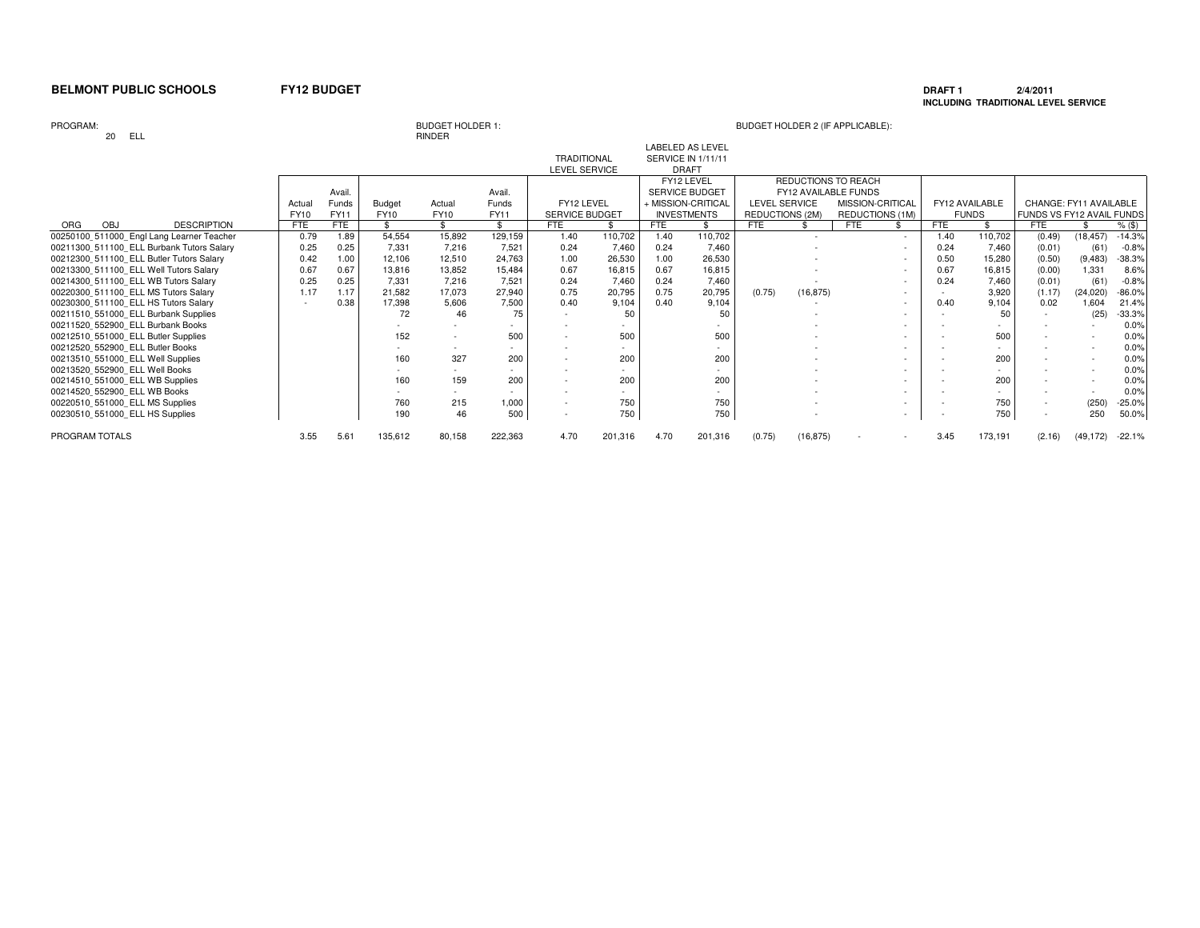### **DRAFT 1 2/4/2011 INCLUDING TRADITIONAL LEVEL SERVICE**

PROGRAM:

### 20 ELL

# BUDGET HOLDER 1:<br>RINDER

| --                                        |             |        |             |        |         |                       |         |      |                                               |                      |                |                      |        |            |                |                           |           |          |
|-------------------------------------------|-------------|--------|-------------|--------|---------|-----------------------|---------|------|-----------------------------------------------|----------------------|----------------|----------------------|--------|------------|----------------|---------------------------|-----------|----------|
|                                           |             |        |             |        |         | <b>TRADITIONAL</b>    |         |      | <b>LABELED AS LEVEL</b><br>SERVICE IN 1/11/11 |                      |                |                      |        |            |                |                           |           |          |
|                                           |             |        |             |        |         | <b>LEVEL SERVICE</b>  |         |      | <b>DRAFT</b>                                  |                      |                |                      |        |            |                |                           |           |          |
|                                           |             |        |             |        |         |                       |         |      | FY12 LEVEL                                    |                      |                | REDUCTIONS TO REACH  |        |            |                |                           |           |          |
|                                           |             | Avail. |             |        | Avail.  |                       |         |      | SERVICE BUDGET                                |                      |                | FY12 AVAILABLE FUNDS |        |            |                |                           |           |          |
|                                           | Actual      | Funds  | Budget      | Actual | Funds   | FY12 LEVEL            |         |      | + MISSION-CRITICAL                            | <b>LEVEL SERVICE</b> |                | MISSION-CRITICAL     |        |            | FY12 AVAILABLE | CHANGE: FY11 AVAILABLE    |           |          |
|                                           | <b>FY10</b> | FY11   | <b>FY10</b> | FY10   | FY11    | <b>SERVICE BUDGET</b> |         |      | <b>INVESTMENTS</b>                            | REDUCTIONS (2M)      |                | REDUCTIONS (1M)      |        |            | <b>FUNDS</b>   | FUNDS VS FY12 AVAIL FUNDS |           |          |
| OBJ<br><b>DESCRIPTION</b><br>ORG          | <b>FTE</b>  | FTE    | \$.         |        | \$      | <b>FTE</b>            |         | FTE  |                                               | <b>FTE</b>           |                | <b>FTE</b>           |        | <b>FTE</b> |                | <b>FTE</b>                |           | $%$ (\$) |
| 00250100_511000_Engl Lang Learner Teacher | 0.79        | 1.89   | 54,554      | 15,892 | 129,159 | 1.40                  | 110,702 | 1.40 | 110,702                                       |                      | $\overline{a}$ |                      | $\sim$ | 1.40       | 110,702        | (0.49)                    | (18, 457) | $-14.3%$ |
| 00211300 511100 ELL Burbank Tutors Salary | 0.25        | 0.25   | 7,331       | 7,216  | 7.521   | 0.24                  | 7.460   | 0.24 | 7,460                                         |                      |                |                      | $\sim$ | 0.24       | 7.460          | (0.01)                    | (61)      | $-0.8%$  |
| 00212300 511100 ELL Butler Tutors Salary  | 0.42        | 1.00   | 12,106      | 12,510 | 24.763  | 1.00                  | 26,530  | 1.00 | 26,530                                        |                      |                |                      | $\sim$ | 0.50       | 15,280         | (0.50)                    | (9, 483)  | $-38.3%$ |
| 00213300 511100 ELL Well Tutors Salary    | 0.67        | 0.67   | 13,816      | 13,852 | 15,484  | 0.67                  | 16,815  | 0.67 | 16,815                                        |                      |                |                      |        | 0.67       | 16,815         | (0.00)                    | 1,331     | 8.6%     |
| 00214300_511100 ELL WB Tutors Salary      | 0.25        | 0.25   | 7.331       | 7,216  | 7.521   | 0.24                  | 7.460   | 0.24 | 7,460                                         |                      |                |                      | $\sim$ | 0.24       | 7.460          | (0.01)                    | (61)      | $-0.8%$  |
| 00220300 511100 ELL MS Tutors Salary      | 1.17        | 1.17   | 21,582      | 17,073 | 27,940  | 0.75                  | 20,795  | 0.75 | 20,795                                        | (0.75)               | (16, 875)      |                      | $\sim$ |            | 3,920          | (1.17)                    | (24, 020) | $-86.0%$ |
| 00230300 511100 ELL HS Tutors Salary      |             | 0.38   | 17,398      | 5,606  | 7,500   | 0.40                  | 9.104   | 0.40 | 9,104                                         |                      |                |                      |        | 0.40       | 9.104          | 0.02                      | 1,604     | 21.4%    |
| 00211510 551000 ELL Burbank Supplies      |             |        | 72          | 46     | 75      |                       | 50      |      | 50                                            |                      |                |                      | $\sim$ |            | 50             |                           | (25)      | $-33.3%$ |
| 00211520 552900 ELL Burbank Books         |             |        |             |        |         |                       |         |      |                                               |                      |                |                      | $\sim$ |            |                |                           |           | 0.0%     |
| 00212510 551000 ELL Butler Supplies       |             |        | 152         |        | 500     |                       | 500     |      | 500                                           |                      |                |                      |        |            | 500            |                           |           | 0.0%     |
| 00212520 552900 ELL Butler Books          |             |        |             |        |         |                       |         |      |                                               |                      |                |                      |        |            |                |                           |           | 0.0%     |
| 00213510 551000 ELL Well Supplies         |             |        | 160         | 327    | 200     |                       | 200     |      | 200                                           |                      |                |                      |        |            | 200            |                           |           | 0.0%     |
| 00213520 552900 ELL Well Books            |             |        |             |        |         |                       |         |      |                                               |                      |                |                      |        |            |                |                           |           | 0.0%     |
| 00214510 551000 ELL WB Supplies           |             |        | 160         | 159    | 200     |                       | 200     |      | 200                                           |                      |                |                      |        |            | 200            |                           |           | 0.0%     |
| 00214520 552900 ELL WB Books              |             |        |             |        |         |                       |         |      |                                               |                      |                |                      |        |            |                |                           |           | 0.0%     |
| 00220510 551000 ELL MS Supplies           |             |        | 760         | 215    | 1,000   |                       | 750     |      | 750                                           |                      |                |                      |        |            | 750            |                           | (250)     | $-25.0%$ |
| 00230510 551000 ELL HS Supplies           |             |        | 190         | 46     | 500     |                       | 750     |      | 750                                           |                      |                |                      | $\sim$ |            | 750            |                           | 250       | 50.0%    |
| PROGRAM TOTALS                            | 3.55        | 5.61   | 135,612     | 80.158 | 222,363 | 4.70                  | 201,316 | 4.70 | 201,316                                       | (0.75)               | (16, 875)      |                      |        | 3.45       | 173,191        | (2.16)                    | (49.172)  | $-22.1%$ |
|                                           |             |        |             |        |         |                       |         |      |                                               |                      |                |                      |        |            |                |                           |           |          |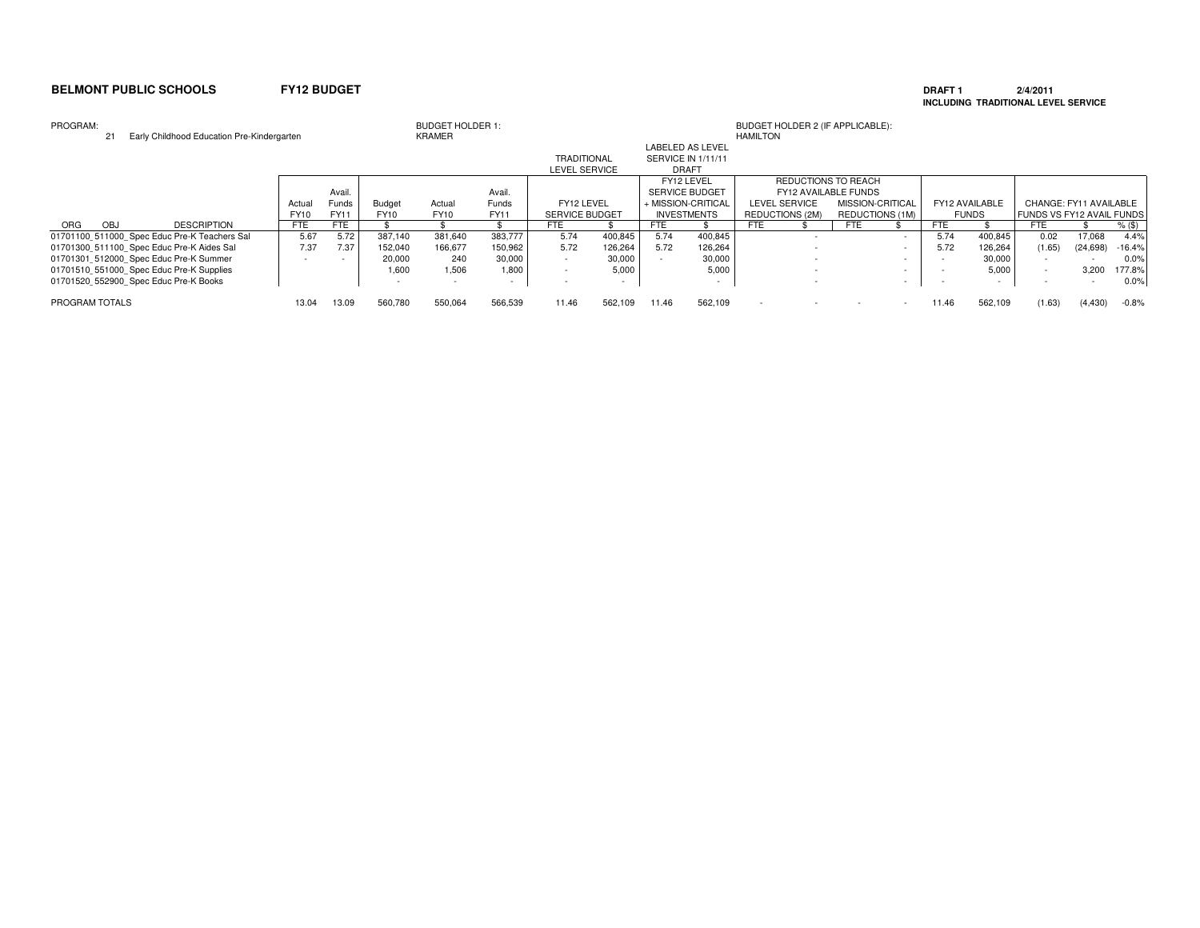### **DRAFT 1 2/4/2011 INCLUDING TRADITIONAL LEVEL SERVICE**

| PROGRAM:<br>21                               | Early Childhood Education Pre-Kindergarten |             |        |                          | <b>BUDGET HOLDER 1:</b><br>KRAMER |         |                       |         |       |                         | BUDGET HOLDER 2 (IF APPLICABLE):<br>HAMILTON |                          |                      |        |            |                |                                  |           |          |
|----------------------------------------------|--------------------------------------------|-------------|--------|--------------------------|-----------------------------------|---------|-----------------------|---------|-------|-------------------------|----------------------------------------------|--------------------------|----------------------|--------|------------|----------------|----------------------------------|-----------|----------|
|                                              |                                            |             |        |                          |                                   |         |                       |         |       | <b>LABELED AS LEVEL</b> |                                              |                          |                      |        |            |                |                                  |           |          |
|                                              |                                            |             |        |                          |                                   |         | <b>TRADITIONAL</b>    |         |       | SERVICE IN 1/11/11      |                                              |                          |                      |        |            |                |                                  |           |          |
|                                              |                                            |             |        |                          |                                   |         | <b>LEVEL SERVICE</b>  |         |       | <b>DRAFT</b>            |                                              |                          |                      |        |            |                |                                  |           |          |
|                                              |                                            |             |        |                          |                                   |         |                       |         |       | FY12 LEVEL              |                                              |                          | REDUCTIONS TO REACH  |        |            |                |                                  |           |          |
|                                              |                                            |             | Avail. |                          |                                   | Avail.  |                       |         |       | <b>SERVICE BUDGET</b>   |                                              |                          | FY12 AVAILABLE FUNDS |        |            |                |                                  |           |          |
|                                              |                                            | Actual      | Funds  | Budget                   | Actual                            | Funds   | FY12 LEVEL            |         |       | + MISSION-CRITICAL      | LEVEL SERVICE                                |                          | MISSION-CRITICAL     |        |            | FY12 AVAILABLE | CHANGE: FY11 AVAILABLE           |           |          |
|                                              |                                            | <b>FY10</b> | FY11   | FY10                     | FY10                              | FY11    | <b>SERVICE BUDGET</b> |         |       | <b>INVESTMENTS</b>      | REDUCTIONS (2M)                              |                          | REDUCTIONS (1M)      |        |            | <b>FUNDS</b>   | <b>FUNDS VS FY12 AVAIL FUNDS</b> |           |          |
| <b>ORG</b><br><b>OBJ</b>                     | <b>DESCRIPTION</b>                         | <b>FTE</b>  | FTE    |                          |                                   |         | FTE                   |         | FTE.  |                         | <b>FTE</b>                                   |                          | <b>FTE</b>           |        | <b>FTE</b> |                | <b>FTE</b>                       |           | $%$ (\$) |
| 01701100 511000 Spec Educ Pre-K Teachers Sal |                                            | 5.67        | 5.72   | 387.140                  | 381.640                           | 383.777 | 5.74                  | 400.845 | 5.74  | 400,845                 |                                              | $\overline{\phantom{a}}$ |                      | $\sim$ | 5.74       | 400,845        | 0.02                             | 17.068    | 4.4%     |
| 01701300 511100 Spec Educ Pre-K Aides Sal    |                                            | 7.37        | 7.37   | 152.040                  | 166,677                           | 150,962 | 5.72                  | 126,264 | 5.72  | 126,264                 |                                              |                          |                      | $\sim$ | 5.72       | 126,264        | (1.65)                           | (24, 698) | $-16.4%$ |
| 01701301 512000 Spec Educ Pre-K Summer       |                                            |             |        | 20,000                   | 240                               | 30,000  |                       | 30,000  |       | 30,000                  |                                              |                          |                      | $\sim$ |            | 30,000         |                                  |           | 0.0%     |
| 01701510 551000 Spec Educ Pre-K Supplies     |                                            |             |        | 1.600                    | 1.506                             | 1,800   |                       | 5.000   |       | 5,000                   |                                              |                          |                      |        |            | 5,000          |                                  | 3.200     | 177.8%   |
| 01701520 552900 Spec Educ Pre-K Books        |                                            |             |        | $\overline{\phantom{a}}$ |                                   | $\sim$  |                       |         |       |                         |                                              |                          |                      | $\sim$ |            |                |                                  |           | 0.0%     |
| PROGRAM TOTALS                               |                                            | 13.04       | 13.09  | 560,780                  | 550,064                           | 566,539 | 11.46                 | 562,109 | 11.46 | 562,109                 |                                              |                          |                      | $\sim$ | 11.46      | 562,109        | (1.63)                           | (4, 430)  | $-0.8%$  |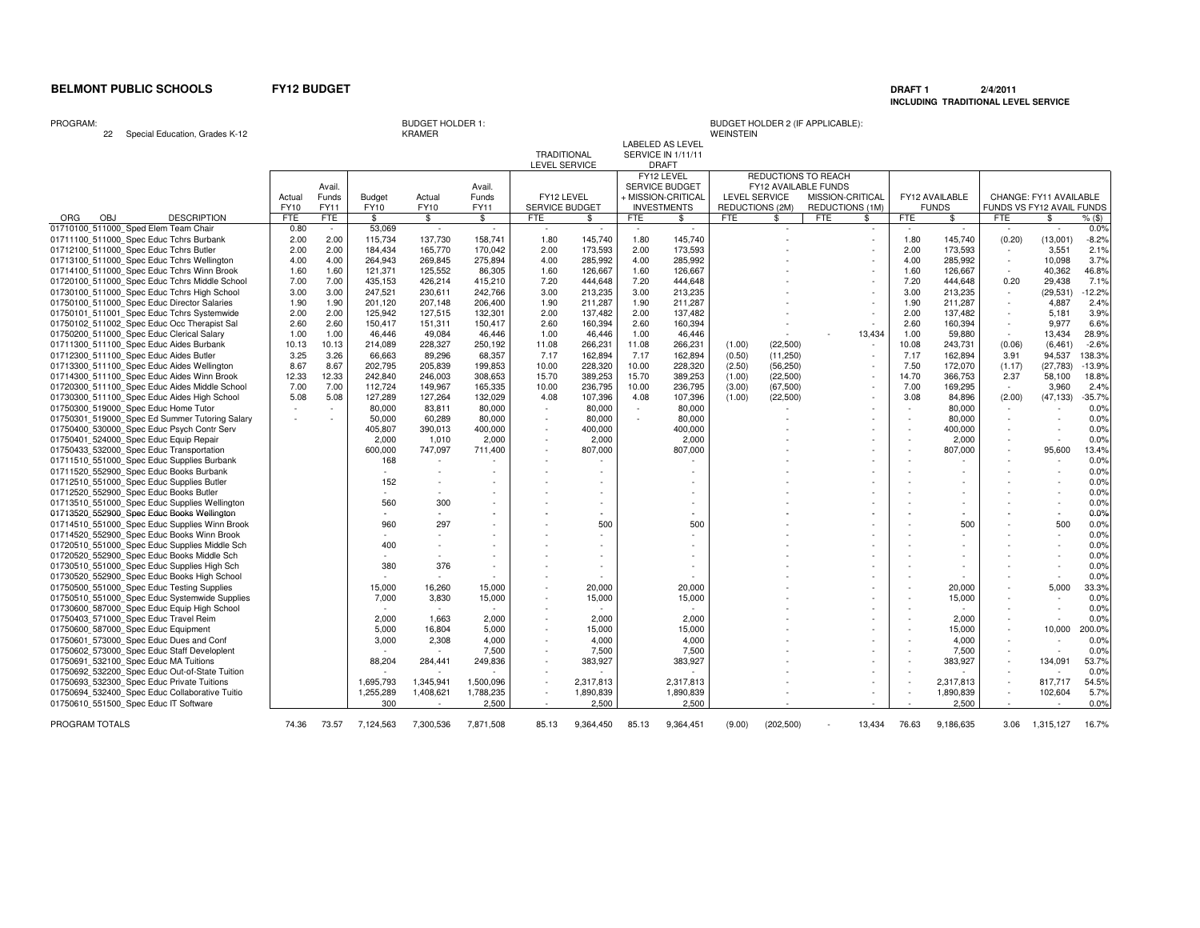# **DRAFT 1 2/4/2011 INCLUDING TRADITIONAL LEVEL SERVICE**

PROGRAM:

<sup>22</sup> Special Education, Grades K-12

KRAMER

|                    | LABELED AS LEVEL   |            |
|--------------------|--------------------|------------|
| <b>TRADITIONAL</b> | SERVICE IN 1/11/11 |            |
| LEVEL SERVICE      | DRAFT              |            |
|                    | T11101T1T1T1       | <b>DED</b> |

|                                                |             |            |               |             |               |                       |           |        | FY12 LEVEL            |            | REDUCTIONS TO REACH  |            |                  |            |                |            |                           |              |
|------------------------------------------------|-------------|------------|---------------|-------------|---------------|-----------------------|-----------|--------|-----------------------|------------|----------------------|------------|------------------|------------|----------------|------------|---------------------------|--------------|
|                                                |             | Avail.     |               |             | Avail.        |                       |           |        | <b>SERVICE BUDGET</b> |            | FY12 AVAILABLE FUNDS |            |                  |            |                |            |                           |              |
|                                                | Actual      | Funds      | <b>Budget</b> | Actual      | Funds         | FY12 LEVEL            |           |        | ⊦ MISSION-CRITICAL    |            | <b>LEVEL SERVICE</b> |            | MISSION-CRITICAL |            | FY12 AVAILABLE |            | CHANGE: FY11 AVAILABLE    |              |
|                                                | <b>FY10</b> | FY11       | FY10          | <b>FY10</b> | FY11          | <b>SERVICE BUDGET</b> |           |        | <b>INVESTMENTS</b>    |            | REDUCTIONS (2M)      |            | REDUCTIONS (1M)  |            | <b>FUNDS</b>   |            | FUNDS VS FY12 AVAIL FUNDS |              |
| OBJ<br><b>DESCRIPTION</b><br>ORG               | <b>FTE</b>  | <b>FTE</b> | \$            | \$          | $\mathfrak s$ | FTE                   | \$        | FTE    | \$                    | <b>FTE</b> | \$                   | <b>FTE</b> | \$               | <b>FTE</b> | \$             | <b>FTE</b> | S.                        | $%$ (\$)     |
| 01710100 511000 Sped Elem Team Chair           | 0.80        | $\sim$     | 53,069        | $\sim$      | $\sim$        | $\sim$                | $\sim$    | $\sim$ | $\sim$                |            | $\sim$               |            | $\sim$           | $\sim$     | $\sim$         | $\sim$     | $\sim$                    | 0.0%         |
| 01711100 511000 Spec Educ Tchrs Burbank        | 2.00        | 2.00       | 115,734       | 137,730     | 158.741       | 1.80                  | 145.740   | 1.80   | 145.740               |            |                      |            |                  | 1.80       | 145.740        | (0.20)     | (13,001)                  | $-8.2%$      |
| 01712100 511000 Spec Educ Tchrs Butler         | 2.00        | 2.00       | 184,434       | 165,770     | 170,042       | 2.00                  | 173,593   | 2.00   | 173,593               |            |                      |            |                  | 2.00       | 173,593        |            | 3,551                     | 2.1%         |
| 01713100 511000 Spec Educ Tchrs Wellington     | 4.00        | 4.00       | 264,943       | 269,845     | 275,894       | 4.00                  | 285,992   | 4.00   | 285,992               |            |                      |            |                  | 4.00       | 285,992        | $\sim$     | 10,098                    | 3.7%         |
| 01714100 511000 Spec Educ Tchrs Winn Brook     | 1.60        | 1.60       | 121,371       | 125,552     | 86,305        | 1.60                  | 126,667   | 1.60   | 126,667               |            |                      |            |                  | 1.60       | 126,667        |            | 40,362                    | 46.8%        |
| 01720100 511000 Spec Educ Tchrs Middle School  | 7.00        | 7.00       | 435,153       | 426,214     | 415,210       | 7.20                  | 444,648   | 7.20   | 444,648               |            |                      |            |                  | 7.20       | 444,648        | 0.20       | 29,438                    | 7.1%         |
| 01730100_511000_Spec Educ Tchrs High School    | 3.00        | 3.00       | 247,521       | 230,611     | 242,766       | 3.00                  | 213,235   | 3.00   | 213,235               |            |                      |            |                  | 3.00       | 213,235        | $\sim$     | (29, 531)                 | $-12.2%$     |
| 01750100_511000_Spec Educ Director Salaries    | 1.90        | 1.90       | 201,120       | 207,148     | 206,400       | 1.90                  | 211,287   | 1.90   | 211,287               |            |                      |            |                  | 1.90       | 211,287        | $\sim$     | 4,887                     | 2.4%         |
| 01750101 511001 Spec Educ Tchrs Systemwide     | 2.00        | 2.00       | 125,942       | 127,515     | 132,301       | 2.00                  | 137,482   | 2.00   | 137,482               |            |                      |            |                  | 2.00       | 137,482        | $\sim$     | 5.181                     | 3.9%         |
| 01750102 511002 Spec Educ Occ Therapist Sal    | 2.60        | 2.60       | 150,417       | 151,311     | 150,417       | 2.60                  | 160,394   | 2.60   | 160,394               |            |                      |            |                  | 2.60       | 160,394        |            | 9,977                     | 6.6%         |
| 01750200_511000_Spec Educ Clerical Salary      | 1.00        | 1.00       | 46,446        | 49,084      | 46,446        | 1.00                  | 46,446    | 1.00   | 46,446                |            |                      |            | 13,434           | 1.00       | 59.880         | $\sim$     | 13,434                    | 28.9%        |
| 01711300 511100 Spec Educ Aides Burbank        | 10.13       | 10.13      | 214,089       | 228,327     | 250,192       | 11.08                 | 266,231   | 11.08  | 266,231               | (1.00)     | (22, 500)            |            |                  | 10.08      | 243,731        | (0.06)     | (6, 461)                  | $-2.6%$      |
| 01712300_511100_Spec Educ Aides Butler         | 3.25        | 3.26       | 66,663        | 89,296      | 68,357        | 7.17                  | 162,894   | 7.17   | 162,894               | (0.50)     | (11,250)             |            |                  | 7.17       | 162,894        | 3.91       | 94,537                    | 138.3%       |
| 01713300_511100_Spec Educ Aides Wellington     | 8.67        | 8.67       | 202,795       | 205,839     | 199,853       | 10.00                 | 228,320   | 10.00  | 228,320               | (2.50)     | (56, 250)            |            |                  | 7.50       | 172,070        | (1.17)     | (27, 783)                 | $-13.9%$     |
| 01714300_511100_Spec Educ Aides Winn Brook     | 12.33       | 12.33      | 242,840       | 246,003     | 308,653       | 15.70                 | 389,253   | 15.70  | 389,253               | (1.00)     | (22, 500)            |            |                  | 14.70      | 366,753        | 2.37       | 58,100                    | 18.8%        |
| 01720300 511100 Spec Educ Aides Middle School  | 7.00        | 7.00       | 112,724       | 149,967     | 165,335       | 10.00                 | 236,795   | 10.00  | 236,795               | (3.00)     | (67, 500)            |            |                  | 7.00       | 169,295        |            | 3,960                     | 2.4%         |
| 01730300_511100_Spec Educ Aides High School    | 5.08        | 5.08       | 127,289       | 127,264     | 132,029       | 4.08                  | 107,396   | 4.08   | 107,396               | (1.00)     | (22, 500)            |            |                  | 3.08       | 84,896         | (2.00)     | (47, 133)                 | $-35.7%$     |
| 01750300 519000 Spec Educ Home Tutor           | $\sim$      | $\sim$     | 80,000        | 83,811      | 80,000        | $\sim$                | 80,000    | $\sim$ | 80,000                |            |                      |            |                  |            | 80,000         |            |                           | 0.0%         |
| 01750301 519000 Spec Ed Summer Tutoring Salary | $\sim$      |            | 50,000        | 60,289      | 80,000        | ٠                     | 80,000    | $\sim$ | 80,000                |            |                      |            |                  |            | 80,000         |            |                           | 0.0%         |
| 01750400 530000 Spec Educ Psych Contr Serv     |             |            | 405,807       | 390,013     | 400,000       | $\sim$                | 400,000   |        | 400,000               |            |                      |            |                  | $\sim$     | 400,000        | $\sim$     |                           | 0.0%         |
| 01750401 524000 Spec Educ Equip Repair         |             |            | 2,000         | 1,010       | 2,000         |                       | 2.000     |        | 2,000                 |            |                      |            |                  |            | 2,000          |            |                           | 0.0%         |
| 01750433_532000_Spec Educ Transportation       |             |            | 600,000       | 747,097     | 711.400       |                       | 807,000   |        | 807,000               |            |                      |            |                  |            | 807,000        |            | 95,600                    | 13.4%        |
| 01711510 551000 Spec Educ Supplies Burbank     |             |            | 168           | $\sim$      |               |                       |           |        | $\sim$                |            |                      |            |                  |            |                |            |                           |              |
| 01711520 552900 Spec Educ Books Burbank        |             |            |               |             |               |                       |           |        |                       |            |                      |            |                  |            |                |            |                           | 0.0%<br>0.0% |
|                                                |             |            |               |             |               |                       |           |        |                       |            |                      |            |                  |            |                |            |                           |              |
| 01712510 551000 Spec Educ Supplies Butler      |             |            | 152<br>$\sim$ |             |               |                       |           |        |                       |            |                      |            |                  |            |                |            |                           | 0.0%         |
| 01712520 552900 Spec Educ Books Butler         |             |            |               |             |               |                       | $\sim$    |        |                       |            |                      |            |                  |            |                |            |                           | 0.0%         |
| 01713510 551000 Spec Educ Supplies Wellington  |             |            | 560           | 300         |               |                       | $\sim$    |        |                       |            |                      |            |                  |            |                |            |                           | 0.0%         |
| 01713520_552900_Spec Educ Books Wellington     |             |            |               | $\sim$      |               |                       |           |        |                       |            |                      |            |                  |            |                |            |                           | 0.0%         |
| 01714510 551000 Spec Educ Supplies Winn Brook  |             |            | 960           | 297         |               |                       | 500       |        | 500                   |            |                      |            |                  |            | 500            |            | 500                       | 0.0%         |
| 01714520 552900 Spec Educ Books Winn Brook     |             |            |               |             |               |                       | $\sim$    |        | $\sim$                |            |                      |            |                  |            |                |            |                           | 0.0%         |
| 01720510_551000_Spec Educ Supplies Middle Sch  |             |            | 400           |             |               |                       |           |        |                       |            |                      |            |                  |            |                |            |                           | 0.0%         |
| 01720520 552900 Spec Educ Books Middle Sch     |             |            |               |             |               |                       |           |        |                       |            |                      |            |                  |            |                |            |                           | 0.0%         |
| 01730510_551000_Spec Educ Supplies High Sch    |             |            | 380           | 376         |               |                       |           |        |                       |            |                      |            |                  |            |                |            |                           | 0.0%         |
| 01730520_552900_Spec Educ Books High School    |             |            |               |             |               |                       |           |        |                       |            |                      |            |                  |            |                |            |                           | 0.0%         |
| 01750500_551000_Spec Educ Testing Supplies     |             |            | 15,000        | 16,260      | 15,000        |                       | 20,000    |        | 20,000                |            |                      |            |                  |            | 20,000         |            | 5,000                     | 33.3%        |
| 01750510 551000 Spec Educ Systemwide Supplies  |             |            | 7,000         | 3,830       | 15,000        |                       | 15,000    |        | 15,000                |            |                      |            |                  |            | 15,000         |            |                           | 0.0%         |
| 01730600_587000_Spec Educ Equip High School    |             |            | $\sim$        | $\sim$      | $\sim$        |                       |           |        | $\sim$                |            |                      |            |                  |            |                |            |                           | 0.0%         |
| 01750403 571000 Spec Educ Travel Reim          |             |            | 2,000         | 1,663       | 2,000         |                       | 2,000     |        | 2,000                 |            |                      |            |                  |            | 2,000          |            |                           | 0.0%         |
| 01750600 587000 Spec Educ Equipment            |             |            | 5,000         | 16,804      | 5,000         |                       | 15,000    |        | 15,000                |            |                      |            |                  |            | 15,000         | $\sim$     | 10,000                    | 200.0%       |
| 01750601 573000 Spec Educ Dues and Conf        |             |            | 3,000         | 2,308       | 4,000         |                       | 4,000     |        | 4,000                 |            |                      |            |                  |            | 4,000          |            |                           | 0.0%         |
| 01750602 573000 Spec Educ Staff Developlent    |             |            |               |             | 7,500         |                       | 7,500     |        | 7,500                 |            |                      |            |                  |            | 7,500          |            |                           | 0.0%         |
| 01750691 532100 Spec Educ MA Tuitions          |             |            | 88,204        | 284,441     | 249,836       |                       | 383,927   |        | 383,927               |            |                      |            |                  |            | 383,927        | $\sim$     | 134,091                   | 53.7%        |
| 01750692 532200 Spec Educ Out-of-State Tuition |             |            |               |             |               |                       |           |        | $\sim$                |            |                      |            |                  |            |                |            |                           | 0.0%         |
| 01750693 532300 Spec Educ Private Tuitions     |             |            | 1,695,793     | 1,345,941   | 1,500,096     |                       | 2,317,813 |        | 2,317,813             |            |                      |            |                  | $\sim$     | 2,317,813      |            | 817,717                   | 54.5%        |
| 01750694_532400_Spec Educ Collaborative Tuitio |             |            | 1,255,289     | 1,408,621   | 1,788,235     |                       | 1,890,839 |        | 1,890,839             |            |                      |            |                  |            | 1,890,839      |            | 102,604                   | 5.7%         |
| 01750610_551500_Spec Educ IT Software          |             |            | 300           |             | 2.500         |                       | 2.500     |        | 2.500                 |            |                      |            |                  |            | 2.500          |            | $\sim$                    | 0.0%         |
|                                                |             |            |               |             |               |                       |           |        |                       |            |                      |            |                  |            |                |            |                           |              |
| PROGRAM TOTALS                                 | 74.36       | 73.57      | 7,124,563     | 7,300,536   | 7.871.508     | 85.13                 | 9,364,450 | 85.13  | 9,364,451             | (9.00)     | (202, 500)           |            | 13,434           | 76.63      | 9.186.635      | 3.06       | 1,315,127                 | 16.7%        |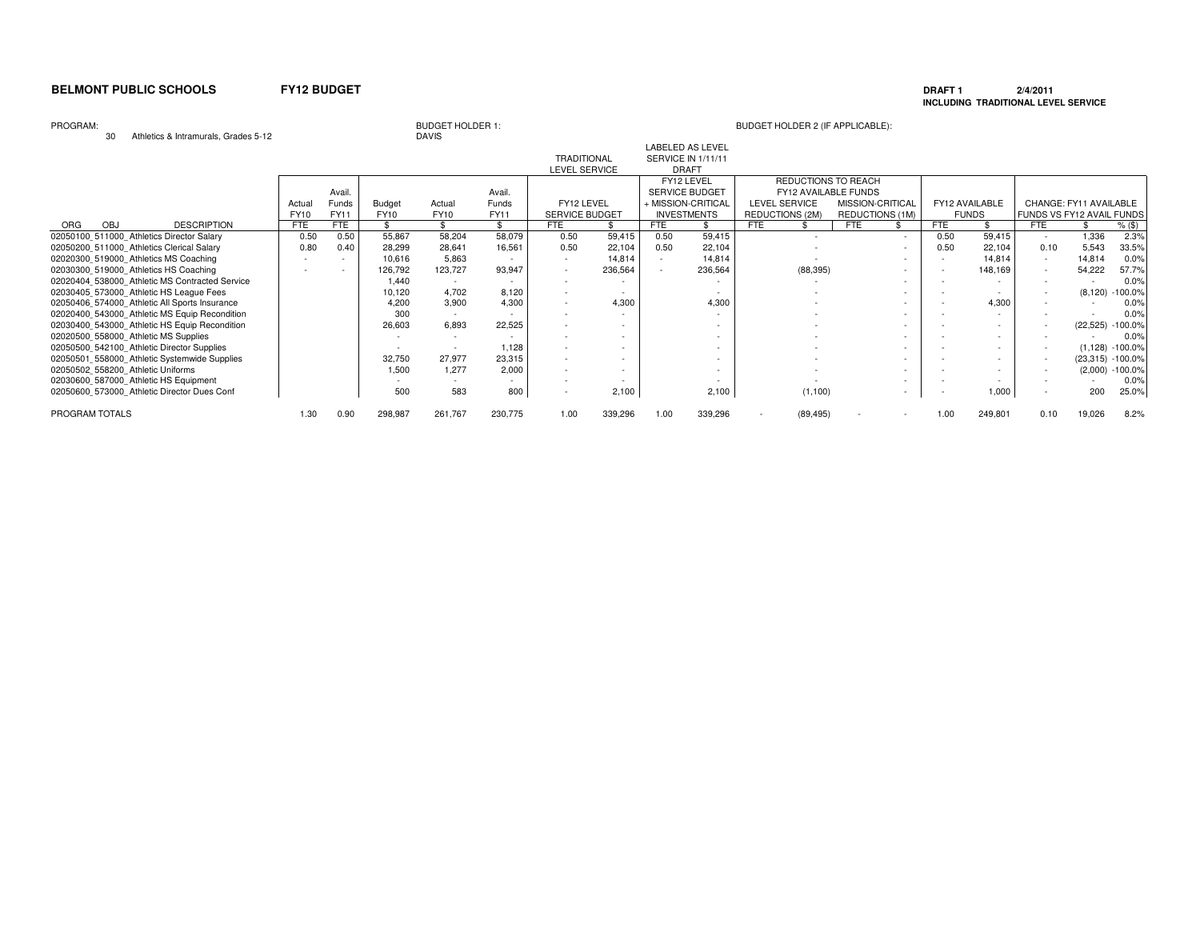### **DRAFT 1 2/4/2011 INCLUDING TRADITIONAL LEVEL SERVICE**

PROGRAM:

# **DAVIS**

# BUDGET HOLDER 1: BUDGET HOLDER 2 (IF APPLICABLE):

30 Athletics & Intramurals, Grades 5-12

| $\ldots$                                       |             |        |         |                          |             |                       |                          |            |                          |                          |                      |            |                |                           |                        |                     |
|------------------------------------------------|-------------|--------|---------|--------------------------|-------------|-----------------------|--------------------------|------------|--------------------------|--------------------------|----------------------|------------|----------------|---------------------------|------------------------|---------------------|
|                                                |             |        |         |                          |             |                       |                          |            | <b>LABELED AS LEVEL</b>  |                          |                      |            |                |                           |                        |                     |
|                                                |             |        |         |                          |             | <b>TRADITIONAL</b>    |                          |            | SERVICE IN 1/11/11       |                          |                      |            |                |                           |                        |                     |
|                                                |             |        |         |                          |             | <b>LEVEL SERVICE</b>  |                          |            | <b>DRAFT</b>             |                          |                      |            |                |                           |                        |                     |
|                                                |             |        |         |                          |             |                       |                          |            | FY12 LEVEL               |                          | REDUCTIONS TO REACH  |            |                |                           |                        |                     |
|                                                |             | Avail. |         |                          | Avail.      |                       |                          |            | <b>SERVICE BUDGET</b>    |                          | FY12 AVAILABLE FUNDS |            |                |                           |                        |                     |
|                                                | Actual      | Funds  | Budget  | Actual                   | Funds       | FY12 LEVEL            |                          |            | + MISSION-CRITICAL       | <b>LEVEL SERVICE</b>     | MISSION-CRITICAL     |            | FY12 AVAILABLE |                           | CHANGE: FY11 AVAILABLE |                     |
|                                                | <b>FY10</b> | FY11   | FY10    | <b>FY10</b>              | <b>FY11</b> | <b>SERVICE BUDGET</b> |                          |            | <b>INVESTMENTS</b>       | REDUCTIONS (2M)          | REDUCTIONS (1M)      |            | <b>FUNDS</b>   | FUNDS VS FY12 AVAIL FUNDS |                        |                     |
| ORG<br>OBJ<br><b>DESCRIPTION</b>               | <b>FTE</b>  | FTE    |         |                          | ፍ           | FTE                   |                          | <b>FTE</b> |                          | <b>FTE</b>               | <b>FTE</b>           | <b>FTE</b> |                | <b>FTE</b>                |                        | $%$ (\$)            |
| 02050100 511000 Athletics Director Salary      | 0.50        | 0.50   | 55,867  | 58,204                   | 58,079      | 0.50                  | 59,415                   | 0.50       | 59,415                   | $\overline{\phantom{a}}$ | $\sim$               | 0.50       | 59,415         | $\sim$                    | 1,336                  | 2.3%                |
| 02050200 511000 Athletics Clerical Salary      | 0.80        | 0.40   | 28,299  | 28,641                   | 16,561      | 0.50                  | 22,104                   | 0.50       | 22,104                   |                          | ٠                    | 0.50       | 22,104         | 0.10                      | 5,543                  | 33.5%               |
| 02020300 519000 Athletics MS Coaching          |             | $\sim$ | 10,616  | 5,863                    |             |                       | 14,814                   |            | 14,814                   |                          | $\sim$               |            | 14,814         | $\sim$                    | 14,814                 | 0.0%                |
| 02030300 519000 Athletics HS Coaching          |             |        | 126,792 | 123,727                  | 93,947      |                       | 236,564                  |            | 236,564                  | (88, 395)                | $\sim$               |            | 148,169        | $\sim$                    | 54,222                 | 57.7%               |
| 02020404 538000 Athletic MS Contracted Service |             |        | 1.440   |                          |             |                       |                          |            |                          |                          | ۰                    |            |                |                           |                        | 0.0%                |
| 02030405 573000 Athletic HS League Fees        |             |        | 10,120  | 4,702                    | 8.120       |                       | $\overline{\phantom{a}}$ |            |                          |                          | ۰                    |            |                | $\sim$                    |                        | $(8,120) -100.0\%$  |
| 02050406 574000 Athletic All Sports Insurance  |             |        | 4,200   | 3,900                    | 4,300       |                       | 4,300                    |            | 4,300                    |                          | ۰                    |            | 4,300          |                           |                        | 0.0%                |
| 02020400 543000 Athletic MS Equip Recondition  |             |        | 300     | $\sim$                   |             |                       |                          |            |                          |                          | ۰                    |            |                |                           |                        | 0.0%                |
| 02030400 543000 Athletic HS Equip Recondition  |             |        | 26,603  | 6,893                    | 22,525      |                       |                          |            | $\overline{a}$           |                          | ۰                    |            |                |                           |                        | (22,525) -100.0%    |
| 02020500 558000 Athletic MS Supplies           |             |        |         | $\overline{\phantom{a}}$ |             |                       |                          |            |                          |                          |                      |            |                |                           |                        | 0.0%                |
| 02050500 542100 Athletic Director Supplies     |             |        |         |                          | 1,128       | $\sim$                |                          |            | $\overline{\phantom{a}}$ |                          |                      |            |                |                           |                        | $(1,128) - 100.0\%$ |
| 02050501 558000 Athletic Systemwide Supplies   |             |        | 32,750  | 27,977                   | 23,315      | $\sim$                |                          |            |                          |                          |                      |            |                |                           |                        | (23,315) -100.0%    |
| 02050502 558200 Athletic Uniforms              |             |        | 1.500   | 1.277                    | 2,000       |                       |                          |            | $\sim$                   |                          |                      |            |                |                           |                        | $(2,000) -100.0\%$  |
| 02030600 587000 Athletic HS Equipment          |             |        |         |                          |             |                       |                          |            |                          |                          |                      |            |                |                           |                        | 0.0%                |
| 02050600 573000 Athletic Director Dues Conf    |             |        | 500     | 583                      | 800         |                       | 2,100                    |            | 2,100                    | (1, 100)                 | ٠                    |            | 000,1          | $\sim$                    | 200                    | 25.0%               |
| PROGRAM TOTALS                                 | 1.30        | 0.90   | 298,987 | 261,767                  | 230,775     | 1.00                  | 339,296                  | 1.00       | 339,296                  | (89, 495)                |                      | 1.00       | 249,801        | 0.10                      | 19,026                 | 8.2%                |
|                                                |             |        |         |                          |             |                       |                          |            |                          |                          |                      |            |                |                           |                        |                     |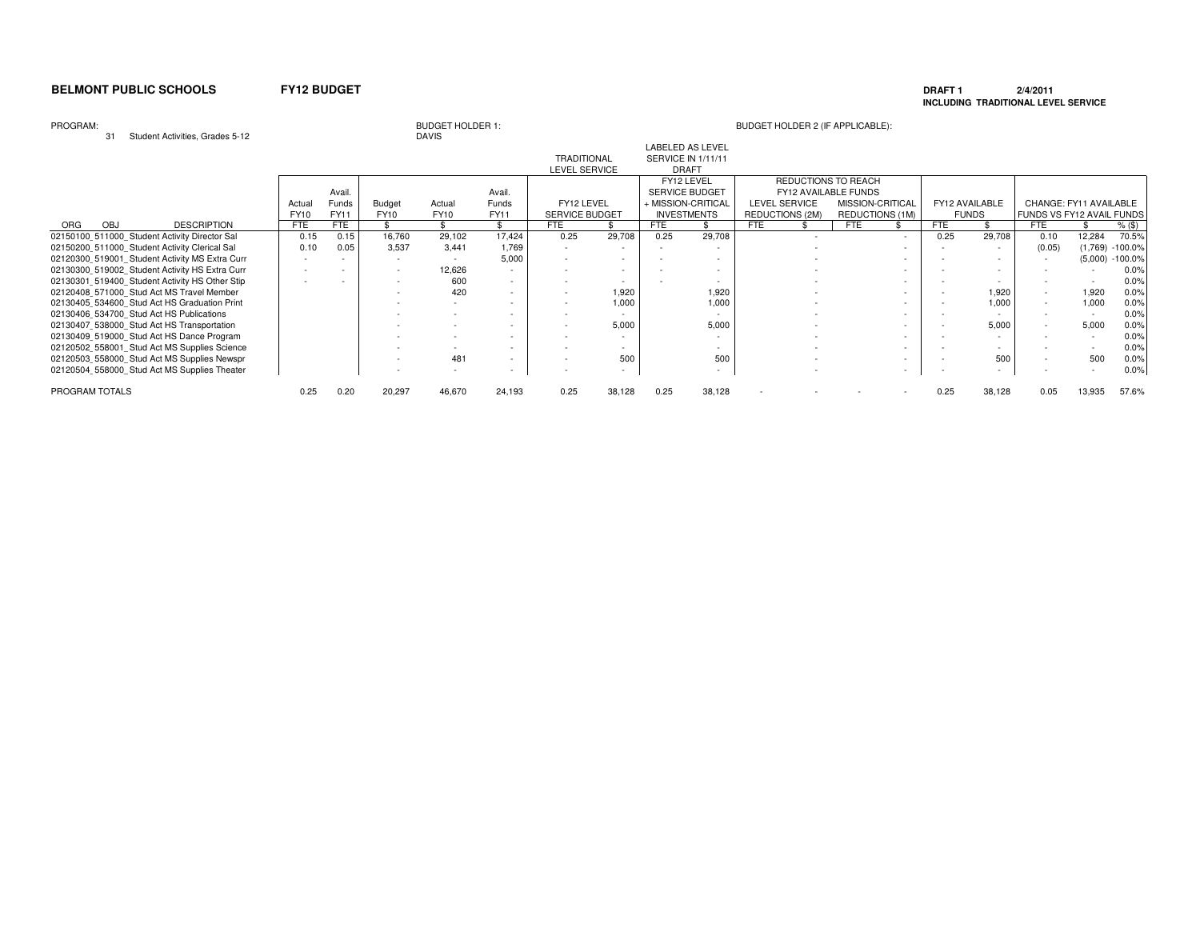### **DRAFT 1 2/4/2011 INCLUDING TRADITIONAL LEVEL SERVICE**

### PROGRAM:

31 Student Activities, Grades 5-12

# **DAVIS**

| ا ت<br>Student Activities, Grades 3-12         |             |                          |                          | UAVIO                    |             |                          |        |            |                           |                      |                          |                          |                |                           |                        |           |
|------------------------------------------------|-------------|--------------------------|--------------------------|--------------------------|-------------|--------------------------|--------|------------|---------------------------|----------------------|--------------------------|--------------------------|----------------|---------------------------|------------------------|-----------|
|                                                |             |                          |                          |                          |             |                          |        |            | <b>LABELED AS LEVEL</b>   |                      |                          |                          |                |                           |                        |           |
|                                                |             |                          |                          |                          |             | <b>TRADITIONAL</b>       |        |            | <b>SERVICE IN 1/11/11</b> |                      |                          |                          |                |                           |                        |           |
|                                                |             |                          |                          |                          |             | LEVEL SERVICE            |        |            | <b>DRAFT</b>              |                      |                          |                          |                |                           |                        |           |
|                                                |             |                          |                          |                          |             |                          |        |            | FY12 LEVEL                | REDUCTIONS TO REACH  |                          |                          |                |                           |                        |           |
|                                                |             | Avail.                   |                          |                          | Avail.      |                          |        |            | SERVICE BUDGET            | FY12 AVAILABLE FUNDS |                          |                          |                |                           |                        |           |
|                                                | Actual      | Funds                    | Budget                   | Actual                   | Funds       | FY12 LEVEL               |        |            | + MISSION-CRITICAL        | <b>LEVEL SERVICE</b> | MISSION-CRITICAL         |                          | FY12 AVAILABLE |                           | CHANGE: FY11 AVAILABLE |           |
|                                                | <b>FY10</b> | FY11                     | <b>FY10</b>              | <b>FY10</b>              | <b>FY11</b> | SERVICE BUDGET           |        |            | <b>INVESTMENTS</b>        | REDUCTIONS (2M)      | REDUCTIONS (1M)          |                          | <b>FUNDS</b>   | FUNDS VS FY12 AVAIL FUNDS |                        |           |
| OBJ<br><b>DESCRIPTION</b><br><b>ORG</b>        | <b>FTE</b>  | FTE                      |                          |                          |             | <b>FTE</b>               |        | <b>FTE</b> |                           | <b>FTE</b>           | <b>FTE</b>               | <b>FTE</b>               |                | <b>FTE</b>                |                        | $%$ (\$)  |
| 02150100_511000_Student Activity Director Sal  | 0.15        | 0.15                     | 16,760                   | 29,102                   | 17.424      | 0.25                     | 29,708 | 0.25       | 29,708                    | $\sim$               |                          | 0.25                     | 29,708         | 0.10                      | 12,284                 | 70.5%     |
| 02150200 511000 Student Activity Clerical Sal  | 0.10        | 0.05                     | 3,537                    | 3.441                    | 1,769       | $\sim$                   |        |            |                           |                      |                          |                          |                | (0.05)                    | (1,769)                | $-100.0%$ |
| 02120300 519001 Student Activity MS Extra Curr |             |                          | $\overline{\phantom{a}}$ |                          | 5,000       |                          |        |            | $\overline{\phantom{a}}$  |                      |                          |                          |                | $\sim$                    | (5,000)                | $-100.0%$ |
| 02130300_519002 Student Activity HS Extra Curr |             | $\overline{\phantom{a}}$ | ٠                        | 12,626                   | $\sim$      |                          | $\sim$ |            | $\overline{\phantom{a}}$  |                      | $\sim$                   |                          | $\sim$         | $\sim$                    |                        | 0.0%      |
| 02130301_519400 Student Activity HS Other Stip |             |                          | $\overline{\phantom{a}}$ | 600                      | $\sim$      |                          |        |            | ٠                         |                      |                          |                          |                |                           |                        | 0.0%      |
| 02120408 571000 Stud Act MS Travel Member      |             |                          | $\overline{\phantom{a}}$ | 420                      | ۰.          | $\overline{\phantom{a}}$ | 1,920  |            | 1,920                     |                      |                          |                          | 1,920          | $\sim$                    | 1,920                  | 0.0%      |
| 02130405 534600 Stud Act HS Graduation Print   |             |                          |                          | $\overline{\phantom{a}}$ | ۰           |                          | 1,000  |            | 1,000                     |                      |                          |                          | 1,000          | $\sim$                    | 1,000                  | 0.0%      |
| 02130406 534700 Stud Act HS Publications       |             |                          |                          |                          | ٠           |                          |        |            |                           |                      | $\overline{\phantom{a}}$ |                          |                | ٠                         |                        | 0.0%      |
| 02130407_538000_Stud Act HS Transportation     |             |                          |                          |                          | ٠           |                          | 5,000  |            | 5,000                     |                      | $\overline{\phantom{a}}$ |                          | 5,000          | $\sim$                    | 5,000                  | 0.0%      |
| 02130409 519000 Stud Act HS Dance Program      |             |                          |                          |                          | $\sim$      |                          |        |            | ٠                         |                      | $\sim$                   |                          |                |                           |                        | 0.0%      |
| 02120502 558001 Stud Act MS Supplies Science   |             |                          | $\overline{\phantom{a}}$ | $\sim$                   | $\sim$      |                          |        |            | $\sim$                    |                      | $\sim$                   |                          | $\sim$         |                           |                        | 0.0%      |
| 02120503_558000_Stud Act MS Supplies Newspr    |             |                          | $\overline{\phantom{a}}$ | 481                      | $\sim$      |                          | 500    |            | 500                       |                      | $\overline{\phantom{0}}$ |                          | 500            |                           | 500                    | 0.0%      |
| 02120504 558000 Stud Act MS Supplies Theater   |             |                          | $\overline{\phantom{a}}$ | $\sim$                   | $\sim$      |                          |        |            | $\overline{\phantom{a}}$  |                      | $\sim$                   | $\overline{\phantom{a}}$ | $\sim$         |                           |                        | 0.0%      |
| PROGRAM TOTALS                                 | 0.25        | 0.20                     | 20,297                   | 46,670                   | 24,193      | 0.25                     | 38,128 | 0.25       | 38,128                    |                      |                          | 0.25                     | 38,128         | 0.05                      | 13,935                 | 57.6%     |
|                                                |             |                          |                          |                          |             |                          |        |            |                           |                      |                          |                          |                |                           |                        |           |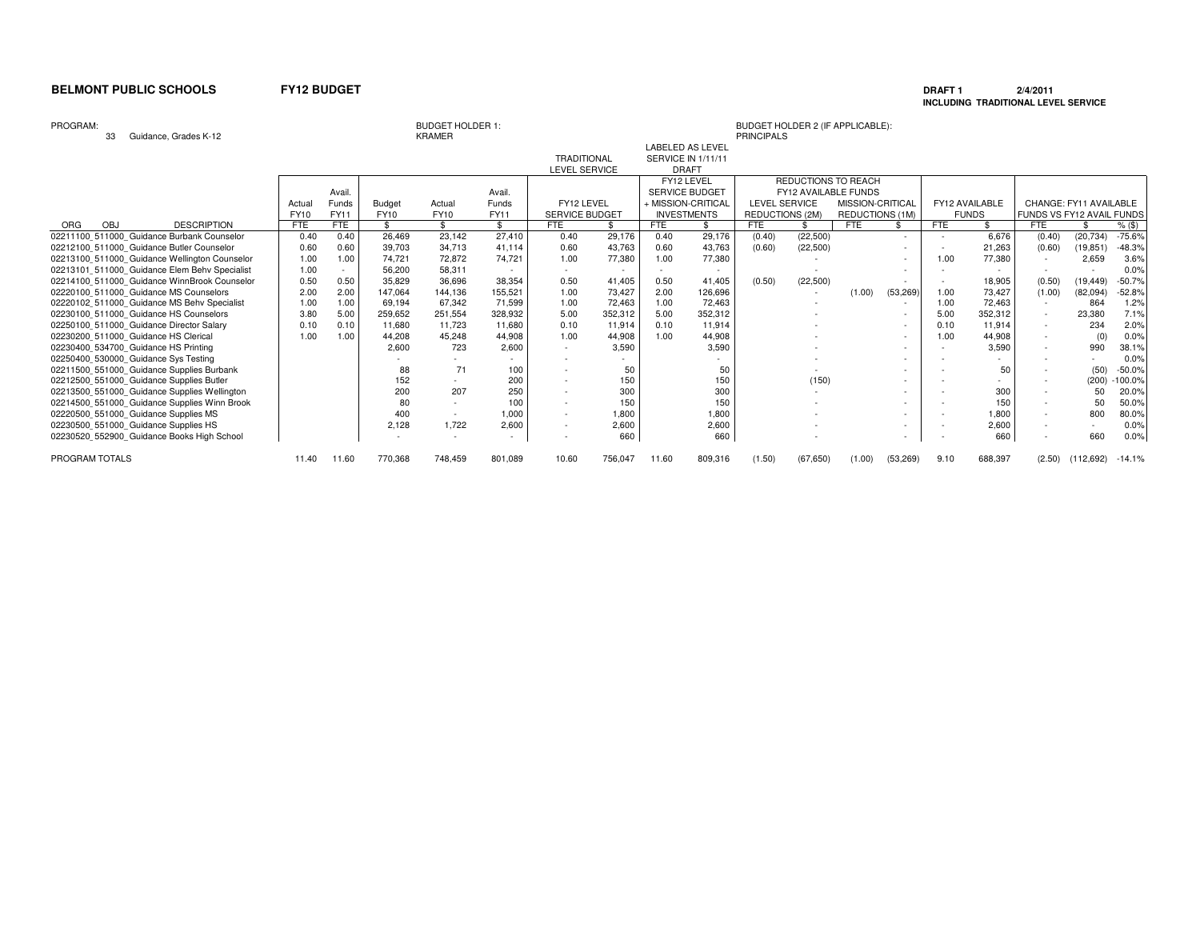### **DRAFT 1 2/4/2011 INCLUDING TRADITIONAL LEVEL SERVICE**

### PROGRAM:

PROGRAM TOTALS

KRAMER

| PROGRAM:                                      |            |        |              | <b>BUDGET HOLDER 1:</b> |         |                       |         |            |                           | BUDGET HOLDER 2 (IF APPLICABLE): |                            |                  |           |            |                |                           |                        |          |
|-----------------------------------------------|------------|--------|--------------|-------------------------|---------|-----------------------|---------|------------|---------------------------|----------------------------------|----------------------------|------------------|-----------|------------|----------------|---------------------------|------------------------|----------|
| Guidance, Grades K-12<br>33                   |            |        |              | <b>KRAMER</b>           |         |                       |         |            |                           | <b>PRINCIPALS</b>                |                            |                  |           |            |                |                           |                        |          |
|                                               |            |        |              |                         |         |                       |         |            | <b>LABELED AS LEVEL</b>   |                                  |                            |                  |           |            |                |                           |                        |          |
|                                               |            |        |              |                         |         | <b>TRADITIONAL</b>    |         |            | <b>SERVICE IN 1/11/11</b> |                                  |                            |                  |           |            |                |                           |                        |          |
|                                               |            |        |              |                         |         | <b>LEVEL SERVICE</b>  |         |            | <b>DRAFT</b>              |                                  |                            |                  |           |            |                |                           |                        |          |
|                                               |            |        |              |                         |         |                       |         |            | FY12 LEVEL                |                                  | <b>REDUCTIONS TO REACH</b> |                  |           |            |                |                           |                        |          |
|                                               |            | Avail. |              |                         | Avail.  |                       |         |            | SERVICE BUDGET            |                                  | FY12 AVAILABLE FUNDS       |                  |           |            |                |                           |                        |          |
|                                               | Actual     | Funds  | Budget       | Actual                  | Funds   | FY12 LEVEL            |         |            | + MISSION-CRITICAL        | LEVEL SERVICE                    |                            | MISSION-CRITICAL |           |            | FY12 AVAILABLE |                           | CHANGE: FY11 AVAILABLE |          |
|                                               | FY10       | FY11   | <b>FY10</b>  | FY10                    | FY11    | <b>SERVICE BUDGET</b> |         |            | <b>INVESTMENTS</b>        | REDUCTIONS (2M)                  |                            | REDUCTIONS (1M)  |           |            | <b>FUNDS</b>   | FUNDS VS FY12 AVAIL FUNDS |                        |          |
| <b>ORG</b><br>OBJ<br><b>DESCRIPTION</b>       | <b>FTE</b> | FTE    | $\mathbf{s}$ |                         | ¢       | FTE                   |         | <b>FTE</b> |                           | <b>FTE</b>                       |                            | <b>FTE</b>       |           | <b>FTE</b> |                | <b>FTE</b>                |                        | $%$ (\$) |
| 02211100 511000 Guidance Burbank Counselor    | 0.40       | 0.40   | 26.469       | 23,142                  | 27.410  | 0.40                  | 29,176  | 0.40       | 29,176                    | (0.40)                           | (22, 500)                  |                  |           |            | 6,676          | (0.40)                    | (20, 734)              | $-75.6%$ |
| 02212100 511000 Guidance Butler Counselor     | 0.60       | 0.60   | 39,703       | 34,713                  | 41.114  | 0.60                  | 43,763  | 0.60       | 43,763                    | (0.60)                           | (22, 500)                  |                  |           |            | 21,263         | (0.60)                    | (19, 851)              | $-48.3%$ |
| 02213100 511000 Guidance Wellington Counselor | 1.00       | 1.00   | 74.721       | 72.872                  | 74.721  | 1.00                  | 77,380  | 1.00       | 77,380                    |                                  |                            |                  | $\sim$    | 1.00       | 77,380         |                           | 2,659                  | 3.6%     |
| 02213101 511000 Guidance Elem Behv Specialist | 1.00       |        | 56,200       | 58.311                  |         |                       |         |            |                           |                                  |                            |                  |           |            |                |                           |                        | 0.0%     |
| 02214100 511000 Guidance WinnBrook Counselor  | 0.50       | 0.50   | 35,829       | 36,696                  | 38,354  | 0.50                  | 41,405  | 0.50       | 41,405                    | (0.50)                           | (22, 500)                  |                  |           |            | 18,905         | (0.50)                    | (19, 449)              | $-50.7%$ |
| 02220100 511000 Guidance MS Counselors        | 2.00       | 2.00   | 147,064      | 144,136                 | 155,521 | 1.00                  | 73,427  | 2.00       | 126,696                   |                                  |                            | (1.00)           | (53, 269) | 1.00       | 73,427         | (1.00)                    | (82,094)               | $-52.8%$ |
| 02220102 511000 Guidance MS Behv Specialist   | 1.00       | 1.00   | 69,194       | 67,342                  | 71,599  | 1.00                  | 72,463  | 1.00       | 72,463                    |                                  |                            |                  |           | 1.00       | 72,463         | $\overline{\phantom{a}}$  | 864                    | 1.2%     |
| 02230100 511000 Guidance HS Counselors        | 3.80       | 5.00   | 259,652      | 251,554                 | 328,932 | 5.00                  | 352,312 | 5.00       | 352,312                   |                                  |                            |                  |           | 5.00       | 352,312        | $\overline{\phantom{a}}$  | 23,380                 | 7.1%     |
| 02250100 511000 Guidance Director Salary      | 0.10       | 0.10   | 11,680       | 11.723                  | 11,680  | 0.10                  | 11.914  | 0.10       | 11,914                    |                                  |                            |                  |           | 0.10       | 11,914         | $\overline{\phantom{a}}$  | 234                    | 2.0%     |
| 02230200 511000 Guidance HS Clerical          | 1.00       | 1.00   | 44,208       | 45.248                  | 44,908  | 1.00                  | 44,908  | 1.00       | 44,908                    |                                  |                            |                  |           | 1.00       | 44,908         | $\sim$                    | (0)                    | 0.0%     |
| 02230400 534700 Guidance HS Printing          |            |        | 2,600        | 723                     | 2,600   |                       | 3,590   |            | 3,590                     |                                  |                            |                  |           |            | 3,590          | $\overline{\phantom{a}}$  | 990                    | 38.1%    |
| 02250400_530000_Guidance Sys Testing          |            |        |              |                         |         |                       |         |            |                           |                                  |                            |                  |           |            |                |                           |                        | 0.0%     |
| 02211500 551000 Guidance Supplies Burbank     |            |        | 88           | 71                      | 100     |                       | 50      |            | 50                        |                                  |                            |                  |           |            | 50             | $\overline{\phantom{a}}$  | (50)                   | $-50.0%$ |
| 02212500 551000 Guidance Supplies Butler      |            |        | 152          | $\sim$                  | 200     |                       | 150     |            | 150                       |                                  | (150)                      |                  | $\sim$    |            |                | $\overline{\phantom{a}}$  | (200)                  | 100.0%   |
| 02213500 551000 Guidance Supplies Wellington  |            |        | 200          | 207                     | 250     |                       | 300     |            | 300                       |                                  |                            |                  |           |            | 300            | $\overline{\phantom{a}}$  | 50                     | 20.0%    |
| 02214500 551000 Guidance Supplies Winn Brook  |            |        | 80           | $\sim$                  | 100     | $\sim$                | 150     |            | 150                       |                                  |                            |                  |           |            | 150            | $\overline{\phantom{a}}$  | 50                     | 50.0%    |
| 02220500 551000 Guidance Supplies MS          |            |        | 400          | $\sim$                  | 1,000   | $\sim$                | 1,800   |            | 1,800                     |                                  |                            |                  |           |            | 1,800          | $\sim$                    | 800                    | 80.0%    |
| 02230500_551000 Guidance Supplies HS          |            |        | 2,128        | 1,722                   | 2,600   |                       | 2,600   |            | 2,600                     |                                  |                            |                  |           |            | 2,600          |                           |                        | 0.0%     |
| 02230520_552900_Guidance Books High School    |            |        |              |                         |         |                       | 660     |            | 660                       |                                  |                            |                  |           |            | 660            |                           | 660                    | 0.0%     |

11.40 770,368 748,459 801,089 10.60 756,047 11.60 809,316 (1.50) (67,650) (1.00) (53,269) 9.10 688,397 (2.50) (112,692) -14.1%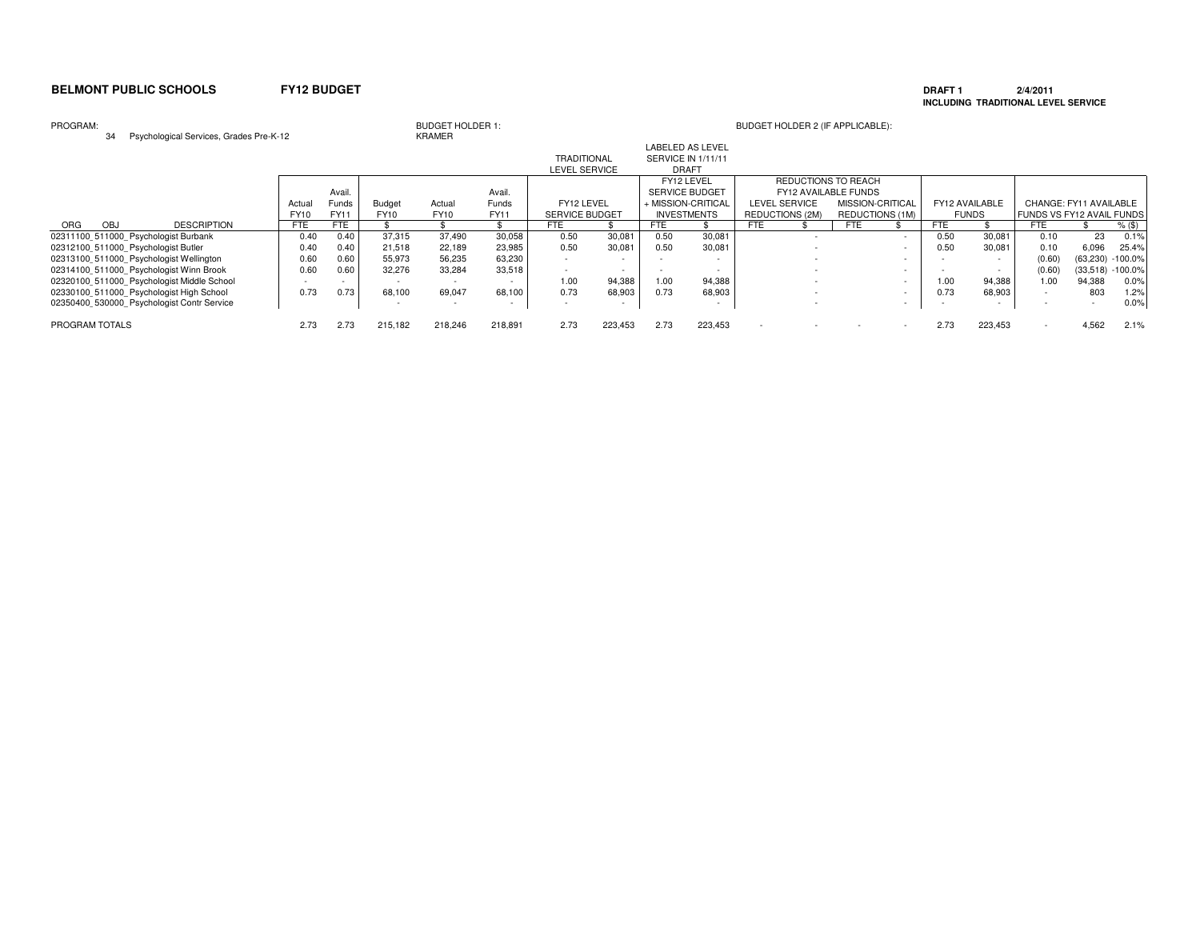### **DRAFT 1 2/4/2011 INCLUDING TRADITIONAL LEVEL SERVICE**

PROGRAM:

# BUDGET HOLDER 1:<br>KRAMER<br>KRAMER

34 Psychological Services, Grades Pre-K-12

| $\frac{1}{2}$ of $\frac{1}{2}$ or $\frac{1}{2}$ of $\frac{1}{2}$ of $\frac{1}{2}$ or $\frac{1}{2}$ or $\frac{1}{2}$ or $\frac{1}{2}$ or $\frac{1}{2}$ or $\frac{1}{2}$ |            |        |               | .           |         |                       |         |      |                          |      |                        |                        |            |                          |                           |                        |           |
|------------------------------------------------------------------------------------------------------------------------------------------------------------------------|------------|--------|---------------|-------------|---------|-----------------------|---------|------|--------------------------|------|------------------------|------------------------|------------|--------------------------|---------------------------|------------------------|-----------|
|                                                                                                                                                                        |            |        |               |             |         |                       |         |      | <b>LABELED AS LEVEL</b>  |      |                        |                        |            |                          |                           |                        |           |
|                                                                                                                                                                        |            |        |               |             |         | <b>TRADITIONAL</b>    |         |      | SERVICE IN 1/11/11       |      |                        |                        |            |                          |                           |                        |           |
|                                                                                                                                                                        |            |        |               |             |         | <b>LEVEL SERVICE</b>  |         |      | <b>DRAFT</b>             |      |                        |                        |            |                          |                           |                        |           |
|                                                                                                                                                                        |            |        |               |             |         |                       |         |      | FY12 LEVEL               |      | REDUCTIONS TO REACH    |                        |            |                          |                           |                        |           |
|                                                                                                                                                                        |            | Avail. |               |             | Avail.  |                       |         |      | <b>SERVICE BUDGET</b>    |      | FY12 AVAILABLE FUNDS   |                        |            |                          |                           |                        |           |
|                                                                                                                                                                        | Actua      | Funds  | <b>Budget</b> | Actual      | Funds   | FY12 LEVEL            |         |      | + MISSION-CRITICAL       |      | <b>LEVEL SERVICE</b>   | MISSION-CRITICAL       |            | FY12 AVAILABLE           |                           | CHANGE: FY11 AVAILABLE |           |
|                                                                                                                                                                        | FY10       | FY11   | FY10          | <b>FY10</b> | FY11    | <b>SERVICE BUDGET</b> |         |      | <b>INVESTMENTS</b>       |      | <b>REDUCTIONS (2M)</b> | <b>REDUCTIONS (1M)</b> |            | <b>FUNDS</b>             | FUNDS VS FY12 AVAIL FUNDS |                        |           |
| <b>DESCRIPTION</b><br>ORG<br><b>OBJ</b>                                                                                                                                | <b>FTE</b> | FTE    |               |             |         | FTE                   |         | FTE  |                          | FTE. |                        | <b>FTE</b>             | <b>FTE</b> |                          | FTE                       |                        | $%$ (\$)  |
| 02311100 511000 Psychologist Burbank                                                                                                                                   | 0.40       | 0.40   | 37,315        | 37,490      | 30,058  | 0.50                  | 30,081  | 0.50 | 30,081                   |      |                        |                        | 0.50       | 30,081                   | 0.10                      | 23                     | 0.1%      |
| 02312100 511000 Psychologist Butler                                                                                                                                    | 0.40       | 0.40   | 21.518        | 22,189      | 23,985  | 0.50                  | 30.081  | 0.50 | 30,081                   |      |                        |                        | 0.50       | 30,081                   | 0.10                      | 6.096                  | 25.4%     |
| 02313100 511000 Psychologist Wellington                                                                                                                                | 0.60       | 0.60   | 55,973        | 56,235      | 63,230  |                       |         |      |                          |      |                        |                        |            | $\overline{\phantom{a}}$ | (0.60)                    | (63, 230)              | $-100.0%$ |
| 02314100 511000 Psychologist Winn Brook                                                                                                                                | 0.60       | 0.60   | 32,276        | 33.284      | 33,518  |                       |         |      |                          |      |                        |                        |            | $\sim$                   | (0.60)                    | (33,518)               | $-100.0%$ |
| 02320100 511000 Psychologist Middle School                                                                                                                             |            |        |               |             |         | 1.00                  | 94,388  | 1.00 | 94,388                   |      |                        |                        | 1.00       | 94,388                   | 1.00                      | 94.388                 | 0.0%      |
| 02330100 511000 Psychologist High School                                                                                                                               | 0.73       | 0.73   | 68.100        | 69.047      | 68.100  | 0.73                  | 68,903  | 0.73 | 68,903                   |      |                        |                        | 0.73       | 68,903                   |                           | 803                    | 1.2%      |
| 02350400 530000 Psychologist Contr Service                                                                                                                             |            |        |               | $\sim$      | $\sim$  |                       |         |      | $\overline{\phantom{a}}$ |      |                        |                        |            | $\overline{\phantom{a}}$ |                           |                        | 0.0%      |
| PROGRAM TOTALS                                                                                                                                                         | 2.73       | 2.73   | 215,182       | 218,246     | 218,891 | 2.73                  | 223,453 | 2.73 | 223,453                  |      |                        |                        | 2.73       | 223,453                  |                           | 4.562                  | 2.1%      |
|                                                                                                                                                                        |            |        |               |             |         |                       |         |      |                          |      |                        |                        |            |                          |                           |                        |           |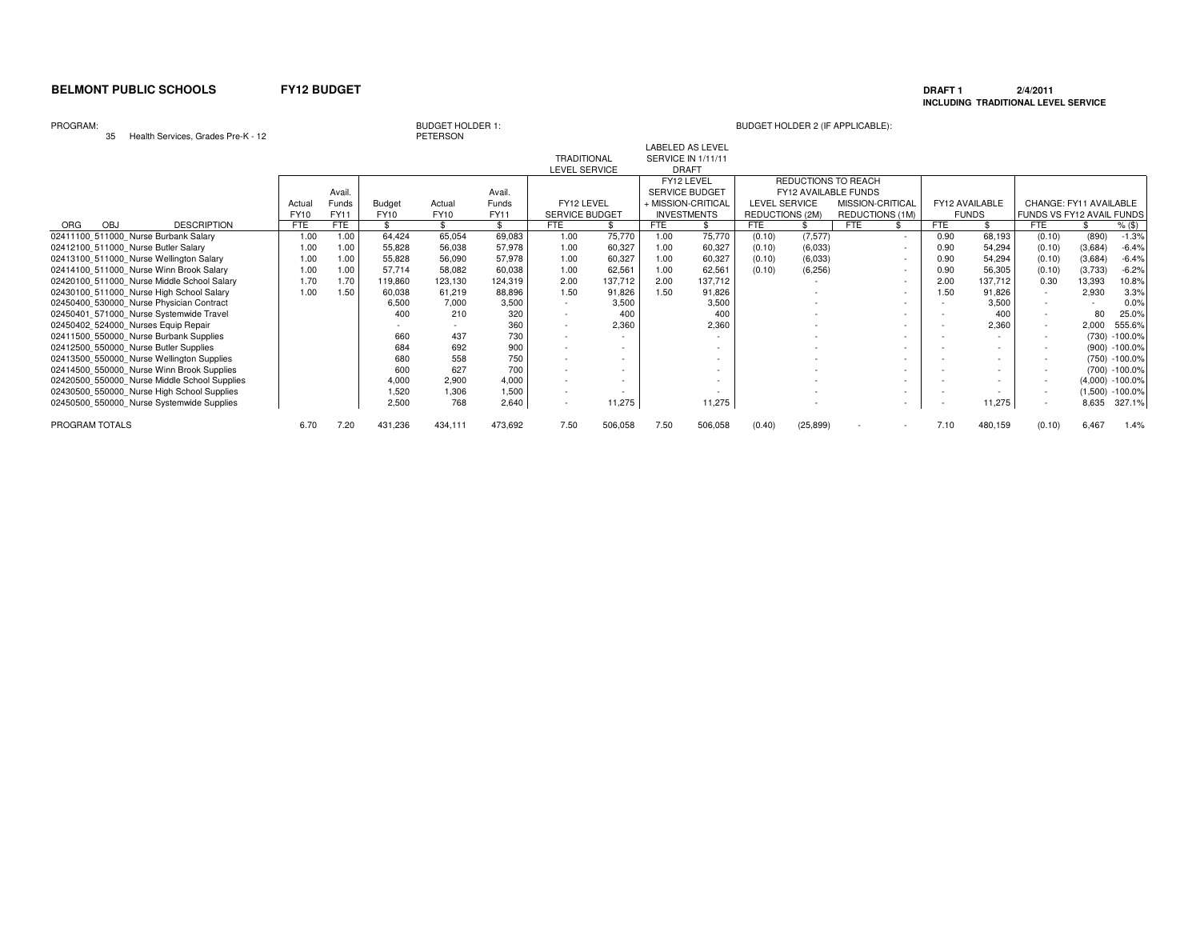### **DRAFT 1 2/4/2011 INCLUDING TRADITIONAL LEVEL SERVICE**

### PROGRAM:

35 Health Services, Grades Pre-K - 12

**PETERSON** 

|                |                                              |             |             |         |             |             |                       |                          |      | <b>LABELED AS LEVEL</b> |                      |           |                      |        |            |                          |                           |         |                     |
|----------------|----------------------------------------------|-------------|-------------|---------|-------------|-------------|-----------------------|--------------------------|------|-------------------------|----------------------|-----------|----------------------|--------|------------|--------------------------|---------------------------|---------|---------------------|
|                |                                              |             |             |         |             |             | <b>TRADITIONAL</b>    |                          |      | SERVICE IN 1/11/11      |                      |           |                      |        |            |                          |                           |         |                     |
|                |                                              |             |             |         |             |             | LEVEL SERVICE         |                          |      | <b>DRAFT</b>            |                      |           |                      |        |            |                          |                           |         |                     |
|                |                                              |             |             |         |             |             |                       |                          |      | FY12 LEVEL              |                      |           | REDUCTIONS TO REACH  |        |            |                          |                           |         |                     |
|                |                                              |             | Avail.      |         |             | Avail       |                       |                          |      | SERVICE BUDGET          |                      |           | FY12 AVAILABLE FUNDS |        |            |                          |                           |         |                     |
|                |                                              | Actua       | Funds       | Budget  | Actual      | Funds       | FY12 LEVEL            |                          |      | + MISSION-CRITICAL      | <b>LEVEL SERVICE</b> |           | MISSION-CRITICAL     |        |            | FY12 AVAILABLE           | CHANGE: FY11 AVAILABLE    |         |                     |
|                |                                              | <b>FY10</b> | <b>FY11</b> | FY10    | <b>FY10</b> | <b>FY11</b> | <b>SERVICE BUDGET</b> |                          |      | <b>INVESTMENTS</b>      | REDUCTIONS (2M)      |           | REDUCTIONS (1M)      |        |            | <b>FUNDS</b>             | FUNDS VS FY12 AVAIL FUNDS |         |                     |
| OBJ<br>ORG     | <b>DESCRIPTION</b>                           | <b>FTE</b>  | FTE         |         |             | \$          | FTE                   |                          | FTE  |                         | <b>FTE</b>           |           | <b>FTE</b>           |        | <b>FTE</b> |                          | <b>FTE</b>                |         | $%$ (\$)            |
|                | 02411100_511000_Nurse Burbank Salary         | 1.00        | 1.00        | 64,424  | 65,054      | 69,083      | 1.00                  | 75,770                   | 1.00 | 75,770                  | (0.10)               | (7, 577)  |                      |        | 0.90       | 68,193                   | (0.10)                    | (890)   | $-1.3%$             |
|                | 02412100 511000 Nurse Butler Salary          | 1.00        | 1.00        | 55,828  | 56,038      | 57,978      | 1.00                  | 60,327                   | 1.00 | 60,327                  | (0.10)               | (6,033)   |                      |        | 0.90       | 54,294                   | (0.10)                    | (3,684) | $-6.4%$             |
|                | 02413100 511000 Nurse Wellington Salary      | 1.00        | 1.00        | 55,828  | 56,090      | 57,978      | 1.00                  | 60,327                   | 1.00 | 60,327                  | (0.10)               | (6,033)   |                      | $\sim$ | 0.90       | 54,294                   | (0.10)                    | (3,684) | $-6.4%$             |
|                | 02414100 511000 Nurse Winn Brook Salary      | 1.00        | 1.00        | 57,714  | 58,082      | 60,038      | 1.00                  | 62,561                   | 1.00 | 62,561                  | (0.10)               | (6, 256)  |                      | $\sim$ | 0.90       | 56,305                   | (0.10)                    | (3,733) | $-6.2%$             |
|                | 02420100 511000 Nurse Middle School Salary   | 1.70        | 1.70        | 119,860 | 123,130     | 124,319     | 2.00                  | 137,712                  | 2.00 | 137,712                 |                      |           |                      | $\sim$ | 2.00       | 137,712                  | 0.30                      | 13,393  | 10.8%               |
|                | 02430100 511000 Nurse High School Salary     | 1.00        | 1.50        | 60,038  | 61,219      | 88,896      | 1.50                  | 91,826                   | 1.50 | 91,826                  |                      |           |                      | $\sim$ | 1.50       | 91,826                   | $\sim$                    | 2,930   | 3.3%                |
|                | 02450400_530000_Nurse Physician Contract     |             |             | 6,500   | 7,000       | 3,500       |                       | 3,500                    |      | 3,500                   |                      |           |                      |        |            | 3,500                    |                           |         | 0.0%                |
|                | 02450401 571000 Nurse Systemwide Travel      |             |             | 400     | 210         | 320         |                       | 400                      |      | 400                     |                      |           |                      |        |            | 400                      |                           | 80      | 25.0%               |
|                | 02450402 524000 Nurses Equip Repair          |             |             |         |             | 360         |                       | 2,360                    |      | 2,360                   |                      |           |                      | ٠      |            | 2,360                    | $\sim$                    | 2,000   | 555.6%              |
|                | 02411500 550000 Nurse Burbank Supplies       |             |             | 660     | 437         | 730         |                       |                          |      |                         |                      |           |                      | ۰      |            |                          | $\sim$                    |         | (730) -100.0%       |
|                | 02412500 550000 Nurse Butler Supplies        |             |             | 684     | 692         | 900         |                       |                          |      |                         |                      |           |                      | ٠      |            |                          | $\sim$                    |         | $(900) - 100.0\%$   |
|                | 02413500 550000 Nurse Wellington Supplies    |             |             | 680     | 558         | 750         |                       |                          |      |                         |                      |           |                      | ۰      |            |                          | $\overline{\phantom{a}}$  |         | (750) -100.0%       |
|                | 02414500 550000 Nurse Winn Brook Supplies    |             |             | 600     | 627         | 700         | $\sim$                |                          |      |                         |                      |           |                      |        |            | $\overline{\phantom{a}}$ |                           |         | (700) -100.0%       |
|                | 02420500 550000 Nurse Middle School Supplies |             |             | 4,000   | 2,900       | 4,000       |                       |                          |      |                         |                      |           |                      |        |            |                          | $\sim$                    |         | $(4,000) -100.0\%$  |
|                | 02430500 550000 Nurse High School Supplies   |             |             | 1,520   | 1,306       | 1,500       |                       | $\overline{\phantom{a}}$ |      |                         |                      |           |                      | ٠      |            | $\overline{\phantom{a}}$ | $\sim$                    |         | $(1,500) - 100.0\%$ |
|                | 02450500_550000_Nurse Systemwide Supplies    |             |             | 2,500   | 768         | 2,640       |                       | 11,275                   |      | 11,275                  |                      |           |                      | ٠      |            | 11,275                   | $\overline{\phantom{a}}$  | 8,635   | 327.1%              |
| PROGRAM TOTALS |                                              | 6.70        | 7.20        | 431,236 | 434,111     | 473,692     | 7.50                  | 506,058                  | 7.50 | 506,058                 | (0.40)               | (25, 899) |                      |        | 7.10       | 480,159                  | (0.10)                    | 6,467   | 1.4%                |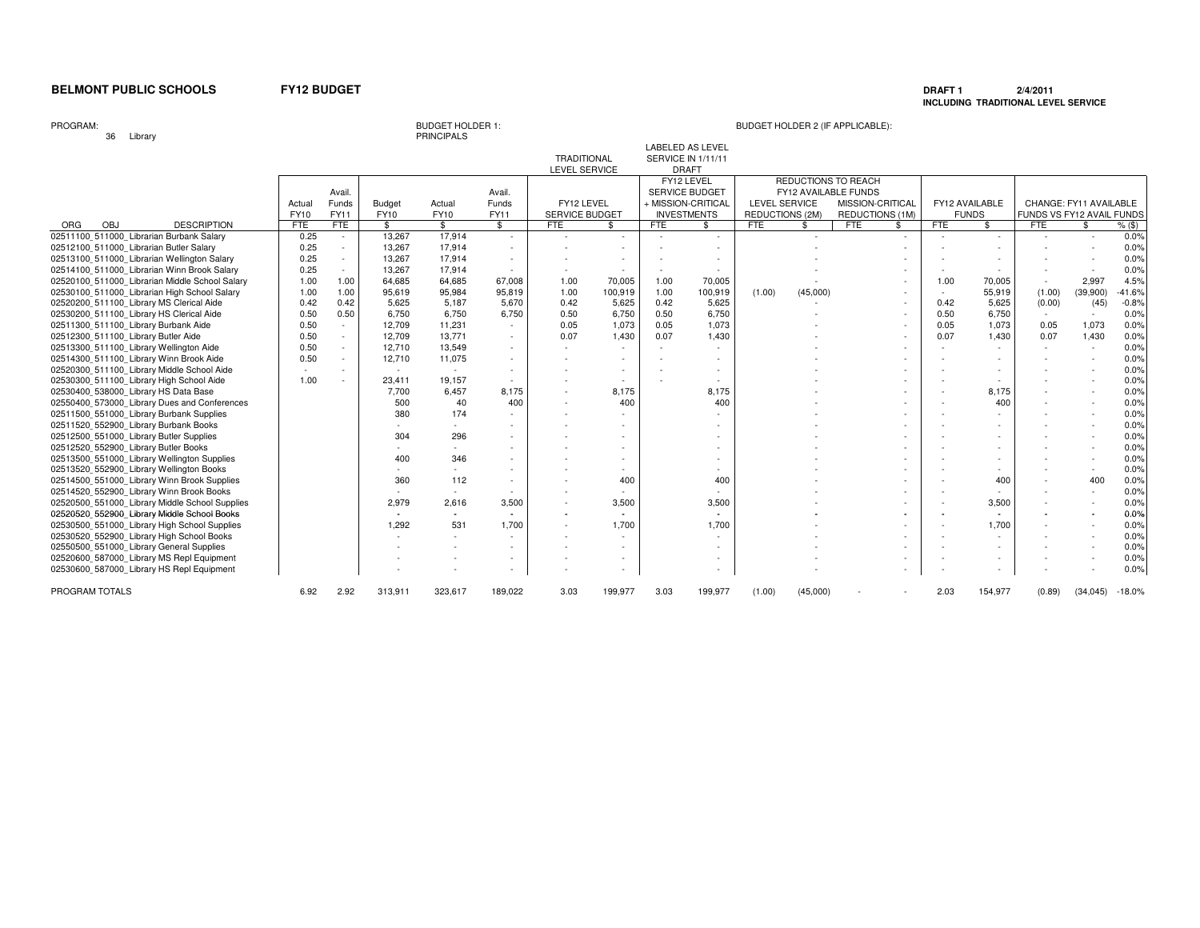### **DRAFT 1 2/4/2011 INCLUDING TRADITIONAL LEVEL SERVICE**

PROGRAM:

36 Library

BUDGET HOLDER 1:<br>PRINCIPALS

|                                                |                       |                         |                       |                |                                | <b>TRADITIONAL</b><br>LEVEL SERVICE |                          |            | <b>LABELED AS LEVEL</b><br><b>SERVICE IN 1/11/11</b><br><b>DRAFT</b>            |                                         |          |                                                                                           |               |            |                                |                           |                        |          |
|------------------------------------------------|-----------------------|-------------------------|-----------------------|----------------|--------------------------------|-------------------------------------|--------------------------|------------|---------------------------------------------------------------------------------|-----------------------------------------|----------|-------------------------------------------------------------------------------------------|---------------|------------|--------------------------------|---------------------------|------------------------|----------|
|                                                | Actual<br><b>FY10</b> | Avail.<br>Funds<br>FY11 | <b>Budget</b><br>FY10 | Actual<br>FY10 | Avail.<br>Funds<br><b>FY11</b> | FY12 LEVEL<br>SERVICE BUDGET        |                          |            | FY12 LEVEL<br><b>SERVICE BUDGET</b><br>+ MISSION-CRITICAL<br><b>INVESTMENTS</b> | <b>LEVEL SERVICE</b><br>REDUCTIONS (2M) |          | REDUCTIONS TO REACH<br>FY12 AVAILABLE FUNDS<br>MISSION-CRITICAL<br><b>REDUCTIONS (1M)</b> |               |            | FY12 AVAILABLE<br><b>FUNDS</b> | FUNDS VS FY12 AVAIL FUNDS | CHANGE: FY11 AVAILABLE |          |
| OBJ<br><b>DESCRIPTION</b><br>ORG               | <b>FTE</b>            | <b>FTE</b>              | $\mathbf{s}$          | \$             | $\mathbf{\$}$                  | <b>FTE</b>                          | \$                       | <b>FTE</b> | \$                                                                              | <b>FTE</b>                              | \$       | <b>FTE</b>                                                                                | $\mathcal{L}$ | <b>FTE</b> | \$                             | <b>FTE</b>                | $\mathbf{\$}$          | $%$ (\$) |
| 02511100 511000 Librarian Burbank Salary       | 0.25                  | $\sim$                  | 13.267                | 17.914         | $\sim$                         | $\sim$                              |                          |            |                                                                                 |                                         |          |                                                                                           | $\sim$        |            |                                |                           |                        | 0.0%     |
| 02512100 511000 Librarian Butler Salary        | 0.25                  | $\sim$                  | 13.267                | 17.914         |                                |                                     |                          |            |                                                                                 |                                         |          |                                                                                           |               |            |                                |                           |                        | 0.0%     |
| 02513100 511000 Librarian Wellington Salary    | 0.25                  | $\sim$                  | 13.267                | 17.914         |                                |                                     |                          |            |                                                                                 |                                         |          |                                                                                           |               |            |                                |                           |                        | 0.0%     |
| 02514100 511000 Librarian Winn Brook Salary    | 0.25                  | $\sim$                  | 13,267                | 17,914         |                                |                                     |                          |            |                                                                                 |                                         |          |                                                                                           |               |            |                                |                           |                        | 0.0%     |
| 02520100 511000 Librarian Middle School Salary | 1.00                  | 1.00                    | 64,685                | 64,685         | 67,008                         | 1.00                                | 70,005                   | 1.00       | 70,005                                                                          |                                         |          |                                                                                           |               | 1.00       | 70,005                         |                           | 2,997                  | 4.5%     |
| 02530100_511000_Librarian High School Salary   | 1.00                  | 1.00                    | 95,619                | 95,984         | 95,819                         | 1.00                                | 100,919                  | 1.00       | 100,919                                                                         | (1.00)                                  | (45,000) |                                                                                           | $\sim$        |            | 55,919                         | (1.00)                    | (39,900)               | $-41.6%$ |
| 02520200_511100_Library MS Clerical Aide       | 0.42                  | 0.42                    | 5.625                 | 5,187          | 5,670                          | 0.42                                | 5,625                    | 0.42       | 5,625                                                                           |                                         |          |                                                                                           | $\sim$        | 0.42       | 5,625                          | (0.00)                    | (45)                   | $-0.8%$  |
| 02530200 511100 Library HS Clerical Aide       | 0.50                  | 0.50                    | 6.750                 | 6,750          | 6,750                          | 0.50                                | 6.750                    | 0.50       | 6,750                                                                           |                                         |          |                                                                                           | $\sim$        | 0.50       | 6,750                          | $\sim$                    | $\sim$                 | 0.0%     |
| 02511300_511100_Library Burbank Aide           | 0.50                  | $\sim$                  | 12,709                | 11,231         |                                | 0.05                                | 1.073                    | 0.05       | 1,073                                                                           |                                         |          |                                                                                           |               | 0.05       | 1.073                          | 0.05                      | 1.073                  | 0.0%     |
| 02512300 511100 Library Butler Aide            | 0.50                  | $\sim$                  | 12,709                | 13,771         |                                | 0.07                                | 1,430                    | 0.07       | 1,430                                                                           |                                         |          |                                                                                           | $\sim$        | 0.07       | 1,430                          | 0.07                      | 1,430                  | 0.0%     |
| 02513300 511100 Library Wellington Aide        | 0.50                  |                         | 12,710                | 13,549         |                                |                                     |                          |            |                                                                                 |                                         |          |                                                                                           |               |            |                                |                           |                        | 0.0%     |
| 02514300 511100 Library Winn Brook Aide        | 0.50                  | $\sim$                  | 12.710                | 11,075         |                                |                                     |                          |            |                                                                                 |                                         |          |                                                                                           |               |            |                                |                           |                        | 0.0%     |
| 02520300 511100 Library Middle School Aide     | $\sim$                | $\sim$                  | $\sim$                | $\sim$         | $\sim$                         |                                     | $\sim$                   |            |                                                                                 |                                         |          |                                                                                           |               |            |                                |                           |                        | 0.0%     |
| 02530300 511100 Library High School Aide       | 1.00                  |                         | 23,411                | 19,157         |                                |                                     |                          |            |                                                                                 |                                         |          |                                                                                           |               |            |                                |                           |                        | 0.0%     |
| 02530400 538000 Library HS Data Base           |                       |                         | 7.700                 | 6.457          | 8,175                          |                                     | 8.175                    |            | 8,175                                                                           |                                         |          |                                                                                           |               |            | 8.175                          |                           |                        | 0.0%     |
| 02550400 573000 Library Dues and Conferences   |                       |                         | 500                   | 40             | 400                            |                                     | 400                      |            | 400                                                                             |                                         |          |                                                                                           |               |            | 400                            |                           |                        | 0.0%     |
| 02511500 551000 Library Burbank Supplies       |                       |                         | 380                   | 174            |                                |                                     | $\overline{\phantom{a}}$ |            |                                                                                 |                                         |          |                                                                                           |               |            | $\overline{\phantom{a}}$       |                           |                        | 0.0%     |
| 02511520 552900 Library Burbank Books          |                       |                         |                       | $\sim$         |                                |                                     |                          |            |                                                                                 |                                         |          |                                                                                           |               |            |                                |                           |                        | 0.0%     |
| 02512500_551000_Library Butler Supplies        |                       |                         | 304                   | 296            |                                |                                     |                          |            |                                                                                 |                                         |          |                                                                                           |               |            |                                |                           |                        | 0.0%     |
| 02512520 552900 Library Butler Books           |                       |                         |                       |                |                                |                                     |                          |            |                                                                                 |                                         |          |                                                                                           |               |            |                                |                           |                        | 0.0%     |
| 02513500 551000 Library Wellington Supplies    |                       |                         | 400                   | 346            |                                |                                     |                          |            |                                                                                 |                                         |          |                                                                                           |               |            |                                |                           |                        | 0.0%     |
| 02513520 552900 Library Wellington Books       |                       |                         |                       |                |                                |                                     |                          |            |                                                                                 |                                         |          |                                                                                           |               |            |                                |                           |                        | 0.0%     |
| 02514500_551000_Library Winn Brook Supplies    |                       |                         | 360                   | 112            | $\sim$                         |                                     | 400                      |            | 400                                                                             |                                         |          |                                                                                           |               |            | 400                            |                           | 400                    | 0.0%     |
| 02514520 552900 Library Winn Brook Books       |                       |                         |                       |                |                                |                                     |                          |            |                                                                                 |                                         |          |                                                                                           |               |            |                                |                           |                        | 0.0%     |
| 02520500_551000_Library Middle School Supplies |                       |                         | 2.979                 | 2.616          | 3,500                          |                                     | 3,500                    |            | 3,500                                                                           |                                         |          |                                                                                           |               |            | 3,500                          |                           |                        | 0.0%     |
| 02520520 552900 Library Middle School Books    |                       |                         | $\sim$                | $\blacksquare$ |                                |                                     | $\sim$                   |            |                                                                                 |                                         |          |                                                                                           |               |            | ٠                              |                           |                        | 0.0%     |
| 02530500_551000_Library High School Supplies   |                       |                         | 1.292                 | 531            | 1,700                          |                                     | 1.700                    |            | 1,700                                                                           |                                         |          |                                                                                           |               |            | 1,700                          |                           |                        | 0.0%     |
| 02530520 552900 Library High School Books      |                       |                         |                       | $\sim$         | $\sim$                         |                                     | $\sim$                   |            |                                                                                 |                                         |          |                                                                                           |               |            | $\sim$                         |                           |                        | 0.0%     |
| 02550500 551000 Library General Supplies       |                       |                         |                       |                |                                |                                     |                          |            |                                                                                 |                                         |          |                                                                                           |               |            |                                |                           |                        | 0.0%     |
| 02520600 587000 Library MS Repl Equipment      |                       |                         |                       |                | $\sim$                         |                                     | $\overline{\phantom{a}}$ |            |                                                                                 |                                         |          |                                                                                           |               |            | $\overline{\phantom{a}}$       |                           |                        | 0.0%     |
| 02530600 587000 Library HS Repl Equipment      |                       |                         |                       |                |                                |                                     |                          |            |                                                                                 |                                         |          |                                                                                           |               |            |                                |                           |                        | 0.0%     |
| PROGRAM TOTALS                                 | 6.92                  | 2.92                    | 313,911               | 323,617        | 189,022                        | 3.03                                | 199,977                  | 3.03       | 199,977                                                                         | (1.00)                                  | (45,000) |                                                                                           |               | 2.03       | 154,977                        | (0.89)                    | (34, 045)              | $-18.0%$ |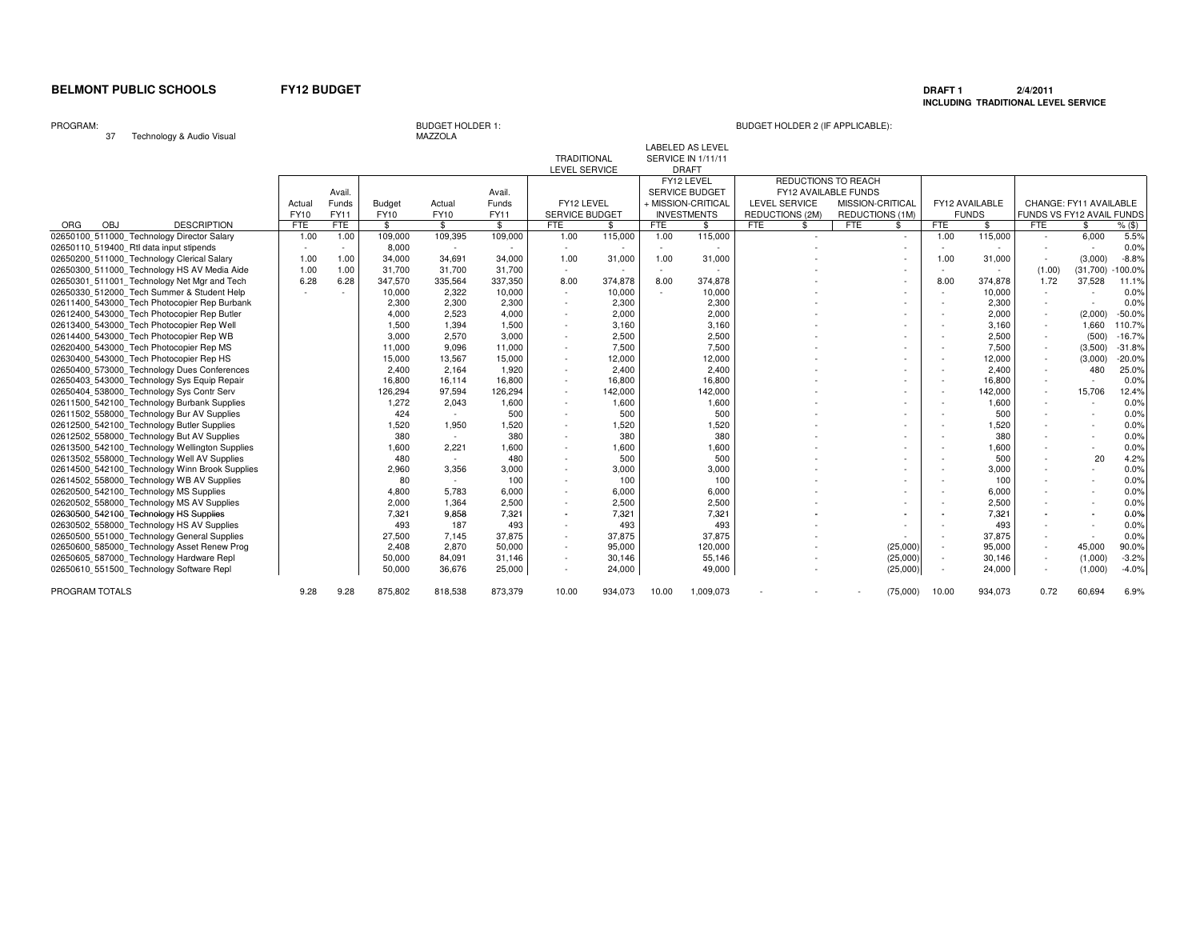PROGRAM TOTALS 875,802

### **DRAFT 1 2/4/2011 INCLUDING TRADITIONAL LEVEL SERVICE**

PROGRAM:

# BUDGET HOLDER 1: BUDGET HOLDER 2 (IF APPLICABLE):

9.28 875,802 818,538 873,379 10.00 934,073 10.00 1,009,073 - - - (75,000) 10.00 934,073 0.72 60,694 6.9%

| Technology & Audio Visual<br>37                |            |        |               | MAZZOLA       |               |                    |         |            |                           |                      |                        |                          |                          |                |                           |                        |            |
|------------------------------------------------|------------|--------|---------------|---------------|---------------|--------------------|---------|------------|---------------------------|----------------------|------------------------|--------------------------|--------------------------|----------------|---------------------------|------------------------|------------|
|                                                |            |        |               |               |               |                    |         |            | <b>LABELED AS LEVEL</b>   |                      |                        |                          |                          |                |                           |                        |            |
|                                                |            |        |               |               |               | <b>TRADITIONAL</b> |         |            | <b>SERVICE IN 1/11/11</b> |                      |                        |                          |                          |                |                           |                        |            |
|                                                |            |        |               |               |               | LEVEL SERVICE      |         |            | <b>DRAFT</b>              |                      |                        |                          |                          |                |                           |                        |            |
|                                                |            |        |               |               |               |                    |         |            | FY12 LEVEL                | REDUCTIONS TO REACH  |                        |                          |                          |                |                           |                        |            |
|                                                |            | Avail. |               |               | Avail.        |                    |         |            | <b>SERVICE BUDGET</b>     | FY12 AVAILABLE FUNDS |                        |                          |                          |                |                           |                        |            |
|                                                | Actual     | Funds  | <b>Budget</b> | Actual        | Funds         | FY12 LEVEL         |         |            | + MISSION-CRITICAL        | LEVEL SERVICE        | MISSION-CRITICAL       |                          |                          | FY12 AVAILABLE |                           | CHANGE: FY11 AVAILABLE |            |
|                                                | FY10       | FY11   | <b>FY10</b>   | FY10          | FY11          | SERVICE BUDGET     |         |            | <b>INVESTMENTS</b>        | REDUCTIONS (2M)      | <b>REDUCTIONS (1M)</b> |                          |                          | <b>FUNDS</b>   | FUNDS VS FY12 AVAIL FUNDS |                        |            |
| ORG<br>OBJ<br><b>DESCRIPTION</b>               | <b>FTE</b> | FTE    | $$^{\circ}$   | $\mathbf{\$}$ | $\mathbf{\$}$ | <b>FTE</b>         | \$      | <b>FTE</b> | \$                        | <b>FTE</b><br>\$     | <b>FTE</b>             | \$                       | FTE                      | \$             | <b>FTE</b>                |                        | $%$ (\$)   |
| 02650100 511000 Technology Director Salary     | 1.00       | 1.00   | 109,000       | 109,395       | 109,000       | 1.00               | 115,000 | 1.00       | 115,000                   | $\overline{a}$       |                        |                          | 1.00                     | 115,000        |                           | 6,000                  | 5.5%       |
| 02650110 519400 Rtl data input stipends        |            |        | 8,000         | $\sim$        |               | $\sim$             |         |            |                           |                      |                        |                          |                          |                |                           |                        | 0.0%       |
| 02650200 511000 Technology Clerical Salary     | 1.00       | 1.00   | 34,000        | 34,691        | 34,000        | 1.00               | 31,000  | 1.00       | 31,000                    |                      |                        |                          | 1.00                     | 31,000         |                           | (3,000)                | $-8.8%$    |
| 02650300 511000 Technology HS AV Media Aide    | 1.00       | 1.00   | 31,700        | 31,700        | 31,700        | $\sim$             | $\sim$  | $\sim$     | $\overline{a}$            |                      |                        |                          | $\sim$                   |                | (1.00)                    | (31,700)               | $-100.0\%$ |
| 02650301 511001 Technology Net Mgr and Tech    | 6.28       | 6.28   | 347,570       | 335,564       | 337,350       | 8.00               | 374,878 | 8.00       | 374,878                   |                      |                        |                          | 8.00                     | 374,878        | 1.72                      | 37,528                 | 11.1%      |
| 02650330 512000 Tech Summer & Student Help     |            |        | 10,000        | 2,322         | 10,000        | $\sim$             | 10,000  |            | 10,000                    |                      |                        |                          | $\sim$                   | 10,000         |                           |                        | 0.0%       |
| 02611400 543000 Tech Photocopier Rep Burbank   |            |        | 2,300         | 2,300         | 2,300         | $\sim$             | 2,300   |            | 2,300                     |                      |                        |                          | $\overline{\phantom{a}}$ | 2,300          | $\sim$                    | $\sim$                 | 0.0%       |
| 02612400 543000 Tech Photocopier Rep Butler    |            |        | 4,000         | 2,523         | 4,000         |                    | 2,000   |            | 2,000                     |                      |                        |                          |                          | 2,000          |                           | (2,000)                | $-50.0%$   |
| 02613400_543000_Tech Photocopier Rep Well      |            |        | 1,500         | 1,394         | 1,500         | $\sim$             | 3,160   |            | 3,160                     |                      |                        | $\overline{\phantom{a}}$ | $\overline{\phantom{a}}$ | 3,160          | $\sim$                    | 1,660                  | 110.7%     |
| 02614400 543000 Tech Photocopier Rep WB        |            |        | 3,000         | 2,570         | 3,000         | $\sim$             | 2,500   |            | 2,500                     |                      |                        | $\overline{\phantom{a}}$ | $\sim$                   | 2,500          |                           | (500)                  | $-16.7%$   |
| 02620400 543000 Tech Photocopier Rep MS        |            |        | 11,000        | 9,096         | 11,000        | $\sim$             | 7,500   |            | 7,500                     |                      |                        |                          | $\overline{\phantom{a}}$ | 7,500          |                           | (3,500)                | $-31.8%$   |
| 02630400 543000 Tech Photocopier Rep HS        |            |        | 15,000        | 13,567        | 15,000        |                    | 12,000  |            | 12,000                    |                      |                        |                          | $\overline{\phantom{a}}$ | 12,000         |                           | (3,000)                | $-20.0%$   |
| 02650400 573000 Technology Dues Conferences    |            |        | 2,400         | 2.164         | 1,920         | $\sim$             | 2,400   |            | 2,400                     |                      |                        | $\overline{\phantom{a}}$ | $\sim$                   | 2.400          | $\sim$                    | 480                    | 25.0%      |
| 02650403 543000 Technology Sys Equip Repair    |            |        | 16,800        | 16,114        | 16,800        | $\sim$             | 16,800  |            | 16,800                    |                      |                        | $\sim$                   | $\sim$                   | 16,800         | $\sim$                    | $\sim$                 | 0.0%       |
| 02650404 538000 Technology Sys Contr Serv      |            |        | 126,294       | 97,594        | 126,294       | $\sim$             | 142,000 |            | 142,000                   |                      |                        |                          | $\sim$                   | 142,000        | $\sim$                    | 15,706                 | 12.4%      |
| 02611500 542100 Technology Burbank Supplies    |            |        | 1.272         | 2.043         | 1,600         | $\sim$             | 1,600   |            | 1,600                     |                      |                        |                          | $\overline{\phantom{a}}$ | 1,600          | $\sim$                    | $\sim$                 | 0.0%       |
| 02611502_558000_Technology Bur AV Supplies     |            |        | 424           | $\sim$        | 500           | $\sim$             | 500     |            | 500                       |                      |                        | $\sim$                   | $\overline{\phantom{a}}$ | 500            | $\sim$                    | $\sim$                 | 0.0%       |
| 02612500 542100 Technology Butler Supplies     |            |        | 1,520         | 1,950         | 1,520         | $\sim$             | 1,520   |            | 1,520                     |                      |                        |                          | $\overline{\phantom{a}}$ | 1,520          |                           | $\sim$                 | 0.0%       |
| 02612502_558000_Technology But AV Supplies     |            |        | 380           | $\sim$        | 380           |                    | 380     |            | 380                       |                      |                        |                          | $\overline{\phantom{a}}$ | 380            |                           | $\sim$                 | 0.0%       |
| 02613500 542100 Technology Wellington Supplies |            |        | 1,600         | 2,221         | 1,600         | $\sim$             | 1,600   |            | 1,600                     |                      |                        |                          | $\sim$                   | 1,600          |                           | ٠                      | 0.0%       |
| 02613502 558000 Technology Well AV Supplies    |            |        | 480           | $\sim$        | 480           |                    | 500     |            | 500                       |                      |                        |                          | $\overline{\phantom{a}}$ | 500            |                           | 20                     | 4.2%       |
| 02614500 542100 Technology Winn Brook Supplies |            |        | 2,960         | 3,356         | 3,000         |                    | 3,000   |            | 3,000                     |                      |                        |                          |                          | 3,000          |                           | $\sim$                 | 0.0%       |
| 02614502 558000 Technology WB AV Supplies      |            |        | 80            | $\sim$        | 100           |                    | 100     |            | 100                       |                      |                        |                          |                          | 100            |                           | $\sim$                 | 0.0%       |
| 02620500 542100 Technology MS Supplies         |            |        | 4,800         | 5,783         | 6,000         | $\sim$             | 6,000   |            | 6,000                     |                      |                        | $\overline{\phantom{a}}$ | $\sim$                   | 6,000          |                           | $\sim$                 | 0.0%       |
| 02620502_558000_Technology MS AV Supplies      |            |        | 2.000         | 1,364         | 2,500         |                    | 2,500   |            | 2,500                     |                      |                        |                          | $\sim$                   | 2,500          |                           | $\sim$                 | 0.0%       |
| 02630500 542100 Technology HS Supplies         |            |        | 7,321         | 9.858         | 7,321         |                    | 7.321   |            | 7,321                     |                      |                        |                          |                          | 7,321          |                           |                        | 0.0%       |
| 02630502 558000 Technology HS AV Supplies      |            |        | 493           | 187           | 493           | $\sim$             | 493     |            | 493                       |                      |                        |                          | $\overline{\phantom{a}}$ | 493            |                           |                        | 0.0%       |
| 02650500 551000 Technology General Supplies    |            |        | 27,500        | 7,145         | 37,875        | $\sim$             | 37,875  |            | 37,875                    |                      |                        |                          | $\overline{\phantom{a}}$ | 37,875         | $\sim$                    | $\sim$                 | 0.0%       |
| 02650600 585000 Technology Asset Renew Prog    |            |        | 2,408         | 2,870         | 50,000        | $\sim$             | 95,000  |            | 120,000                   |                      |                        | (25,000)                 | $\sim$                   | 95,000         | $\sim$                    | 45,000                 | 90.0%      |
| 02650605 587000 Technology Hardware Repl       |            |        | 50,000        | 84,091        | 31,146        | $\sim$             | 30,146  |            | 55,146                    |                      |                        | (25,000)                 | $\sim$                   | 30,146         | $\sim$                    | (1,000)                | $-3.2%$    |
| 02650610 551500 Technology Software Repl       |            |        | 50,000        | 36,676        | 25,000        |                    | 24,000  |            | 49,000                    |                      |                        | (25,000)                 | $\sim$                   | 24,000         |                           | (1,000)                | $-4.0%$    |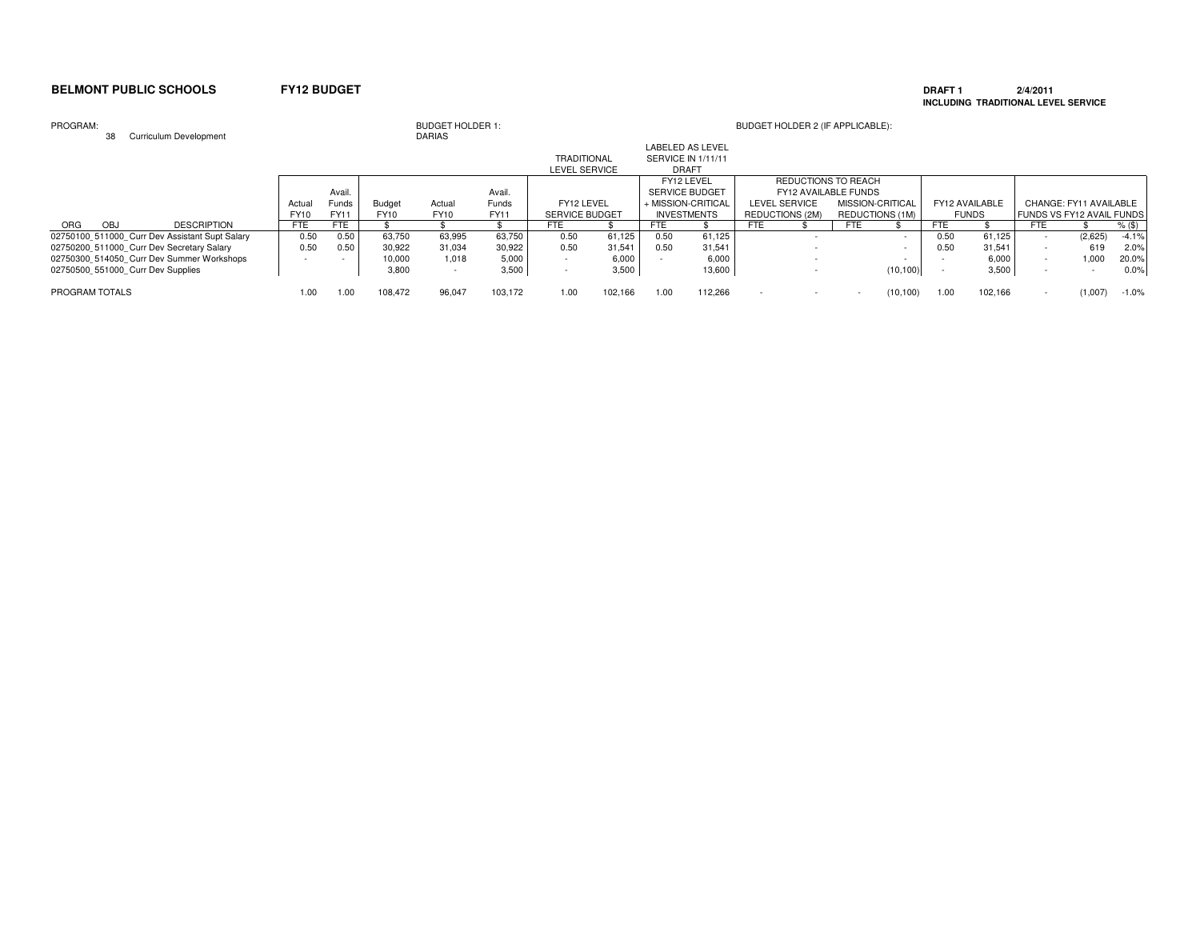### **DRAFT 1 2/4/2011 INCLUDING TRADITIONAL LEVEL SERVICE**

### PROGRAM:

| PROGRAM:                          | 38  | Curriculum Development                         |               |               |                       | <b>BUDGET HOLDER 1:</b><br><b>DARIAS</b> |               |                                            |         |            |                                                               |            | BUDGET HOLDER 2 (IF APPLICABLE):            |                  |                 |                |              |            |                                                     |          |
|-----------------------------------|-----|------------------------------------------------|---------------|---------------|-----------------------|------------------------------------------|---------------|--------------------------------------------|---------|------------|---------------------------------------------------------------|------------|---------------------------------------------|------------------|-----------------|----------------|--------------|------------|-----------------------------------------------------|----------|
|                                   |     |                                                |               |               |                       |                                          |               | <b>TRADITIONAL</b><br><b>LEVEL SERVICE</b> |         |            | <b>LABELED AS LEVEL</b><br>SERVICE IN 1/11/11<br><b>DRAFT</b> |            |                                             |                  |                 |                |              |            |                                                     |          |
|                                   |     |                                                |               | Avail.        |                       |                                          | Avail.        |                                            |         |            | FY12 LEVEL<br><b>SERVICE BUDGET</b>                           |            | REDUCTIONS TO REACH<br>FY12 AVAILABLE FUNDS |                  |                 |                |              |            |                                                     |          |
|                                   |     |                                                | Actua<br>FY10 | Funds<br>FY11 | <b>Budget</b><br>FY10 | Actual<br><b>FY10</b>                    | Funds<br>FY11 | FY12 LEVEL<br><b>SERVICE BUDGET</b>        |         |            | + MISSION-CRITICAL<br><b>INVESTMENTS</b>                      |            | LEVEL SERVICE<br>REDUCTIONS (2M)            | MISSION-CRITICAL | REDUCTIONS (1M) | FY12 AVAILABLE | <b>FUNDS</b> |            | CHANGE: FY11 AVAILABLE<br>FUNDS VS FY12 AVAIL FUNDS |          |
| ORG                               | OBJ | <b>DESCRIPTION</b>                             | FTE           | FTE           |                       |                                          |               | <b>FTE</b>                                 |         | <b>FTE</b> |                                                               | <b>FTE</b> |                                             | <b>FTE</b>       |                 | FTE            |              | <b>FTE</b> |                                                     | $%$ (\$) |
|                                   |     | 02750100 511000 Curr Dev Assistant Supt Salary | 0.50          | 0.50          | 63,750                | 63,995                                   | 63,750        | 0.50                                       | 61,125  | 0.50       | 61,125                                                        |            |                                             |                  |                 | 0.50           | 61,125       |            | (2,625)                                             | $-4.1%$  |
|                                   |     | 02750200 511000 Curr Dev Secretary Salary      | 0.50          | 0.50          | 30,922                | 31,034                                   | 30,922        | 0.50                                       | 31,541  | 0.50       | 31,541                                                        |            |                                             |                  |                 | 0.50           | 31,541       |            | 619                                                 | 2.0%     |
|                                   |     | 02750300 514050 Curr Dev Summer Workshops      |               |               | 10.000                | 1.018                                    | 5,000         |                                            | 6,000   |            | 6.000                                                         |            |                                             |                  |                 |                | 6.000        |            | 1.000                                               | 20.0%    |
| 02750500 551000 Curr Dev Supplies |     |                                                |               |               | 3,800                 | $\overline{\phantom{0}}$                 | 3,500         |                                            | 3,500   |            | 13,600                                                        |            |                                             |                  | (10, 100)       |                | 3,500        |            |                                                     | 0.0%     |
| PROGRAM TOTALS                    |     |                                                | 1.00          | .00           | 108.472               | 96.047                                   | 103.172       | 1.00                                       | 102.166 | 1.00       | 112.266                                                       | $\sim$     |                                             |                  | (10, 100)       | 1.00           | 102,166      |            | (1,007)                                             | $-1.0%$  |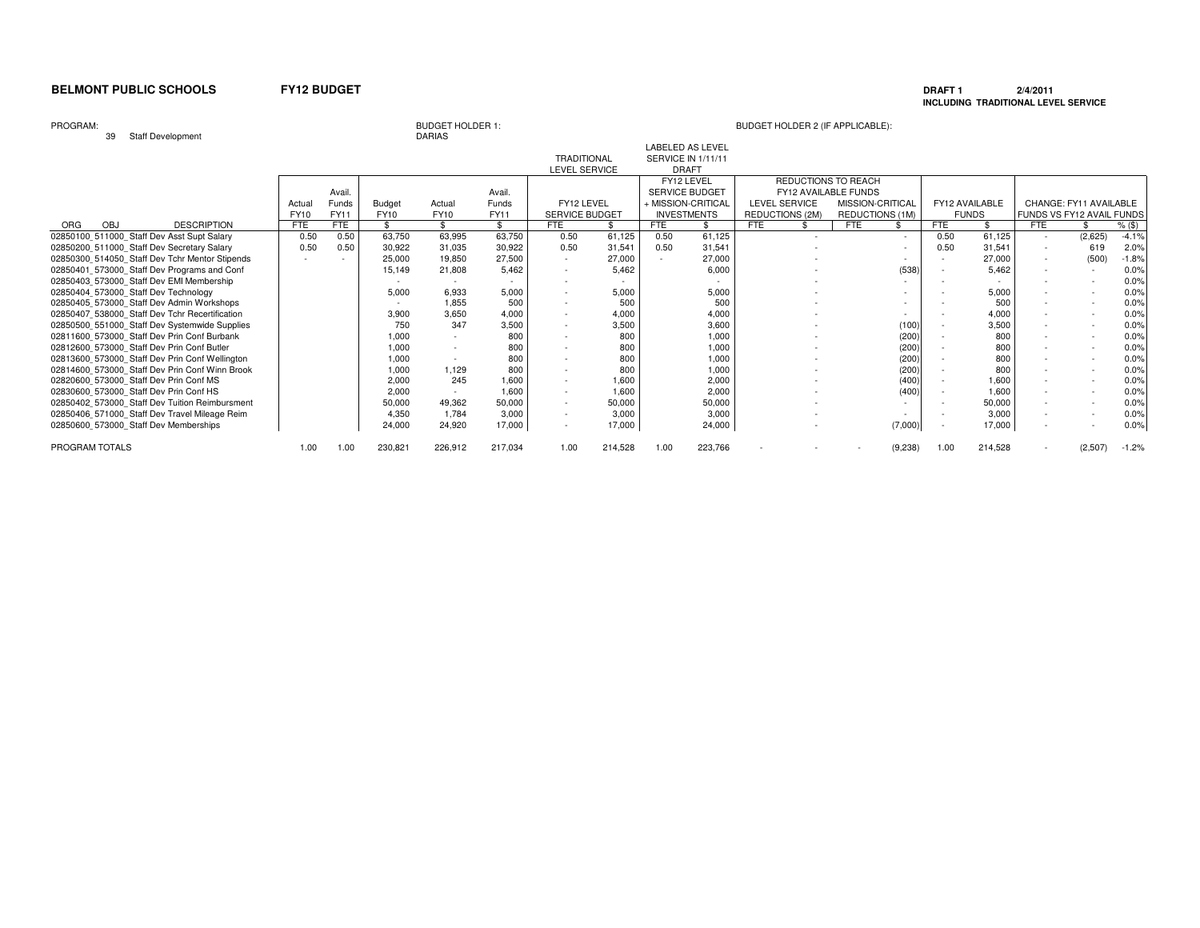### **DRAFT 1 2/4/2011 INCLUDING TRADITIONAL LEVEL SERVICE**

PROGRAM:

39 Staff Development

# BUDGET HOLDER 1:<br>DARIAS

| $-$                                            |            |                          |             |         |               |                          |         |      |                                               |            |                             |                  |         |            |                |            |                           |          |
|------------------------------------------------|------------|--------------------------|-------------|---------|---------------|--------------------------|---------|------|-----------------------------------------------|------------|-----------------------------|------------------|---------|------------|----------------|------------|---------------------------|----------|
|                                                |            |                          |             |         |               | <b>TRADITIONAL</b>       |         |      | <b>LABELED AS LEVEL</b><br>SERVICE IN 1/11/11 |            |                             |                  |         |            |                |            |                           |          |
|                                                |            |                          |             |         |               | LEVEL SERVICE            |         |      | <b>DRAFT</b>                                  |            |                             |                  |         |            |                |            |                           |          |
|                                                |            |                          |             |         |               |                          |         |      | FY12 LEVEL                                    |            | REDUCTIONS TO REACH         |                  |         |            |                |            |                           |          |
|                                                |            | Avail                    |             |         | Avail.        |                          |         |      | <b>SERVICE BUDGET</b>                         |            | <b>FY12 AVAILABLE FUNDS</b> |                  |         |            |                |            |                           |          |
|                                                | Actual     | Funds                    | Budget      | Actual  | <b>Funds</b>  | FY12 LEVEL               |         |      | + MISSION-CRITICAI                            |            | <b>LEVEL SERVICE</b>        | MISSION-CRITICAL |         |            | FY12 AVAILABLE |            | CHANGE: FY11 AVAILABLE    |          |
|                                                | FY10       | FY11                     | <b>FY10</b> | FY10    | FY11          | SERVICE BUDGET           |         |      | <b>INVESTMENTS</b>                            |            | REDUCTIONS (2M)             | REDUCTIONS (1M)  |         |            | <b>FUNDS</b>   |            | FUNDS VS FY12 AVAIL FUNDS |          |
| <b>DESCRIPTION</b><br>OBJ<br>ORG               | <b>FTE</b> | FTE                      | \$          | \$      | $\mathcal{L}$ | FTE                      |         | FTE  |                                               | <b>FTE</b> |                             | <b>FTE</b>       |         | <b>FTE</b> |                | <b>FTE</b> |                           | $%$ (\$) |
| 02850100 511000 Staff Dev Asst Supt Salary     | 0.50       | 0.50                     | 63,750      | 63,995  | 63,750        | 0.50                     | 61,125  | 0.50 | 61,125                                        |            |                             |                  | $\sim$  | 0.50       | 61,125         | $\sim$     | (2,625)                   | $-4.1%$  |
| 02850200 511000 Staff Dev Secretary Salary     | 0.50       | 0.50                     | 30,922      | 31,035  | 30,922        | 0.50                     | 31,541  | 0.50 | 31,541                                        |            |                             |                  |         | 0.50       | 31,541         |            | 619                       | 2.0%     |
| 02850300 514050 Staff Dev Tchr Mentor Stipends |            | $\overline{\phantom{a}}$ | 25,000      | 19,850  | 27,500        | $\sim$                   | 27,000  |      | 27,000                                        |            |                             |                  |         |            | 27,000         | $\sim$     | (500)                     | $-1.8%$  |
| 02850401 573000 Staff Dev Programs and Conf    |            |                          | 15,149      | 21,808  | 5.462         |                          | 5.462   |      | 6,000                                         |            |                             |                  | (538)   |            | 5.462          |            |                           | 0.0%     |
| 02850403 573000 Staff Dev EMI Membership       |            |                          | $\sim$      |         |               |                          |         |      |                                               |            |                             |                  |         |            |                |            |                           | 0.0%     |
| 02850404 573000 Staff Dev Technology           |            |                          | 5,000       | 6,933   | 5,000         |                          | 5,000   |      | 5,000                                         |            |                             |                  |         |            | 5.000          |            |                           | 0.0%     |
| 02850405 573000 Staff Dev Admin Workshops      |            |                          |             | 1,855   | 500           |                          | 500     |      | 500                                           |            |                             |                  |         |            | 500            |            |                           | 0.0%     |
| 02850407 538000 Staff Dev Tchr Recertification |            |                          | 3,900       | 3,650   | 4,000         |                          | 4,000   |      | 4,000                                         |            |                             |                  |         |            | 4,000          |            |                           | 0.0%     |
| 02850500 551000 Staff Dev Systemwide Supplies  |            |                          | 750         | 347     | 3,500         | $\overline{\phantom{a}}$ | 3,500   |      | 3,600                                         |            |                             |                  | (100)   |            | 3.500          |            |                           | 0.0%     |
| 02811600 573000 Staff Dev Prin Conf Burbank    |            |                          | 1,000       |         | 800           |                          | 800     |      | 1,000                                         |            |                             |                  | (200)   |            | 800            |            |                           | 0.0%     |
| 02812600 573000 Staff Dev Prin Conf Butler     |            |                          | 1,000       |         | 800           |                          | 800     |      | 1.000                                         |            |                             |                  | (200)   |            | 800            |            |                           | 0.0%     |
| 02813600 573000 Staff Dev Prin Conf Wellington |            |                          | 1,000       |         | 800           |                          | 800     |      | 1,000                                         |            |                             |                  | (200)   |            | 800            |            |                           | 0.0%     |
| 02814600 573000 Staff Dev Prin Conf Winn Brook |            |                          | 1,000       | 1,129   | 800           |                          | 800     |      | 1,000                                         |            |                             |                  | (200)   |            | 800            |            |                           | 0.0%     |
| 02820600 573000 Staff Dev Prin Conf MS         |            |                          | 2,000       | 245     | 1.600         | $\overline{\phantom{a}}$ | 1.600   |      | 2,000                                         |            |                             |                  | (400)   |            | 1.600          |            |                           | 0.0%     |
| 02830600 573000 Staff Dev Prin Conf HS         |            |                          | 2,000       |         | 1,600         |                          | 1,600   |      | 2,000                                         |            |                             |                  | (400)   |            | 1,600          |            |                           | 0.0%     |
| 02850402 573000 Staff Dev Tuition Reimbursment |            |                          | 50,000      | 49,362  | 50,000        | $\overline{\phantom{a}}$ | 50,000  |      | 50,000                                        |            |                             |                  |         |            | 50,000         |            |                           | 0.0%     |
| 02850406 571000 Staff Dev Travel Mileage Reim  |            |                          | 4,350       | 1,784   | 3,000         | $\overline{\phantom{a}}$ | 3,000   |      | 3,000                                         |            |                             |                  |         |            | 3.000          |            |                           | 0.0%     |
| 02850600 573000 Staff Dev Memberships          |            |                          | 24,000      | 24,920  | 17,000        | $\overline{\phantom{a}}$ | 17,000  |      | 24,000                                        |            |                             |                  | (7,000) |            | 17,000         |            |                           | 0.0%     |
|                                                |            |                          |             |         |               |                          |         |      |                                               |            |                             |                  |         |            |                |            |                           |          |
| PROGRAM TOTALS                                 | 1.00       | 1.00                     | 230,821     | 226,912 | 217,034       | 1.00                     | 214,528 | 1.00 | 223,766                                       |            |                             |                  | (9,238) | 1.00       | 214,528        |            | (2,507)                   | $-1.2%$  |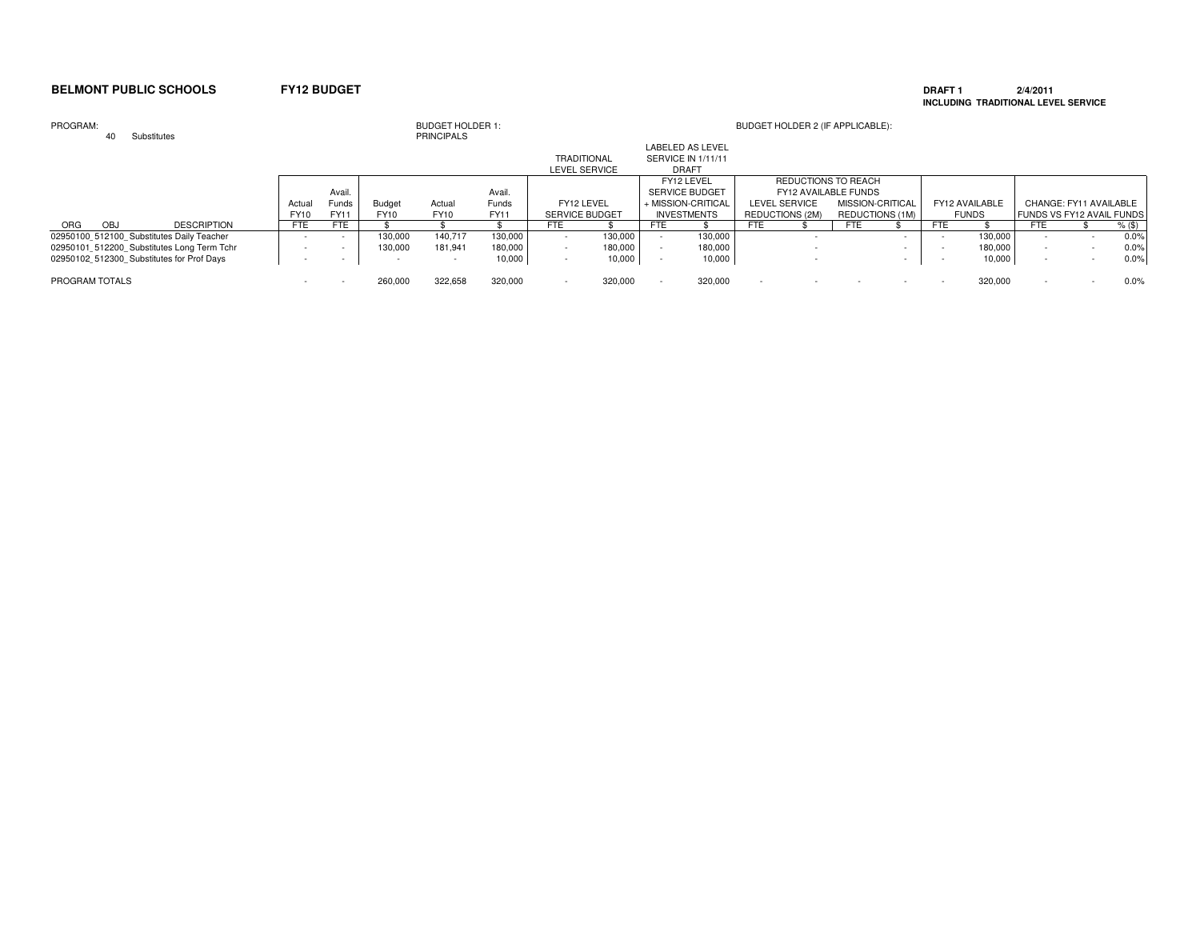### **DRAFT 1 2/4/2011 INCLUDING TRADITIONAL LEVEL SERVICE**

### PROGRAM: BUDGET HOLDER 1: BUDGET HOLDER 2 (IF APPLICABLE): 40 Substitutes**PRINCIPALS** Avail. Avail. Actual Funds Budget Actual Funds<br>FY10 FY11 FY10 FY10 FY11 **FY11** FY10 FY11 FY10 FY10<br>FTE FTE \$ \$  $\sqrt[6]{\frac{4}{5}}$ ORG OBJ DESCRIPTION | FTE FTE | \$ \$ \$ | FTE \$ | FTE \$ | FTE \$ | FTE \$ | FTE \$ | FTE \$ %(\$)  $0.0%$ 02950100\_512100\_Substitutes Daily Teacher - - - - - - - - - - 130,000 140,717 130,000 - - - 130,000 - - - - 130,000 - - - - - - - 130,000 - - - - 130,000 - - - - 130,000 - - - - - 130,000 - - - - 130,000 - - - - 130,000 -  $0.0%$ 02950101\_512200\_Substitutes Long Term Tchr - - | 130,000 181,941 180,000 - 180,000 - 180,000 - - - - 180,000 -<br>02950102\_512300\_Substitutes for Prof Days - - - - - - - 10,000 - 10,000 - 10,000 - 10,000 - - - - 10,000 - - - $0.0%$ 02950102\_\_512300\_\_Substitutes for Prof Days - - - - 10,000 - 10,000 - 10,000 - - - 10,000 - - 0.0%PROGRAM TOTALS **And the Second Second Second Second Second Second Second Second Second Second Second Second Second Second Second Second Second Second Second Second Second Second Second Second Second Second Second Second Se**  - 260,000 322,658 320,000 - 320,000 - 320,000 - - - - - 320,000 - - 0.0%LABELED AS LEVEL TRADITIONAL SERVICE IN 1/11/11LEVEL SERVICE DRAFT FY12 LEVEL FY12 LEVEL REDUCTIONS TO REACH<br>SERVICE BUDGET FY12 AVAILABLE FUNDS SERVICE BUDGET FY12 AVAILABLE FUNDSMISSION-CRITICAL FY12 LEVEL + MISSION-CRITICAL LEVEL SERVICE MISSION-CRITICAL FY12 AVAILABLE CHANGE: FY11 AVAILABLE<br>SERVICE BUDGET NVESTMENTS REDUCTIONS (2M) REDUCTIONS (1M) FUNDS SITY12 AVAIL FUNDS SERVICE BUDGET INVESTMENTS REDUCTIONS (2M) REDUCTIONS (1M) FUNDS FUNDS VS FY12 AVAIL FUNDS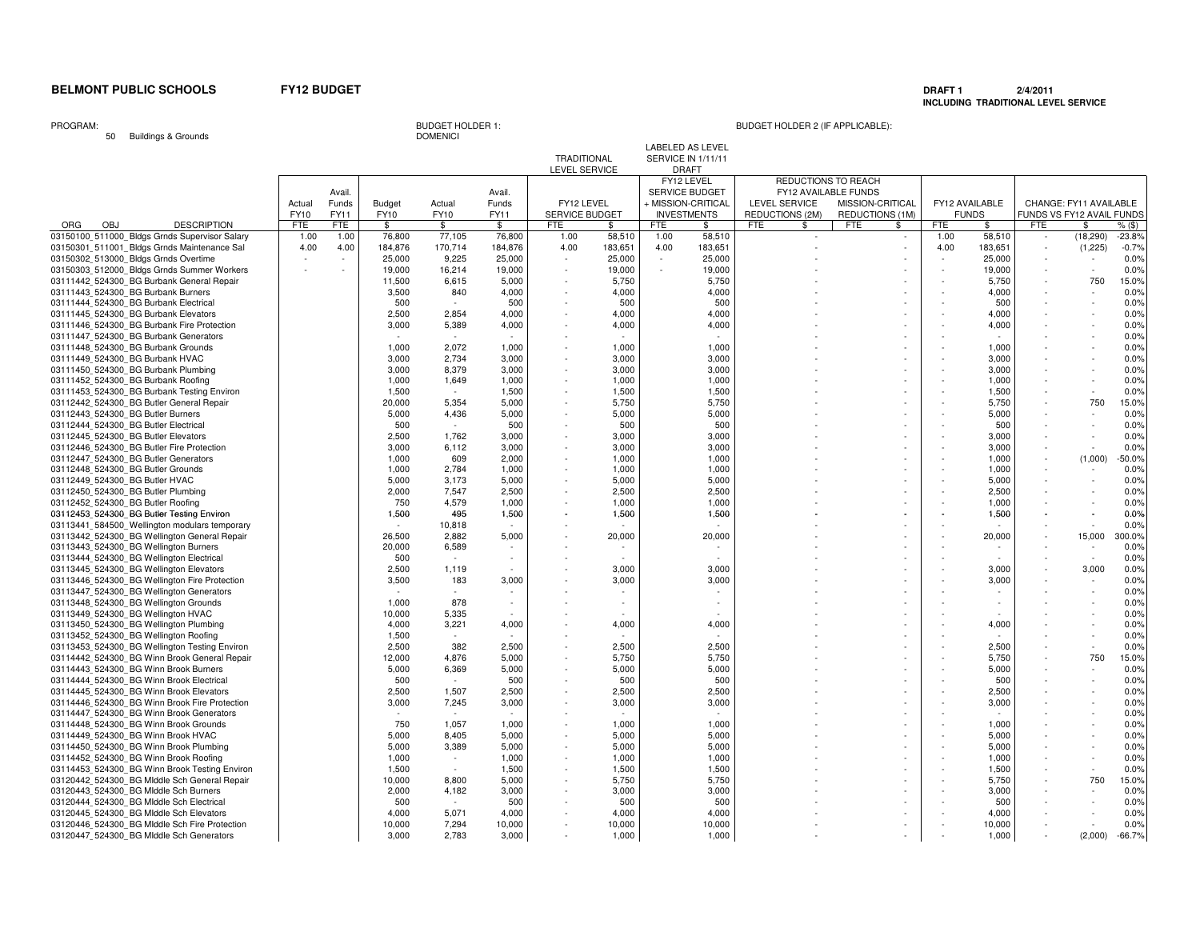### **DRAFT 1 2/4/2011 INCLUDING TRADITIONAL LEVEL SERVICE**

PROGRAM:

50 Buildings & Grounds

**DOMENICI** 

# BUDGET HOLDER 1: BUDGET HOLDER 2 (IF APPLICABLE):

LABELED AS LEVEL

|                                                |            |        |             |               |         | TRADITIONAL              |         |      | SERVICE IN 1/11/11    |                      |                  |      |                |            |                           |              |
|------------------------------------------------|------------|--------|-------------|---------------|---------|--------------------------|---------|------|-----------------------|----------------------|------------------|------|----------------|------------|---------------------------|--------------|
|                                                |            |        |             |               |         | LEVEL SERVICE            |         |      | <b>DRAFT</b>          |                      |                  |      |                |            |                           |              |
|                                                |            |        |             |               |         |                          |         |      | FY12 LEVEL            | REDUCTIONS TO REACH  |                  |      |                |            |                           |              |
|                                                |            | Avail. |             |               | Avail.  |                          |         |      | <b>SERVICE BUDGET</b> | FY12 AVAILABLE FUNDS |                  |      |                |            |                           |              |
|                                                | Actual     | Funds  | Budget      | Actual        | Funds   | FY12 LEVEL               |         |      | + MISSION-CRITICAL    | LEVEL SERVICE        | MISSION-CRITICAL |      | FY12 AVAILABLE |            | CHANGE: FY11 AVAILABLE    |              |
|                                                | FY10       | FY11   | FY10        | FY10          | FY11    | SERVICE BUDGET           |         |      | <b>INVESTMENTS</b>    | REDUCTIONS (2M)      | REDUCTIONS (1M)  |      | <b>FUNDS</b>   |            | FUNDS VS FY12 AVAIL FUNDS |              |
| <b>OBJ</b><br><b>DESCRIPTION</b><br><b>ORG</b> | <b>FTE</b> | FTE    | \$          | \$            | \$      | FTE                      | \$.     | FTE  | \$                    | FTE<br>\$            | <b>FTE</b><br>\$ | FTE  | \$             | <b>FTE</b> | \$                        | $%$ (\$)     |
| 03150100 511000 Bldgs Grnds Supervisor Salary  | 1.00       | 1.00   | 76,800      | 77,105        | 76,800  | 1.00                     | 58,510  | 1.00 | 58,510                |                      |                  | 1.00 | 58,510         |            | (18, 290)                 | $-23.8%$     |
| 03150301 511001 Bldgs Grnds Maintenance Sal    | 4.00       | 4.00   | 184,876     | 170,714       | 184,876 | 4.00                     | 183,651 | 4.00 | 183,651               |                      | $\sim$           | 4.00 | 183,651        |            | (1,225)                   | $-0.7%$      |
| 03150302 513000 Bldgs Grnds Overtime           |            |        | 25,000      | 9,225         | 25,000  |                          | 25,000  |      | 25,000                |                      |                  |      | 25,000         |            |                           | 0.0%         |
| 03150303 512000 Bldgs Grnds Summer Workers     |            |        | 19,000      | 16,214        | 19,000  | $\overline{\phantom{a}}$ | 19,000  |      | 19,000                |                      |                  |      | 19,000         |            |                           | 0.0%         |
| 03111442 524300 BG Burbank General Repair      |            |        | 11,500      | 6,615         | 5,000   | $\sim$                   | 5,750   |      | 5,750                 |                      |                  |      | 5,750          |            | 750                       | 15.0%        |
| 03111443 524300 BG Burbank Burners             |            |        | 3,500       | 840           | 4,000   |                          | 4,000   |      | 4,000                 |                      |                  |      | 4,000          |            |                           | 0.0%         |
| 03111444 524300 BG Burbank Electrical          |            |        |             | $\sim$        | 500     |                          | 500     |      | 500                   |                      |                  |      | 500            |            |                           | 0.0%         |
|                                                |            |        | 500         |               |         |                          |         |      |                       |                      |                  |      |                |            |                           |              |
| 03111445 524300 BG Burbank Elevators           |            |        | 2,500       | 2,854         | 4,000   |                          | 4,000   |      | 4,000                 |                      |                  |      | 4,000          |            |                           | 0.0%         |
| 03111446 524300 BG Burbank Fire Protection     |            |        | 3,000       | 5,389         | 4,000   |                          | 4,000   |      | 4,000                 |                      |                  |      | 4.000          |            |                           | 0.0%         |
| 03111447 524300 BG Burbank Generators          |            |        |             |               |         |                          |         |      |                       |                      |                  |      |                |            |                           | 0.0%         |
| 03111448_524300_BG Burbank Grounds             |            |        | 1.000       | 2.072         | 1.000   |                          | 1.000   |      | 1.000                 |                      |                  |      | 1.000          |            |                           | 0.0%         |
| 03111449 524300 BG Burbank HVAC                |            |        | 3,000       | 2,734         | 3,000   |                          | 3,000   |      | 3,000                 |                      |                  |      | 3,000          |            |                           | 0.0%         |
| 03111450 524300 BG Burbank Plumbing            |            |        | 3,000       | 8,379         | 3,000   |                          | 3,000   |      | 3,000                 |                      |                  |      | 3,000          |            |                           | 0.0%         |
| 03111452 524300 BG Burbank Roofing             |            |        | 1,000       | 1,649         | 1,000   |                          | 1,000   |      | 1,000                 |                      |                  |      | 1,000          |            |                           | 0.0%         |
| 03111453 524300 BG Burbank Testing Environ     |            |        | 1,500       |               | 1,500   |                          | 1,500   |      | 1,500                 |                      |                  |      | 1,500          |            |                           | 0.0%         |
| 03112442 524300 BG Butler General Repair       |            |        | 20,000      | 5,354         | 5,000   |                          | 5,750   |      | 5,750                 |                      |                  |      | 5.750          |            | 750                       | 15.0%        |
| 03112443 524300 BG Butler Burners              |            |        | 5.000       | 4,436         | 5.000   |                          | 5.000   |      | 5.000                 |                      |                  |      | 5.000          |            |                           | 0.0%         |
| 03112444 524300 BG Butler Electrical           |            |        | 500         |               | 500     |                          | 500     |      | 500                   |                      |                  |      | 500            |            |                           | 0.0%         |
| 03112445 524300 BG Butler Elevators            |            |        | 2,500       | 1.762         | 3,000   |                          | 3,000   |      | 3,000                 |                      |                  |      | 3.000          |            |                           | 0.0%         |
| 03112446 524300 BG Butler Fire Protection      |            |        | 3,000       | 6,112         | 3,000   |                          | 3,000   |      | 3,000                 |                      |                  |      | 3,000          |            |                           | 0.0%         |
| 03112447 524300 BG Butler Generators           |            |        | 1,000       | 609           | 2,000   |                          | 1,000   |      | 1,000                 |                      |                  |      | 1,000          |            | (1,000)                   | $-50.0%$     |
| 03112448 524300 BG Butler Grounds              |            |        | 1,000       | 2,784         | 1,000   |                          | 1,000   |      | 1,000                 |                      |                  |      | 1,000          |            |                           | 0.0%         |
| 03112449 524300 BG Butler HVAC                 |            |        | 5,000       | 3,173         | 5,000   |                          | 5,000   |      | 5,000                 |                      |                  |      | 5,000          |            |                           | 0.0%         |
| 03112450 524300 BG Butler Plumbing             |            |        | 2,000       | 7,547         | 2,500   |                          | 2,500   |      | 2,500                 |                      |                  |      | 2.500          |            |                           | 0.0%         |
| 03112452 524300 BG Butler Roofing              |            |        | 750         | 4.579         | 1.000   |                          | 1.000   |      | 1.000                 |                      |                  |      | 1.000          |            |                           | 0.0%         |
| 03112453 524300 BG Butler Testing Environ      |            |        | 1,500       | 495           | 1,500   |                          | 1,500   |      | 1,500                 |                      |                  |      | 1,500          |            |                           | 0.0%         |
| 03113441 584500 Wellington modulars temporary  |            |        | $\sim$      | 10,818        | $\sim$  |                          |         |      |                       |                      |                  |      |                |            |                           | 0.0%         |
| 03113442 524300 BG Wellington General Repair   |            |        | 26,500      | 2,882         | 5,000   |                          | 20,000  |      | 20,000                |                      |                  |      | 20,000         |            | 15,000                    | 300.0%       |
| 03113443 524300 BG Wellington Burners          |            |        | 20,000      | 6,589         |         |                          |         |      |                       |                      |                  |      |                |            |                           | 0.0%         |
| 03113444 524300 BG Wellington Electrical       |            |        | 500         | $\sim$        |         |                          |         |      |                       |                      |                  |      |                |            |                           | 0.0%         |
|                                                |            |        |             |               |         |                          | 3.000   |      |                       |                      |                  |      | 3.000          |            |                           |              |
| 03113445 524300 BG Wellington Elevators        |            |        | 2,500       | 1,119         |         |                          |         |      | 3,000                 |                      |                  |      |                |            | 3,000                     | 0.0%<br>0.0% |
| 03113446 524300 BG Wellington Fire Protection  |            |        | 3,500<br>n. | 183<br>$\sim$ | 3,000   |                          | 3,000   |      | 3,000                 |                      |                  |      | 3,000          |            |                           |              |
| 03113447 524300 BG Wellington Generators       |            |        |             |               | $\sim$  |                          | $\sim$  |      |                       |                      |                  |      |                |            |                           | 0.0%         |
| 03113448 524300 BG Wellington Grounds          |            |        | 1,000       | 878           |         |                          | $\sim$  |      |                       |                      |                  |      |                |            |                           | 0.0%         |
| 03113449 524300 BG Wellington HVAC             |            |        | 10,000      | 5,335         |         |                          |         |      |                       |                      |                  |      |                |            |                           | 0.0%         |
| 03113450 524300 BG Wellington Plumbing         |            |        | 4,000       | 3,221         | 4,000   |                          | 4,000   |      | 4,000                 |                      |                  |      | 4,000          |            |                           | 0.0%         |
| 03113452 524300 BG Wellington Roofing          |            |        | 1.500       | $\sim$        | $\sim$  |                          |         |      |                       |                      |                  |      |                |            |                           | 0.0%         |
| 03113453_524300_BG Wellington Testing Environ  |            |        | 2,500       | 382           | 2,500   |                          | 2,500   |      | 2,500                 |                      |                  |      | 2,500          |            |                           | 0.0%         |
| 03114442 524300 BG Winn Brook General Repair   |            |        | 12,000      | 4,876         | 5,000   |                          | 5,750   |      | 5,750                 |                      |                  |      | 5,750          |            | 750                       | 15.0%        |
| 03114443 524300 BG Winn Brook Burners          |            |        | 5,000       | 6,369         | 5,000   |                          | 5,000   |      | 5,000                 |                      |                  |      | 5,000          |            |                           | 0.0%         |
| 03114444 524300 BG Winn Brook Electrical       |            |        | 500         | $\sim$        | 500     |                          | 500     |      | 500                   |                      |                  |      | 500            |            |                           | 0.0%         |
| 03114445 524300 BG Winn Brook Elevators        |            |        | 2,500       | 1,507         | 2,500   |                          | 2,500   |      | 2,500                 |                      |                  |      | 2,500          |            |                           | 0.0%         |
| 03114446 524300 BG Winn Brook Fire Protection  |            |        | 3,000       | 7,245         | 3,000   |                          | 3,000   |      | 3,000                 |                      |                  |      | 3,000          |            |                           | 0.0%         |
| 03114447 524300 BG Winn Brook Generators       |            |        |             |               |         |                          |         |      |                       |                      |                  |      |                |            |                           | 0.0%         |
| 03114448 524300 BG Winn Brook Grounds          |            |        | 750         | 1.057         | 1.000   |                          | 1.000   |      | 1.000                 |                      |                  |      | 1.000          |            |                           | 0.0%         |
| 03114449 524300 BG Winn Brook HVAC             |            |        | 5,000       | 8,405         | 5,000   |                          | 5.000   |      | 5.000                 |                      |                  |      | 5.000          |            |                           | 0.0%         |
| 03114450 524300 BG Winn Brook Plumbing         |            |        | 5,000       | 3,389         | 5,000   |                          | 5,000   |      | 5,000                 |                      |                  |      | 5,000          |            |                           | 0.0%         |
| 03114452_524300_BG Winn Brook Roofing          |            |        | 1,000       | $\sim$        | 1,000   |                          | 1,000   |      | 1,000                 |                      |                  |      | 1,000          |            |                           | 0.0%         |
| 03114453_524300_BG Winn Brook Testing Environ  |            |        | 1,500       | $\sim$        | 1,500   |                          | 1,500   |      | 1,500                 |                      |                  |      | 1,500          |            |                           | 0.0%         |
| 03120442 524300 BG Middle Sch General Repair   |            |        | 10,000      | 8,800         | 5,000   |                          | 5,750   |      | 5,750                 |                      |                  |      | 5,750          |            | 750                       | 15.0%        |
| 03120443 524300 BG Middle Sch Burners          |            |        | 2,000       | 4,182         | 3,000   |                          | 3,000   |      | 3,000                 |                      |                  |      | 3,000          |            |                           | 0.0%         |
| 03120444 524300 BG MIddle Sch Electrical       |            |        | 500         |               | 500     |                          | 500     |      | 500                   |                      |                  |      | 500            |            |                           | 0.0%         |
| 03120445 524300 BG Middle Sch Elevators        |            |        | 4,000       | 5,071         | 4,000   |                          | 4,000   |      | 4,000                 |                      |                  |      | 4,000          |            |                           | 0.0%         |
| 03120446 524300 BG Middle Sch Fire Protection  |            |        | 10.000      | 7.294         | 10,000  |                          | 10.000  |      | 10,000                |                      |                  |      | 10.000         |            |                           | 0.0%         |
| 03120447 524300 BG Middle Sch Generators       |            |        | 3.000       | 2.783         | 3.000   |                          | 1.000   |      | 1,000                 |                      |                  |      | 1.000          |            | (2,000)                   | $-66.7%$     |
|                                                |            |        |             |               |         |                          |         |      |                       |                      |                  |      |                |            |                           |              |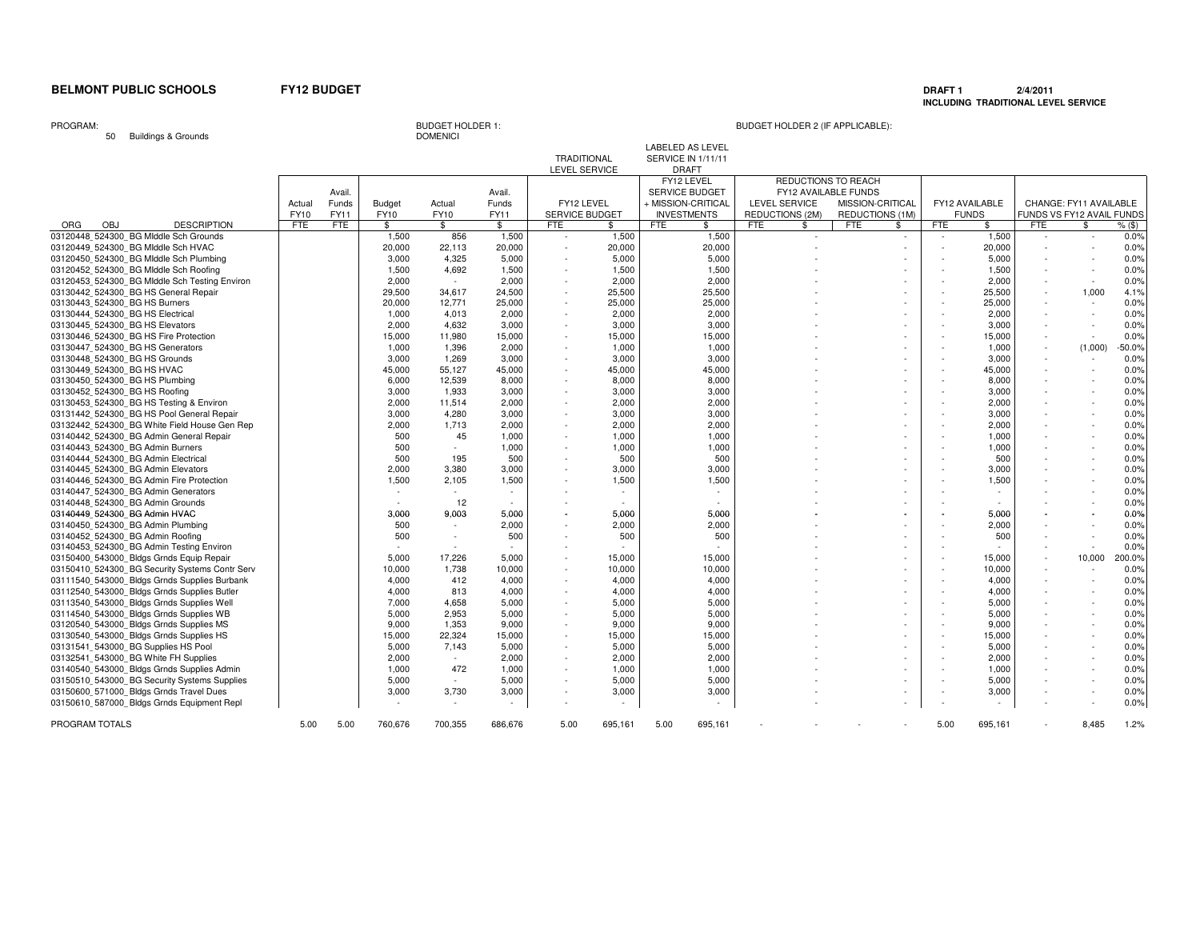### **DRAFT 1 2/4/2011 INCLUDING TRADITIONAL LEVEL SERVICE**

PROGRAM:

50 Buildings & Grounds

# BUDGET HOLDER 1:<br>DOMENICI

# BUDGET HOLDER 2 (IF APPLICABLE):

LABELED AS LEVEL

|                                                |        |            |               |         |         | TRADITIONAL              |                          | SERVICE IN 1/11/11    |         |            |                          |                  |              |            |                          |     |                           |          |
|------------------------------------------------|--------|------------|---------------|---------|---------|--------------------------|--------------------------|-----------------------|---------|------------|--------------------------|------------------|--------------|------------|--------------------------|-----|---------------------------|----------|
|                                                |        |            |               |         |         | <b>LEVEL SERVICE</b>     |                          | <b>DRAFT</b>          |         |            |                          |                  |              |            |                          |     |                           |          |
|                                                |        |            |               |         |         |                          |                          | FY12 LEVEL            |         |            | REDUCTIONS TO REACH      |                  |              |            |                          |     |                           |          |
|                                                |        | Avail.     |               |         | Avail.  |                          |                          | <b>SERVICE BUDGET</b> |         |            | FY12 AVAILABLE FUNDS     |                  |              |            |                          |     |                           |          |
|                                                | Actual | Funds      | <b>Budget</b> | Actual  | Funds   | FY12 LEVEL               |                          | + MISSION-CRITICAL    |         |            | <b>LEVEL SERVICE</b>     | MISSION-CRITICAL |              |            | FY12 AVAILABLE           |     | CHANGE: FY11 AVAILABLE    |          |
|                                                | FY10   | FY11       | FY10          | FY10    | FY11    | SERVICE BUDGET           |                          | <b>INVESTMENTS</b>    |         |            | REDUCTIONS (2M)          | REDUCTIONS (1M)  |              |            | <b>FUNDS</b>             |     | FUNDS VS FY12 AVAIL FUNDS |          |
| <b>ORG</b><br><b>OBJ</b><br><b>DESCRIPTION</b> | FTE    | <b>FTE</b> | \$            | \$      | \$      | FTE                      | \$.                      | FTE                   | \$      | <b>FTE</b> | \$                       | FTE              | $\mathbb{S}$ | <b>FTE</b> | \$                       | FTE | $\mathbf{\$}$             |          |
| 03120448 524300 BG MIddle Sch Grounds          |        |            |               |         |         |                          |                          |                       |         |            |                          |                  |              |            |                          |     | $\sim$                    | $%$ (\$) |
|                                                |        |            | 1,500         | 856     | 1,500   | $\sim$                   | 1,500                    |                       | 1,500   |            | $\overline{\phantom{a}}$ |                  | $\sim$       | $\sim$     | 1,500                    |     |                           | 0.0%     |
| 03120449 524300 BG Middle Sch HVAC             |        |            | 20,000        | 22,113  | 20,000  | $\sim$                   | 20,000                   |                       | 20,000  |            |                          |                  |              |            | 20,000                   |     |                           | 0.0%     |
| 03120450 524300 BG Middle Sch Plumbing         |        |            | 3,000         | 4,325   | 5,000   | $\sim$                   | 5,000                    |                       | 5,000   |            |                          |                  | $\sim$       |            | 5,000                    |     |                           | 0.0%     |
| 03120452 524300 BG MIddle Sch Roofing          |        |            | 1,500         | 4,692   | 1,500   |                          | 1,500                    |                       | 1,500   |            |                          |                  |              |            | 1,500                    |     |                           | 0.0%     |
| 03120453 524300 BG Middle Sch Testing Environ  |        |            | 2.000         | $\sim$  | 2,000   | $\sim$                   | 2,000                    |                       | 2,000   |            |                          |                  | $\sim$       |            | 2.000                    |     | $\sim$                    | 0.0%     |
| 03130442 524300 BG HS General Repair           |        |            | 29,500        | 34,617  | 24,500  |                          | 25,500                   |                       | 25,500  |            |                          |                  | ٠            |            | 25,500                   |     | 1,000                     | 4.1%     |
| 03130443_524300_BG HS Burners                  |        |            | 20,000        | 12,771  | 25,000  | $\sim$                   | 25,000                   |                       | 25,000  |            |                          |                  | $\sim$       |            | 25,000                   |     | $\sim$                    | 0.0%     |
| 03130444 524300 BG HS Electrical               |        |            | 1,000         | 4,013   | 2,000   |                          | 2,000                    |                       | 2,000   |            |                          |                  |              |            | 2,000                    |     |                           | 0.0%     |
| 03130445_524300_BG HS Elevators                |        |            | 2,000         | 4.632   | 3,000   | $\sim$                   | 3,000                    |                       | 3,000   |            |                          |                  |              |            | 3,000                    |     |                           | 0.0%     |
| 03130446 524300 BG HS Fire Protection          |        |            | 15,000        | 11,980  | 15,000  |                          | 15,000                   |                       | 15,000  |            |                          |                  |              |            | 15,000                   |     |                           | 0.0%     |
| 03130447 524300 BG HS Generators               |        |            | 1,000         | 1,396   | 2,000   |                          | 1,000                    |                       | 1,000   |            |                          |                  |              |            | 1,000                    |     | (1,000)                   | $-50.0%$ |
| 03130448 524300 BG HS Grounds                  |        |            | 3.000         | 1.269   | 3,000   | $\sim$                   | 3.000                    |                       | 3,000   |            |                          |                  |              |            | 3.000                    |     |                           | 0.0%     |
| 03130449 524300 BG HS HVAC                     |        |            | 45,000        | 55,127  | 45,000  |                          | 45,000                   |                       | 45,000  |            |                          |                  |              |            | 45,000                   |     |                           | 0.0%     |
| 03130450 524300 BG HS Plumbing                 |        |            | 6,000         | 12,539  | 8,000   | $\sim$                   | 8,000                    |                       | 8,000   |            |                          |                  |              |            | 8.000                    |     |                           | 0.0%     |
| 03130452 524300 BG HS Roofing                  |        |            | 3,000         | 1,933   | 3,000   |                          | 3,000                    |                       | 3,000   |            |                          |                  |              |            | 3,000                    |     |                           | 0.0%     |
| 03130453 524300 BG HS Testing & Environ        |        |            | 2,000         | 11,514  | 2,000   | $\sim$                   | 2,000                    |                       | 2,000   |            |                          |                  |              |            | 2,000                    |     |                           | 0.0%     |
| 03131442 524300 BG HS Pool General Repair      |        |            | 3,000         |         | 3,000   |                          | 3,000                    |                       | 3,000   |            |                          |                  |              |            | 3,000                    |     |                           | 0.0%     |
|                                                |        |            |               | 4,280   |         |                          |                          |                       |         |            |                          |                  |              |            |                          |     |                           |          |
| 03132442 524300 BG White Field House Gen Rep   |        |            | 2,000         | 1,713   | 2,000   |                          | 2,000                    |                       | 2,000   |            |                          |                  |              |            | 2,000                    |     |                           | 0.0%     |
| 03140442 524300 BG Admin General Repair        |        |            | 500           | 45      | 1.000   |                          | 1.000                    |                       | 1.000   |            |                          |                  |              |            | 1.000                    |     |                           | 0.0%     |
| 03140443 524300 BG Admin Burners               |        |            | 500           | $\sim$  | 1,000   |                          | 1,000                    |                       | 1,000   |            |                          |                  |              |            | 1,000                    |     |                           | 0.0%     |
| 03140444 524300 BG Admin Electrical            |        |            | 500           | 195     | 500     | $\overline{\phantom{a}}$ | 500                      |                       | 500     |            |                          |                  | ٠            |            | 500                      |     |                           | 0.0%     |
| 03140445 524300 BG Admin Elevators             |        |            | 2,000         | 3,380   | 3,000   |                          | 3,000                    |                       | 3,000   |            |                          |                  |              |            | 3,000                    |     |                           | 0.0%     |
| 03140446 524300 BG Admin Fire Protection       |        |            | 1,500         | 2,105   | 1,500   |                          | 1,500                    |                       | 1,500   |            |                          |                  |              |            | 1,500                    |     |                           | 0.0%     |
| 03140447 524300 BG Admin Generators            |        |            |               |         |         |                          | $\overline{\phantom{a}}$ |                       |         |            |                          |                  |              |            |                          |     |                           | 0.0%     |
| 03140448 524300 BG Admin Grounds               |        |            | $\sim$        | 12      |         |                          | $\sim$                   |                       |         |            |                          |                  |              |            | $\overline{\phantom{a}}$ |     |                           | 0.0%     |
| 03140449 524300 BG Admin HVAC                  |        |            | 3,000         | 9,003   | 5,000   |                          | 5,000                    |                       | 5,000   |            |                          |                  |              |            | 5,000                    |     |                           | 0.0%     |
| 03140450 524300 BG Admin Plumbing              |        |            | 500           | $\sim$  | 2,000   |                          | 2,000                    |                       | 2,000   |            |                          |                  |              |            | 2,000                    |     |                           | 0.0%     |
| 03140452 524300 BG Admin Roofing               |        |            | 500           | $\sim$  | 500     |                          | 500                      |                       | 500     |            |                          |                  |              |            | 500                      |     |                           | 0.0%     |
| 03140453 524300 BG Admin Testing Environ       |        |            |               | i a     |         |                          | $\sim$                   |                       |         |            |                          |                  |              |            |                          |     |                           | 0.0%     |
| 03150400 543000 Bldgs Grnds Equip Repair       |        |            | 5,000         | 17,226  | 5,000   |                          | 15,000                   |                       | 15,000  |            |                          |                  |              |            | 15,000                   |     | 10,000                    | 200.0%   |
| 03150410 524300 BG Security Systems Contr Serv |        |            | 10,000        | 1,738   | 10,000  |                          | 10,000                   |                       | 10,000  |            |                          |                  |              |            | 10,000                   |     |                           | 0.0%     |
| 03111540 543000 Bldgs Grnds Supplies Burbank   |        |            | 4.000         | 412     | 4,000   |                          | 4,000                    |                       | 4,000   |            |                          |                  | ٠            |            | 4,000                    |     | $\sim$                    | 0.0%     |
| 03112540 543000 Bldgs Grnds Supplies Butler    |        |            | 4.000         | 813     | 4,000   |                          | 4,000                    |                       | 4,000   |            |                          |                  |              |            | 4.000                    |     |                           | 0.0%     |
| 03113540 543000 Bldgs Grnds Supplies Well      |        |            | 7,000         | 4,658   | 5,000   | $\overline{\phantom{a}}$ | 5,000                    |                       | 5,000   |            |                          |                  |              |            | 5,000                    |     |                           | 0.0%     |
| 03114540 543000 Bldgs Grnds Supplies WB        |        |            | 5,000         | 2,953   | 5,000   |                          | 5,000                    |                       | 5,000   |            |                          |                  |              |            | 5,000                    |     |                           | 0.0%     |
| 03120540 543000 Bldgs Grnds Supplies MS        |        |            | 9,000         | 1,353   | 9,000   |                          | 9,000                    |                       | 9,000   |            |                          |                  |              |            | 9,000                    |     |                           | 0.0%     |
|                                                |        |            |               |         |         |                          |                          |                       |         |            |                          |                  |              |            |                          |     |                           |          |
| 03130540 543000 Bldgs Grnds Supplies HS        |        |            | 15,000        | 22,324  | 15,000  |                          | 15,000                   |                       | 15,000  |            |                          |                  |              |            | 15,000                   |     |                           | 0.0%     |
| 03131541 543000 BG Supplies HS Pool            |        |            | 5,000         | 7,143   | 5,000   |                          | 5,000                    |                       | 5,000   |            |                          |                  |              |            | 5,000                    |     |                           | 0.0%     |
| 03132541_543000_BG White FH Supplies           |        |            | 2,000         | $\sim$  | 2,000   | $\sim$                   | 2,000                    |                       | 2,000   |            |                          |                  |              |            | 2,000                    |     |                           | 0.0%     |
| 03140540_543000_Bldgs Grnds Supplies Admin     |        |            | 1,000         | 472     | 1,000   |                          | 1,000                    |                       | 1,000   |            |                          |                  |              |            | 1,000                    |     |                           | 0.0%     |
| 03150510_543000_BG Security Systems Supplies   |        |            | 5,000         | $\sim$  | 5,000   |                          | 5,000                    |                       | 5,000   |            |                          |                  |              |            | 5,000                    |     |                           | 0.0%     |
| 03150600_571000_Bldgs Grnds Travel Dues        |        |            | 3,000         | 3,730   | 3,000   |                          | 3,000                    |                       | 3,000   |            |                          |                  | $\sim$       |            | 3,000                    |     |                           | 0.0%     |
| 03150610 587000 Bldgs Grnds Equipment Repl     |        |            |               |         |         |                          | $\sim$                   |                       |         |            |                          |                  |              |            |                          |     |                           | 0.0%     |
|                                                |        |            |               |         |         |                          |                          |                       |         |            |                          |                  |              |            |                          |     |                           |          |
| PROGRAM TOTALS                                 | 5.00   | 5.00       | 760.676       | 700.355 | 686.676 | 5.00                     | 695,161                  | 5.00                  | 695.161 |            |                          |                  |              | 5.00       | 695.161                  |     | 8.485                     | 1.2%     |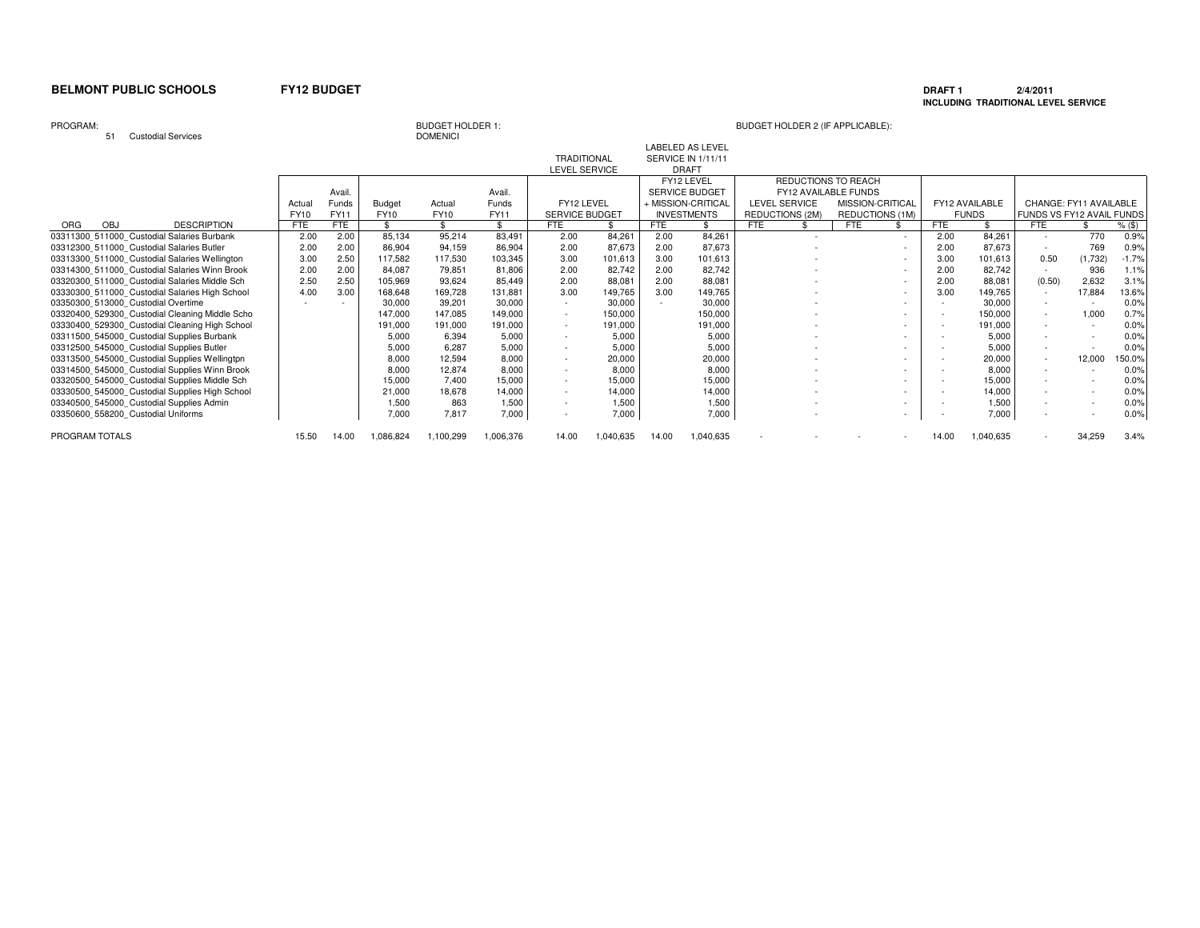### **DRAFT 1 2/4/2011 INCLUDING TRADITIONAL LEVEL SERVICE**

### PROGRAM:

51 Custodial Services

# **DOMENICI**

|                                                |             |        |               |           |           |                       |           |            | <b>LABELED AS LEVEL</b>   |                      |                  |            |                |                           |                        |          |
|------------------------------------------------|-------------|--------|---------------|-----------|-----------|-----------------------|-----------|------------|---------------------------|----------------------|------------------|------------|----------------|---------------------------|------------------------|----------|
|                                                |             |        |               |           |           | <b>TRADITIONAL</b>    |           |            | <b>SERVICE IN 1/11/11</b> |                      |                  |            |                |                           |                        |          |
|                                                |             |        |               |           |           | LEVEL SERVICE         |           |            | <b>DRAFT</b>              |                      |                  |            |                |                           |                        |          |
|                                                |             |        |               |           |           |                       |           |            | FY12 LEVEL                | REDUCTIONS TO REACH  |                  |            |                |                           |                        |          |
|                                                |             | Avail. |               |           | Avail.    |                       |           |            | <b>SERVICE BUDGET</b>     | FY12 AVAILABLE FUNDS |                  |            |                |                           |                        |          |
|                                                | Actua       | Funds  | <b>Budget</b> | Actual    | Funds     | FY12 LEVEL            |           |            | + MISSION-CRITICAL        | LEVEL SERVICE        | MISSION-CRITICAL |            | FY12 AVAILABLE |                           | CHANGE: FY11 AVAILABLE |          |
|                                                | <b>FY10</b> | FY11   | <b>FY10</b>   | FY10      | FY11      | <b>SERVICE BUDGET</b> |           |            | <b>INVESTMENTS</b>        | REDUCTIONS (2M)      | REDUCTIONS (1M)  |            | <b>FUNDS</b>   | FUNDS VS FY12 AVAIL FUNDS |                        |          |
| <b>OBJ</b><br><b>DESCRIPTION</b><br><b>ORG</b> | <b>FTE</b>  | FTE    |               |           | \$.       | <b>FTE</b>            |           | <b>FTE</b> |                           | <b>FTE</b>           | <b>FTE</b>       | <b>FTE</b> |                | <b>FTE</b>                |                        | $%$ (\$) |
| 03311300_511000_Custodial Salaries Burbank     | 2.00        | 2.00   | 85,134        | 95,214    | 83,491    | 2.00                  | 84.261    | 2.00       | 84,261                    |                      | $\sim$           | 2.00       | 84.261         |                           | 770                    | 0.9%     |
| 03312300 511000 Custodial Salaries Butler      | 2.00        | 2.00   | 86,904        | 94,159    | 86,904    | 2.00                  | 87,673    | 2.00       | 87,673                    |                      | $\sim$           | 2.00       | 87,673         |                           | 769                    | 0.9%     |
| 03313300 511000 Custodial Salaries Wellington  | 3.00        | 2.50   | 117,582       | 117,530   | 103,345   | 3.00                  | 101,613   | 3.00       | 101,613                   |                      | $\sim$           | 3.00       | 101,613        | 0.50                      | (1,732)                | $-1.7%$  |
| 03314300 511000 Custodial Salaries Winn Brook  | 2.00        | 2.00   | 84,087        | 79,851    | 81,806    | 2.00                  | 82,742    | 2.00       | 82,742                    |                      | $\sim$           | 2.00       | 82,742         |                           | 936                    | 1.1%     |
| 03320300 511000 Custodial Salaries Middle Sch  | 2.5C        | 2.50   | 105,969       | 93,624    | 85,449    | 2.00                  | 88,081    | 2.00       | 88,081                    |                      | $\sim$           | 2.00       | 88,081         | (0.50)                    | 2,632                  | 3.1%     |
| 03330300 511000 Custodial Salaries High School | 4.00        | 3.00   | 168.648       | 169,728   | 131,881   | 3.00                  | 149,765   | 3.00       | 149,765                   |                      | $\sim$           | 3.00       | 149,765        |                           | 17,884                 | 13.6%    |
| 03350300 513000 Custodial Overtime             |             |        | 30,000        | 39,201    | 30,000    | $\sim$                | 30,000    |            | 30,000                    |                      | $\sim$           |            | 30,000         |                           |                        | 0.0%     |
| 03320400 529300 Custodial Cleaning Middle Scho |             |        | 147.000       | 147.085   | 149,000   | $\sim$                | 150,000   |            | 150,000                   |                      | $\sim$           |            | 150,000        | $\overline{\phantom{a}}$  | 1.000                  | 0.7%     |
| 03330400 529300 Custodial Cleaning High School |             |        | 191,000       | 191,000   | 191,000   | $\sim$                | 191,000   |            | 191,000                   |                      | $\sim$           |            | 191,000        |                           |                        | 0.0%     |
| 03311500 545000 Custodial Supplies Burbank     |             |        | 5,000         | 6,394     | 5,000     | $\sim$                | 5,000     |            | 5,000                     |                      | $\sim$           |            | 5,000          |                           |                        | 0.0%     |
| 03312500 545000 Custodial Supplies Butler      |             |        | 5,000         | 6.287     | 5,000     | $\sim$                | 5,000     |            | 5,000                     |                      | $\sim$           |            | 5,000          |                           |                        | 0.0%     |
| 03313500 545000 Custodial Supplies Wellingtpn  |             |        | 8,000         | 12,594    | 8.000     | $\sim$                | 20,000    |            | 20,000                    |                      | $\sim$           |            | 20,000         |                           | 12,000                 | 150.0%   |
| 03314500_545000_Custodial Supplies Winn Brook  |             |        | 8,000         | 12,874    | 8,000     | $\sim$                | 8,000     |            | 8,000                     |                      |                  |            | 8,000          |                           |                        | 0.0%     |
| 03320500 545000 Custodial Supplies Middle Sch  |             |        | 15,000        | 7,400     | 15,000    | $\sim$                | 15,000    |            | 15,000                    |                      | $\sim$           |            | 15,000         |                           |                        | 0.0%     |
| 03330500 545000 Custodial Supplies High School |             |        | 21,000        | 18,678    | 14,000    | $\sim$                | 14,000    |            | 14,000                    |                      | $\sim$           |            | 14.000         |                           |                        | 0.0%     |
| 03340500 545000 Custodial Supplies Admin       |             |        | 1,500         | 863       | 1.500     | $\sim$                | 1,500     |            | 1,500                     |                      | $\sim$           |            | 1.500          |                           |                        | 0.0%     |
| 03350600 558200 Custodial Uniforms             |             |        | 7.000         | 7.817     | 7,000     |                       | 7,000     |            | 7,000                     |                      | $\sim$           |            | 7,000          |                           |                        | 0.0%     |
| PROGRAM TOTALS                                 | 15.50       | 14.00  | 1,086,824     | 1,100,299 | 1,006,376 | 14.00                 | 1,040,635 | 14.00      | 1,040,635                 |                      |                  | 14.00      | 1,040,635      |                           | 34,259                 | 3.4%     |
|                                                |             |        |               |           |           |                       |           |            |                           |                      |                  |            |                |                           |                        |          |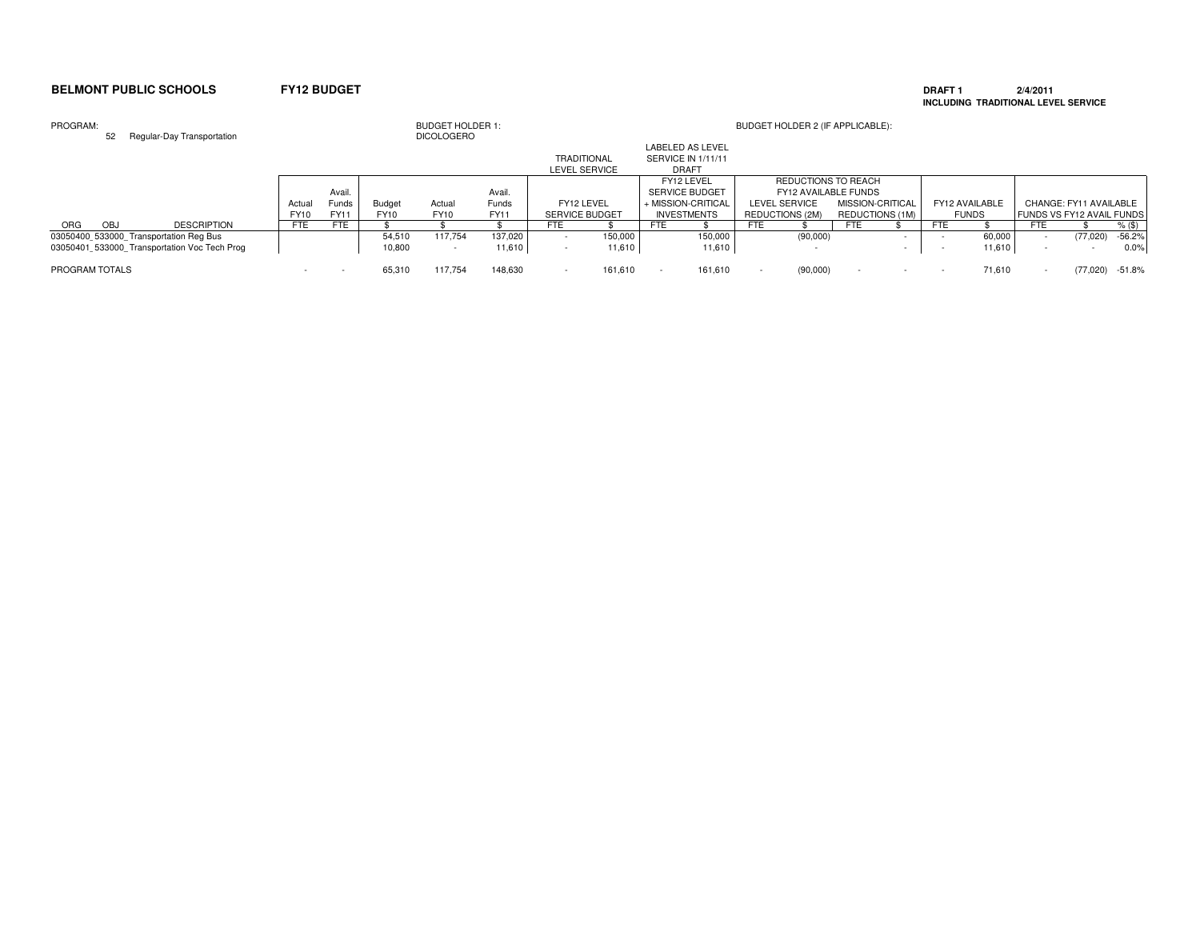### **DRAFT 1 2/4/2011 INCLUDING TRADITIONAL LEVEL SERVICE**

### PROGRAM: BUDGET HOLDER 1: BUDGET HOLDER 2 (IF APPLICABLE): 52 Regular-Day Transportation DICOLOGEROAvail. Avail. Actual Funds Budget Actual Funds<br>FY10 FY11 FY10 FY10 FY11 **FY11** FY10 FY11 FY10 FY10<br>FTE FTE \$ \$  $\sqrt[6]{\frac{4}{5}}$ ORG OBJ DESCRIPTION | FTE FTE | \$ \$ \$ | FTE \$ | FTE \$ | FTE \$ | FTE \$ | FTE \$ | FTE \$ %(\$)  $-56.2%$ 03050400\_533000\_Transportation Reg Bus<br>03050400\_533000\_Transportation Reg Bus<br>10.800 10.800 117,754 54,510 117,754 137,020 - 150,000 150,000 150,000 (90,000) - 150,000 - (77,020) -56.2%  $0.0%$ 03050401 533000 Transportation Voc Tech Prog 10,800 - 11,610 - 11,610 - 11,610 - 11,610 - - - 11,610 - - - - 1 PROGRAM TOTALS - 65,310 117,754 148,630 - 161,610 - 161,610 - (90,000) - - - 71,610 - (77,020) -51.8%LABELED AS LEVEL TRADITIONAL SERVICE IN 1/11/11LEVEL SERVICE DRAFT FY12 LEVEL FY12 LEVEL REDUCTIONS TO REACH<br>SERVICE BUDGET FY12 AVAILABLE FUNDS SERVICE BUDGET FY12 AVAILABLE FUNDSMISSION-CRITICAL FY12 LEVEL + MISSION-CRITICAL LEVEL SERVICE MISSION-CRITICAL FY12 AVAILABLE CHANGE: FY11 AVAILABLE<br>SERVICE BUDGET NVESTMENTS REDUCTIONS (2M) REDUCTIONS (1M) FUNDS SITY12 AVAIL FUNDS SERVICE BUDGET INVESTMENTS REDUCTIONS (2M) REDUCTIONS (1M) FUNDS FUNDS VS FY12 AVAIL FUNDS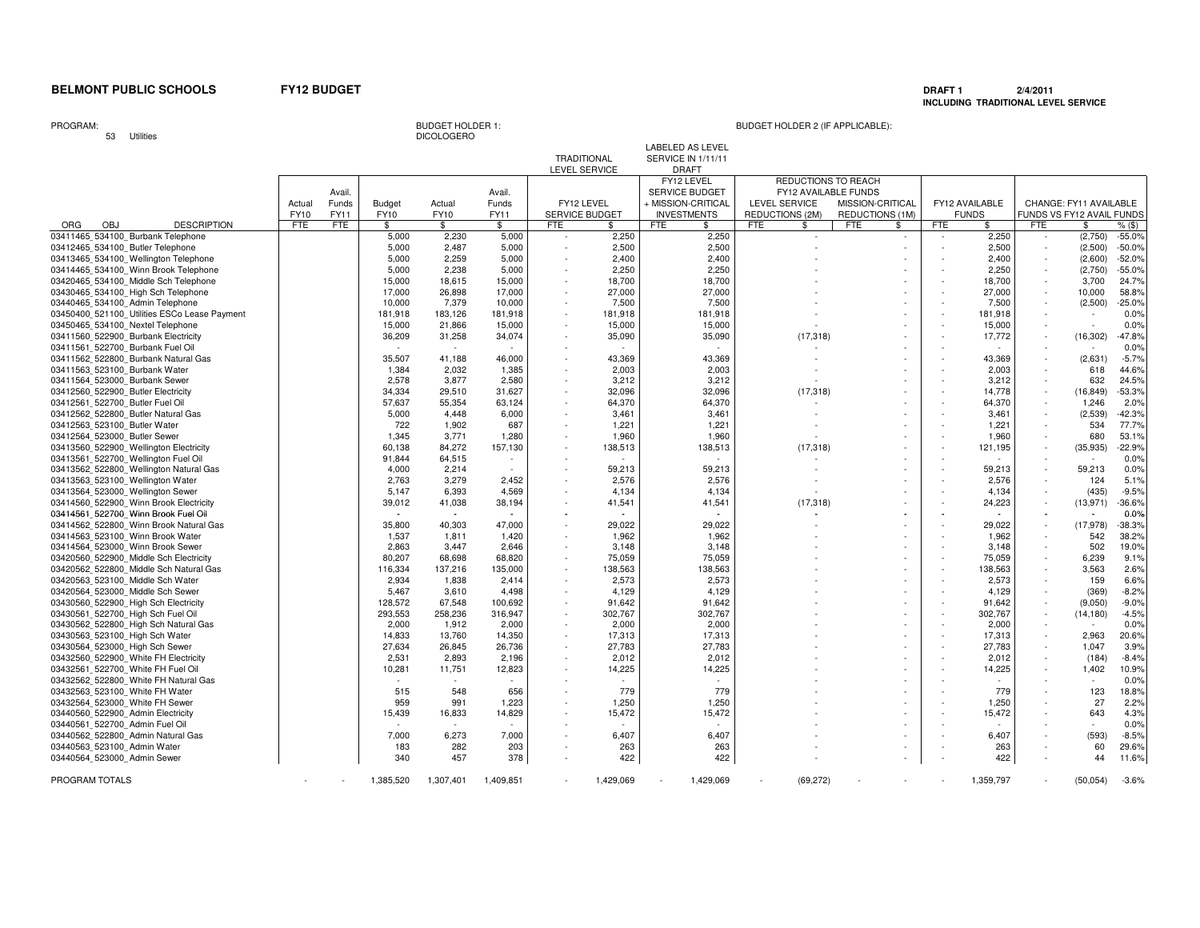### **DRAFT 1 2/4/2011 INCLUDING TRADITIONAL LEVEL SERVICE**

PROGRAM:

53 Utilities

Avail. Avail. Actual Funds Budget Actual Funds<br>FY10 FY11 FY10 FY10 FY11 FY11 FY10 FY11 FY10 FY10 FY11 $\mathbb{S}$ ORG OBJ DESCRIPTION | FTE FTE | \$ \$ \$ | FTE \$ | FTE \$ | FTE \$ | FTE \$ | FTE \$ | FTE \$ %(\$)  $-55.0%$ 03411465 534100 Burbank Telephone 2,230 5,000 5,000 - 2,250 2,250 - - - 2,250 - (2,750) -55.0% $-50.0%$ 03412465\_534100\_Butler Telephone 2.487 5,000 2,487 5,000 - 2,500 | 2,500 | 2,500 | 2,500 | 2,500 | 2,500 | 2,500 | 2,500 | 2,500 | 2,500  $-52.0%$ 03413465\_534100\_Wellington Telephone 2,259<br>03414465\_534100\_Winn Brook Telephone 2,238 5,000 2,259 5,000 | - 2,400 | | 2,400 | | 2,400 | - 2,400 | - (2,600) -52.0%  $-55.0%$ 03414465\_534100\_Winn Brook Telephone 5,000 5,000 - 2,250 2,250 - - - 2,250 - (2,750) -55.0%24 7% 03420465\_534100\_Middle Sch Telephone 18,615<br>03430465\_534100\_High Sch Telephone 18,615 17,000 26,898 15,000 18,615 15,000 | - 18,700 | 18,700 | - - - - - 18,700 | - 3,700 24.7% | 58.8% 03430465\_534100\_High Sch Telephone 26,898<br>03440465\_534100\_Admin Telephone 26,898 26,898 26,898 26,898 26,898 26,998 26,998 26,998 26,998 26,998 26,998 2 17,000 26,898 17,000 - 27,000 27,000 27,000 - - - - - - - - - - - - 10,000 58.8%  $-25.0%$ 03440465\_534100\_Admin Telephone 7,379<br>03450400\_521100\_I lilities ESCo Lease Payment 1 1 183 184 184 185 185 186 10,000 10,000 - 7,500 7,500 - - - 7,500 - (2,500) -25.0% $0.0%$ 03450400\_\_521100\_\_Utilities ESCo Lease Payment 181,918 183,126 181,918 - 181,918 181,918 - - - 181,918 - - 0.0% $0.0%$ 03450465\_534100\_Nextel Telephone 15,000 21,866 15,000 - 15,000 | 15,000 | - - - - 15,000 | - - - 0.0%  $-47.8%$ 03411560\_\_522900\_\_Burbank Electricity 31,25836,209 31,258 34,074 - 35,090 35,090 (17,318) - 17,772 - (16,302) -47.8%  $0.0%$ 03411561\_522700\_Burbank Fuel Oil - - - - - - - - - - - 0.0% $-5.7%$ 03411562\_522800\_Burbank Natural Gas 41,188<br>1.384 1.384 2.032 1.384 2.032 1.384 2.032 35,507 41,188 46,000 | - 43,369 | 43,369 | - - - - - - - - - - 43,369 | - (2,631) -5.7% 44.6% 03411563\_523100\_Burbank Water 1,384 2,032 1,385 - 2,003 2,003 - - - - 2,003 - 618 44.6% 24.5% 03411564\_523000\_Burbank Sewer 3,877 3,877 3,877 2,578 2,580 - 3,212 3,212 - - - 3,212 - 632 24.5% $-53.3%$ 03412560\_\_522900\_\_Butler Electricity 29,510 34,334 31,627 - 32,096 32,096 (17,318) - - 14,778 - (16,849) -53.3% $2.0%$ 03412561\_522700\_Butler Fuel Oil 57,637 55,354 63,124 - 64,370 - 64,370 - - - - - 64,370 - 1,246 2.0%  $-42.3%$ 03412562\_522800\_Butler Natural Gas 4,448<br>03412563\_523100\_Butler Water 4,448 4,448 5,000 4,448 6,000 | - 3,461 | 3,461 | - - - - - - - 3,461 | - (2,539) -42.3% 77.7% 03412563\_523100\_Butler Water 722 1,902 687 - 1,221 1,221 1,221 - 534 77.7% 53.1% 03412564\_523000\_Butler Sewer 3,771<br>03413560\_522900\_Wellington Electricity 3,771<br>03413560\_522900\_Wellington Electricity 3,842,72 1,345 1,280 - 1,960 1,960 - - - 1,960 - 680 53.1% $-2299%$ 03413560\_\_522900\_\_Wellington Electricity 84,27260,138 84,272 157,130 - 138,513 138,513 (17,318) - 139,513 - 121,195 - (35,935) -22.9%  $0.0%$ 03413561\_522700\_ Wellington Fuel Oil 91,844 - - - - - - - - - - 0.0% $0.0%$ 03413562\_522800\_Wellington Natural Gas  $\begin{array}{|l|l|}\n03413562\_522800\_Wellington Natural Gas 2,214\n\end{array}$ <br>03413563 523100 Wellington Water 4,000 2,214 | 59,213 59,213 59,213 59,213 0.0%  $51%$ 03413563\_523100\_Wellington Water 2,763 3,279 2,452 - 2,576 2,576 124 5.1%  $-9.5%$ 03413564\_523000\_Wellington Sewer 6,393<br>03414560\_522900\_Winn Brook Flectricity 6,393<br>03414560\_522900\_Winn Brook Flectricity 5,147 6,393 4,569 - 4,134 4,134 4,134 - 4,134 - (435) -9.5%  $-36.6%$ 03414560 522900 Winn Brook Electricity 41,038.012 39,012 41,038 38,194 - 41,541 41,541 (17,318) - - 24,223 - (13,971) -36.6%  $0.0%$ 03414561\_\_522700\_\_Winn Brook Fuel Oil - - - - - - - - - - - - 0.0% $-38.3%$ LABELED AS LEVEL TRADITIONAL SERVICE IN 1/11/11LEVEL SERVICE DRAFT FY12 I FVFI FY12 LEVEL REDUCTIONS TO REACH<br>SERVICE BUDGET FY12 AVAILABLE FUNDS SERVICE BUDGET FY12 AVAILABLE FUNDSMISSION-CRITICAL FY12 LEVEL | + MISSION-CRITICAL | LEVEL SERVICE MISSION-CRITICAL | FY12 AVAILABLE | CHANGE: FY11 AVAILABLE<br>SERVICE BUDGET | INVESTMENTS | REDUCTIONS (2M) | REDUCTIONS (1M) | FUNDS | FUNDS VS FY12 AVAIL FUND SERVICE BUDGET INVESTMENTS REDUCTIONS (2M) REDUCTIONS (1M) FUNDS FUNDS VS FY12 AVAIL FUNDS  $% (S)$ 03414562\_522800\_Winn Brook Natural Gas 40,303 40,303 40,303<br>1.537 4.811 4563 523100 Winn Brook Water 40,403 40,403 40,403 40,403 40,404 40,503 40,404 40,503 40,404 40,404 35,800 40,303 47,000 - 29,022 29,022 29,022 - - - - - 29,022 - (17,978) -38.3% 38.2% 03414563\_523100\_Winn Brook Water 1,811 1,537 1,811 1,537 1,811 1,420 - 1,962 1,962 - - - 1,962 - 1,962 - 542 38.2% 19.0% 03414564\_523000\_Winn Brook Sewer 3,447<br>03420560\_522900\_Middle Sch Flectricity 3,447 3,447 3,863 3,447 2,863 3,447 2,646 - 3,148 3,148 - - - - 3,148 - 502 19.0%  $91%$ 03420560\_\_522900\_\_Middle Sch Electricity 68,69880,207 68,698 68,820 - 75,059 75,059 - - - - 1 75,059 - 6,239 9.1%  $2.6%$ 03420562\_522800\_Middle Sch Natural Gas 1 116.334 137.216 138.000 138.563 138.563 3.563 6.6% 03420563 523100 Middle Sch Water 1,838 1,838 1,838 2,934 1,838 2,414 - 2,573 2,573 - - - - 2,573 - 159 6.6%  $-8.2%$ 03420564\_523000\_Middle Sch Sewer 3,610 3,610 3,610 5,467 4,498 - 4,129 4,129 - - - 4,129 - (369) -8.2% $-9.0%$ 03430560\_\_522900\_\_High Sch Electricity 67,548128,572 67,548 100,692 - 91,642 91,642 91,642 - - - - 91,642 - (9,050) 9.0%  $-4.5%$ 03430561\_522700\_High Sch Fuel Oil 293,553 258,236 316,947 - 302,767 - 302,767 - - - - - - - - - 302,767 - (14,180) -4.5%  $0.0%$ 03430562\_522800\_High Sch Natural Gas 1,912<br>03430563\_523100\_High Sch Water 1,912 1,913 1,912 1,933 1,9760 2,000 1,912 2,000 - 2,000 2,000 - - - - 2,000 - - - 0.0%  $20.6%$ 03430563\_523100\_High Sch Water 13,760<br>03430564\_523000\_High Sch Sewer 13,760 13,760 13,760 13,760 13,760 13,760 13,760 13,760 13,760 13,760 13,760 13 14,833 13,760 14,350 - 17,313 17,313 - 17,313 - 17,313 - 17,313 - 17,313 - 2,963 20.6%  $3.9%$ 03430564\_523000\_High Sch Sewer 27,634 26,845 26,736 - 27,783 27,783 - - - - - 27,783 - 1,047 3.9%  $-8.4%$ 03432560\_522900\_White FH Electricity **2,693** 2,693 2,531 2,693<br>03432561\_522700\_White FH Fuel Oil **2006** 2011 20281 11,751 2,531 2,893 2,196 - 2,012 2,012 2,012 - - - 2,012 - 2,012 - (184) 8.4% 10.9% 03432561\_522700\_White FH Fuel Oil 10,281 11,751 12,823 - 14,225 10.9% - - - 14,225 10.9% - 14,225 - 1,402 10.9%  $0.0%$ 03432562\_\_522800\_\_White FH Natural Gas - - - - - - - - - - - - 0.0%18.8% 03432563\_523100\_ White FH Water 515 548 656 - 779 779 - 123 18.8%  $2.2%$ 03432564\_\_523000\_\_White FH Sewer 991 959 1,223 - 1,250 1,250 - - - 1,250 - 27 2.2%4.3% 03440560\_522900\_Admin Electricity 16,833 16,833 16,833 15,439 16,833 14,829 - 15,472 15,472 - - - 15,5472 - 643 4.3%  $0.0%$ 03440561\_522700\_Admin Fuel Oil - - - - - - - - - - - 0.0% $-8.5%$ 03440562 522800 Admin Natural Gas 6,273 7,000 6,273 7,000 - 6,407 6,407 6,407 - - - - - - 6,407 - (593) -8.5% 29.6% 03440563\_\_523100\_\_Admin Water 282 183 203 - 263 263 - - - 263 - 60 29.6%11.6% 03440564\_523000\_Admin Sewer 457 (1990) 120 (1991) 120 (1991) 120 (1991) 120 (1991) 1340 (1991) 1340 (1991) 1340 340 457 378 - 422 422 422 - - - 1 - 422 - 44 11.6% PROGRAM TOTALS **And The Contract Service Contract Contract Contract Contract Contract Contract Contract Contract Contract Contract Contract Contract Contract Contract Contract Contract Contract Contract Contract Contract C** - 1,385,520 1,307,401 1,409,851 - 1,429,069 - 1,429,069 - (69,272) - - - 1,359,797 - (50,054) -3.6%

DICOLOGERO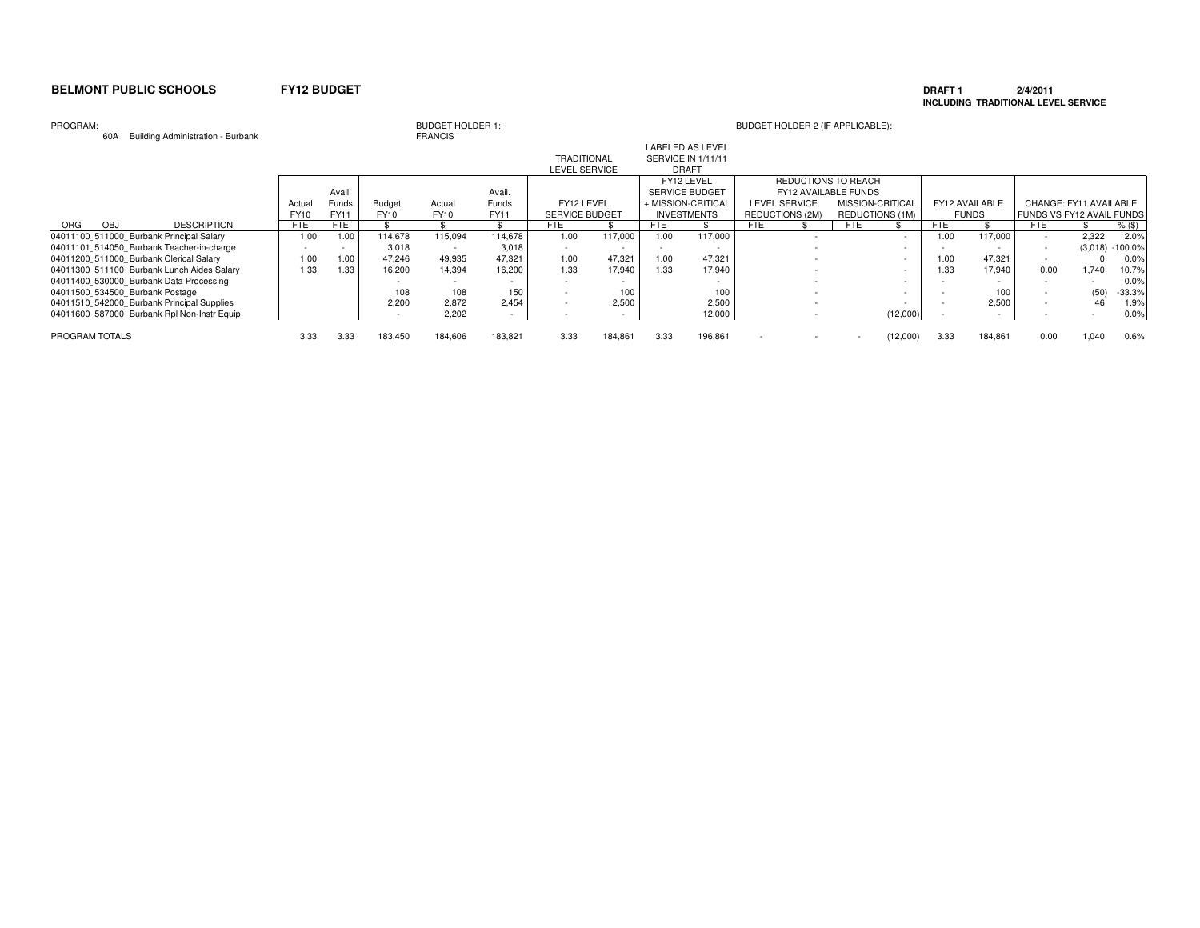### **DRAFT 1 2/4/2011 INCLUDING TRADITIONAL LEVEL SERVICE**

### PROGRAM:

60A Building Administration - Burbank

# BUDGET HOLDER 1:<br>FRANCIS

|                                             |        |        |                          |             |             |                       |         |      | LABELED AS LEVEL      |                        |                          |                      |                          |            |                |                                  |         |           |
|---------------------------------------------|--------|--------|--------------------------|-------------|-------------|-----------------------|---------|------|-----------------------|------------------------|--------------------------|----------------------|--------------------------|------------|----------------|----------------------------------|---------|-----------|
|                                             |        |        |                          |             |             | <b>TRADITIONAL</b>    |         |      | SERVICE IN 1/11/11    |                        |                          |                      |                          |            |                |                                  |         |           |
|                                             |        |        |                          |             |             | <b>LEVEL SERVICE</b>  |         |      | <b>DRAFT</b>          |                        |                          |                      |                          |            |                |                                  |         |           |
|                                             |        |        |                          |             |             |                       |         |      | FY12 LEVEL            |                        |                          | REDUCTIONS TO REACH  |                          |            |                |                                  |         |           |
|                                             |        | Avail. |                          |             | Avail.      |                       |         |      | <b>SERVICE BUDGET</b> |                        |                          | FY12 AVAILABLE FUNDS |                          |            |                |                                  |         |           |
|                                             | Actual | Funds  | Budget                   | Actual      | Funds       | FY12 LEVEL            |         |      | + MISSION-CRITICAL    | LEVEL SERVICE          |                          | MISSION-CRITICAL     |                          |            | FY12 AVAILABLE | CHANGE: FY11 AVAILABLE           |         |           |
|                                             | FY10   | FY11   | FY10                     | <b>FY10</b> | <b>FY11</b> | <b>SERVICE BUDGET</b> |         |      | <b>INVESTMENTS</b>    | <b>REDUCTIONS (2M)</b> |                          | REDUCTIONS (1M)      |                          |            | <b>FUNDS</b>   | <b>FUNDS VS FY12 AVAIL FUNDS</b> |         |           |
| <b>DESCRIPTION</b><br>ORG<br><b>OBJ</b>     | FTE    | FTE    |                          |             |             | FTE                   |         | FTE  |                       | <b>FTE</b>             |                          | FTE.                 |                          | <b>FTE</b> |                | <b>FTE</b>                       |         | $%$ (\$)  |
| 04011100 511000 Burbank Principal Salary    | 1.00   | 1.00   | 114.678                  | 115.094     | 114.678     | 1.00                  | 117.000 | 1.00 | 117,000               |                        | $\overline{\phantom{a}}$ |                      | $\overline{\phantom{0}}$ | 1.00       | 117.000        |                                  | 2,322   | 2.0%      |
| 04011101 514050 Burbank Teacher-in-charge   |        |        | 3.018                    |             | 3.018       |                       |         |      |                       |                        |                          |                      |                          |            |                |                                  | (3,018) | $-100.0%$ |
| 04011200 511000 Burbank Clerical Salary     | 1.00   | 1.00   | 47.246                   | 49,935      | 47.321      | 1.00                  | 47,321  | 1.00 | 47,321                |                        |                          |                      |                          | 1.00       | 47,321         |                                  |         | 0.0%      |
| 04011300 511100 Burbank Lunch Aides Salary  | .33    | 1.33   | 16.200                   | 14.394      | 16.200      | 1.33                  | 17.940  | 1.33 | 17.940                |                        |                          |                      |                          | 1.33       | 17.940         | 0.00                             | 1.740   | 10.7%     |
| 04011400 530000 Burbank Data Processing     |        |        |                          |             |             |                       |         |      |                       |                        |                          |                      |                          |            |                |                                  |         | 0.0%      |
| 04011500 534500 Burbank Postage             |        |        | 108                      | 108         | 150         |                       | 100     |      | 100                   |                        |                          |                      |                          |            | 100            |                                  | (50)    | $-33.3%$  |
| 04011510 542000 Burbank Principal Supplies  |        |        | 2.200                    | 2.872       | 2.454       |                       | 2.500   |      | 2,500                 |                        |                          |                      |                          |            | 2.500          |                                  | 46      | 1.9%      |
| 04011600 587000 Burbank Rpl Non-Instr Equip |        |        | $\overline{\phantom{a}}$ | 2,202       | $\sim$      |                       |         |      | 12,000                |                        |                          |                      | (12,000)                 |            |                |                                  |         | 0.0%      |
| PROGRAM TOTALS                              | 3.33   | 3.33   | 183,450                  | 184,606     | 183,821     | 3.33                  | 184,861 | 3.33 | 196,861               |                        |                          |                      | (12,000)                 | 3.33       | 184,861        | 0.00                             | 1,040   | 0.6%      |
|                                             |        |        |                          |             |             |                       |         |      |                       |                        |                          |                      |                          |            |                |                                  |         |           |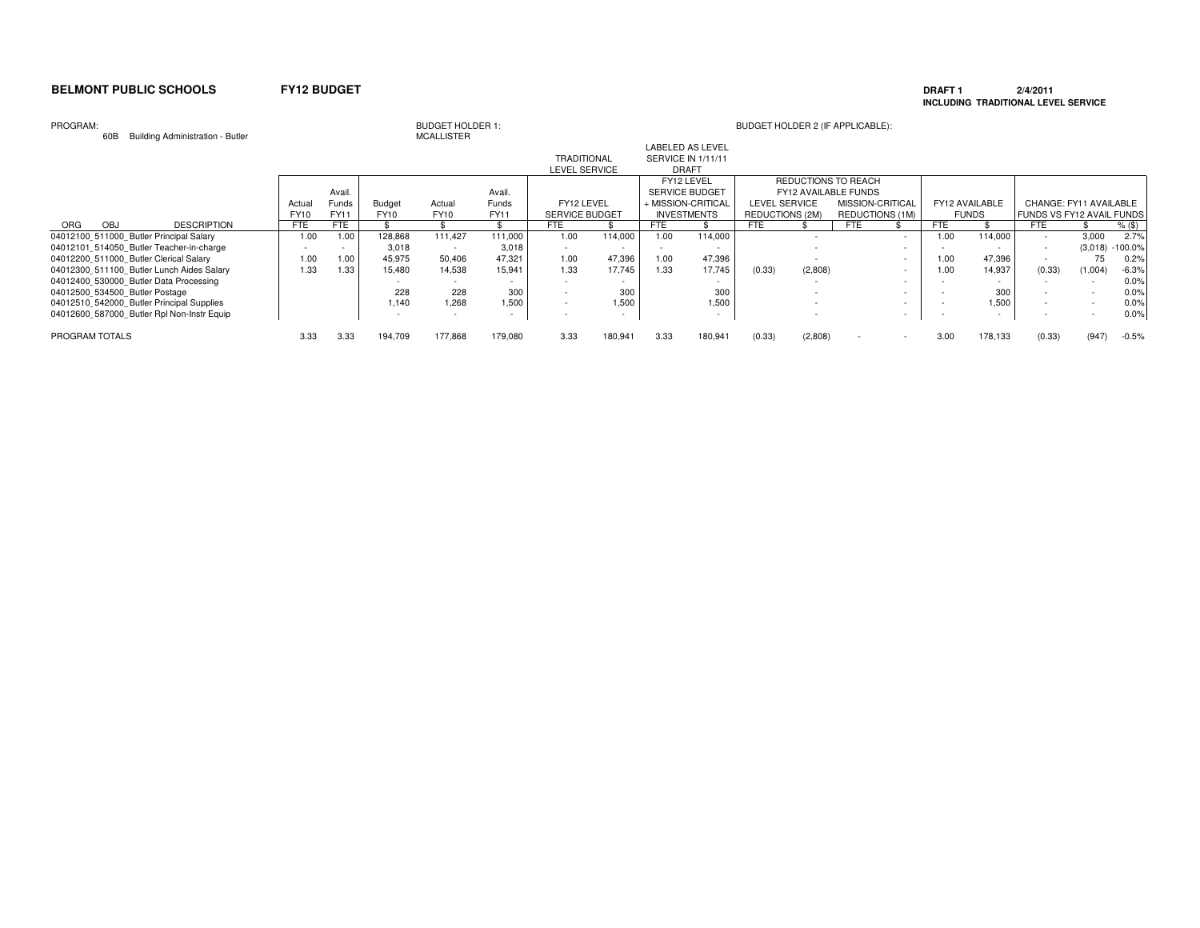### **DRAFT 1 2/4/2011 INCLUDING TRADITIONAL LEVEL SERVICE**

### PROGRAM:

60B Building Administration - Butler

# BUDGET HOLDER 1:<br>MCALLISTER

|                                            |                    |             |        |               |             |             |                       |         |      | LABELED AS LEVEL         |                 |         |                        |                          |            |                |                           |         |           |
|--------------------------------------------|--------------------|-------------|--------|---------------|-------------|-------------|-----------------------|---------|------|--------------------------|-----------------|---------|------------------------|--------------------------|------------|----------------|---------------------------|---------|-----------|
|                                            |                    |             |        |               |             |             | <b>TRADITIONAL</b>    |         |      | SERVICE IN 1/11/11       |                 |         |                        |                          |            |                |                           |         |           |
|                                            |                    |             |        |               |             |             | <b>LEVEL SERVICE</b>  |         |      | <b>DRAFT</b>             |                 |         |                        |                          |            |                |                           |         |           |
|                                            |                    |             |        |               |             |             |                       |         |      | FY12 LEVEL               |                 |         | REDUCTIONS TO REACH    |                          |            |                |                           |         |           |
|                                            |                    |             | Avail. |               |             | Avail.      |                       |         |      | <b>SERVICE BUDGET</b>    |                 |         | FY12 AVAILABLE FUNDS   |                          |            |                |                           |         |           |
|                                            |                    | Actual      | Funds  | <b>Budget</b> | Actual      | Funds       | FY12 LEVEL            |         |      | + MISSION-CRITICAL       | LEVEL SERVICE   |         | MISSION-CRITICAL       |                          |            | FY12 AVAILABLE | CHANGE: FY11 AVAILABLE    |         |           |
|                                            |                    | <b>FY10</b> | FY11   | FY10          | <b>FY10</b> | <b>FY11</b> | <b>SERVICE BUDGET</b> |         |      | <b>INVESTMENTS</b>       | REDUCTIONS (2M) |         | <b>REDUCTIONS (1M)</b> |                          |            | <b>FUNDS</b>   | FUNDS VS FY12 AVAIL FUNDS |         |           |
| ORG<br><b>OBJ</b>                          | <b>DESCRIPTION</b> | <b>FTE</b>  | FTE    |               |             |             | <b>FTE</b>            |         | FTE  |                          | <b>FTE</b>      |         | <b>FTE</b>             |                          | <b>FTE</b> |                | <b>FTE</b>                |         | $%$ (\$)  |
| 04012100 511000 Butler Principal Salary    |                    | 1.00        | 1.00   | 128.868       | 111.427     | 111.000     | 1.00                  | 114.000 | 1.00 | 114.000                  |                 |         |                        |                          | 1.00       | 114.000        |                           | 3.000   | 2.7%      |
| 04012101 514050 Butler Teacher-in-charge   |                    |             |        | 3.018         |             | 3,018       |                       |         |      |                          |                 |         |                        |                          |            |                | $\sim$                    | (3,018) | $-100.0%$ |
| 04012200 511000 Butler Clerical Salary     |                    | 1.00        | 1.00   | 45.975        | 50.406      | 47.321      | 1.00                  | 47,396  | 1.00 | 47,396                   |                 |         |                        | $\sim$                   | 1.00       | 47,396         |                           | 75      | 0.2%      |
| 04012300 511100 Butler Lunch Aides Salary  |                    | 1.33        | 1.33   | 15.480        | 14.538      | 15.941      | 1.33                  | 17.745  | 1.33 | 17.745                   | (0.33)          | (2,808) |                        | $\sim$                   | 1.00       | 14.937         | (0.33)                    | (1,004) | $-6.3%$   |
| 04012400 530000 Butler Data Processing     |                    |             |        |               |             |             |                       |         |      |                          |                 |         |                        | $\overline{\phantom{a}}$ |            |                |                           |         | 0.0%      |
| 04012500 534500 Butler Postage             |                    |             |        | 228           | 228         | 300         |                       | 300     |      | 300                      |                 |         |                        |                          |            | 300            |                           |         | 0.0%      |
| 04012510 542000 Butler Principal Supplies  |                    |             |        | 1.140         | 1,268       | 1.500       |                       | 1.500   |      | 1,500                    |                 |         |                        | $\sim$                   |            | 1,500          |                           |         | 0.0%      |
| 04012600 587000 Butler Rpl Non-Instr Equip |                    |             |        |               | $\sim$      |             |                       |         |      | $\overline{\phantom{a}}$ |                 |         |                        |                          |            |                |                           |         | 0.0%      |
| PROGRAM TOTALS                             |                    | 3.33        | 3.33   | 194,709       | 177,868     | 179,080     | 3.33                  | 180.941 | 3.33 | 180,941                  | (0.33)          | (2,808) |                        | $\sim$                   | 3.00       | 178,133        | (0.33)                    | (947)   | $-0.5%$   |
|                                            |                    |             |        |               |             |             |                       |         |      |                          |                 |         |                        |                          |            |                |                           |         |           |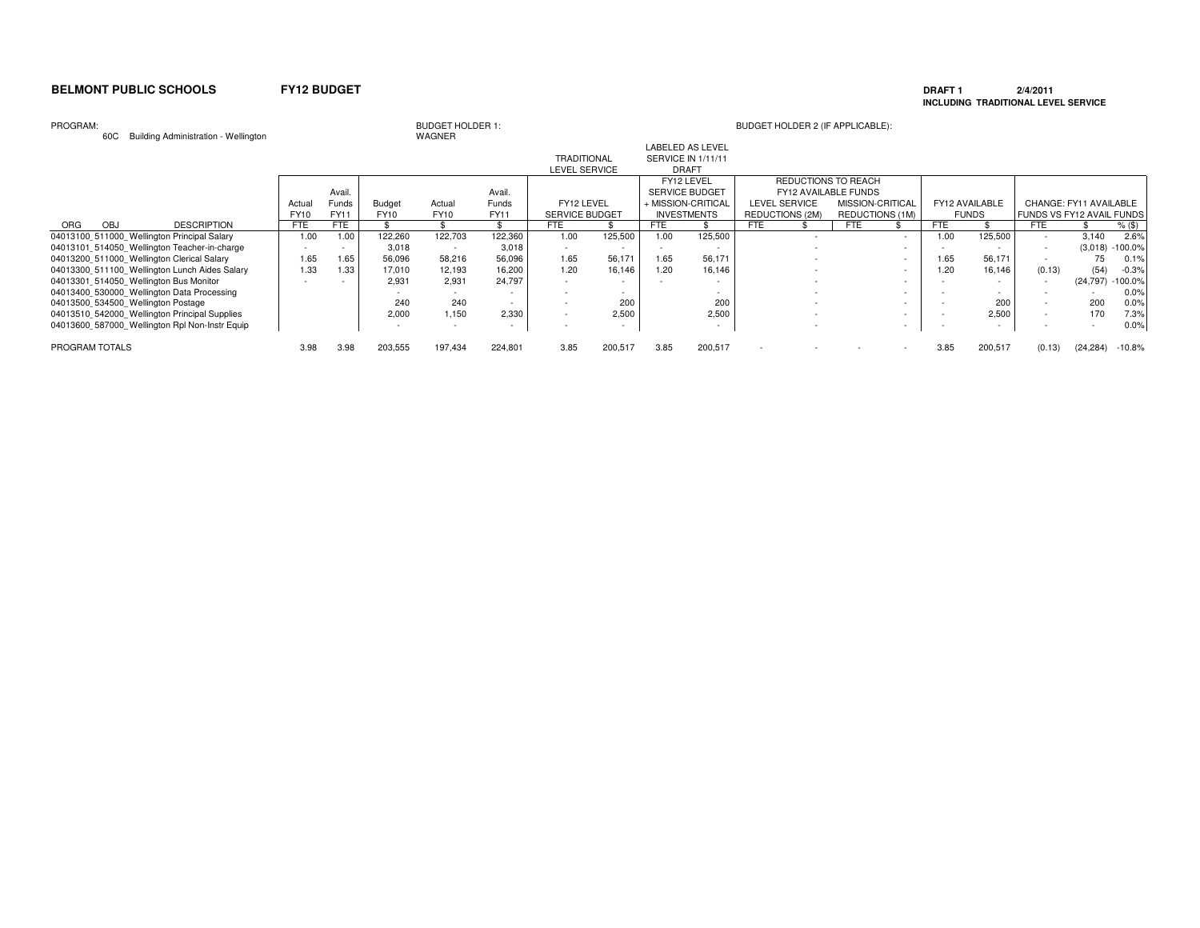### **DRAFT 1 2/4/2011 INCLUDING TRADITIONAL LEVEL SERVICE**

### PROGRAM:

60C Building Administration - Wellington

# BUDGET HOLDER 1:<br>WAGNER

|                                                |             |             |               |             |             |                       |         |      | LABELED AS LEVEL      |                        |                        |        |      |                |                           |                        |           |
|------------------------------------------------|-------------|-------------|---------------|-------------|-------------|-----------------------|---------|------|-----------------------|------------------------|------------------------|--------|------|----------------|---------------------------|------------------------|-----------|
|                                                |             |             |               |             |             | <b>TRADITIONAL</b>    |         |      | SERVICE IN 1/11/11    |                        |                        |        |      |                |                           |                        |           |
|                                                |             |             |               |             |             | <b>LEVEL SERVICE</b>  |         |      | <b>DRAFT</b>          |                        |                        |        |      |                |                           |                        |           |
|                                                |             |             |               |             |             |                       |         |      | FY12 LEVEL            |                        | REDUCTIONS TO REACH    |        |      |                |                           |                        |           |
|                                                |             | Avail.      |               |             | Avail.      |                       |         |      | <b>SERVICE BUDGET</b> |                        | FY12 AVAILABLE FUNDS   |        |      |                |                           |                        |           |
|                                                | Actual      | Funds       | <b>Budget</b> | Actual      | Funds       | FY12 LEVEL            |         |      | + MISSION-CRITICAL    | LEVEL SERVICE          | MISSION-CRITICAL       |        |      | FY12 AVAILABLE |                           | CHANGE: FY11 AVAILABLE |           |
|                                                | <b>FY10</b> | <b>FY11</b> | FY10          | <b>FY10</b> | <b>FY11</b> | <b>SERVICE BUDGET</b> |         |      | <b>INVESTMENTS</b>    | <b>REDUCTIONS (2M)</b> | <b>REDUCTIONS (1M)</b> |        |      | <b>FUNDS</b>   | FUNDS VS FY12 AVAIL FUNDS |                        |           |
| <b>DESCRIPTION</b><br><b>ORG</b><br><b>OBJ</b> | FTE         | FTE         |               |             |             | FTE                   |         | FTE  |                       | <b>FTE</b>             | FTE                    |        | FTE  |                | FTE                       |                        | $%$ (\$)  |
| 04013100 511000 Wellington Principal Salary    | 1.00        | 1.00        | 122,260       | 122.703     | 122,360     | 1.00                  | 125,500 | 1.00 | 125,500               |                        |                        |        | 1.00 | 125,500        |                           | 3,140                  | 2.6%      |
| 04013101 514050 Wellington Teacher-in-charge   |             |             | 3,018         |             | 3,018       |                       |         |      |                       |                        |                        |        |      |                |                           | (3,018)                | $-100.0%$ |
| 04013200 511000 Wellington Clerical Salary     | 1.65        | 1.65        | 56,096        | 58,216      | 56,096      | 1.65                  | 56,17   | 1.65 | 56,171                |                        |                        |        | 1.65 | 56,171         |                           | 75                     | 0.1%      |
| 04013300 511100 Wellington Lunch Aides Salary  | 1.33        | 1.33        | 17,010        | 12,193      | 16,200      | 1.20                  | 16,146  | 1.20 | 16,146                |                        |                        |        | 1.20 | 16,146         | (0.13)                    | (54)                   | $-0.3%$   |
| 04013301 514050 Wellington Bus Monitor         |             |             | 2,931         | 2,931       | 24,797      |                       |         |      |                       |                        |                        |        |      |                |                           | (24, 797)              | $-100.0%$ |
| 04013400 530000 Wellington Data Processing     |             |             |               |             |             |                       |         |      |                       |                        |                        |        |      |                |                           |                        | 0.0%      |
| 04013500 534500 Wellington Postage             |             |             | 240           | 240         |             |                       | 200     |      | 200                   |                        |                        |        |      | 200            |                           | 200                    | 0.0%      |
| 04013510 542000 Wellington Principal Supplies  |             |             | 2,000         | 1,150       | 2.330       |                       | 2,500   |      | 2,500                 |                        |                        | $\sim$ |      | 2.500          | $\overline{\phantom{a}}$  | 170                    | 7.3%      |
| 04013600 587000 Wellington Rpl Non-Instr Equip |             |             |               |             |             |                       |         |      |                       |                        |                        |        |      |                |                           |                        | 0.0%      |
| PROGRAM TOTALS                                 | 3.98        | 3.98        | 203,555       | 197.434     | 224,801     | 3.85                  | 200,517 | 3.85 | 200,517               |                        |                        |        | 3.85 | 200,517        | (0.13)                    | (24, 284)              | $-10.8%$  |
|                                                |             |             |               |             |             |                       |         |      |                       |                        |                        |        |      |                |                           |                        |           |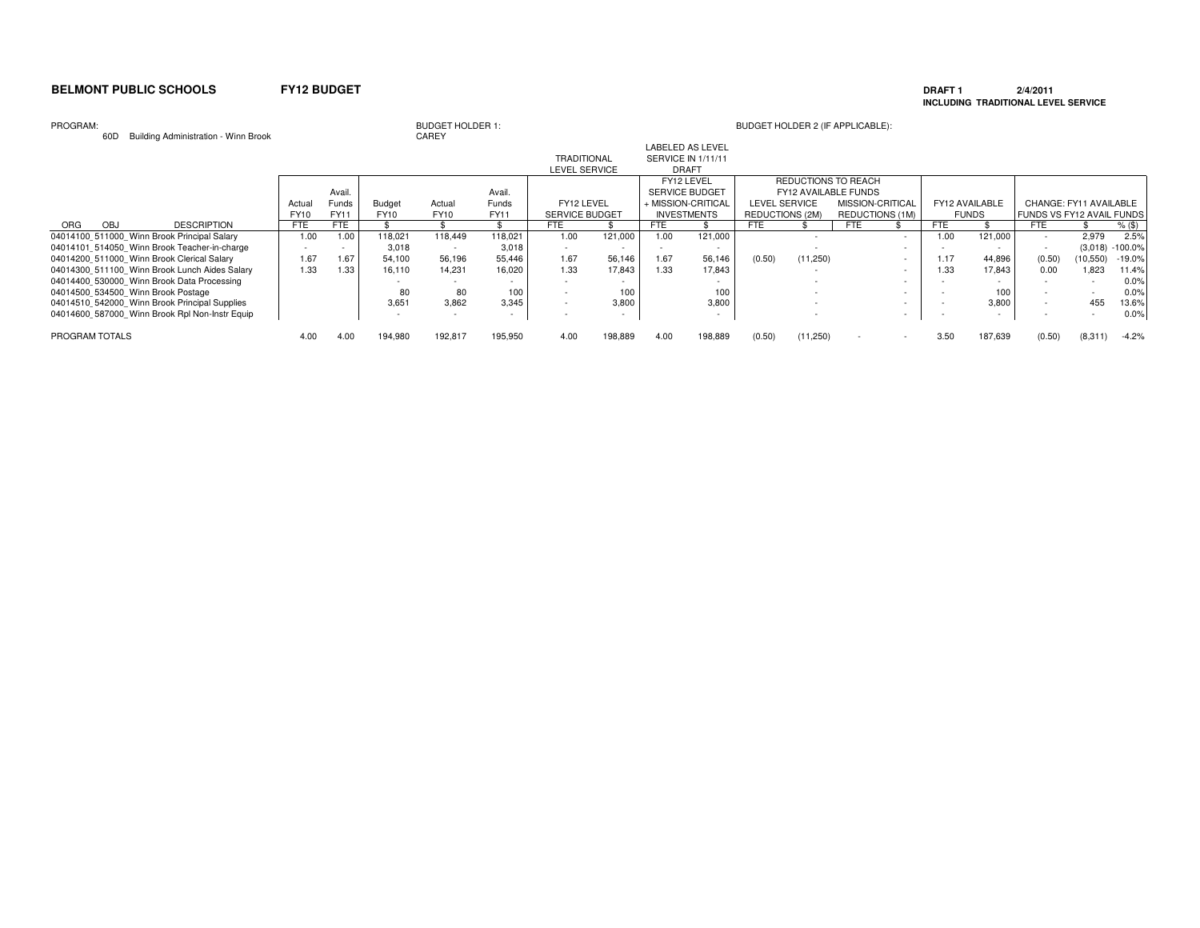### **DRAFT 1 2/4/2011 INCLUDING TRADITIONAL LEVEL SERVICE**

### PROGRAM:

60D Building Administration - Winn Brook

# BUDGET HOLDER 1:<br>CAREY

|                |                                                |            |              |         |             |         |                       |                          |            | <b>LABELED AS LEVEL</b>   |                        |                      |                  |        |            |                |                           |           |           |
|----------------|------------------------------------------------|------------|--------------|---------|-------------|---------|-----------------------|--------------------------|------------|---------------------------|------------------------|----------------------|------------------|--------|------------|----------------|---------------------------|-----------|-----------|
|                |                                                |            |              |         |             |         | <b>TRADITIONAL</b>    |                          |            | <b>SERVICE IN 1/11/11</b> |                        |                      |                  |        |            |                |                           |           |           |
|                |                                                |            |              |         |             |         | LEVEL SERVICE         |                          |            | <b>DRAFT</b>              |                        |                      |                  |        |            |                |                           |           |           |
|                |                                                |            |              |         |             |         |                       |                          |            | FY12 LEVEL                |                        | REDUCTIONS TO REACH  |                  |        |            |                |                           |           |           |
|                |                                                |            | Avail        |         |             | Avail.  |                       |                          |            | <b>SERVICE BUDGET</b>     |                        | FY12 AVAILABLE FUNDS |                  |        |            |                |                           |           |           |
|                |                                                | Actua      | <b>Funds</b> | Budget  | Actual      | Funds   | FY12 LEVEL            |                          |            | + MISSION-CRITICAL        | <b>LEVEL SERVICE</b>   |                      | MISSION-CRITICAL |        |            | FY12 AVAILABLE | CHANGE: FY11 AVAILABLE    |           |           |
|                |                                                | FY10       | FY11         | FY10    | <b>FY10</b> | FY11    | <b>SERVICE BUDGET</b> |                          |            | <b>INVESTMENTS</b>        | <b>REDUCTIONS (2M)</b> |                      | REDUCTIONS (1M)  |        |            | <b>FUNDS</b>   | FUNDS VS FY12 AVAIL FUNDS |           |           |
| OBJ<br>ORG     | <b>DESCRIPTION</b>                             | <b>FTE</b> | FTE          |         |             |         | <b>FTE</b>            |                          | <b>FTE</b> |                           | <b>FTE</b>             |                      | <b>FTE</b>       |        | <b>FTE</b> |                | <b>FTE</b>                |           | % (\$)    |
|                | 04014100 511000 Winn Brook Principal Salary    | 1.00       | 1.00         | 118,021 | 118.449     | 118,021 | 1.00                  | 121.000                  | 1.00       | 121,000                   |                        |                      |                  |        | 1.00       | 121,000        |                           | 2,979     | 2.5%      |
|                | 04014101 514050 Winn Brook Teacher-in-charge   |            |              | 3.018   |             | 3.018   |                       |                          |            |                           |                        |                      |                  |        |            |                |                           | (3,018)   | $-100.0%$ |
|                | 04014200 511000 Winn Brook Clerical Salary     | 1.67       | 1.67         | 54,100  | 56,196      | 55,446  | 1.67                  | 56,146                   | 1.67       | 56,146                    | (0.50)                 | (11,250)             |                  |        | 1.17       | 44,896         | (0.50)                    | (10, 550) | -19.0%    |
|                | 04014300 511100 Winn Brook Lunch Aides Salary  | 1.33       | 1.33         | 16,110  | 14.231      | 16,020  | 1.33                  | 17,843                   | 1.33       | 17,843                    |                        |                      |                  | $\sim$ | 1.33       | 17,843         | 0.00                      | 1.823     | 11.4%     |
|                | 04014400 530000 Winn Brook Data Processing     |            |              |         |             |         |                       |                          |            |                           |                        |                      |                  |        |            |                |                           |           | 0.0%      |
|                | 04014500 534500 Winn Brook Postage             |            |              | 80      | 80          | 100     |                       | 100                      |            | 100                       |                        |                      |                  |        |            | 100            |                           |           | 0.0%      |
|                | 04014510 542000 Winn Brook Principal Supplies  |            |              | 3,651   | 3,862       | 3,345   |                       | 3,800                    |            | 3,800                     |                        |                      |                  |        |            | 3,800          |                           | 455       | 13.6%     |
|                | 04014600 587000 Winn Brook Rpl Non-Instr Equip |            |              |         |             |         |                       | $\overline{\phantom{a}}$ |            | $\overline{\phantom{a}}$  |                        |                      |                  |        |            |                |                           |           | 0.0%      |
| PROGRAM TOTALS |                                                | 4.00       | 4.00         | 194.980 | 192,817     | 195,950 | 4.00                  | 198,889                  | 4.00       | 198,889                   | (0.50)                 | (11,250)             |                  | $\sim$ | 3.50       | 187.639        | (0.50)                    | (8,311)   | $-4.2%$   |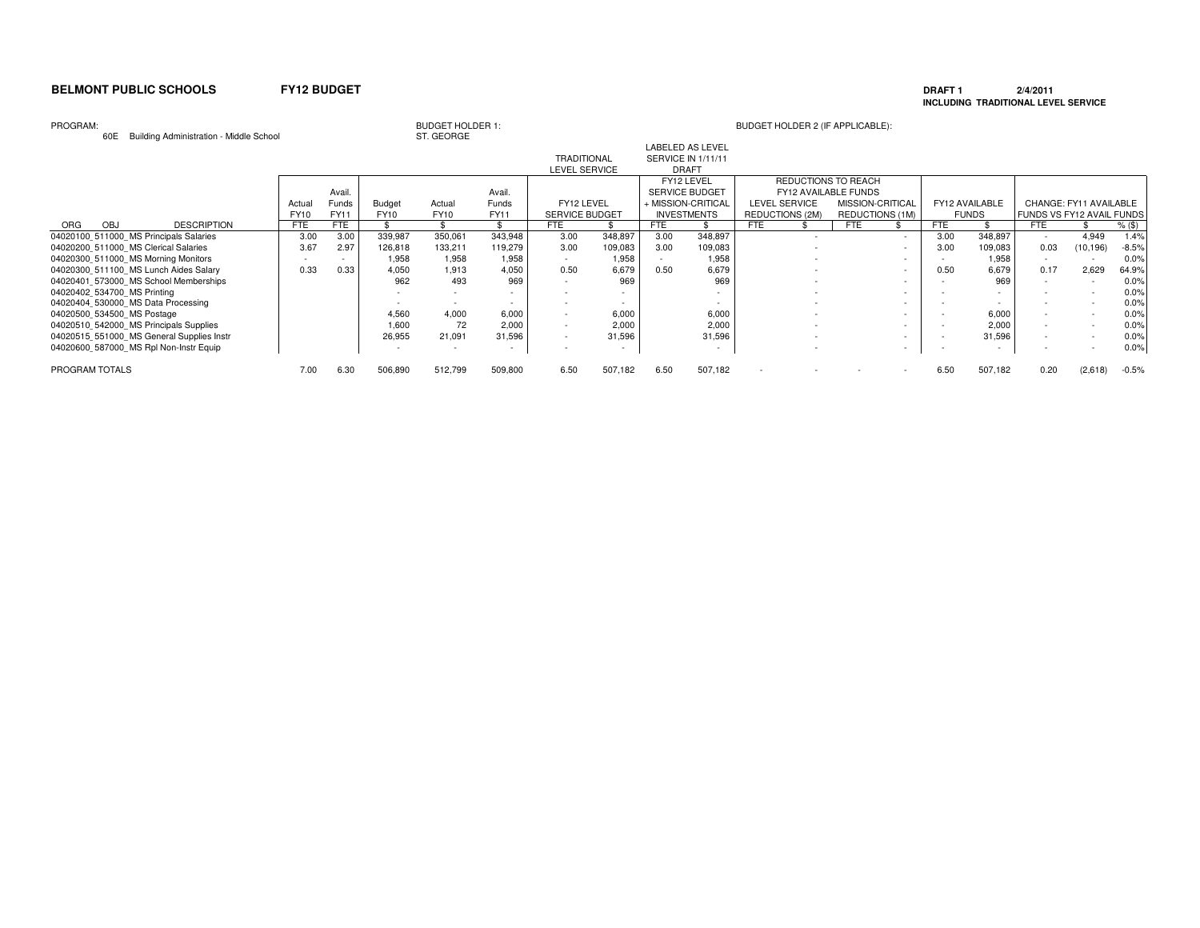### **DRAFT 1 2/4/2011 INCLUDING TRADITIONAL LEVEL SERVICE**

### PROGRAM:

60E Building Administration - Middle School

# BUDGET HOLDER 1:<br>ST. GEORGE

| Bananig riammou auon rinaalo Sonool       |            |        |         | ---------   |              |                       |         |      |                         |                          |                      |                          |      |                |                           |                        |          |
|-------------------------------------------|------------|--------|---------|-------------|--------------|-----------------------|---------|------|-------------------------|--------------------------|----------------------|--------------------------|------|----------------|---------------------------|------------------------|----------|
|                                           |            |        |         |             |              |                       |         |      | <b>LABELED AS LEVEL</b> |                          |                      |                          |      |                |                           |                        |          |
|                                           |            |        |         |             |              | <b>TRADITIONAL</b>    |         |      | SERVICE IN 1/11/11      |                          |                      |                          |      |                |                           |                        |          |
|                                           |            |        |         |             |              | <b>LEVEL SERVICE</b>  |         |      | <b>DRAFT</b>            |                          |                      |                          |      |                |                           |                        |          |
|                                           |            |        |         |             |              |                       |         |      | FY12 LEVEL              |                          | REDUCTIONS TO REACH  |                          |      |                |                           |                        |          |
|                                           |            | Avail. |         |             | Avail.       |                       |         |      | <b>SERVICE BUDGET</b>   |                          | FY12 AVAILABLE FUNDS |                          |      |                |                           |                        |          |
|                                           | Actual     | Funds  | Budget  | Actual      | <b>Funds</b> | FY12 LEVEL            |         |      | + MISSION-CRITICAL      | LEVEL SERVICE            | MISSION-CRITICAL     |                          |      | FY12 AVAILABLE |                           | CHANGE: FY11 AVAILABLE |          |
|                                           | FY10       | FY11   | FY10    | <b>FY10</b> | FY11         | <b>SERVICE BUDGET</b> |         |      | <b>INVESTMENTS</b>      | REDUCTIONS (2M)          | REDUCTIONS (1M)      |                          |      | <b>FUNDS</b>   | FUNDS VS FY12 AVAIL FUNDS |                        |          |
| <b>DESCRIPTION</b><br>ORG<br>OBJ          | <b>FTE</b> | FTE    |         |             |              | <b>FTE</b>            |         | FTE  |                         | <b>FTE</b>               | <b>FTE</b>           |                          | FTE  |                | <b>FTE</b>                |                        | $%$ (\$) |
| 04020100 511000 MS Principals Salaries    | 3.00       | 3.00   | 339,987 | 350,061     | 343,948      | 3.00                  | 348,897 | 3.00 | 348,897                 | $\overline{\phantom{a}}$ |                      | $\sim$                   | 3.00 | 348,897        |                           | 4,949                  | 1.4%     |
| 04020200 511000 MS Clerical Salaries      | 3.67       | 2.97   | 126,818 | 133,211     | 119,279      | 3.00                  | 109,083 | 3.00 | 109,083                 |                          |                      | $\sim$                   | 3.00 | 109,083        | 0.03                      | (10, 196)              | $-8.5%$  |
| 04020300 511000 MS Morning Monitors       |            | $\sim$ | 1,958   | 1,958       | 1,958        |                       | 1,958   |      | 1,958                   |                          |                      |                          |      | 1.958          |                           |                        | 0.0%     |
| 04020300 511100 MS Lunch Aides Salary     | 0.33       | 0.33   | 4,050   | 1,913       | 4,050        | 0.50                  | 6,679   | 0.50 | 6,679                   |                          |                      | $\overline{\phantom{0}}$ | 0.50 | 6,679          | 0.17                      | 2,629                  | 64.9%    |
| 04020401 573000 MS School Memberships     |            |        | 962     | 493         | 969          | $\sim$                | 969     |      | 969                     |                          |                      | $\overline{\phantom{0}}$ |      | 969            | . —                       |                        | 0.0%     |
| 04020402 534700 MS Printing               |            |        |         |             |              |                       |         |      |                         |                          |                      |                          |      |                |                           |                        | 0.0%     |
| 04020404 530000 MS Data Processing        |            |        |         |             |              |                       |         |      |                         |                          |                      |                          |      |                |                           |                        | 0.0%     |
| 04020500 534500 MS Postage                |            |        | 4.560   | 4.000       | 6.000        |                       | 6,000   |      | 6,000                   |                          |                      |                          |      | 6,000          |                           |                        | 0.0%     |
| 04020510 542000 MS Principals Supplies    |            |        | 1,600   | 72          | 2,000        |                       | 2,000   |      | 2,000                   |                          |                      |                          |      | 2,000          |                           |                        | 0.0%     |
| 04020515 551000 MS General Supplies Instr |            |        | 26,955  | 21,091      | 31,596       |                       | 31,596  |      | 31,596                  |                          |                      |                          |      | 31,596         |                           |                        | 0.0%     |
| 04020600 587000 MS Rpl Non-Instr Equip    |            |        |         |             |              |                       |         |      |                         |                          |                      |                          |      |                |                           |                        | 0.0%     |
| PROGRAM TOTALS                            | 7.00       | 6.30   | 506,890 | 512,799     | 509,800      | 6.50                  | 507,182 | 6.50 | 507,182                 |                          |                      | $\overline{\phantom{a}}$ | 6.50 | 507,182        | 0.20                      | (2,618)                | $-0.5%$  |
|                                           |            |        |         |             |              |                       |         |      |                         |                          |                      |                          |      |                |                           |                        |          |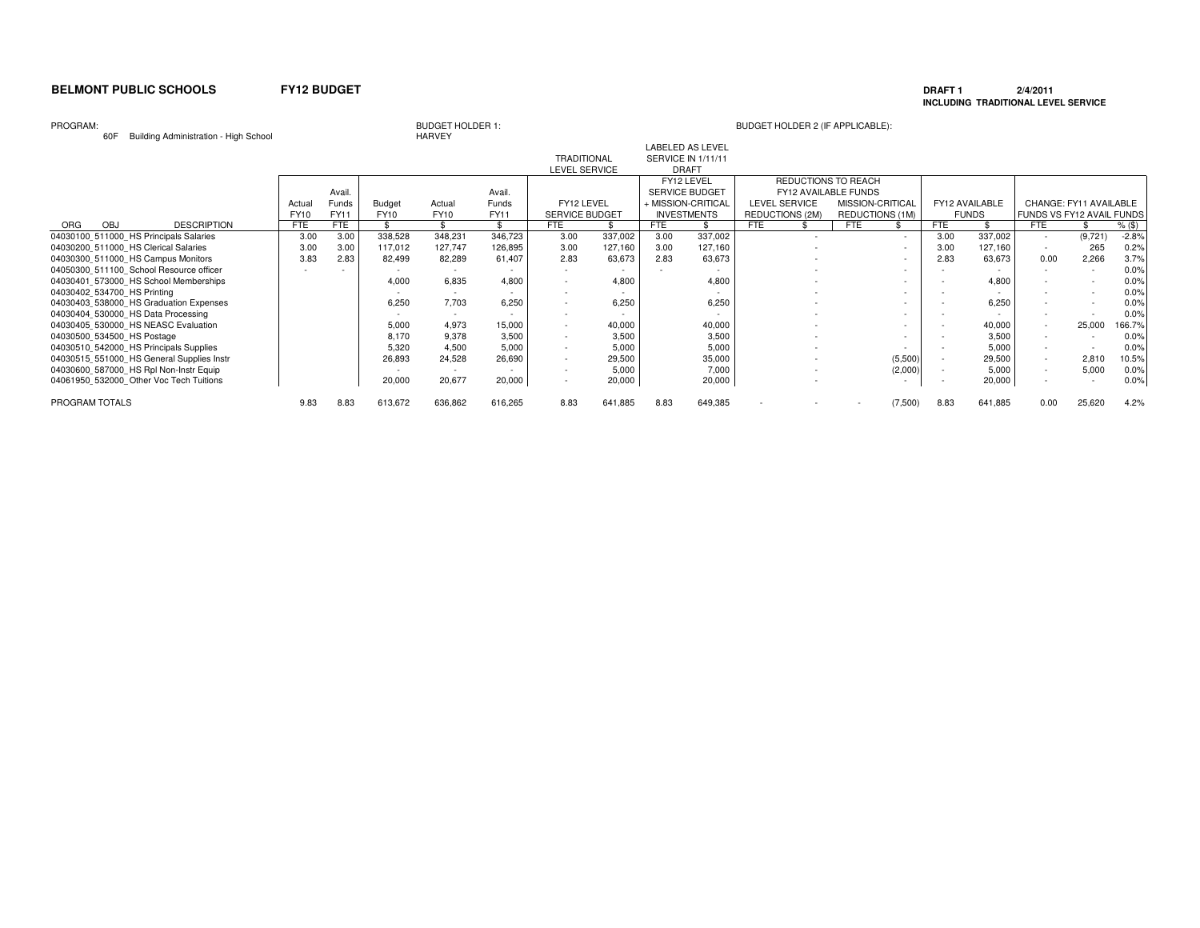### **DRAFT 1 2/4/2011 INCLUDING TRADITIONAL LEVEL SERVICE**

### PROGRAM:

60F Building Administration - High School

| <b>OUF</b><br><b>BUILDING AQUITIBIS DUGLER THAT IS OF THE SCILL</b> |             |        |         | <b>NANVET</b> |         |                       |         |      |                         |                        |                          |            |                |                           |                        |          |
|---------------------------------------------------------------------|-------------|--------|---------|---------------|---------|-----------------------|---------|------|-------------------------|------------------------|--------------------------|------------|----------------|---------------------------|------------------------|----------|
|                                                                     |             |        |         |               |         |                       |         |      | <b>LABELED AS LEVEL</b> |                        |                          |            |                |                           |                        |          |
|                                                                     |             |        |         |               |         | <b>TRADITIONAL</b>    |         |      | SERVICE IN 1/11/11      |                        |                          |            |                |                           |                        |          |
|                                                                     |             |        |         |               |         | LEVEL SERVICE         |         |      | <b>DRAFT</b>            |                        |                          |            |                |                           |                        |          |
|                                                                     |             |        |         |               |         |                       |         |      | FY12 LEVEL              | REDUCTIONS TO REACH    |                          |            |                |                           |                        |          |
|                                                                     |             | Avail. |         |               | Avail.  |                       |         |      | SERVICE BUDGET          | FY12 AVAILABLE FUNDS   |                          |            |                |                           |                        |          |
|                                                                     | Actual      | Funds  | Budget  | Actual        | Funds   | FY12 LEVEL            |         |      | + MISSION-CRITICAL      | LEVEL SERVICE          | MISSION-CRITICAL         |            | FY12 AVAILABLE |                           | CHANGE: FY11 AVAILABLE |          |
|                                                                     | <b>FY10</b> | FY11   | FY10    | <b>FY10</b>   | FY11    | <b>SERVICE BUDGET</b> |         |      | <b>INVESTMENTS</b>      | <b>REDUCTIONS (2M)</b> | REDUCTIONS (1M)          |            | <b>FUNDS</b>   | FUNDS VS FY12 AVAIL FUNDS |                        |          |
| <b>DESCRIPTION</b><br>ORG<br><b>OBJ</b>                             | <b>FTE</b>  | FTE    |         |               |         | <b>FTE</b>            |         | FTE  |                         | <b>FTE</b>             | <b>FTE</b>               | <b>FTE</b> |                | <b>FTE</b>                |                        | $%$ (\$) |
| 04030100 511000 HS Principals Salaries                              | 3.00        | 3.00   | 338,528 | 348,231       | 346,723 | 3.00                  | 337,002 | 3.00 | 337,002                 |                        | $\sim$                   | 3.00       | 337,002        | $\sim$                    | (9,721)                | $-2.8%$  |
| 04030200 511000 HS Clerical Salaries                                | 3.00        | 3.00   | 117,012 | 127,747       | 126,895 | 3.00                  | 127,160 | 3.00 | 127,160                 |                        | $\sim$                   | 3.00       | 127,160        | $\sim$                    | 265                    | 0.2%     |
| 04030300 511000 HS Campus Monitors                                  | 3.83        | 2.83   | 82,499  | 82,289        | 61,407  | 2.83                  | 63,673  | 2.83 | 63,673                  |                        | $\overline{\phantom{a}}$ | 2.83       | 63,673         | 0.00                      | 2,266                  | 3.7%     |
| 04050300 511100 School Resource officer                             |             |        |         |               |         |                       |         |      |                         |                        |                          |            |                |                           |                        | 0.0%     |
| 04030401 573000 HS School Memberships                               |             |        | 4,000   | 6,835         | 4.800   |                       | 4.800   |      | 4,800                   |                        |                          |            | 4,800          |                           |                        | 0.0%     |
| 04030402 534700 HS Printing                                         |             |        |         | $\sim$        |         |                       |         |      |                         |                        |                          |            |                |                           |                        | 0.0%     |
| 04030403 538000 HS Graduation Expenses                              |             |        | 6,250   | 7.703         | 6.250   |                       | 6,250   |      | 6,250                   |                        |                          |            | 6,250          |                           |                        | 0.0%     |
| 04030404 530000 HS Data Processing                                  |             |        |         |               |         |                       |         |      |                         |                        | $\sim$                   |            |                |                           |                        | 0.0%     |
| 04030405 530000 HS NEASC Evaluation                                 |             |        | 5.000   | 4.973         | 15,000  |                       | 40,000  |      | 40,000                  |                        | $\sim$                   |            | 40,000         |                           | 25,000                 | 166.7%   |
| 04030500 534500 HS Postage                                          |             |        | 8.170   | 9,378         | 3,500   |                       | 3,500   |      | 3,500                   |                        | $\overline{\phantom{a}}$ |            | 3,500          |                           |                        | 0.0%     |
| 04030510 542000 HS Principals Supplies                              |             |        | 5,320   | 4,500         | 5,000   |                       | 5,000   |      | 5,000                   |                        |                          |            | 5,000          |                           |                        | 0.0%     |
| 04030515 551000 HS General Supplies Instr                           |             |        | 26,893  | 24,528        | 26,690  |                       | 29,500  |      | 35,000                  |                        | (5,500)                  |            | 29,500         | $\sim$                    | 2,810                  | 10.5%    |
| 04030600 587000 HS Rpl Non-Instr Equip                              |             |        |         |               |         |                       | 5,000   |      | 7,000                   |                        | (2,000)                  |            | 5,000          | $\sim$                    | 5,000                  | 0.0%     |
| 04061950 532000 Other Voc Tech Tuitions                             |             |        | 20,000  | 20,677        | 20,000  |                       | 20,000  |      | 20,000                  |                        |                          |            | 20,000         |                           |                        | 0.0%     |
| PROGRAM TOTALS                                                      | 9.83        | 8.83   | 613,672 | 636,862       | 616,265 | 8.83                  | 641,885 | 8.83 | 649,385                 |                        | (7,500)                  | 8.83       | 641,885        | 0.00                      | 25,620                 | 4.2%     |
|                                                                     |             |        |         |               |         |                       |         |      |                         |                        |                          |            |                |                           |                        |          |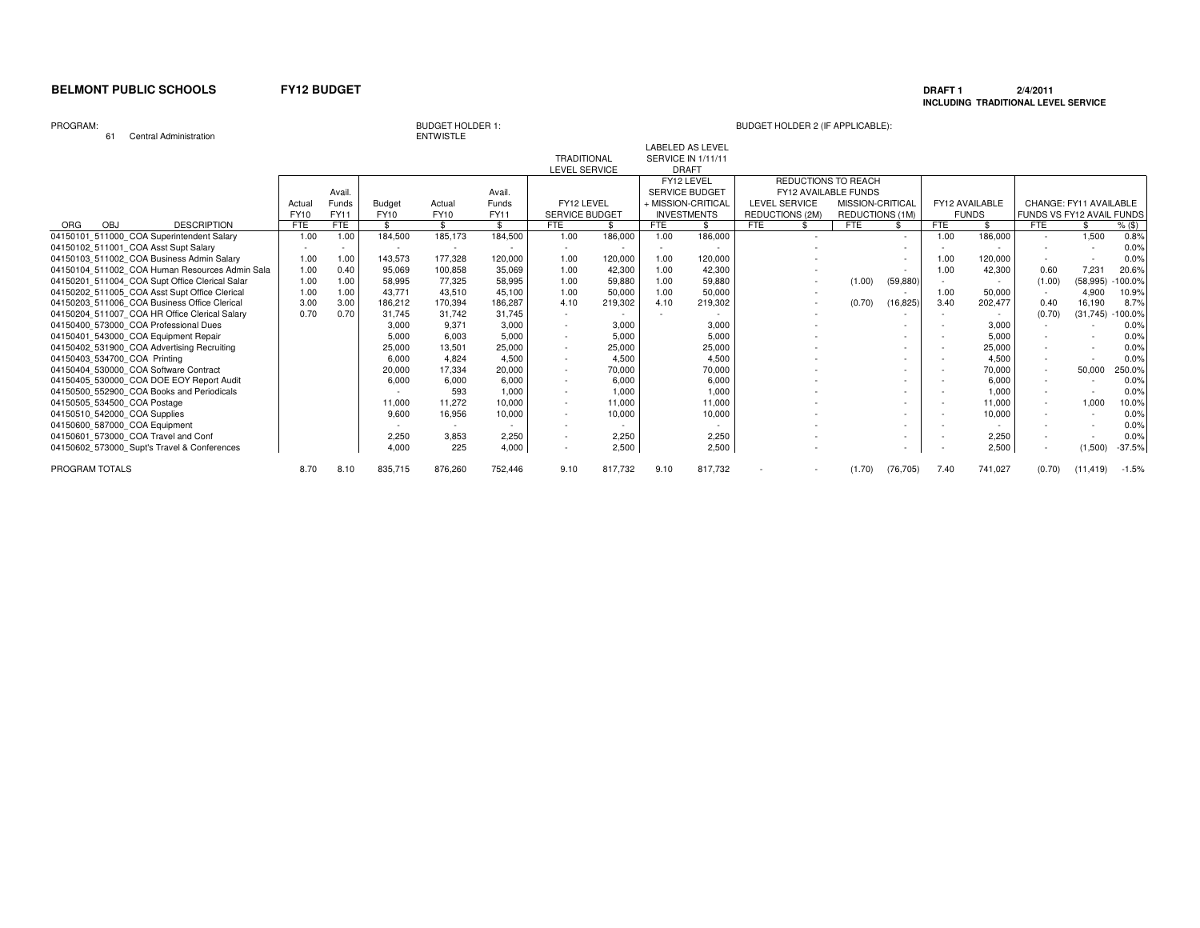### **DRAFT 1 2/4/2011 INCLUDING TRADITIONAL LEVEL SERVICE**

PROGRAM:

61 Central Administration

BUDGET HOLDER 1:<br>ENTWISTLE

### BUDGET HOLDER 2 (IF APPLICABLE):

LABELED AS LEVEL

|                                                |            |       |         |             |         | <b>TRADITIONAL</b>    |         |            | SERVICE IN 1/11/11    |                        |                      |           |        |                |                           |           |           |
|------------------------------------------------|------------|-------|---------|-------------|---------|-----------------------|---------|------------|-----------------------|------------------------|----------------------|-----------|--------|----------------|---------------------------|-----------|-----------|
|                                                |            |       |         |             |         | LEVEL SERVICE         |         |            | <b>DRAFT</b>          |                        |                      |           |        |                |                           |           |           |
|                                                |            |       |         |             |         |                       |         |            | FY12 LEVEL            |                        | REDUCTIONS TO REACH  |           |        |                |                           |           |           |
|                                                |            | Avail |         |             | Avail.  |                       |         |            | <b>SERVICE BUDGET</b> |                        | FY12 AVAILABLE FUNDS |           |        |                |                           |           |           |
|                                                | Actua      | Funds | Budget  | Actual      | Funds   | FY12 LEVEL            |         |            | + MISSION-CRITICAI    | <b>LEVEL SERVICE</b>   | MISSION-CRITICAL     |           |        | FY12 AVAILABLE | CHANGE: FY11 AVAILABLE    |           |           |
|                                                | FY10       | FY11  | FY10    | <b>FY10</b> | FY11    | <b>SERVICE BUDGET</b> |         |            | <b>INVESTMENTS</b>    | <b>REDUCTIONS (2M)</b> | REDUCTIONS (1M)      |           |        | <b>FUNDS</b>   | FUNDS VS FY12 AVAIL FUNDS |           |           |
| ORG<br><b>OBJ</b><br><b>DESCRIPTION</b>        | <b>FTE</b> | FTE   |         | \$.         | \$      | FTE                   | \$      | <b>FTE</b> |                       | <b>FTE</b>             | <b>FTE</b>           |           | FTE    |                | <b>FTE</b>                |           | $%$ (\$)  |
| 04150101_511000_COA Superintendent Salary      | 1.00       | 1.00  | 184,500 | 185,173     | 184,500 | 1.00                  | 186,000 | 1.00       | 186,000               |                        |                      |           | 1.00   | 186,000        |                           | 1,500     | 0.8%      |
| 04150102 511001 COA Asst Supt Salary           |            |       |         |             |         |                       |         |            |                       |                        |                      |           |        |                |                           |           | 0.0%      |
| 04150103 511002 COA Business Admin Salary      | 1.00       | 1.00  | 143,573 | 177,328     | 120,000 | 1.00                  | 120,000 | 1.00       | 120,000               |                        |                      |           | 1.00   | 120,000        |                           |           | 0.0%      |
| 04150104 511002 COA Human Resources Admin Sala | 1.00       | 0.40  | 95.069  | 100,858     | 35,069  | 1.00                  | 42,300  | 1.00       | 42,300                |                        |                      |           | 1.00   | 42.300         | 0.60                      | 7.231     | 20.6%     |
| 04150201 511004 COA Supt Office Clerical Salar | 1.00       | 1.00  | 58,995  | 77,325      | 58,995  | 1.00                  | 59.880  | 1.00       | 59,880                |                        | (1.00)               | (59, 880) | $\sim$ |                | (1.00)                    | (58, 995) | $-100.0%$ |
| 04150202 511005 COA Asst Supt Office Clerical  | 1.00       | 1.00  | 43.771  | 43,510      | 45.100  | 1.00                  | 50,000  | 1.00       | 50,000                |                        |                      |           | 1.00   | 50,000         |                           | 4,900     | 10.9%     |
| 04150203 511006 COA Business Office Clerical   | 3.00       | 3.00  | 186.212 | 170,394     | 186,287 | 4.10                  | 219,302 | 4.10       | 219,302               |                        | (0.70)               | (16, 825) | 3.40   | 202,477        | 0.40                      | 16,190    | 8.7%      |
| 04150204 511007 COA HR Office Clerical Salary  | 0.70       | 0.70  | 31.745  | 31.742      | 31.745  |                       |         |            |                       |                        |                      |           |        |                | (0.70)                    | (31, 745) | $-100.0%$ |
| 04150400_573000_COA Professional Dues          |            |       | 3,000   | 9,371       | 3,000   |                       | 3,000   |            | 3,000                 |                        |                      |           |        | 3,000          |                           |           | 0.0%      |
| 04150401 543000 COA Equipment Repair           |            |       | 5.000   | 6,003       | 5.000   |                       | 5,000   |            | 5,000                 |                        |                      |           |        | 5,000          |                           |           | 0.0%      |
| 04150402 531900 COA Advertising Recruiting     |            |       | 25,000  | 13,501      | 25,000  |                       | 25,000  |            | 25,000                |                        |                      |           |        | 25,000         |                           |           | 0.0%      |
| 04150403_534700_COA_Printing                   |            |       | 6,000   | 4,824       | 4,500   |                       | 4,500   |            | 4,500                 |                        |                      |           |        | 4,500          |                           |           | 0.0%      |
| 04150404 530000 COA Software Contract          |            |       | 20,000  | 17,334      | 20,000  |                       | 70,000  |            | 70,000                |                        |                      |           |        | 70,000         |                           | 50,000    | 250.0%    |
| 04150405 530000 COA DOE EOY Report Audit       |            |       | 6.000   | 6.000       | 6.000   |                       | 6,000   |            | 6,000                 |                        |                      |           |        | 6.000          | ۰.                        |           | 0.0%      |
| 04150500 552900 COA Books and Periodicals      |            |       |         | 593         | 1.000   |                       | 1,000   |            | 1,000                 |                        |                      |           |        | 1.000          |                           |           | 0.0%      |
| 04150505 534500 COA Postage                    |            |       | 11.000  | 11.272      | 10.000  |                       | 11.000  |            | 11,000                |                        |                      |           |        | 11.000         |                           | 1,000     | 10.0%     |
| 04150510 542000 COA Supplies                   |            |       | 9,600   | 16,956      | 10,000  |                       | 10,000  |            | 10,000                |                        |                      |           |        | 10,000         |                           |           | 0.0%      |
| 04150600 587000 COA Equipment                  |            |       |         |             |         |                       |         |            |                       |                        |                      |           |        |                |                           |           | 0.0%      |
| 04150601_573000_COA Travel and Conf            |            |       | 2,250   | 3.853       | 2,250   |                       | 2.250   |            | 2,250                 |                        |                      |           |        | 2,250          |                           |           | 0.0%      |
| 04150602 573000 Supt's Travel & Conferences    |            |       | 4,000   | 225         | 4,000   |                       | 2,500   |            | 2,500                 |                        |                      | $\sim$    |        | 2,500          | $\sim$                    | (1,500)   | $-37.5%$  |
| PROGRAM TOTALS                                 | 8.70       | 8.10  | 835,715 | 876,260     | 752,446 | 9.10                  | 817.732 | 9.10       | 817,732               |                        | (1.70)               | (76, 705) | 7.40   | 741,027        | (0.70)                    | (11.419)  | $-1.5%$   |
|                                                |            |       |         |             |         |                       |         |            |                       |                        |                      |           |        |                |                           |           |           |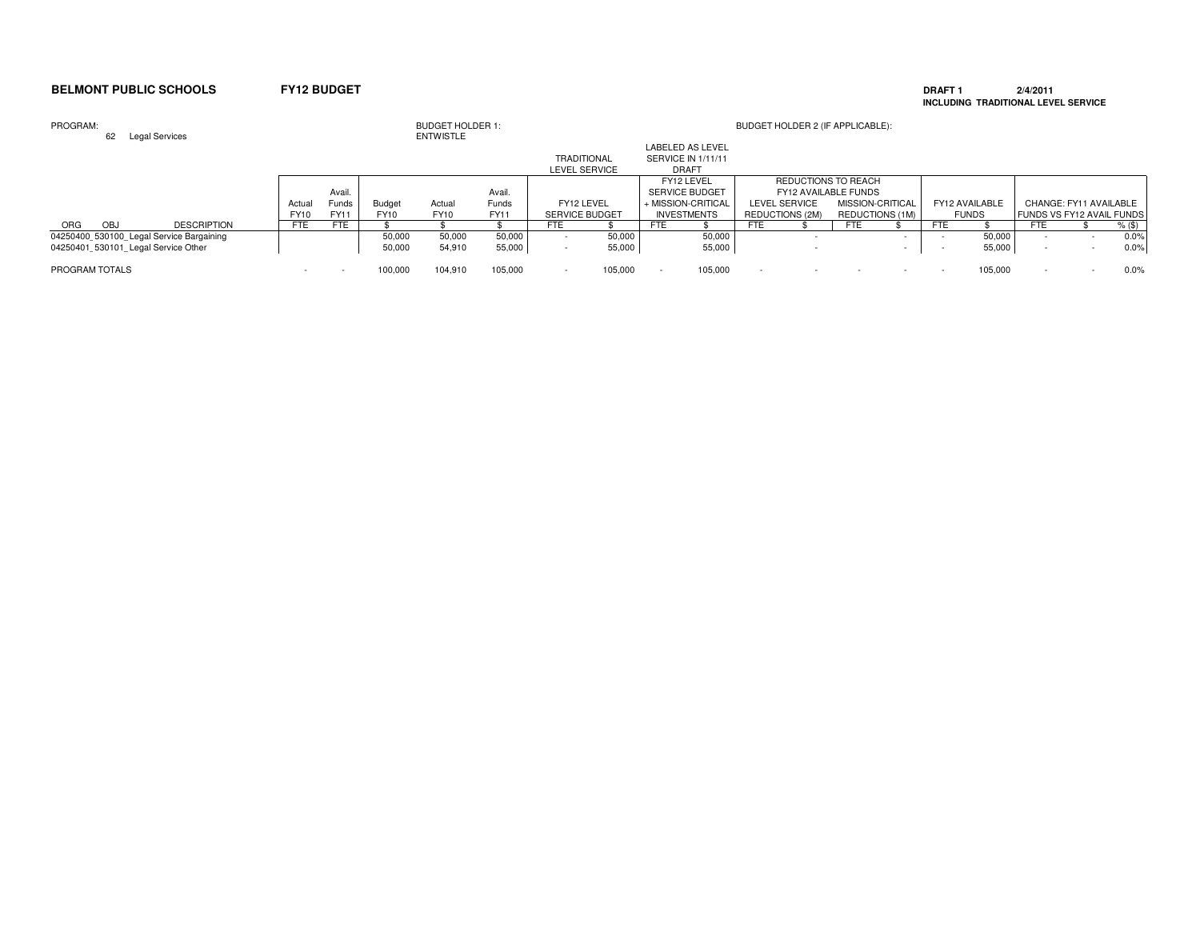### **DRAFT 1 2/4/2011 INCLUDING TRADITIONAL LEVEL SERVICE**

| PROGRAM:<br><b>Legal Services</b><br>62  |             |             |         | <b>BUDGET HOLDER 1:</b><br><b>ENTWISTLE</b> |             |                       |         |                    |                                               |                      | BUDGET HOLDER 2 (IF APPLICABLE): |     |                  |                          |                |                           |                          |          |
|------------------------------------------|-------------|-------------|---------|---------------------------------------------|-------------|-----------------------|---------|--------------------|-----------------------------------------------|----------------------|----------------------------------|-----|------------------|--------------------------|----------------|---------------------------|--------------------------|----------|
|                                          |             |             |         |                                             |             | <b>TRADITIONAL</b>    |         |                    | <b>LABELED AS LEVEL</b><br>SERVICE IN 1/11/11 |                      |                                  |     |                  |                          |                |                           |                          |          |
|                                          |             |             |         |                                             |             | <b>LEVEL SERVICE</b>  |         |                    | <b>DRAFT</b>                                  |                      |                                  |     |                  |                          |                |                           |                          |          |
|                                          |             |             |         |                                             |             |                       |         |                    | FY12 LEVEL                                    |                      | REDUCTIONS TO REACH              |     |                  |                          |                |                           |                          |          |
|                                          |             | Avail.      |         |                                             | Avail.      |                       |         |                    | <b>SERVICE BUDGET</b>                         |                      | FY12 AVAILABLE FUNDS             |     |                  |                          |                |                           |                          |          |
|                                          | Actual      | Funds       | Budget  | Actual                                      | Funds       | FY12 LEVEL            |         | + MISSION-CRITICAL |                                               | <b>LEVEL SERVICE</b> |                                  |     | MISSION-CRITICAL |                          | FY12 AVAILABLE |                           | CHANGE: FY11 AVAILABLE   |          |
|                                          | <b>FY10</b> | <b>FY11</b> | FY10    | <b>FY10</b>                                 | <b>FY11</b> | <b>SERVICE BUDGET</b> |         | <b>INVESTMENTS</b> |                                               | REDUCTIONS (2M)      |                                  |     | REDUCTIONS (1M)  |                          | <b>FUNDS</b>   | FUNDS VS FY12 AVAIL FUNDS |                          |          |
| OBJ<br><b>ORG</b><br><b>DESCRIPTION</b>  | <b>FTE</b>  | FTE         |         |                                             |             | FTE                   |         | FTE                |                                               | <b>FTE</b>           |                                  | FTE |                  | FTE                      |                | <b>FTE</b>                |                          | $%$ (\$) |
| 04250400 530100 Legal Service Bargaining |             |             | 50,000  | 50,000                                      | 50,000      |                       | 50.000  |                    | 50,000                                        |                      |                                  |     |                  |                          | 50,000         |                           |                          | 0.0%     |
| 04250401 530101 Legal Service Other      |             |             | 50,000  | 54,910                                      | 55,000      |                       | 55,000  |                    | 55,000                                        |                      |                                  |     |                  |                          | 55,000         |                           |                          | 0.0%     |
| PROGRAM TOTALS                           |             |             | 100,000 | 104,910                                     | 105,000     | $\sim$                | 105,000 |                    | 105,000                                       |                      |                                  |     |                  | $\overline{\phantom{a}}$ | 105,000        |                           | $\overline{\phantom{a}}$ | 0.0%     |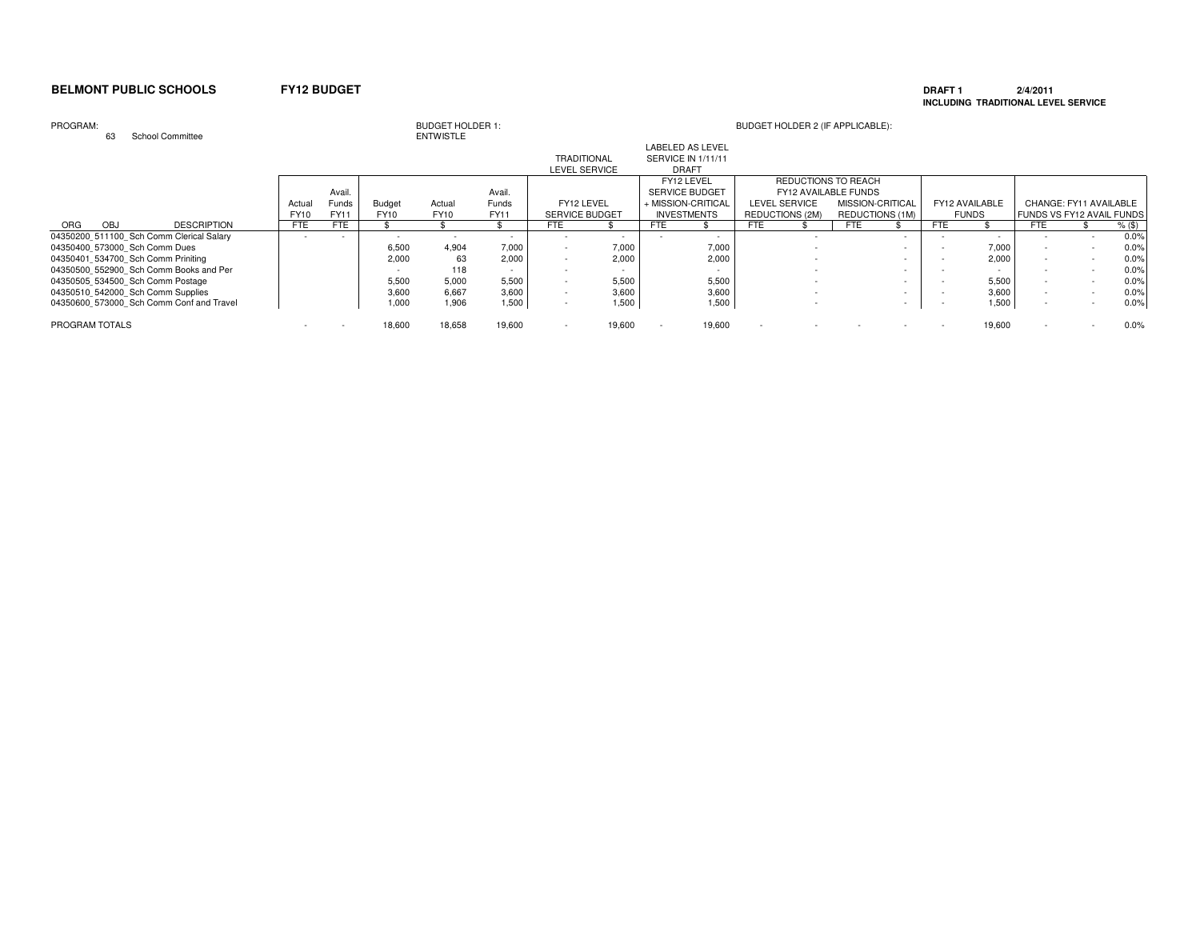### **DRAFT 1 2/4/2011 INCLUDING TRADITIONAL LEVEL SERVICE**

### PROGRAM:

63 School Committee

| <b>BUDGET HOLDER 1:</b> |  |
|-------------------------|--|
| <b>ENTWISTLE</b>        |  |

|                                          |            |             |               |             |             |                       |        | <b>LABELED AS LEVEL</b> |        |                      |                             |      |                |     |                                  |        |
|------------------------------------------|------------|-------------|---------------|-------------|-------------|-----------------------|--------|-------------------------|--------|----------------------|-----------------------------|------|----------------|-----|----------------------------------|--------|
|                                          |            |             |               |             |             | <b>TRADITIONAL</b>    |        | SERVICE IN 1/11/11      |        |                      |                             |      |                |     |                                  |        |
|                                          |            |             |               |             |             | LEVEL SERVICE         |        | <b>DRAFT</b>            |        |                      |                             |      |                |     |                                  |        |
|                                          |            |             |               |             |             |                       |        | FY12 LEVEL              |        |                      | REDUCTIONS TO REACH         |      |                |     |                                  |        |
|                                          |            | Avail.      |               |             | Avail.      |                       |        | <b>SERVICE BUDGET</b>   |        |                      | <b>FY12 AVAILABLE FUNDS</b> |      |                |     |                                  |        |
|                                          | Actual     | Funds       | <b>Budget</b> | Actual      | Funds       | FY12 LEVEL            |        | + MISSION-CRITICAL      |        | <b>LEVEL SERVICE</b> | MISSION-CRITICAL            |      | FY12 AVAILABLE |     | CHANGE: FY11 AVAILABLE           |        |
|                                          | FY10       | <b>FY11</b> | FY10          | <b>FY10</b> | <b>FY11</b> | <b>SERVICE BUDGET</b> |        | <b>INVESTMENTS</b>      |        | REDUCTIONS (2M)      | REDUCTIONS (1M)             |      | <b>FUNDS</b>   |     | <b>FUNDS VS FY12 AVAIL FUNDS</b> |        |
| <b>DESCRIPTION</b><br>ORG<br><b>OBJ</b>  | <b>FTE</b> | <b>FTE</b>  |               |             |             | FTE                   |        | <b>FTE</b>              |        | <b>FTE</b>           | FTE                         | FTE. |                | FTE |                                  | % (\$) |
| 04350200 511100 Sch Comm Clerical Salary |            |             |               |             |             |                       |        |                         |        |                      |                             |      |                |     |                                  | 0.0%   |
| 04350400 573000 Sch Comm Dues            |            |             | 6,500         | 4.904       | 7,000       |                       | 7.000  |                         | 7,000  |                      |                             |      | 7,000          |     |                                  | 0.0%   |
| 04350401 534700 Sch Comm Priniting       |            |             | 2.000         | 63          | 2.000       |                       | 2.000  |                         | 2,000  |                      |                             |      | 2.000          |     |                                  | 0.0%   |
| 04350500 552900 Sch Comm Books and Per   |            |             |               | 118         |             |                       |        |                         |        |                      |                             |      |                |     |                                  | 0.0%   |
| 04350505 534500 Sch Comm Postage         |            |             | 5,500         | 5,000       | 5,500       |                       | 5.500  |                         | 5,500  |                      |                             |      | 5,500          |     |                                  | 0.0%   |
| 04350510 542000 Sch Comm Supplies        |            |             | 3,600         | 6.667       | 3,600       |                       | 3,600  |                         | 3,600  |                      |                             |      | 3,600          |     |                                  | 0.0%   |
| 04350600 573000 Sch Comm Conf and Travel |            |             | 1,000         | 1,906       | 1,500       |                       | 1,500  |                         | 1,500  |                      |                             |      | 1,500          |     |                                  | 0.0%   |
| PROGRAM TOTALS                           |            |             | 18,600        | 18,658      | 19,600      |                       | 19,600 |                         | 19,600 |                      |                             |      | 19,600         |     |                                  | 0.0%   |
|                                          |            |             |               |             |             |                       |        |                         |        |                      |                             |      |                |     |                                  |        |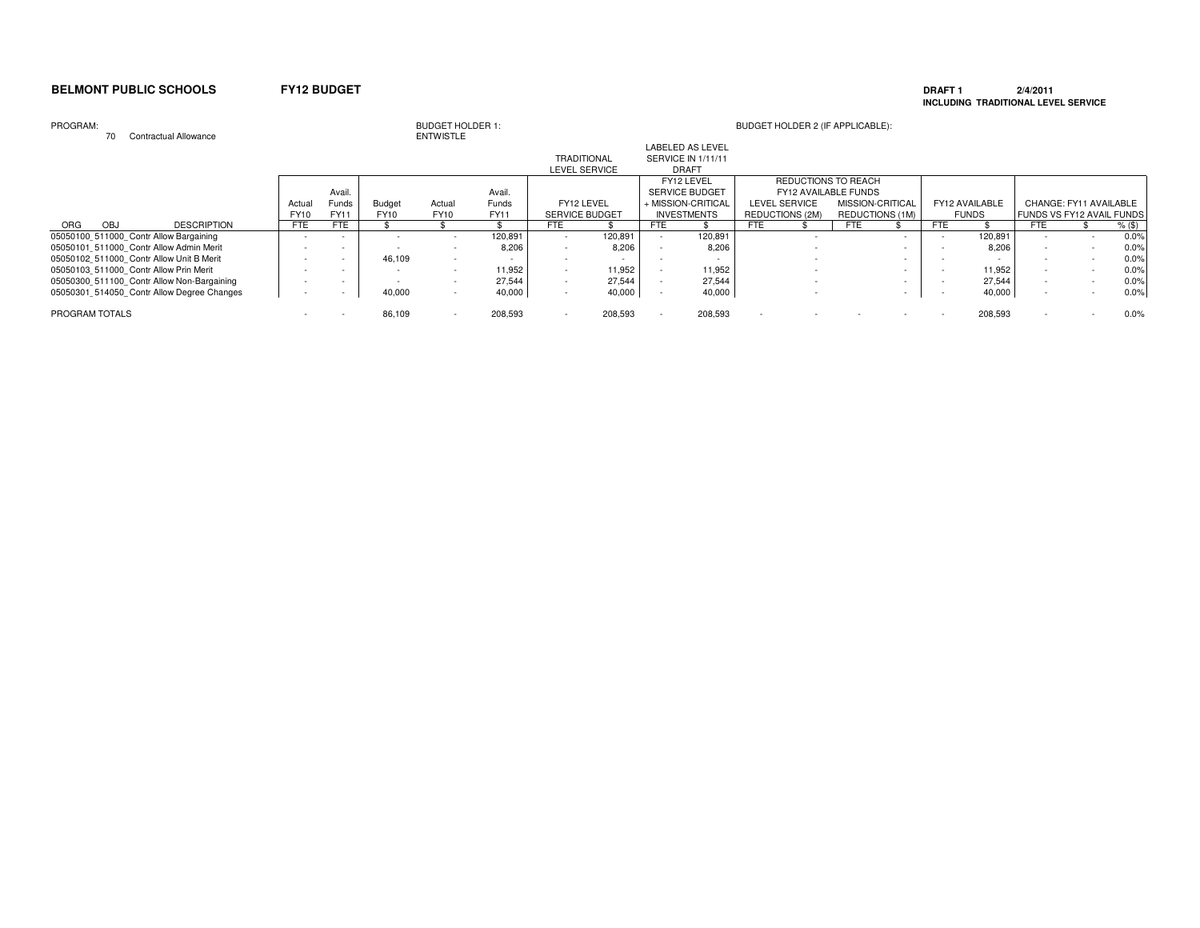### **DRAFT 1 2/4/2011 INCLUDING TRADITIONAL LEVEL SERVICE**

### PROGRAM:

70 Contractual Allowance

|                |            |                                            |             |            |               |             |         |                       |         |                    | <b>LABELED AS LEVEL</b> |                 |                      |                 |                  |              |                |                                  |                        |          |
|----------------|------------|--------------------------------------------|-------------|------------|---------------|-------------|---------|-----------------------|---------|--------------------|-------------------------|-----------------|----------------------|-----------------|------------------|--------------|----------------|----------------------------------|------------------------|----------|
|                |            |                                            |             |            |               |             |         | <b>TRADITIONAL</b>    |         |                    | SERVICE IN 1/11/11      |                 |                      |                 |                  |              |                |                                  |                        |          |
|                |            |                                            |             |            | LEVEL SERVICE |             |         | <b>DRAFT</b>          |         |                    |                         |                 |                      |                 |                  |              |                |                                  |                        |          |
|                |            |                                            |             |            |               |             |         |                       |         |                    | FY12 LEVEL              |                 | REDUCTIONS TO REACH  |                 |                  |              |                |                                  |                        |          |
|                |            |                                            |             | Avail.     |               |             | Avail.  |                       |         |                    | SERVICE BUDGET          |                 | FY12 AVAILABLE FUNDS |                 |                  |              |                |                                  |                        |          |
|                |            |                                            | Actual      | Funds      | <b>Budget</b> | Actual      | Funds   | FY12 LEVEL            |         |                    | + MISSION-CRITICAL      |                 | LEVEL SERVICE        |                 | MISSION-CRITICAL |              | FY12 AVAILABLE |                                  | CHANGE: FY11 AVAILABLE |          |
|                |            |                                            | <b>FY10</b> | FY11       | FY10          | <b>FY10</b> | FY11    | <b>SERVICE BUDGET</b> |         | <b>INVESTMENTS</b> |                         | REDUCTIONS (2M) |                      | REDUCTIONS (1M) |                  | <b>FUNDS</b> |                | <b>FUNDS VS FY12 AVAIL FUNDS</b> |                        |          |
| ORG            | <b>OBJ</b> | <b>DESCRIPTION</b>                         | <b>FTE</b>  | <b>FTE</b> |               |             |         | FTE                   |         | <b>FTE</b>         |                         | FTE.            |                      | <b>FTE</b>      |                  | <b>FTE</b>   |                | FTE                              |                        | $%$ (\$) |
|                |            | 05050100 511000 Contr Allow Bargaining     |             |            |               |             | 120,891 |                       | 120.891 |                    | 120,891                 |                 |                      |                 |                  |              | 120,891        |                                  |                        | 0.0%     |
|                |            | 05050101 511000 Contr Allow Admin Merit    |             |            |               |             | 8.206   |                       | 8,206   |                    | 8.206                   |                 |                      |                 |                  |              | 8.206          |                                  |                        | 0.0%     |
|                |            | 05050102 511000 Contr Allow Unit B Merit   |             |            | 46,109        |             |         |                       |         |                    |                         |                 |                      |                 |                  |              |                |                                  |                        | 0.0%     |
|                |            | 05050103 511000 Contr Allow Prin Merit     |             |            |               |             | 11.952  |                       | 11.952  |                    | 11.952                  |                 |                      |                 |                  |              | 11,952         |                                  |                        | 0.0%     |
|                |            | 05050300 511100 Contr Allow Non-Bargaining |             |            |               |             | 27,544  |                       | 27.544  |                    | 27,544                  |                 |                      |                 |                  |              | 27,544         |                                  |                        | 0.0%     |
|                |            | 05050301 514050 Contr Allow Degree Changes |             |            | 40,000        | $\sim$      | 40,000  |                       | 40,000  |                    | 40,000                  |                 |                      |                 |                  |              | 40,000         |                                  |                        | 0.0%     |
| PROGRAM TOTALS |            |                                            |             |            | 86,109        |             | 208,593 |                       | 208,593 |                    | 208,593                 |                 |                      |                 |                  |              | 208,593        |                                  |                        | 0.0%     |